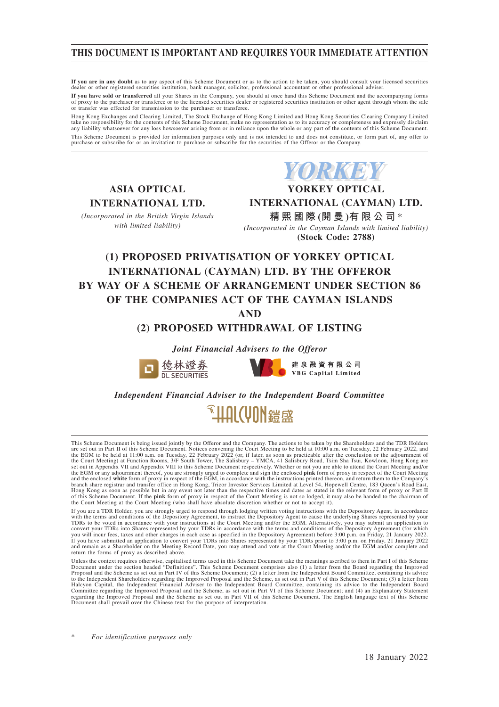# **THIS DOCUMENT IS IMPORTANT AND REQUIRES YOUR IMMEDIATE ATTENTION**

**If you are in any doubt** as to any aspect of this Scheme Document or as to the action to be taken, you should consult your licensed securities dealer or other registered securities institution, bank manager, solicitor, professional accountant or other professional adviser.

**If you have sold or transferred** all your Shares in the Company, you should at once hand this Scheme Document and the accompanying forms of proxy to the purchaser or transferee or to the licensed securities dealer or registered securities institution or other agent through whom the sale or transfer was effected for transmission to the purchaser or transferee.

Hong Kong Exchanges and Clearing Limited, The Stock Exchange of Hong Kong Limited and Hong Kong Securities Clearing Company Limited<br>take no responsibility for the contents of this Scheme Document, make no representation as any liability whatsoever for any loss howsoever arising from or in reliance upon the whole or any part of the contents of this Scheme Document. This Scheme Document is provided for information purposes only and is not intended to and does not constitute, or form part of, any offer to<br>purchase or subscribe for or an invitation to purchase or subscribe for the secur

**ASIA OPTICAL INTERNATIONAL LTD.**

*(Incorporated in the British Virgin Islands with limited liability)*

**YORKEY YORKEY OPTICAL INTERNATIONAL (CAYMAN) LTD. 精熙國際 (開 曼 )有限公司** \* *(Incorporated in the Cayman Islands with limited liability)* **(Stock Code: 2788)**

# **(1) PROPOSED PRIVATISATION OF YORKEY OPTICAL INTERNATIONAL (CAYMAN) LTD. BY THE OFFEROR BY WAY OF A SCHEME OF ARRANGEMENT UNDER SECTION 86 OF THE COMPANIES ACT OF THE CAYMAN ISLANDS**

**AND**

# **(2) PROPOSED WITHDRAWAL OF LISTING**

*Joint Financial Advisers to the Offeror*





建泉融資有限公司 VBG Capital Limited

*Independent Financial Adviser to the Independent Board Committee*



This Scheme Document is being issued jointly by the Offeror and the Company. The actions to be taken by the Shareholders and the TDR Holders are set out in Part II of this Scheme Document. Notices convening the Court Meeting to be held at 10:00 a.m. on Tuesday, 22 February 2022, and the EGM to be held at 11:00 a.m. on Tuesday, 22 February 2022 (or, if later, as soon as practicable after the conclusion or the adjournment of<br>the Court Meeting) at Function Rooms, 3/F South Tower, The Salisbury – YMCA, 41 the EGM or any adjournment thereof, you are strongly urged to complete and sign the enclosed **pink** form of proxy in respect of the Court Meeting<br>and the enclosed **white** form of proxy in respect of the EGM, in accordance Hong Kong as soon as possible but in any event not later than the respective times and dates as stated in the relevant form of proxy or Part II of this Scheme Document. If the **pink** form of proxy in respect of the Court Meeting is not so lodged, it may also be handed to the chairman of<br>the Court Meeting at the Court Meeting (who shall have absolute discretion whe

If you are a TDR Holder, you are strongly urged to respond through lodging written voting instructions with the Depository Agent, in accordance with the terms and conditions of the Depository Agenement, to instruct the Dep return the forms of proxy as described above.

Unless the context requires otherwise, capitalised terms used in this Scheme Document take the meanings ascribed to them in Part I of this Scheme<br>Document under the section headed "Definitions". This Scheme Document compri to the Independent Shareholders regarding the Improved Proposal and the Scheme, as set out in Part V of this Scheme Document; (3) a letter from<br>Halcyon Capital, the Independent Financial Adviser to the Independent Board Co Committee regarding the Improved Proposal and the Scheme, as set out in Part VI of this Scheme Document; and (4) an Explanatory Statement regarding the Improved Proposal and the Scheme as set out in Part VII of this Scheme Document. The English language text of this Scheme Document shall prevail over the Chinese text for the purpose of interpretation.

 $For$  *identification purposes only*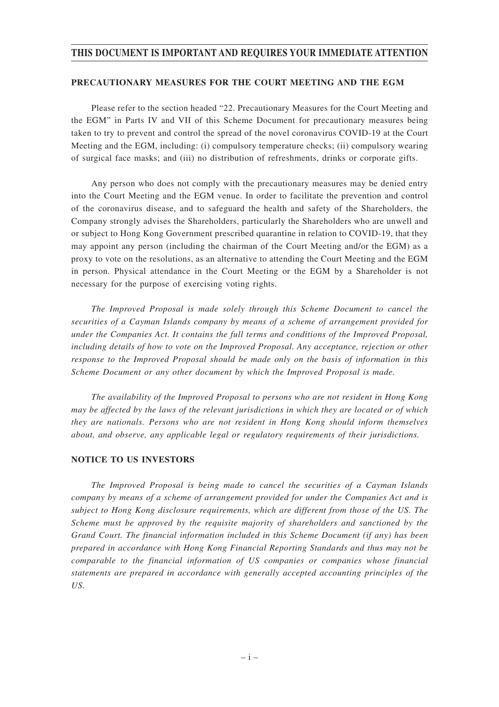## **THIS DOCUMENT IS IMPORTANT AND REQUIRES YOUR IMMEDIATE ATTENTION**

### **PRECAUTIONARY MEASURES FOR THE COURT MEETING AND THE EGM**

Please refer to the section headed "22. Precautionary Measures for the Court Meeting and the EGM" in Parts IV and VII of this Scheme Document for precautionary measures being taken to try to prevent and control the spread of the novel coronavirus COVID-19 at the Court Meeting and the EGM, including: (i) compulsory temperature checks; (ii) compulsory wearing of surgical face masks; and (iii) no distribution of refreshments, drinks or corporate gifts.

Any person who does not comply with the precautionary measures may be denied entry into the Court Meeting and the EGM venue. In order to facilitate the prevention and control of the coronavirus disease, and to safeguard the health and safety of the Shareholders, the Company strongly advises the Shareholders, particularly the Shareholders who are unwell and or subject to Hong Kong Government prescribed quarantine in relation to COVID-19, that they may appoint any person (including the chairman of the Court Meeting and/or the EGM) as a proxy to vote on the resolutions, as an alternative to attending the Court Meeting and the EGM in person. Physical attendance in the Court Meeting or the EGM by a Shareholder is not necessary for the purpose of exercising voting rights.

*The Improved Proposal is made solely through this Scheme Document to cancel the securities of a Cayman Islands company by means of a scheme of arrangement provided for under the Companies Act. It contains the full terms and conditions of the Improved Proposal, including details of how to vote on the Improved Proposal. Any acceptance, rejection or other response to the Improved Proposal should be made only on the basis of information in this Scheme Document or any other document by which the Improved Proposal is made.*

*The availability of the Improved Proposal to persons who are not resident in Hong Kong may be affected by the laws of the relevant jurisdictions in which they are located or of which they are nationals. Persons who are not resident in Hong Kong should inform themselves about, and observe, any applicable legal or regulatory requirements of their jurisdictions.*

### **NOTICE TO US INVESTORS**

*The Improved Proposal is being made to cancel the securities of a Cayman Islands company by means of a scheme of arrangement provided for under the Companies Act and is subject to Hong Kong disclosure requirements, which are different from those of the US. The Scheme must be approved by the requisite majority of shareholders and sanctioned by the Grand Court. The financial information included in this Scheme Document (if any) has been prepared in accordance with Hong Kong Financial Reporting Standards and thus may not be comparable to the financial information of US companies or companies whose financial statements are prepared in accordance with generally accepted accounting principles of the US.*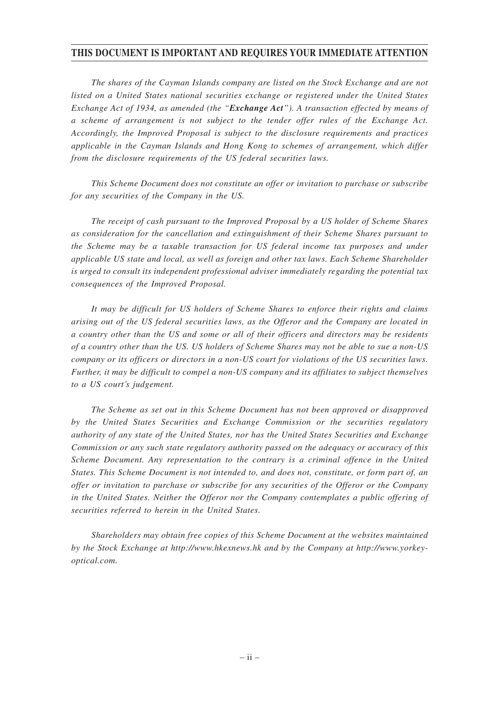# **THIS DOCUMENT IS IMPORTANT AND REQUIRES YOUR IMMEDIATE ATTENTION**

*The shares of the Cayman Islands company are listed on the Stock Exchange and are not listed on a United States national securities exchange or registered under the United States Exchange Act of 1934, as amended (the "Exchange Act"). A transaction effected by means of a scheme of arrangement is not subject to the tender offer rules of the Exchange Act. Accordingly, the Improved Proposal is subject to the disclosure requirements and practices applicable in the Cayman Islands and Hong Kong to schemes of arrangement, which differ from the disclosure requirements of the US federal securities laws.*

*This Scheme Document does not constitute an offer or invitation to purchase or subscribe for any securities of the Company in the US.*

*The receipt of cash pursuant to the Improved Proposal by a US holder of Scheme Shares as consideration for the cancellation and extinguishment of their Scheme Shares pursuant to the Scheme may be a taxable transaction for US federal income tax purposes and under applicable US state and local, as well as foreign and other tax laws. Each Scheme Shareholder is urged to consult its independent professional adviser immediately regarding the potential tax consequences of the Improved Proposal.*

*It may be difficult for US holders of Scheme Shares to enforce their rights and claims arising out of the US federal securities laws, as the Offeror and the Company are located in a country other than the US and some or all of their officers and directors may be residents of a country other than the US. US holders of Scheme Shares may not be able to sue a non-US company or its officers or directors in a non-US court for violations of the US securities laws. Further, it may be difficult to compel a non-US company and its affiliates to subject themselves to a US court's judgement.*

*The Scheme as set out in this Scheme Document has not been approved or disapproved by the United States Securities and Exchange Commission or the securities regulatory authority of any state of the United States, nor has the United States Securities and Exchange Commission or any such state regulatory authority passed on the adequacy or accuracy of this Scheme Document. Any representation to the contrary is a criminal offence in the United States. This Scheme Document is not intended to, and does not, constitute, or form part of, an offer or invitation to purchase or subscribe for any securities of the Offeror or the Company in the United States. Neither the Offeror nor the Company contemplates a public offering of securities referred to herein in the United States.*

*Shareholders may obtain free copies of this Scheme Document at the websites maintained by the Stock Exchange at http://www.hkexnews.hk and by the Company at http://www.yorkeyoptical.com.*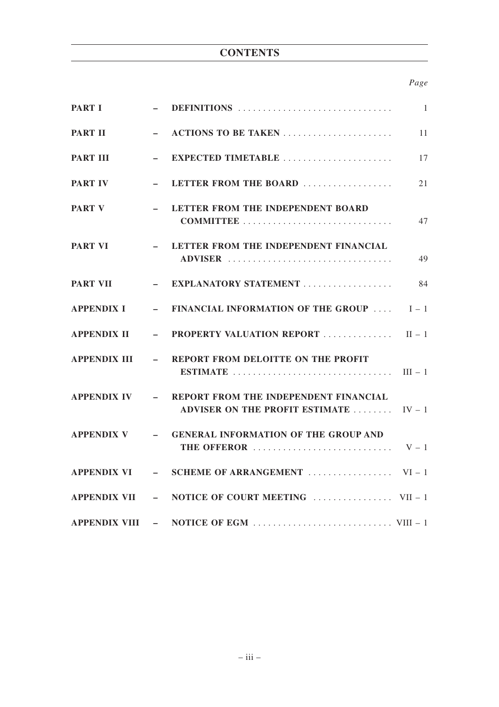# **CONTENTS**

# *Page*

| <b>PART I</b>       |                          |                                                                                                                        | $\overline{1}$ |
|---------------------|--------------------------|------------------------------------------------------------------------------------------------------------------------|----------------|
| <b>PART II</b>      |                          | ACTIONS TO BE TAKEN                                                                                                    | 11             |
| <b>PART III</b>     | $\overline{\phantom{0}}$ | EXPECTED TIMETABLE                                                                                                     | 17             |
| <b>PART IV</b>      | $\equiv$                 | LETTER FROM THE BOARD                                                                                                  | 21             |
| <b>PART V</b>       | $-$                      | LETTER FROM THE INDEPENDENT BOARD                                                                                      | 47             |
| <b>PART VI</b>      |                          | - LETTER FROM THE INDEPENDENT FINANCIAL<br>ADVISER                                                                     | 49             |
| <b>PART VII</b>     |                          | - EXPLANATORY STATEMENT                                                                                                | 84             |
| <b>APPENDIX I</b>   |                          | - FINANCIAL INFORMATION OF THE GROUP                                                                                   | $I-1$          |
| <b>APPENDIX II</b>  |                          | - PROPERTY VALUATION REPORT  II-1                                                                                      |                |
| <b>APPENDIX III</b> |                          | - REPORT FROM DELOITTE ON THE PROFIT                                                                                   |                |
| <b>APPENDIX IV</b>  |                          | - REPORT FROM THE INDEPENDENT FINANCIAL<br><b>ADVISER ON THE PROFIT ESTIMATE </b>                                      | $IV - 1$       |
| <b>APPENDIX V</b>   |                          | - GENERAL INFORMATION OF THE GROUP AND<br>THE OFFEROR $\ldots \ldots \ldots \ldots \ldots \ldots \ldots \ldots \ldots$ |                |
| <b>APPENDIX VI</b>  |                          |                                                                                                                        |                |
|                     |                          |                                                                                                                        |                |
|                     |                          |                                                                                                                        |                |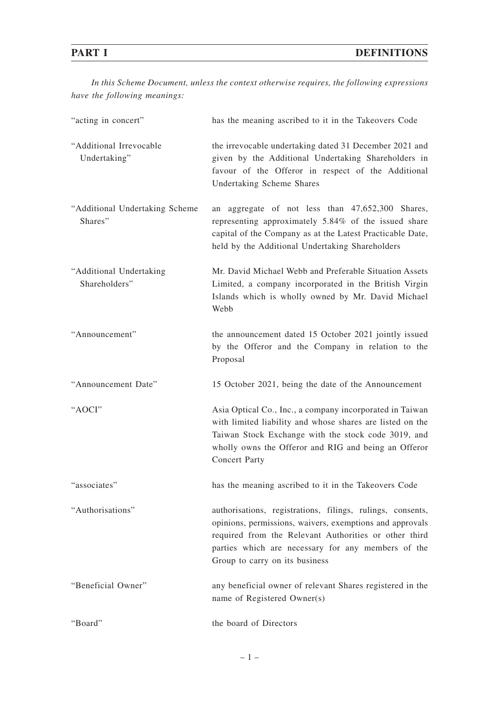*In this Scheme Document, unless the context otherwise requires, the following expressions have the following meanings:*

| "acting in concert"                       | has the meaning ascribed to it in the Takeovers Code                                                                                                                                                                                                                    |
|-------------------------------------------|-------------------------------------------------------------------------------------------------------------------------------------------------------------------------------------------------------------------------------------------------------------------------|
| "Additional Irrevocable<br>Undertaking"   | the irrevocable undertaking dated 31 December 2021 and<br>given by the Additional Undertaking Shareholders in<br>favour of the Offeror in respect of the Additional<br><b>Undertaking Scheme Shares</b>                                                                 |
| "Additional Undertaking Scheme<br>Shares" | an aggregate of not less than 47,652,300 Shares,<br>representing approximately 5.84% of the issued share<br>capital of the Company as at the Latest Practicable Date,<br>held by the Additional Undertaking Shareholders                                                |
| "Additional Undertaking<br>Shareholders"  | Mr. David Michael Webb and Preferable Situation Assets<br>Limited, a company incorporated in the British Virgin<br>Islands which is wholly owned by Mr. David Michael<br>Webb                                                                                           |
| "Announcement"                            | the announcement dated 15 October 2021 jointly issued<br>by the Offeror and the Company in relation to the<br>Proposal                                                                                                                                                  |
| "Announcement Date"                       | 15 October 2021, being the date of the Announcement                                                                                                                                                                                                                     |
| "AOCI"                                    | Asia Optical Co., Inc., a company incorporated in Taiwan<br>with limited liability and whose shares are listed on the<br>Taiwan Stock Exchange with the stock code 3019, and<br>wholly owns the Offeror and RIG and being an Offeror<br><b>Concert Party</b>            |
| "associates"                              | has the meaning ascribed to it in the Takeovers Code                                                                                                                                                                                                                    |
| "Authorisations"                          | authorisations, registrations, filings, rulings, consents,<br>opinions, permissions, waivers, exemptions and approvals<br>required from the Relevant Authorities or other third<br>parties which are necessary for any members of the<br>Group to carry on its business |
| "Beneficial Owner"                        | any beneficial owner of relevant Shares registered in the<br>name of Registered Owner(s)                                                                                                                                                                                |
| "Board"                                   | the board of Directors                                                                                                                                                                                                                                                  |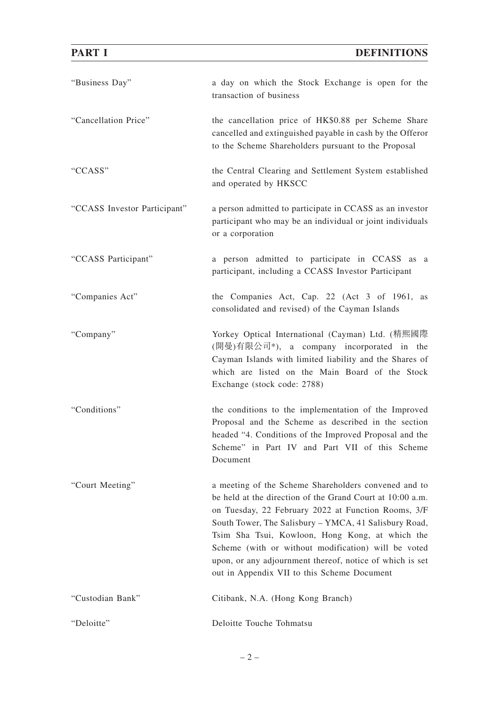| "Business Day"               | a day on which the Stock Exchange is open for the<br>transaction of business                                                                                                                                                                                                                                                                                                                                                                           |
|------------------------------|--------------------------------------------------------------------------------------------------------------------------------------------------------------------------------------------------------------------------------------------------------------------------------------------------------------------------------------------------------------------------------------------------------------------------------------------------------|
| "Cancellation Price"         | the cancellation price of HK\$0.88 per Scheme Share<br>cancelled and extinguished payable in cash by the Offeror<br>to the Scheme Shareholders pursuant to the Proposal                                                                                                                                                                                                                                                                                |
| "CCASS"                      | the Central Clearing and Settlement System established<br>and operated by HKSCC                                                                                                                                                                                                                                                                                                                                                                        |
| "CCASS Investor Participant" | a person admitted to participate in CCASS as an investor<br>participant who may be an individual or joint individuals<br>or a corporation                                                                                                                                                                                                                                                                                                              |
| "CCASS Participant"          | a person admitted to participate in CCASS as a<br>participant, including a CCASS Investor Participant                                                                                                                                                                                                                                                                                                                                                  |
| "Companies Act"              | the Companies Act, Cap. 22 (Act 3 of 1961, as<br>consolidated and revised) of the Cayman Islands                                                                                                                                                                                                                                                                                                                                                       |
| "Company"                    | Yorkey Optical International (Cayman) Ltd. (精熙國際<br>(開曼)有限公司*), a company incorporated in the<br>Cayman Islands with limited liability and the Shares of<br>which are listed on the Main Board of the Stock<br>Exchange (stock code: 2788)                                                                                                                                                                                                             |
| "Conditions"                 | the conditions to the implementation of the Improved<br>Proposal and the Scheme as described in the section<br>headed "4. Conditions of the Improved Proposal and the<br>Scheme" in Part IV and Part VII of this Scheme<br>Document                                                                                                                                                                                                                    |
| "Court Meeting"              | a meeting of the Scheme Shareholders convened and to<br>be held at the direction of the Grand Court at 10:00 a.m.<br>on Tuesday, 22 February 2022 at Function Rooms, 3/F<br>South Tower, The Salisbury – YMCA, 41 Salisbury Road,<br>Tsim Sha Tsui, Kowloon, Hong Kong, at which the<br>Scheme (with or without modification) will be voted<br>upon, or any adjournment thereof, notice of which is set<br>out in Appendix VII to this Scheme Document |
| "Custodian Bank"             | Citibank, N.A. (Hong Kong Branch)                                                                                                                                                                                                                                                                                                                                                                                                                      |
| "Deloitte"                   | Deloitte Touche Tohmatsu                                                                                                                                                                                                                                                                                                                                                                                                                               |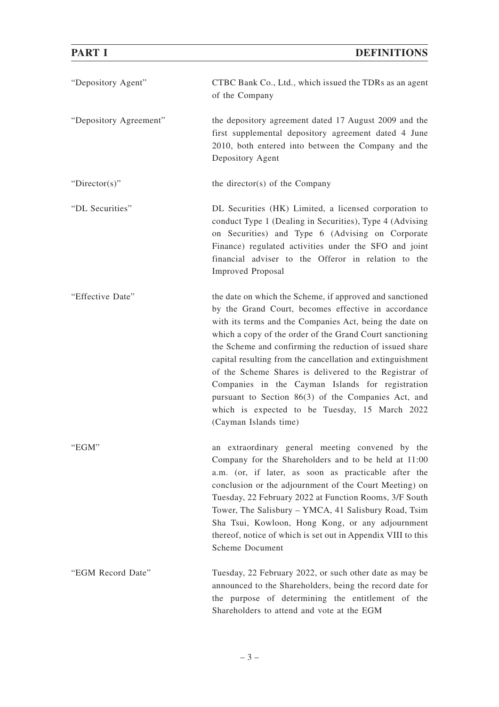| "Depository Agent"     | CTBC Bank Co., Ltd., which issued the TDRs as an agent<br>of the Company                                                                                                                                                                                                                                                                                                                                                                                                                                                                                                                                       |
|------------------------|----------------------------------------------------------------------------------------------------------------------------------------------------------------------------------------------------------------------------------------------------------------------------------------------------------------------------------------------------------------------------------------------------------------------------------------------------------------------------------------------------------------------------------------------------------------------------------------------------------------|
| "Depository Agreement" | the depository agreement dated 17 August 2009 and the<br>first supplemental depository agreement dated 4 June<br>2010, both entered into between the Company and the<br>Depository Agent                                                                                                                                                                                                                                                                                                                                                                                                                       |
| " $Directory$ "        | the director(s) of the Company                                                                                                                                                                                                                                                                                                                                                                                                                                                                                                                                                                                 |
| "DL Securities"        | DL Securities (HK) Limited, a licensed corporation to<br>conduct Type 1 (Dealing in Securities), Type 4 (Advising<br>on Securities) and Type 6 (Advising on Corporate<br>Finance) regulated activities under the SFO and joint<br>financial adviser to the Offeror in relation to the<br><b>Improved Proposal</b>                                                                                                                                                                                                                                                                                              |
| "Effective Date"       | the date on which the Scheme, if approved and sanctioned<br>by the Grand Court, becomes effective in accordance<br>with its terms and the Companies Act, being the date on<br>which a copy of the order of the Grand Court sanctioning<br>the Scheme and confirming the reduction of issued share<br>capital resulting from the cancellation and extinguishment<br>of the Scheme Shares is delivered to the Registrar of<br>Companies in the Cayman Islands for registration<br>pursuant to Section 86(3) of the Companies Act, and<br>which is expected to be Tuesday, 15 March 2022<br>(Cayman Islands time) |
| "EGM"                  | an extraordinary general meeting convened by the<br>Company for the Shareholders and to be held at 11:00<br>a.m. (or, if later, as soon as practicable after the<br>conclusion or the adjournment of the Court Meeting) on<br>Tuesday, 22 February 2022 at Function Rooms, 3/F South<br>Tower, The Salisbury - YMCA, 41 Salisbury Road, Tsim<br>Sha Tsui, Kowloon, Hong Kong, or any adjournment<br>thereof, notice of which is set out in Appendix VIII to this<br><b>Scheme Document</b>                                                                                                                     |
| "EGM Record Date"      | Tuesday, 22 February 2022, or such other date as may be<br>announced to the Shareholders, being the record date for<br>the purpose of determining the entitlement of the<br>Shareholders to attend and vote at the EGM                                                                                                                                                                                                                                                                                                                                                                                         |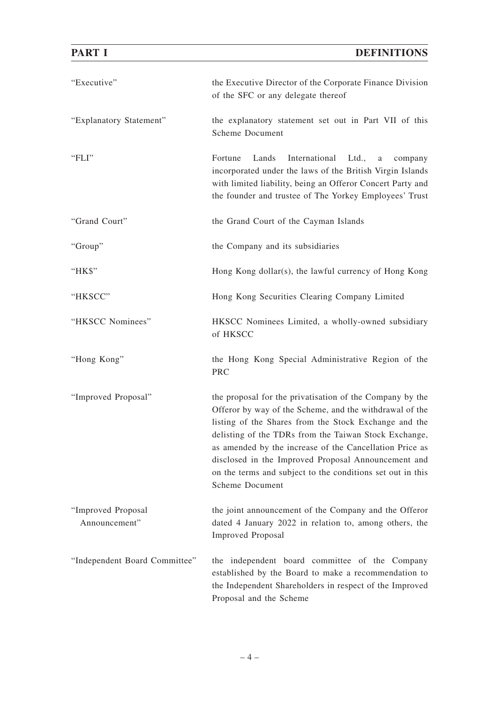| "Executive"                         | the Executive Director of the Corporate Finance Division<br>of the SFC or any delegate thereof                                                                                                                                                                                                                                                                                                                                                  |
|-------------------------------------|-------------------------------------------------------------------------------------------------------------------------------------------------------------------------------------------------------------------------------------------------------------------------------------------------------------------------------------------------------------------------------------------------------------------------------------------------|
| "Explanatory Statement"             | the explanatory statement set out in Part VII of this<br><b>Scheme Document</b>                                                                                                                                                                                                                                                                                                                                                                 |
| "FLI"                               | Fortune<br>International<br>Lands<br>Ltd.,<br>$\mathbf{a}$<br>company<br>incorporated under the laws of the British Virgin Islands<br>with limited liability, being an Offeror Concert Party and<br>the founder and trustee of The Yorkey Employees' Trust                                                                                                                                                                                      |
| "Grand Court"                       | the Grand Court of the Cayman Islands                                                                                                                                                                                                                                                                                                                                                                                                           |
| "Group"                             | the Company and its subsidiaries                                                                                                                                                                                                                                                                                                                                                                                                                |
| "HK\$"                              | Hong Kong dollar(s), the lawful currency of Hong Kong                                                                                                                                                                                                                                                                                                                                                                                           |
| "HKSCC"                             | Hong Kong Securities Clearing Company Limited                                                                                                                                                                                                                                                                                                                                                                                                   |
| "HKSCC Nominees"                    | HKSCC Nominees Limited, a wholly-owned subsidiary<br>of HKSCC                                                                                                                                                                                                                                                                                                                                                                                   |
| "Hong Kong"                         | the Hong Kong Special Administrative Region of the<br>PRC                                                                                                                                                                                                                                                                                                                                                                                       |
| "Improved Proposal"                 | the proposal for the privatisation of the Company by the<br>Offeror by way of the Scheme, and the withdrawal of the<br>listing of the Shares from the Stock Exchange and the<br>delisting of the TDRs from the Taiwan Stock Exchange,<br>as amended by the increase of the Cancellation Price as<br>disclosed in the Improved Proposal Announcement and<br>on the terms and subject to the conditions set out in this<br><b>Scheme Document</b> |
| "Improved Proposal<br>Announcement" | the joint announcement of the Company and the Offeror<br>dated 4 January 2022 in relation to, among others, the<br><b>Improved Proposal</b>                                                                                                                                                                                                                                                                                                     |
| "Independent Board Committee"       | the independent board committee of the Company<br>established by the Board to make a recommendation to<br>the Independent Shareholders in respect of the Improved<br>Proposal and the Scheme                                                                                                                                                                                                                                                    |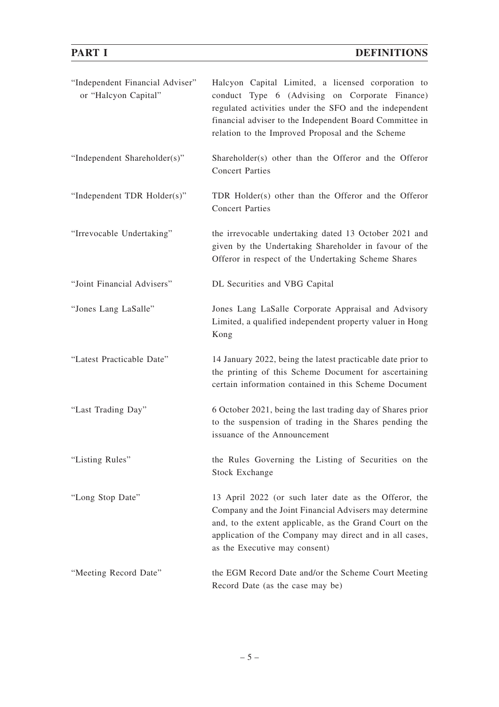# **PART I** DEFINITIONS

| "Independent Financial Adviser"<br>or "Halcyon Capital" | Halcyon Capital Limited, a licensed corporation to<br>conduct Type 6 (Advising on Corporate Finance)<br>regulated activities under the SFO and the independent<br>financial adviser to the Independent Board Committee in<br>relation to the Improved Proposal and the Scheme |
|---------------------------------------------------------|-------------------------------------------------------------------------------------------------------------------------------------------------------------------------------------------------------------------------------------------------------------------------------|
| "Independent Shareholder(s)"                            | Shareholder(s) other than the Offeror and the Offeror<br><b>Concert Parties</b>                                                                                                                                                                                               |
| "Independent TDR Holder(s)"                             | TDR Holder(s) other than the Offeror and the Offeror<br><b>Concert Parties</b>                                                                                                                                                                                                |
| "Irrevocable Undertaking"                               | the irrevocable undertaking dated 13 October 2021 and<br>given by the Undertaking Shareholder in favour of the<br>Offeror in respect of the Undertaking Scheme Shares                                                                                                         |
| "Joint Financial Advisers"                              | DL Securities and VBG Capital                                                                                                                                                                                                                                                 |
| "Jones Lang LaSalle"                                    | Jones Lang LaSalle Corporate Appraisal and Advisory<br>Limited, a qualified independent property valuer in Hong<br>Kong                                                                                                                                                       |
| "Latest Practicable Date"                               | 14 January 2022, being the latest practicable date prior to<br>the printing of this Scheme Document for ascertaining<br>certain information contained in this Scheme Document                                                                                                 |
| "Last Trading Day"                                      | 6 October 2021, being the last trading day of Shares prior<br>to the suspension of trading in the Shares pending the<br>issuance of the Announcement                                                                                                                          |
| "Listing Rules"                                         | the Rules Governing the Listing of Securities on the<br><b>Stock Exchange</b>                                                                                                                                                                                                 |
| "Long Stop Date"                                        | 13 April 2022 (or such later date as the Offeror, the<br>Company and the Joint Financial Advisers may determine<br>and, to the extent applicable, as the Grand Court on the<br>application of the Company may direct and in all cases,<br>as the Executive may consent)       |
| "Meeting Record Date"                                   | the EGM Record Date and/or the Scheme Court Meeting<br>Record Date (as the case may be)                                                                                                                                                                                       |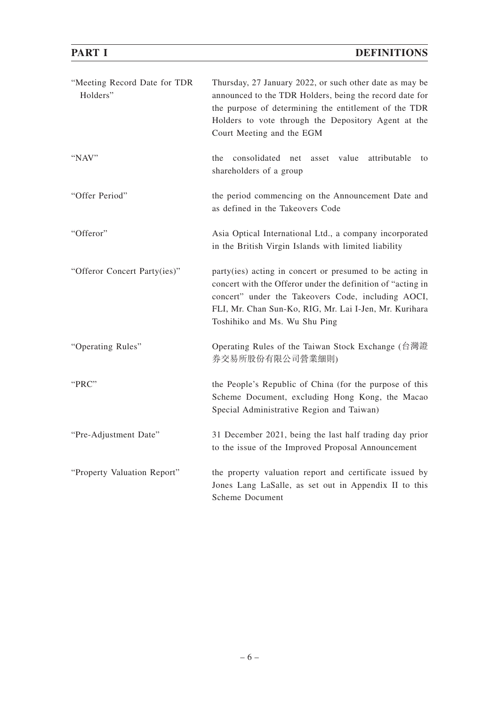# **DEFINITIONS**

|--|

| "Meeting Record Date for TDR<br>Holders" | Thursday, 27 January 2022, or such other date as may be<br>announced to the TDR Holders, being the record date for<br>the purpose of determining the entitlement of the TDR<br>Holders to vote through the Depository Agent at the<br>Court Meeting and the EGM          |
|------------------------------------------|--------------------------------------------------------------------------------------------------------------------------------------------------------------------------------------------------------------------------------------------------------------------------|
| "NAV"                                    | consolidated net<br>asset value<br>attributable<br>the<br>to<br>shareholders of a group                                                                                                                                                                                  |
| "Offer Period"                           | the period commencing on the Announcement Date and<br>as defined in the Takeovers Code                                                                                                                                                                                   |
| "Offeror"                                | Asia Optical International Ltd., a company incorporated<br>in the British Virgin Islands with limited liability                                                                                                                                                          |
| "Offeror Concert Party(ies)"             | party(ies) acting in concert or presumed to be acting in<br>concert with the Offeror under the definition of "acting in<br>concert" under the Takeovers Code, including AOCI,<br>FLI, Mr. Chan Sun-Ko, RIG, Mr. Lai I-Jen, Mr. Kurihara<br>Toshihiko and Ms. Wu Shu Ping |
| "Operating Rules"                        | Operating Rules of the Taiwan Stock Exchange (台灣證<br>券交易所股份有限公司營業細則)                                                                                                                                                                                                     |
| "PRC"                                    | the People's Republic of China (for the purpose of this<br>Scheme Document, excluding Hong Kong, the Macao<br>Special Administrative Region and Taiwan)                                                                                                                  |
| "Pre-Adjustment Date"                    | 31 December 2021, being the last half trading day prior<br>to the issue of the Improved Proposal Announcement                                                                                                                                                            |
| "Property Valuation Report"              | the property valuation report and certificate issued by<br>Jones Lang LaSalle, as set out in Appendix II to this<br><b>Scheme Document</b>                                                                                                                               |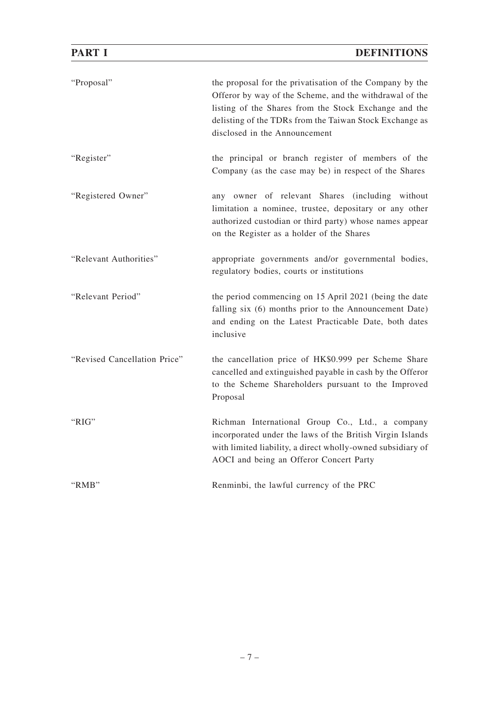| "Proposal"                   | the proposal for the privatisation of the Company by the<br>Offeror by way of the Scheme, and the withdrawal of the<br>listing of the Shares from the Stock Exchange and the<br>delisting of the TDRs from the Taiwan Stock Exchange as<br>disclosed in the Announcement |
|------------------------------|--------------------------------------------------------------------------------------------------------------------------------------------------------------------------------------------------------------------------------------------------------------------------|
| "Register"                   | the principal or branch register of members of the<br>Company (as the case may be) in respect of the Shares                                                                                                                                                              |
| "Registered Owner"           | any owner of relevant Shares (including without<br>limitation a nominee, trustee, depositary or any other<br>authorized custodian or third party) whose names appear<br>on the Register as a holder of the Shares                                                        |
| "Relevant Authorities"       | appropriate governments and/or governmental bodies,<br>regulatory bodies, courts or institutions                                                                                                                                                                         |
| "Relevant Period"            | the period commencing on 15 April 2021 (being the date<br>falling six (6) months prior to the Announcement Date)<br>and ending on the Latest Practicable Date, both dates<br>inclusive                                                                                   |
| "Revised Cancellation Price" | the cancellation price of HK\$0.999 per Scheme Share<br>cancelled and extinguished payable in cash by the Offeror<br>to the Scheme Shareholders pursuant to the Improved<br>Proposal                                                                                     |
| "RIG"                        | Richman International Group Co., Ltd., a company<br>incorporated under the laws of the British Virgin Islands<br>with limited liability, a direct wholly-owned subsidiary of<br>AOCI and being an Offeror Concert Party                                                  |
| "RMB"                        | Renminbi, the lawful currency of the PRC                                                                                                                                                                                                                                 |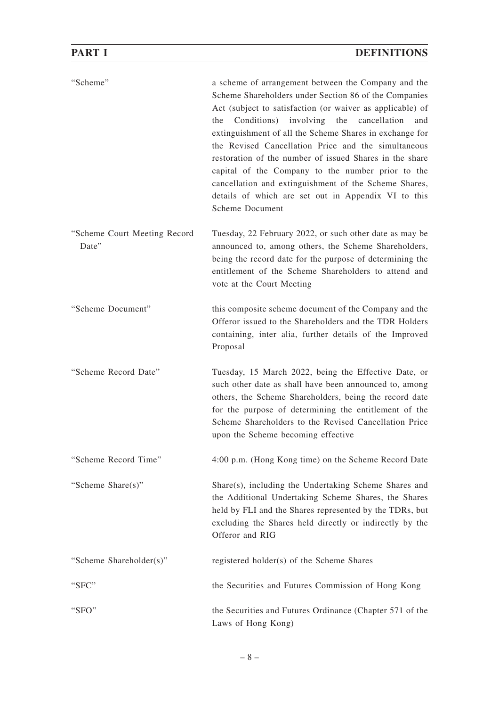| "Scheme"                              | a scheme of arrangement between the Company and the<br>Scheme Shareholders under Section 86 of the Companies<br>Act (subject to satisfaction (or waiver as applicable) of<br>Conditions)<br>involving<br>the<br>cancellation<br>the<br>and<br>extinguishment of all the Scheme Shares in exchange for<br>the Revised Cancellation Price and the simultaneous<br>restoration of the number of issued Shares in the share<br>capital of the Company to the number prior to the<br>cancellation and extinguishment of the Scheme Shares,<br>details of which are set out in Appendix VI to this<br>Scheme Document |
|---------------------------------------|-----------------------------------------------------------------------------------------------------------------------------------------------------------------------------------------------------------------------------------------------------------------------------------------------------------------------------------------------------------------------------------------------------------------------------------------------------------------------------------------------------------------------------------------------------------------------------------------------------------------|
| "Scheme Court Meeting Record<br>Date" | Tuesday, 22 February 2022, or such other date as may be<br>announced to, among others, the Scheme Shareholders,<br>being the record date for the purpose of determining the<br>entitlement of the Scheme Shareholders to attend and<br>vote at the Court Meeting                                                                                                                                                                                                                                                                                                                                                |
| "Scheme Document"                     | this composite scheme document of the Company and the<br>Offeror issued to the Shareholders and the TDR Holders<br>containing, inter alia, further details of the Improved<br>Proposal                                                                                                                                                                                                                                                                                                                                                                                                                          |
| "Scheme Record Date"                  | Tuesday, 15 March 2022, being the Effective Date, or<br>such other date as shall have been announced to, among<br>others, the Scheme Shareholders, being the record date<br>for the purpose of determining the entitlement of the<br>Scheme Shareholders to the Revised Cancellation Price<br>upon the Scheme becoming effective                                                                                                                                                                                                                                                                                |
| "Scheme Record Time"                  | 4:00 p.m. (Hong Kong time) on the Scheme Record Date                                                                                                                                                                                                                                                                                                                                                                                                                                                                                                                                                            |
| "Scheme Share(s)"                     | Share(s), including the Undertaking Scheme Shares and<br>the Additional Undertaking Scheme Shares, the Shares<br>held by FLI and the Shares represented by the TDRs, but<br>excluding the Shares held directly or indirectly by the<br>Offeror and RIG                                                                                                                                                                                                                                                                                                                                                          |
| "Scheme Shareholder(s)"               | registered holder(s) of the Scheme Shares                                                                                                                                                                                                                                                                                                                                                                                                                                                                                                                                                                       |
| "SFC"                                 | the Securities and Futures Commission of Hong Kong                                                                                                                                                                                                                                                                                                                                                                                                                                                                                                                                                              |
| "SFO"                                 | the Securities and Futures Ordinance (Chapter 571 of the<br>Laws of Hong Kong)                                                                                                                                                                                                                                                                                                                                                                                                                                                                                                                                  |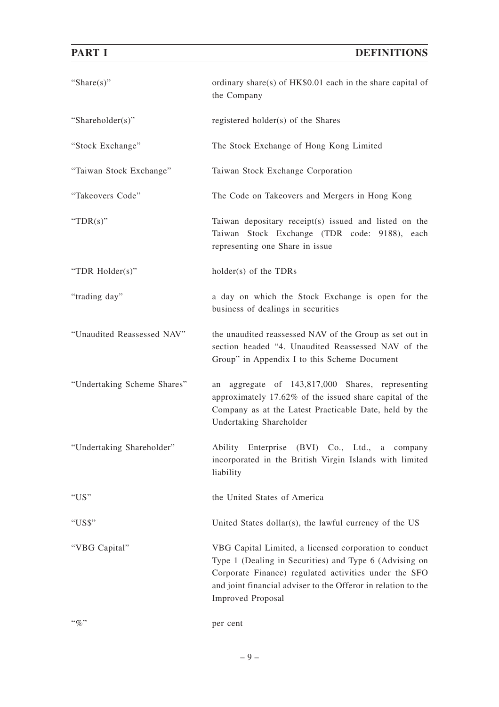# **DEFINITIONS**

|--|--|--|

| "Share $(s)$ "              | ordinary share(s) of HK\$0.01 each in the share capital of<br>the Company                                                                                                                                                                                              |
|-----------------------------|------------------------------------------------------------------------------------------------------------------------------------------------------------------------------------------------------------------------------------------------------------------------|
| "Shareholder(s)"            | registered holder(s) of the Shares                                                                                                                                                                                                                                     |
| "Stock Exchange"            | The Stock Exchange of Hong Kong Limited                                                                                                                                                                                                                                |
| "Taiwan Stock Exchange"     | Taiwan Stock Exchange Corporation                                                                                                                                                                                                                                      |
| "Takeovers Code"            | The Code on Takeovers and Mergers in Hong Kong                                                                                                                                                                                                                         |
| "TDR $(s)$ "                | Taiwan depositary receipt(s) issued and listed on the<br>Taiwan Stock Exchange (TDR code: 9188), each<br>representing one Share in issue                                                                                                                               |
| "TDR Holder(s)"             | holder(s) of the TDRs                                                                                                                                                                                                                                                  |
| "trading day"               | a day on which the Stock Exchange is open for the<br>business of dealings in securities                                                                                                                                                                                |
| "Unaudited Reassessed NAV"  | the unaudited reassessed NAV of the Group as set out in<br>section headed "4. Unaudited Reassessed NAV of the<br>Group" in Appendix I to this Scheme Document                                                                                                          |
| "Undertaking Scheme Shares" | aggregate of 143,817,000 Shares, representing<br>an<br>approximately 17.62% of the issued share capital of the<br>Company as at the Latest Practicable Date, held by the<br>Undertaking Shareholder                                                                    |
| "Undertaking Shareholder"   | Ability<br>Enterprise (BVI) Co., Ltd.,<br>a company<br>incorporated in the British Virgin Islands with limited<br>liability                                                                                                                                            |
| " $US"$                     | the United States of America                                                                                                                                                                                                                                           |
| "US\$"                      | United States dollar(s), the lawful currency of the US                                                                                                                                                                                                                 |
| "VBG Capital"               | VBG Capital Limited, a licensed corporation to conduct<br>Type 1 (Dealing in Securities) and Type 6 (Advising on<br>Corporate Finance) regulated activities under the SFO<br>and joint financial adviser to the Offeror in relation to the<br><b>Improved Proposal</b> |
| $``\%"$                     | per cent                                                                                                                                                                                                                                                               |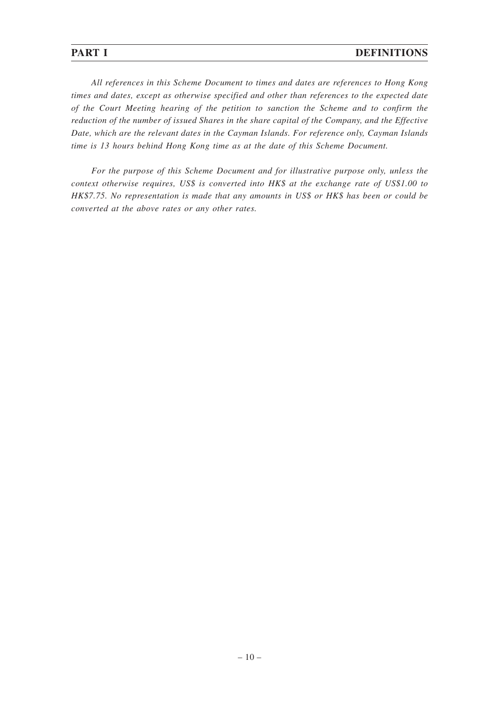## **PART I** DEFINITIONS

*All references in this Scheme Document to times and dates are references to Hong Kong times and dates, except as otherwise specified and other than references to the expected date of the Court Meeting hearing of the petition to sanction the Scheme and to confirm the reduction of the number of issued Shares in the share capital of the Company, and the Effective Date, which are the relevant dates in the Cayman Islands. For reference only, Cayman Islands time is 13 hours behind Hong Kong time as at the date of this Scheme Document.*

*For the purpose of this Scheme Document and for illustrative purpose only, unless the context otherwise requires, US\$ is converted into HK\$ at the exchange rate of US\$1.00 to HK\$7.75. No representation is made that any amounts in US\$ or HK\$ has been or could be converted at the above rates or any other rates.*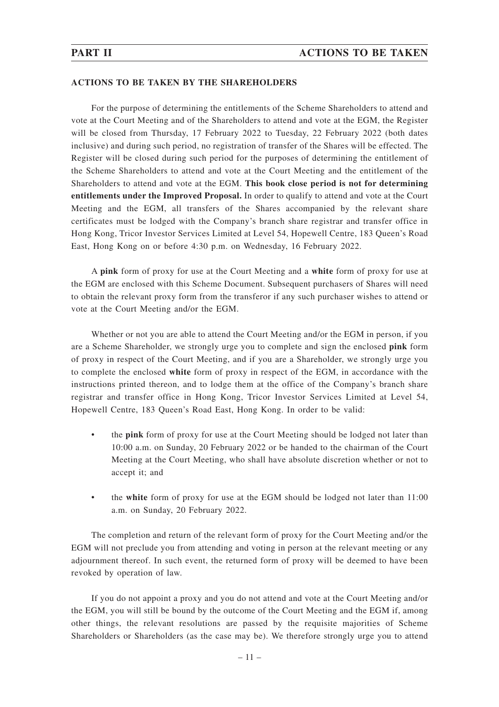### **ACTIONS TO BE TAKEN BY THE SHAREHOLDERS**

For the purpose of determining the entitlements of the Scheme Shareholders to attend and vote at the Court Meeting and of the Shareholders to attend and vote at the EGM, the Register will be closed from Thursday, 17 February 2022 to Tuesday, 22 February 2022 (both dates inclusive) and during such period, no registration of transfer of the Shares will be effected. The Register will be closed during such period for the purposes of determining the entitlement of the Scheme Shareholders to attend and vote at the Court Meeting and the entitlement of the Shareholders to attend and vote at the EGM. **This book close period is not for determining entitlements under the Improved Proposal.** In order to qualify to attend and vote at the Court Meeting and the EGM, all transfers of the Shares accompanied by the relevant share certificates must be lodged with the Company's branch share registrar and transfer office in Hong Kong, Tricor Investor Services Limited at Level 54, Hopewell Centre, 183 Queen's Road East, Hong Kong on or before 4:30 p.m. on Wednesday, 16 February 2022.

A **pink** form of proxy for use at the Court Meeting and a **white** form of proxy for use at the EGM are enclosed with this Scheme Document. Subsequent purchasers of Shares will need to obtain the relevant proxy form from the transferor if any such purchaser wishes to attend or vote at the Court Meeting and/or the EGM.

Whether or not you are able to attend the Court Meeting and/or the EGM in person, if you are a Scheme Shareholder, we strongly urge you to complete and sign the enclosed **pink** form of proxy in respect of the Court Meeting, and if you are a Shareholder, we strongly urge you to complete the enclosed **white** form of proxy in respect of the EGM, in accordance with the instructions printed thereon, and to lodge them at the office of the Company's branch share registrar and transfer office in Hong Kong, Tricor Investor Services Limited at Level 54, Hopewell Centre, 183 Queen's Road East, Hong Kong. In order to be valid:

- the **pink** form of proxy for use at the Court Meeting should be lodged not later than 10:00 a.m. on Sunday, 20 February 2022 or be handed to the chairman of the Court Meeting at the Court Meeting, who shall have absolute discretion whether or not to accept it; and
- the **white** form of proxy for use at the EGM should be lodged not later than 11:00 a.m. on Sunday, 20 February 2022.

The completion and return of the relevant form of proxy for the Court Meeting and/or the EGM will not preclude you from attending and voting in person at the relevant meeting or any adjournment thereof. In such event, the returned form of proxy will be deemed to have been revoked by operation of law.

If you do not appoint a proxy and you do not attend and vote at the Court Meeting and/or the EGM, you will still be bound by the outcome of the Court Meeting and the EGM if, among other things, the relevant resolutions are passed by the requisite majorities of Scheme Shareholders or Shareholders (as the case may be). We therefore strongly urge you to attend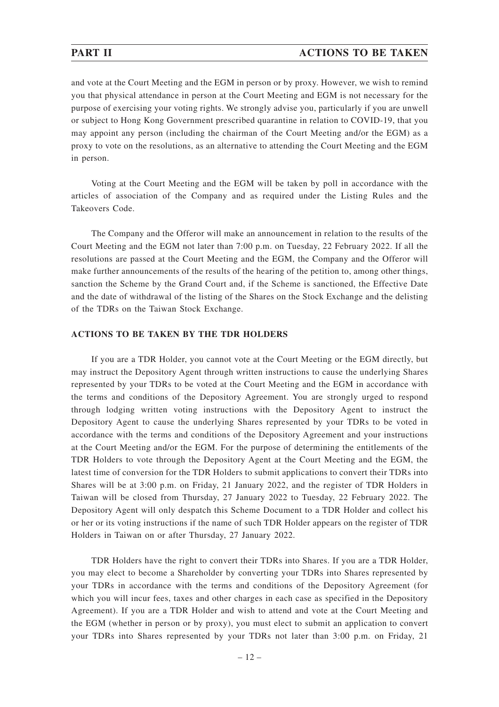### **PART II ACTIONS TO BE TAKEN**

and vote at the Court Meeting and the EGM in person or by proxy. However, we wish to remind you that physical attendance in person at the Court Meeting and EGM is not necessary for the purpose of exercising your voting rights. We strongly advise you, particularly if you are unwell or subject to Hong Kong Government prescribed quarantine in relation to COVID-19, that you may appoint any person (including the chairman of the Court Meeting and/or the EGM) as a proxy to vote on the resolutions, as an alternative to attending the Court Meeting and the EGM in person.

Voting at the Court Meeting and the EGM will be taken by poll in accordance with the articles of association of the Company and as required under the Listing Rules and the Takeovers Code.

The Company and the Offeror will make an announcement in relation to the results of the Court Meeting and the EGM not later than 7:00 p.m. on Tuesday, 22 February 2022. If all the resolutions are passed at the Court Meeting and the EGM, the Company and the Offeror will make further announcements of the results of the hearing of the petition to, among other things, sanction the Scheme by the Grand Court and, if the Scheme is sanctioned, the Effective Date and the date of withdrawal of the listing of the Shares on the Stock Exchange and the delisting of the TDRs on the Taiwan Stock Exchange.

### **ACTIONS TO BE TAKEN BY THE TDR HOLDERS**

If you are a TDR Holder, you cannot vote at the Court Meeting or the EGM directly, but may instruct the Depository Agent through written instructions to cause the underlying Shares represented by your TDRs to be voted at the Court Meeting and the EGM in accordance with the terms and conditions of the Depository Agreement. You are strongly urged to respond through lodging written voting instructions with the Depository Agent to instruct the Depository Agent to cause the underlying Shares represented by your TDRs to be voted in accordance with the terms and conditions of the Depository Agreement and your instructions at the Court Meeting and/or the EGM. For the purpose of determining the entitlements of the TDR Holders to vote through the Depository Agent at the Court Meeting and the EGM, the latest time of conversion for the TDR Holders to submit applications to convert their TDRs into Shares will be at 3:00 p.m. on Friday, 21 January 2022, and the register of TDR Holders in Taiwan will be closed from Thursday, 27 January 2022 to Tuesday, 22 February 2022. The Depository Agent will only despatch this Scheme Document to a TDR Holder and collect his or her or its voting instructions if the name of such TDR Holder appears on the register of TDR Holders in Taiwan on or after Thursday, 27 January 2022.

TDR Holders have the right to convert their TDRs into Shares. If you are a TDR Holder, you may elect to become a Shareholder by converting your TDRs into Shares represented by your TDRs in accordance with the terms and conditions of the Depository Agreement (for which you will incur fees, taxes and other charges in each case as specified in the Depository Agreement). If you are a TDR Holder and wish to attend and vote at the Court Meeting and the EGM (whether in person or by proxy), you must elect to submit an application to convert your TDRs into Shares represented by your TDRs not later than 3:00 p.m. on Friday, 21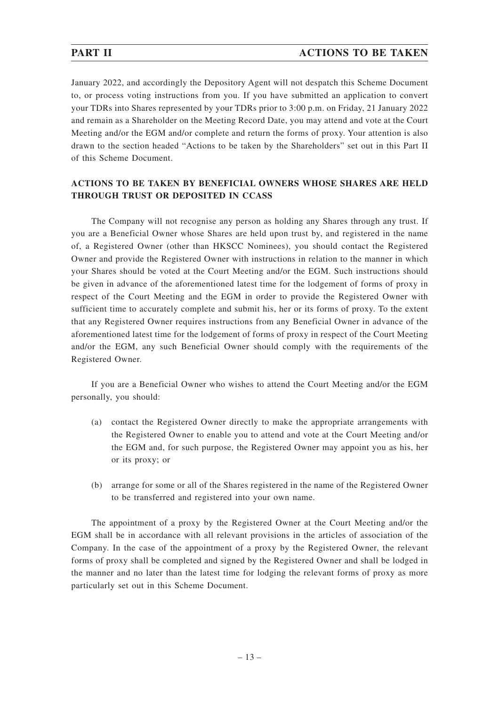## **PART II ACTIONS TO BE TAKEN**

January 2022, and accordingly the Depository Agent will not despatch this Scheme Document to, or process voting instructions from you. If you have submitted an application to convert your TDRs into Shares represented by your TDRs prior to 3:00 p.m. on Friday, 21 January 2022 and remain as a Shareholder on the Meeting Record Date, you may attend and vote at the Court Meeting and/or the EGM and/or complete and return the forms of proxy. Your attention is also drawn to the section headed "Actions to be taken by the Shareholders" set out in this Part II of this Scheme Document.

### **ACTIONS TO BE TAKEN BY BENEFICIAL OWNERS WHOSE SHARES ARE HELD THROUGH TRUST OR DEPOSITED IN CCASS**

The Company will not recognise any person as holding any Shares through any trust. If you are a Beneficial Owner whose Shares are held upon trust by, and registered in the name of, a Registered Owner (other than HKSCC Nominees), you should contact the Registered Owner and provide the Registered Owner with instructions in relation to the manner in which your Shares should be voted at the Court Meeting and/or the EGM. Such instructions should be given in advance of the aforementioned latest time for the lodgement of forms of proxy in respect of the Court Meeting and the EGM in order to provide the Registered Owner with sufficient time to accurately complete and submit his, her or its forms of proxy. To the extent that any Registered Owner requires instructions from any Beneficial Owner in advance of the aforementioned latest time for the lodgement of forms of proxy in respect of the Court Meeting and/or the EGM, any such Beneficial Owner should comply with the requirements of the Registered Owner.

If you are a Beneficial Owner who wishes to attend the Court Meeting and/or the EGM personally, you should:

- (a) contact the Registered Owner directly to make the appropriate arrangements with the Registered Owner to enable you to attend and vote at the Court Meeting and/or the EGM and, for such purpose, the Registered Owner may appoint you as his, her or its proxy; or
- (b) arrange for some or all of the Shares registered in the name of the Registered Owner to be transferred and registered into your own name.

The appointment of a proxy by the Registered Owner at the Court Meeting and/or the EGM shall be in accordance with all relevant provisions in the articles of association of the Company. In the case of the appointment of a proxy by the Registered Owner, the relevant forms of proxy shall be completed and signed by the Registered Owner and shall be lodged in the manner and no later than the latest time for lodging the relevant forms of proxy as more particularly set out in this Scheme Document.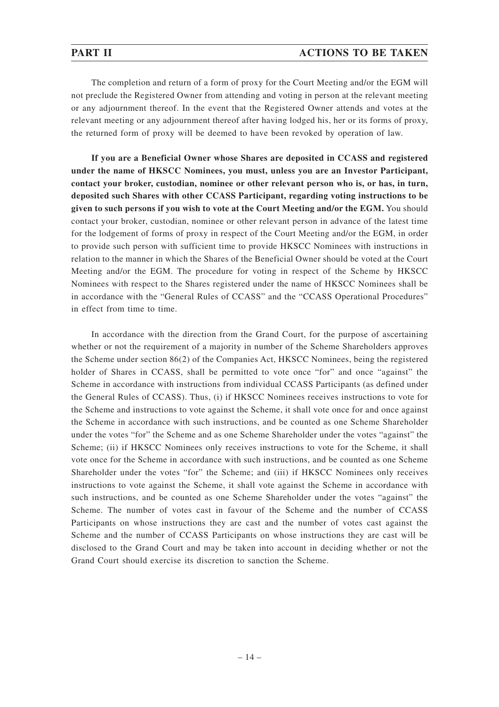The completion and return of a form of proxy for the Court Meeting and/or the EGM will not preclude the Registered Owner from attending and voting in person at the relevant meeting or any adjournment thereof. In the event that the Registered Owner attends and votes at the relevant meeting or any adjournment thereof after having lodged his, her or its forms of proxy, the returned form of proxy will be deemed to have been revoked by operation of law.

**If you are a Beneficial Owner whose Shares are deposited in CCASS and registered under the name of HKSCC Nominees, you must, unless you are an Investor Participant, contact your broker, custodian, nominee or other relevant person who is, or has, in turn, deposited such Shares with other CCASS Participant, regarding voting instructions to be given to such persons if you wish to vote at the Court Meeting and/or the EGM.** You should contact your broker, custodian, nominee or other relevant person in advance of the latest time for the lodgement of forms of proxy in respect of the Court Meeting and/or the EGM, in order to provide such person with sufficient time to provide HKSCC Nominees with instructions in relation to the manner in which the Shares of the Beneficial Owner should be voted at the Court Meeting and/or the EGM. The procedure for voting in respect of the Scheme by HKSCC Nominees with respect to the Shares registered under the name of HKSCC Nominees shall be in accordance with the "General Rules of CCASS" and the "CCASS Operational Procedures" in effect from time to time.

In accordance with the direction from the Grand Court, for the purpose of ascertaining whether or not the requirement of a majority in number of the Scheme Shareholders approves the Scheme under section 86(2) of the Companies Act, HKSCC Nominees, being the registered holder of Shares in CCASS, shall be permitted to vote once "for" and once "against" the Scheme in accordance with instructions from individual CCASS Participants (as defined under the General Rules of CCASS). Thus, (i) if HKSCC Nominees receives instructions to vote for the Scheme and instructions to vote against the Scheme, it shall vote once for and once against the Scheme in accordance with such instructions, and be counted as one Scheme Shareholder under the votes "for" the Scheme and as one Scheme Shareholder under the votes "against" the Scheme; (ii) if HKSCC Nominees only receives instructions to vote for the Scheme, it shall vote once for the Scheme in accordance with such instructions, and be counted as one Scheme Shareholder under the votes "for" the Scheme; and (iii) if HKSCC Nominees only receives instructions to vote against the Scheme, it shall vote against the Scheme in accordance with such instructions, and be counted as one Scheme Shareholder under the votes "against" the Scheme. The number of votes cast in favour of the Scheme and the number of CCASS Participants on whose instructions they are cast and the number of votes cast against the Scheme and the number of CCASS Participants on whose instructions they are cast will be disclosed to the Grand Court and may be taken into account in deciding whether or not the Grand Court should exercise its discretion to sanction the Scheme.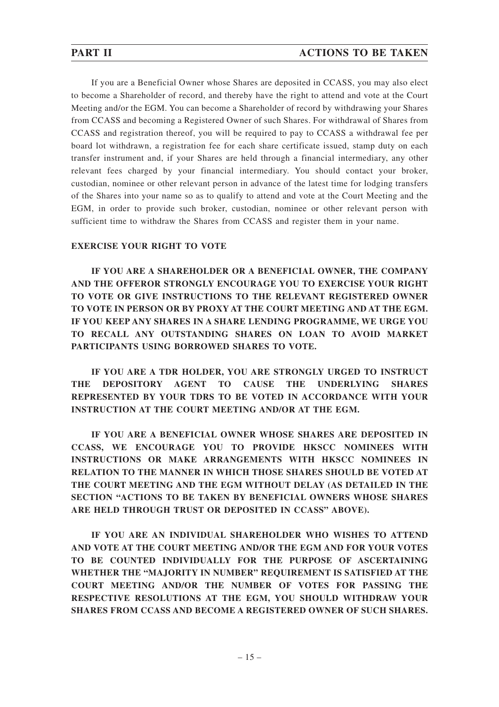If you are a Beneficial Owner whose Shares are deposited in CCASS, you may also elect to become a Shareholder of record, and thereby have the right to attend and vote at the Court Meeting and/or the EGM. You can become a Shareholder of record by withdrawing your Shares from CCASS and becoming a Registered Owner of such Shares. For withdrawal of Shares from CCASS and registration thereof, you will be required to pay to CCASS a withdrawal fee per board lot withdrawn, a registration fee for each share certificate issued, stamp duty on each transfer instrument and, if your Shares are held through a financial intermediary, any other relevant fees charged by your financial intermediary. You should contact your broker, custodian, nominee or other relevant person in advance of the latest time for lodging transfers of the Shares into your name so as to qualify to attend and vote at the Court Meeting and the EGM, in order to provide such broker, custodian, nominee or other relevant person with sufficient time to withdraw the Shares from CCASS and register them in your name.

## **EXERCISE YOUR RIGHT TO VOTE**

**IF YOU ARE A SHAREHOLDER OR A BENEFICIAL OWNER, THE COMPANY AND THE OFFEROR STRONGLY ENCOURAGE YOU TO EXERCISE YOUR RIGHT TO VOTE OR GIVE INSTRUCTIONS TO THE RELEVANT REGISTERED OWNER TO VOTE IN PERSON OR BY PROXY AT THE COURT MEETING AND AT THE EGM. IF YOU KEEP ANY SHARES IN A SHARE LENDING PROGRAMME, WE URGE YOU TO RECALL ANY OUTSTANDING SHARES ON LOAN TO AVOID MARKET PARTICIPANTS USING BORROWED SHARES TO VOTE.**

**IF YOU ARE A TDR HOLDER, YOU ARE STRONGLY URGED TO INSTRUCT THE DEPOSITORY AGENT TO CAUSE THE UNDERLYING SHARES REPRESENTED BY YOUR TDRS TO BE VOTED IN ACCORDANCE WITH YOUR INSTRUCTION AT THE COURT MEETING AND/OR AT THE EGM.**

**IF YOU ARE A BENEFICIAL OWNER WHOSE SHARES ARE DEPOSITED IN CCASS, WE ENCOURAGE YOU TO PROVIDE HKSCC NOMINEES WITH INSTRUCTIONS OR MAKE ARRANGEMENTS WITH HKSCC NOMINEES IN RELATION TO THE MANNER IN WHICH THOSE SHARES SHOULD BE VOTED AT THE COURT MEETING AND THE EGM WITHOUT DELAY (AS DETAILED IN THE SECTION "ACTIONS TO BE TAKEN BY BENEFICIAL OWNERS WHOSE SHARES ARE HELD THROUGH TRUST OR DEPOSITED IN CCASS" ABOVE).**

**IF YOU ARE AN INDIVIDUAL SHAREHOLDER WHO WISHES TO ATTEND AND VOTE AT THE COURT MEETING AND/OR THE EGM AND FOR YOUR VOTES TO BE COUNTED INDIVIDUALLY FOR THE PURPOSE OF ASCERTAINING WHETHER THE "MAJORITY IN NUMBER" REQUIREMENT IS SATISFIED AT THE COURT MEETING AND/OR THE NUMBER OF VOTES FOR PASSING THE RESPECTIVE RESOLUTIONS AT THE EGM, YOU SHOULD WITHDRAW YOUR SHARES FROM CCASS AND BECOME A REGISTERED OWNER OF SUCH SHARES.**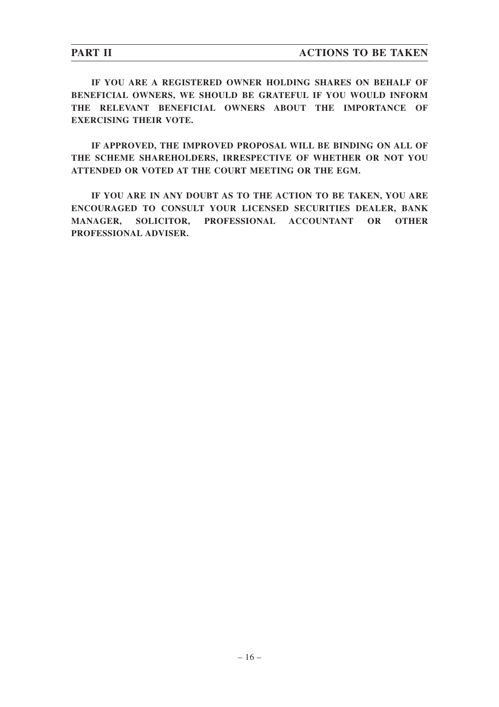**IF YOU ARE A REGISTERED OWNER HOLDING SHARES ON BEHALF OF BENEFICIAL OWNERS, WE SHOULD BE GRATEFUL IF YOU WOULD INFORM THE RELEVANT BENEFICIAL OWNERS ABOUT THE IMPORTANCE OF EXERCISING THEIR VOTE.**

**IF APPROVED, THE IMPROVED PROPOSAL WILL BE BINDING ON ALL OF THE SCHEME SHAREHOLDERS, IRRESPECTIVE OF WHETHER OR NOT YOU ATTENDED OR VOTED AT THE COURT MEETING OR THE EGM.**

**IF YOU ARE IN ANY DOUBT AS TO THE ACTION TO BE TAKEN, YOU ARE ENCOURAGED TO CONSULT YOUR LICENSED SECURITIES DEALER, BANK MANAGER, SOLICITOR, PROFESSIONAL ACCOUNTANT OR OTHER PROFESSIONAL ADVISER.**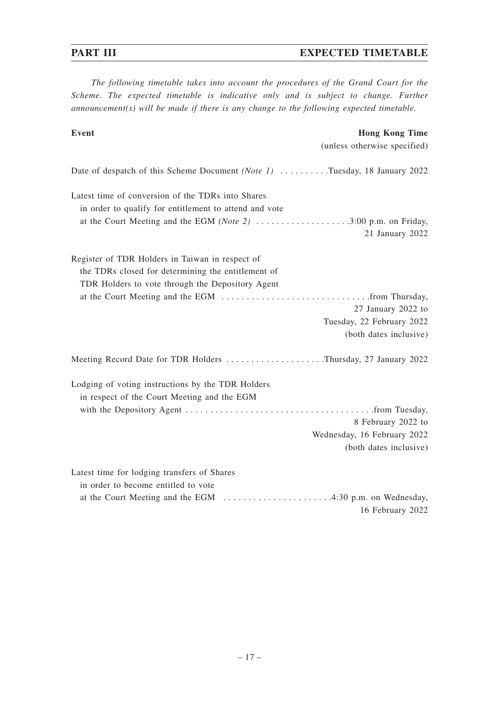# **PART III** EXPECTED TIMETABLE

*The following timetable takes into account the procedures of the Grand Court for the Scheme. The expected timetable is indicative only and is subject to change. Further announcement(s) will be made if there is any change to the following expected timetable.*

| Event                                                                      | <b>Hong Kong Time</b>        |
|----------------------------------------------------------------------------|------------------------------|
|                                                                            | (unless otherwise specified) |
| Date of despatch of this Scheme Document (Note 1) Tuesday, 18 January 2022 |                              |
| Latest time of conversion of the TDRs into Shares                          |                              |
| in order to qualify for entitlement to attend and vote                     |                              |
| at the Court Meeting and the EGM (Note 2) 3:00 p.m. on Friday,             | 21 January 2022              |
| Register of TDR Holders in Taiwan in respect of                            |                              |
| the TDRs closed for determining the entitlement of                         |                              |
| TDR Holders to vote through the Depository Agent                           |                              |
|                                                                            |                              |
|                                                                            | 27 January 2022 to           |
|                                                                            | Tuesday, 22 February 2022    |
|                                                                            | (both dates inclusive)       |
| Meeting Record Date for TDR Holders Thursday, 27 January 2022              |                              |
| Lodging of voting instructions by the TDR Holders                          |                              |
| in respect of the Court Meeting and the EGM                                |                              |
|                                                                            |                              |
|                                                                            | 8 February 2022 to           |
|                                                                            | Wednesday, 16 February 2022  |
|                                                                            | (both dates inclusive)       |
| Latest time for lodging transfers of Shares                                |                              |
| in order to become entitled to vote                                        |                              |
|                                                                            |                              |
|                                                                            | 16 February 2022             |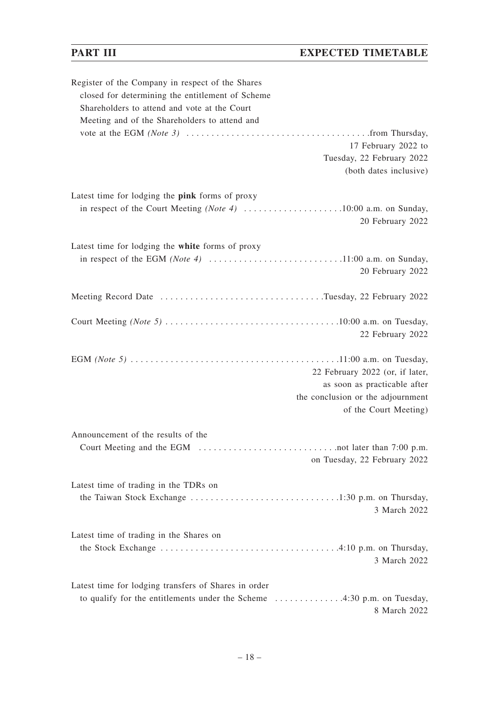# **PART III** EXPECTED TIMETABLE

| Register of the Company in respect of the Shares     |
|------------------------------------------------------|
| closed for determining the entitlement of Scheme     |
| Shareholders to attend and vote at the Court         |
| Meeting and of the Shareholders to attend and        |
|                                                      |
| 17 February 2022 to                                  |
| Tuesday, 22 February 2022                            |
| (both dates inclusive)                               |
| Latest time for lodging the pink forms of proxy      |
|                                                      |
| 20 February 2022                                     |
|                                                      |
| Latest time for lodging the white forms of proxy     |
|                                                      |
| 20 February 2022                                     |
| Meeting Record Date Tuesday, 22 February 2022        |
|                                                      |
|                                                      |
| 22 February 2022                                     |
|                                                      |
| 22 February 2022 (or, if later,                      |
| as soon as practicable after                         |
| the conclusion or the adjournment                    |
| of the Court Meeting)                                |
|                                                      |
| Announcement of the results of the                   |
|                                                      |
| on Tuesday, 22 February 2022                         |
| Latest time of trading in the TDRs on                |
|                                                      |
| 3 March 2022                                         |
|                                                      |
| Latest time of trading in the Shares on              |
|                                                      |
| 3 March 2022                                         |
|                                                      |
| Latest time for lodging transfers of Shares in order |
| 8 March 2022                                         |
|                                                      |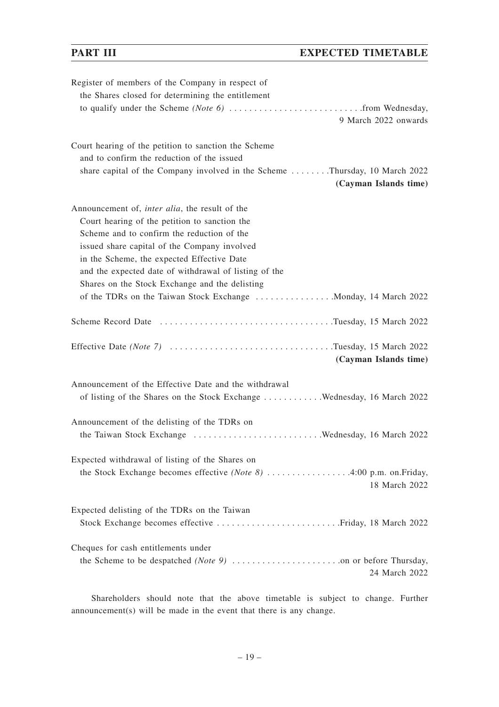| Register of members of the Company in respect of<br>the Shares closed for determining the entitlement |
|-------------------------------------------------------------------------------------------------------|
| 9 March 2022 onwards                                                                                  |
| Court hearing of the petition to sanction the Scheme<br>and to confirm the reduction of the issued    |
| share capital of the Company involved in the Scheme Thursday, 10 March 2022                           |
| (Cayman Islands time)                                                                                 |
| Announcement of, <i>inter alia</i> , the result of the                                                |
| Court hearing of the petition to sanction the                                                         |
| Scheme and to confirm the reduction of the                                                            |
| issued share capital of the Company involved                                                          |
| in the Scheme, the expected Effective Date                                                            |
| and the expected date of withdrawal of listing of the                                                 |
| Shares on the Stock Exchange and the delisting                                                        |
|                                                                                                       |
| Scheme Record Date Tuesday, 15 March 2022                                                             |
| Effective Date (Note 7) Tuesday, 15 March 2022                                                        |
| (Cayman Islands time)                                                                                 |
| Announcement of the Effective Date and the withdrawal                                                 |
| of listing of the Shares on the Stock Exchange Wednesday, 16 March 2022                               |
| Announcement of the delisting of the TDRs on                                                          |
|                                                                                                       |
| Expected withdrawal of listing of the Shares on                                                       |
| the Stock Exchange becomes effective (Note 8) 4:00 p.m. on.Friday,<br>18 March 2022                   |
| Expected delisting of the TDRs on the Taiwan                                                          |
|                                                                                                       |
| Cheques for cash entitlements under                                                                   |
|                                                                                                       |
| 24 March 2022                                                                                         |

Shareholders should note that the above timetable is subject to change. Further announcement(s) will be made in the event that there is any change.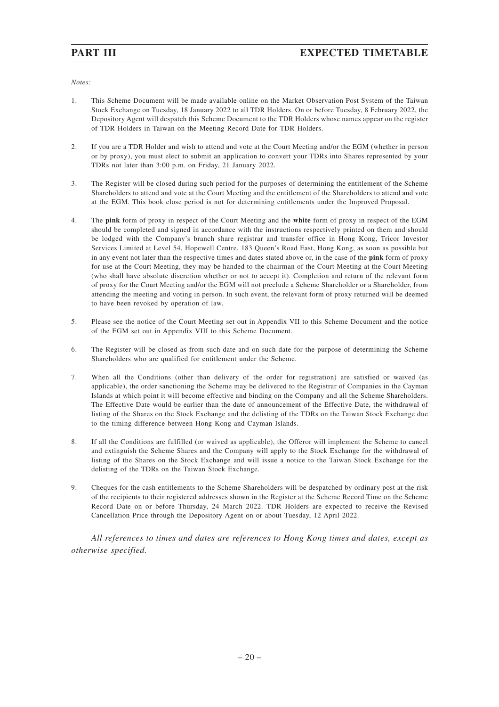*Notes:*

- 1. This Scheme Document will be made available online on the Market Observation Post System of the Taiwan Stock Exchange on Tuesday, 18 January 2022 to all TDR Holders. On or before Tuesday, 8 February 2022, the Depository Agent will despatch this Scheme Document to the TDR Holders whose names appear on the register of TDR Holders in Taiwan on the Meeting Record Date for TDR Holders.
- 2. If you are a TDR Holder and wish to attend and vote at the Court Meeting and/or the EGM (whether in person or by proxy), you must elect to submit an application to convert your TDRs into Shares represented by your TDRs not later than 3:00 p.m. on Friday, 21 January 2022.
- 3. The Register will be closed during such period for the purposes of determining the entitlement of the Scheme Shareholders to attend and vote at the Court Meeting and the entitlement of the Shareholders to attend and vote at the EGM. This book close period is not for determining entitlements under the Improved Proposal.
- 4. The **pink** form of proxy in respect of the Court Meeting and the **white** form of proxy in respect of the EGM should be completed and signed in accordance with the instructions respectively printed on them and should be lodged with the Company's branch share registrar and transfer office in Hong Kong, Tricor Investor Services Limited at Level 54, Hopewell Centre, 183 Queen's Road East, Hong Kong, as soon as possible but in any event not later than the respective times and dates stated above or, in the case of the **pink** form of proxy for use at the Court Meeting, they may be handed to the chairman of the Court Meeting at the Court Meeting (who shall have absolute discretion whether or not to accept it). Completion and return of the relevant form of proxy for the Court Meeting and/or the EGM will not preclude a Scheme Shareholder or a Shareholder, from attending the meeting and voting in person. In such event, the relevant form of proxy returned will be deemed to have been revoked by operation of law.
- 5. Please see the notice of the Court Meeting set out in Appendix VII to this Scheme Document and the notice of the EGM set out in Appendix VIII to this Scheme Document.
- 6. The Register will be closed as from such date and on such date for the purpose of determining the Scheme Shareholders who are qualified for entitlement under the Scheme.
- 7. When all the Conditions (other than delivery of the order for registration) are satisfied or waived (as applicable), the order sanctioning the Scheme may be delivered to the Registrar of Companies in the Cayman Islands at which point it will become effective and binding on the Company and all the Scheme Shareholders. The Effective Date would be earlier than the date of announcement of the Effective Date, the withdrawal of listing of the Shares on the Stock Exchange and the delisting of the TDRs on the Taiwan Stock Exchange due to the timing difference between Hong Kong and Cayman Islands.
- 8. If all the Conditions are fulfilled (or waived as applicable), the Offeror will implement the Scheme to cancel and extinguish the Scheme Shares and the Company will apply to the Stock Exchange for the withdrawal of listing of the Shares on the Stock Exchange and will issue a notice to the Taiwan Stock Exchange for the delisting of the TDRs on the Taiwan Stock Exchange.
- 9. Cheques for the cash entitlements to the Scheme Shareholders will be despatched by ordinary post at the risk of the recipients to their registered addresses shown in the Register at the Scheme Record Time on the Scheme Record Date on or before Thursday, 24 March 2022. TDR Holders are expected to receive the Revised Cancellation Price through the Depository Agent on or about Tuesday, 12 April 2022.

*All references to times and dates are references to Hong Kong times and dates, except as otherwise specified.*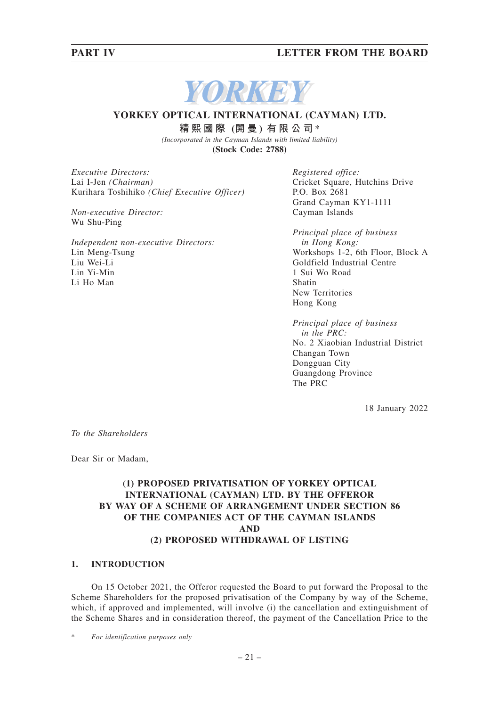# **PART IV LETTER FROM THE BOARD**



# **YORKEY OPTICAL INTERNATIONAL (CAYMAN) LTD.**

**精熙國際 (開 曼 ) 有限公司** \*

*(Incorporated in the Cayman Islands with limited liability)*

**(Stock Code: 2788)**

*Executive Directors:* Lai I-Jen *(Chairman)* Kurihara Toshihiko *(Chief Executive Officer)*

*Non-executive Director:* Wu Shu-Ping

*Independent non-executive Directors:* Lin Meng-Tsung Liu Wei-Li Lin Yi-Min Li Ho Man

*Registered office:* Cricket Square, Hutchins Drive P.O. Box 2681 Grand Cayman KY1-1111 Cayman Islands

*Principal place of business in Hong Kong:* Workshops 1-2, 6th Floor, Block A Goldfield Industrial Centre 1 Sui Wo Road Shatin New Territories Hong Kong

*Principal place of business in the PRC:* No. 2 Xiaobian Industrial District Changan Town Dongguan City Guangdong Province The PRC

18 January 2022

*To the Shareholders*

Dear Sir or Madam,

## **(1) PROPOSED PRIVATISATION OF YORKEY OPTICAL INTERNATIONAL (CAYMAN) LTD. BY THE OFFEROR BY WAY OF A SCHEME OF ARRANGEMENT UNDER SECTION 86 OF THE COMPANIES ACT OF THE CAYMAN ISLANDS AND (2) PROPOSED WITHDRAWAL OF LISTING**

### **1. INTRODUCTION**

On 15 October 2021, the Offeror requested the Board to put forward the Proposal to the Scheme Shareholders for the proposed privatisation of the Company by way of the Scheme, which, if approved and implemented, will involve (i) the cancellation and extinguishment of the Scheme Shares and in consideration thereof, the payment of the Cancellation Price to the

 $For$  *identification purposes only*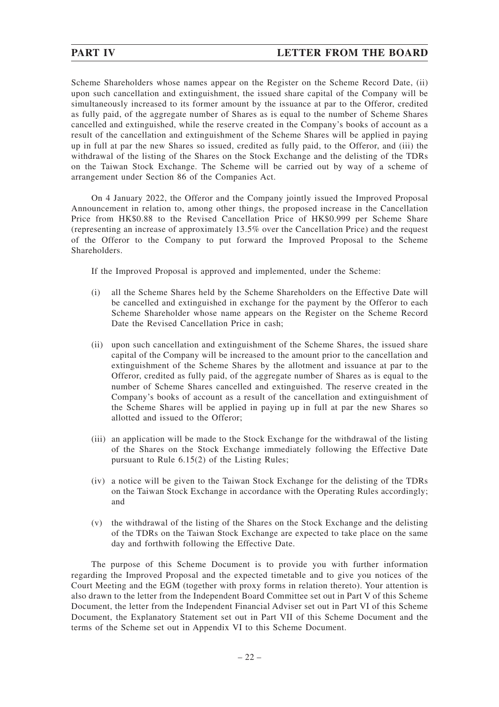Scheme Shareholders whose names appear on the Register on the Scheme Record Date, (ii) upon such cancellation and extinguishment, the issued share capital of the Company will be simultaneously increased to its former amount by the issuance at par to the Offeror, credited as fully paid, of the aggregate number of Shares as is equal to the number of Scheme Shares cancelled and extinguished, while the reserve created in the Company's books of account as a result of the cancellation and extinguishment of the Scheme Shares will be applied in paying up in full at par the new Shares so issued, credited as fully paid, to the Offeror, and (iii) the withdrawal of the listing of the Shares on the Stock Exchange and the delisting of the TDRs on the Taiwan Stock Exchange. The Scheme will be carried out by way of a scheme of arrangement under Section 86 of the Companies Act.

On 4 January 2022, the Offeror and the Company jointly issued the Improved Proposal Announcement in relation to, among other things, the proposed increase in the Cancellation Price from HK\$0.88 to the Revised Cancellation Price of HK\$0.999 per Scheme Share (representing an increase of approximately 13.5% over the Cancellation Price) and the request of the Offeror to the Company to put forward the Improved Proposal to the Scheme Shareholders.

If the Improved Proposal is approved and implemented, under the Scheme:

- (i) all the Scheme Shares held by the Scheme Shareholders on the Effective Date will be cancelled and extinguished in exchange for the payment by the Offeror to each Scheme Shareholder whose name appears on the Register on the Scheme Record Date the Revised Cancellation Price in cash;
- (ii) upon such cancellation and extinguishment of the Scheme Shares, the issued share capital of the Company will be increased to the amount prior to the cancellation and extinguishment of the Scheme Shares by the allotment and issuance at par to the Offeror, credited as fully paid, of the aggregate number of Shares as is equal to the number of Scheme Shares cancelled and extinguished. The reserve created in the Company's books of account as a result of the cancellation and extinguishment of the Scheme Shares will be applied in paying up in full at par the new Shares so allotted and issued to the Offeror;
- (iii) an application will be made to the Stock Exchange for the withdrawal of the listing of the Shares on the Stock Exchange immediately following the Effective Date pursuant to Rule 6.15(2) of the Listing Rules;
- (iv) a notice will be given to the Taiwan Stock Exchange for the delisting of the TDRs on the Taiwan Stock Exchange in accordance with the Operating Rules accordingly; and
- (v) the withdrawal of the listing of the Shares on the Stock Exchange and the delisting of the TDRs on the Taiwan Stock Exchange are expected to take place on the same day and forthwith following the Effective Date.

The purpose of this Scheme Document is to provide you with further information regarding the Improved Proposal and the expected timetable and to give you notices of the Court Meeting and the EGM (together with proxy forms in relation thereto). Your attention is also drawn to the letter from the Independent Board Committee set out in Part V of this Scheme Document, the letter from the Independent Financial Adviser set out in Part VI of this Scheme Document, the Explanatory Statement set out in Part VII of this Scheme Document and the terms of the Scheme set out in Appendix VI to this Scheme Document.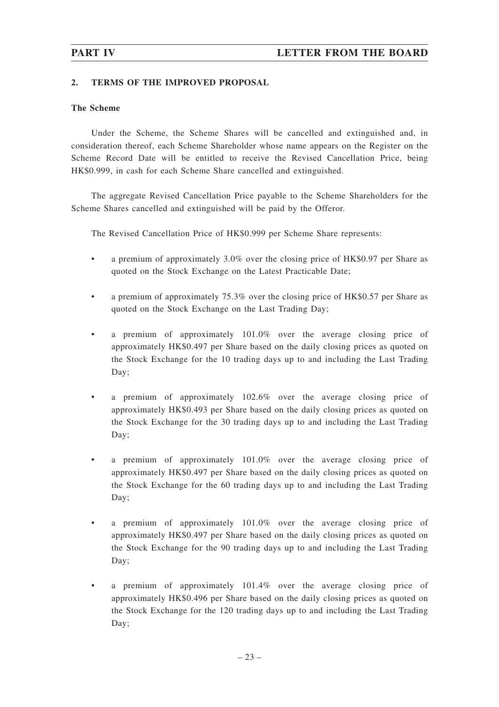### **2. TERMS OF THE IMPROVED PROPOSAL**

### **The Scheme**

Under the Scheme, the Scheme Shares will be cancelled and extinguished and, in consideration thereof, each Scheme Shareholder whose name appears on the Register on the Scheme Record Date will be entitled to receive the Revised Cancellation Price, being HK\$0.999, in cash for each Scheme Share cancelled and extinguished.

The aggregate Revised Cancellation Price payable to the Scheme Shareholders for the Scheme Shares cancelled and extinguished will be paid by the Offeror.

The Revised Cancellation Price of HK\$0.999 per Scheme Share represents:

- a premium of approximately 3.0% over the closing price of HK\$0.97 per Share as quoted on the Stock Exchange on the Latest Practicable Date;
- a premium of approximately 75.3% over the closing price of HK\$0.57 per Share as quoted on the Stock Exchange on the Last Trading Day;
- a premium of approximately 101.0% over the average closing price of approximately HK\$0.497 per Share based on the daily closing prices as quoted on the Stock Exchange for the 10 trading days up to and including the Last Trading Day;
- a premium of approximately 102.6% over the average closing price of approximately HK\$0.493 per Share based on the daily closing prices as quoted on the Stock Exchange for the 30 trading days up to and including the Last Trading Day;
- a premium of approximately 101.0% over the average closing price of approximately HK\$0.497 per Share based on the daily closing prices as quoted on the Stock Exchange for the 60 trading days up to and including the Last Trading Day;
- a premium of approximately 101.0% over the average closing price of approximately HK\$0.497 per Share based on the daily closing prices as quoted on the Stock Exchange for the 90 trading days up to and including the Last Trading Day;
- a premium of approximately 101.4% over the average closing price of approximately HK\$0.496 per Share based on the daily closing prices as quoted on the Stock Exchange for the 120 trading days up to and including the Last Trading Day;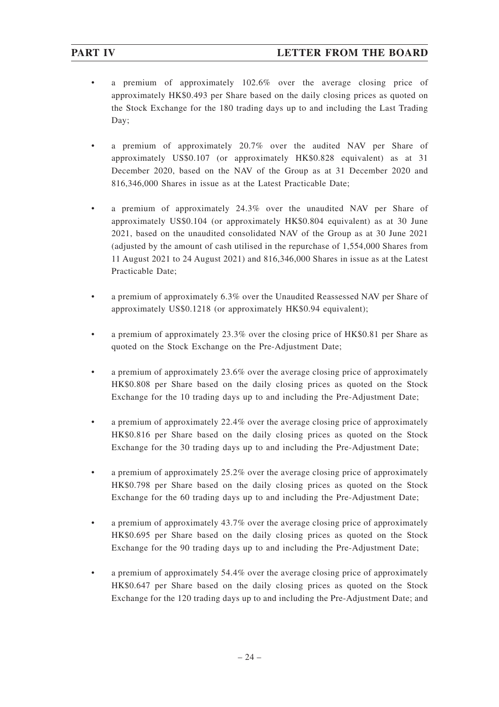- a premium of approximately 102.6% over the average closing price of approximately HK\$0.493 per Share based on the daily closing prices as quoted on the Stock Exchange for the 180 trading days up to and including the Last Trading Day;
- a premium of approximately 20.7% over the audited NAV per Share of approximately US\$0.107 (or approximately HK\$0.828 equivalent) as at 31 December 2020, based on the NAV of the Group as at 31 December 2020 and 816,346,000 Shares in issue as at the Latest Practicable Date;
- a premium of approximately 24.3% over the unaudited NAV per Share of approximately US\$0.104 (or approximately HK\$0.804 equivalent) as at 30 June 2021, based on the unaudited consolidated NAV of the Group as at 30 June 2021 (adjusted by the amount of cash utilised in the repurchase of 1,554,000 Shares from 11 August 2021 to 24 August 2021) and 816,346,000 Shares in issue as at the Latest Practicable Date;
- a premium of approximately 6.3% over the Unaudited Reassessed NAV per Share of approximately US\$0.1218 (or approximately HK\$0.94 equivalent);
- a premium of approximately 23.3% over the closing price of HK\$0.81 per Share as quoted on the Stock Exchange on the Pre-Adjustment Date;
- a premium of approximately 23.6% over the average closing price of approximately HK\$0.808 per Share based on the daily closing prices as quoted on the Stock Exchange for the 10 trading days up to and including the Pre-Adjustment Date;
- a premium of approximately 22.4% over the average closing price of approximately HK\$0.816 per Share based on the daily closing prices as quoted on the Stock Exchange for the 30 trading days up to and including the Pre-Adjustment Date;
- a premium of approximately 25.2% over the average closing price of approximately HK\$0.798 per Share based on the daily closing prices as quoted on the Stock Exchange for the 60 trading days up to and including the Pre-Adjustment Date;
- a premium of approximately 43.7% over the average closing price of approximately HK\$0.695 per Share based on the daily closing prices as quoted on the Stock Exchange for the 90 trading days up to and including the Pre-Adjustment Date;
- a premium of approximately 54.4% over the average closing price of approximately HK\$0.647 per Share based on the daily closing prices as quoted on the Stock Exchange for the 120 trading days up to and including the Pre-Adjustment Date; and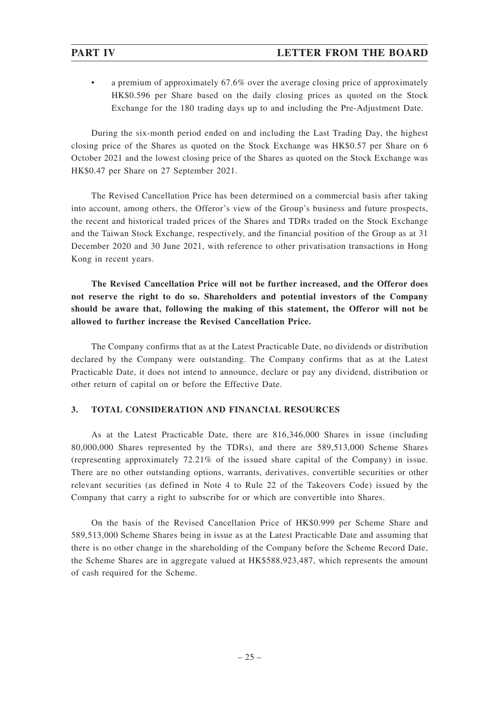• a premium of approximately 67.6% over the average closing price of approximately HK\$0.596 per Share based on the daily closing prices as quoted on the Stock Exchange for the 180 trading days up to and including the Pre-Adjustment Date.

During the six-month period ended on and including the Last Trading Day, the highest closing price of the Shares as quoted on the Stock Exchange was HK\$0.57 per Share on 6 October 2021 and the lowest closing price of the Shares as quoted on the Stock Exchange was HK\$0.47 per Share on 27 September 2021.

The Revised Cancellation Price has been determined on a commercial basis after taking into account, among others, the Offeror's view of the Group's business and future prospects, the recent and historical traded prices of the Shares and TDRs traded on the Stock Exchange and the Taiwan Stock Exchange, respectively, and the financial position of the Group as at 31 December 2020 and 30 June 2021, with reference to other privatisation transactions in Hong Kong in recent years.

**The Revised Cancellation Price will not be further increased, and the Offeror does not reserve the right to do so. Shareholders and potential investors of the Company should be aware that, following the making of this statement, the Offeror will not be allowed to further increase the Revised Cancellation Price.**

The Company confirms that as at the Latest Practicable Date, no dividends or distribution declared by the Company were outstanding. The Company confirms that as at the Latest Practicable Date, it does not intend to announce, declare or pay any dividend, distribution or other return of capital on or before the Effective Date.

### **3. TOTAL CONSIDERATION AND FINANCIAL RESOURCES**

As at the Latest Practicable Date, there are 816,346,000 Shares in issue (including 80,000,000 Shares represented by the TDRs), and there are 589,513,000 Scheme Shares (representing approximately 72.21% of the issued share capital of the Company) in issue. There are no other outstanding options, warrants, derivatives, convertible securities or other relevant securities (as defined in Note 4 to Rule 22 of the Takeovers Code) issued by the Company that carry a right to subscribe for or which are convertible into Shares.

On the basis of the Revised Cancellation Price of HK\$0.999 per Scheme Share and 589,513,000 Scheme Shares being in issue as at the Latest Practicable Date and assuming that there is no other change in the shareholding of the Company before the Scheme Record Date, the Scheme Shares are in aggregate valued at HK\$588,923,487, which represents the amount of cash required for the Scheme.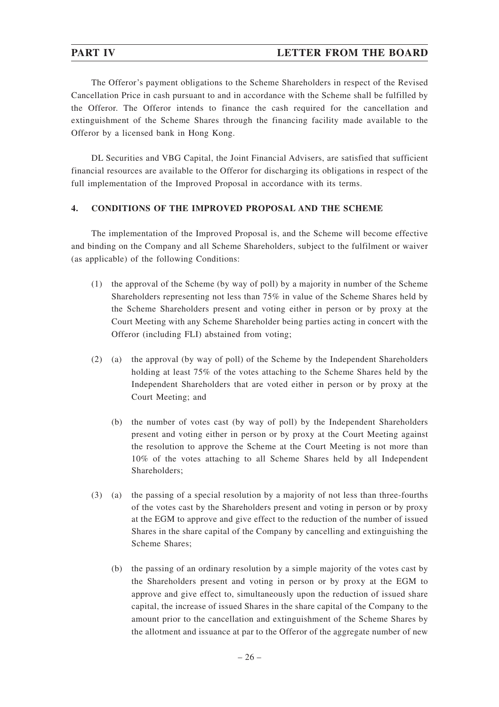## **PART IV LETTER FROM THE BOARD**

The Offeror's payment obligations to the Scheme Shareholders in respect of the Revised Cancellation Price in cash pursuant to and in accordance with the Scheme shall be fulfilled by the Offeror. The Offeror intends to finance the cash required for the cancellation and extinguishment of the Scheme Shares through the financing facility made available to the Offeror by a licensed bank in Hong Kong.

DL Securities and VBG Capital, the Joint Financial Advisers, are satisfied that sufficient financial resources are available to the Offeror for discharging its obligations in respect of the full implementation of the Improved Proposal in accordance with its terms.

### **4. CONDITIONS OF THE IMPROVED PROPOSAL AND THE SCHEME**

The implementation of the Improved Proposal is, and the Scheme will become effective and binding on the Company and all Scheme Shareholders, subject to the fulfilment or waiver (as applicable) of the following Conditions:

- (1) the approval of the Scheme (by way of poll) by a majority in number of the Scheme Shareholders representing not less than 75% in value of the Scheme Shares held by the Scheme Shareholders present and voting either in person or by proxy at the Court Meeting with any Scheme Shareholder being parties acting in concert with the Offeror (including FLI) abstained from voting;
- (2) (a) the approval (by way of poll) of the Scheme by the Independent Shareholders holding at least 75% of the votes attaching to the Scheme Shares held by the Independent Shareholders that are voted either in person or by proxy at the Court Meeting; and
	- (b) the number of votes cast (by way of poll) by the Independent Shareholders present and voting either in person or by proxy at the Court Meeting against the resolution to approve the Scheme at the Court Meeting is not more than 10% of the votes attaching to all Scheme Shares held by all Independent Shareholders;
- (3) (a) the passing of a special resolution by a majority of not less than three-fourths of the votes cast by the Shareholders present and voting in person or by proxy at the EGM to approve and give effect to the reduction of the number of issued Shares in the share capital of the Company by cancelling and extinguishing the Scheme Shares;
	- (b) the passing of an ordinary resolution by a simple majority of the votes cast by the Shareholders present and voting in person or by proxy at the EGM to approve and give effect to, simultaneously upon the reduction of issued share capital, the increase of issued Shares in the share capital of the Company to the amount prior to the cancellation and extinguishment of the Scheme Shares by the allotment and issuance at par to the Offeror of the aggregate number of new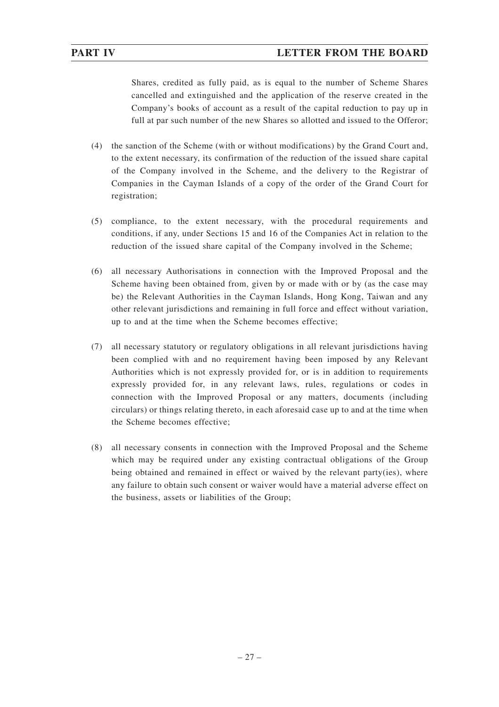Shares, credited as fully paid, as is equal to the number of Scheme Shares cancelled and extinguished and the application of the reserve created in the Company's books of account as a result of the capital reduction to pay up in full at par such number of the new Shares so allotted and issued to the Offeror;

- (4) the sanction of the Scheme (with or without modifications) by the Grand Court and, to the extent necessary, its confirmation of the reduction of the issued share capital of the Company involved in the Scheme, and the delivery to the Registrar of Companies in the Cayman Islands of a copy of the order of the Grand Court for registration;
- (5) compliance, to the extent necessary, with the procedural requirements and conditions, if any, under Sections 15 and 16 of the Companies Act in relation to the reduction of the issued share capital of the Company involved in the Scheme;
- (6) all necessary Authorisations in connection with the Improved Proposal and the Scheme having been obtained from, given by or made with or by (as the case may be) the Relevant Authorities in the Cayman Islands, Hong Kong, Taiwan and any other relevant jurisdictions and remaining in full force and effect without variation, up to and at the time when the Scheme becomes effective;
- (7) all necessary statutory or regulatory obligations in all relevant jurisdictions having been complied with and no requirement having been imposed by any Relevant Authorities which is not expressly provided for, or is in addition to requirements expressly provided for, in any relevant laws, rules, regulations or codes in connection with the Improved Proposal or any matters, documents (including circulars) or things relating thereto, in each aforesaid case up to and at the time when the Scheme becomes effective;
- (8) all necessary consents in connection with the Improved Proposal and the Scheme which may be required under any existing contractual obligations of the Group being obtained and remained in effect or waived by the relevant party(ies), where any failure to obtain such consent or waiver would have a material adverse effect on the business, assets or liabilities of the Group;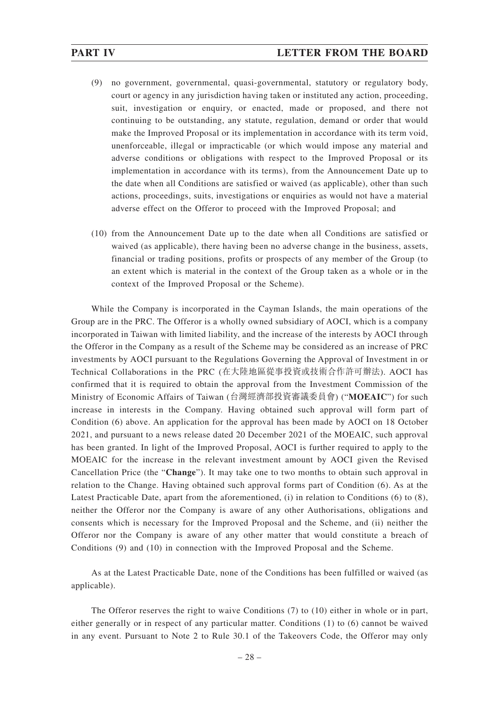- (9) no government, governmental, quasi-governmental, statutory or regulatory body, court or agency in any jurisdiction having taken or instituted any action, proceeding, suit, investigation or enquiry, or enacted, made or proposed, and there not continuing to be outstanding, any statute, regulation, demand or order that would make the Improved Proposal or its implementation in accordance with its term void, unenforceable, illegal or impracticable (or which would impose any material and adverse conditions or obligations with respect to the Improved Proposal or its implementation in accordance with its terms), from the Announcement Date up to the date when all Conditions are satisfied or waived (as applicable), other than such actions, proceedings, suits, investigations or enquiries as would not have a material adverse effect on the Offeror to proceed with the Improved Proposal; and
- (10) from the Announcement Date up to the date when all Conditions are satisfied or waived (as applicable), there having been no adverse change in the business, assets, financial or trading positions, profits or prospects of any member of the Group (to an extent which is material in the context of the Group taken as a whole or in the context of the Improved Proposal or the Scheme).

While the Company is incorporated in the Cayman Islands, the main operations of the Group are in the PRC. The Offeror is a wholly owned subsidiary of AOCI, which is a company incorporated in Taiwan with limited liability, and the increase of the interests by AOCI through the Offeror in the Company as a result of the Scheme may be considered as an increase of PRC investments by AOCI pursuant to the Regulations Governing the Approval of Investment in or Technical Collaborations in the PRC (在大陸地區從事投資或技術合作許可辦法). AOCI has confirmed that it is required to obtain the approval from the Investment Commission of the Ministry of Economic Affairs of Taiwan (台灣經濟部投資審議委員會) ("**MOEAIC**") for such increase in interests in the Company. Having obtained such approval will form part of Condition (6) above. An application for the approval has been made by AOCI on 18 October 2021, and pursuant to a news release dated 20 December 2021 of the MOEAIC, such approval has been granted. In light of the Improved Proposal, AOCI is further required to apply to the MOEAIC for the increase in the relevant investment amount by AOCI given the Revised Cancellation Price (the "**Change**"). It may take one to two months to obtain such approval in relation to the Change. Having obtained such approval forms part of Condition (6). As at the Latest Practicable Date, apart from the aforementioned, (i) in relation to Conditions (6) to (8), neither the Offeror nor the Company is aware of any other Authorisations, obligations and consents which is necessary for the Improved Proposal and the Scheme, and (ii) neither the Offeror nor the Company is aware of any other matter that would constitute a breach of Conditions (9) and (10) in connection with the Improved Proposal and the Scheme.

As at the Latest Practicable Date, none of the Conditions has been fulfilled or waived (as applicable).

The Offeror reserves the right to waive Conditions (7) to (10) either in whole or in part, either generally or in respect of any particular matter. Conditions (1) to (6) cannot be waived in any event. Pursuant to Note 2 to Rule 30.1 of the Takeovers Code, the Offeror may only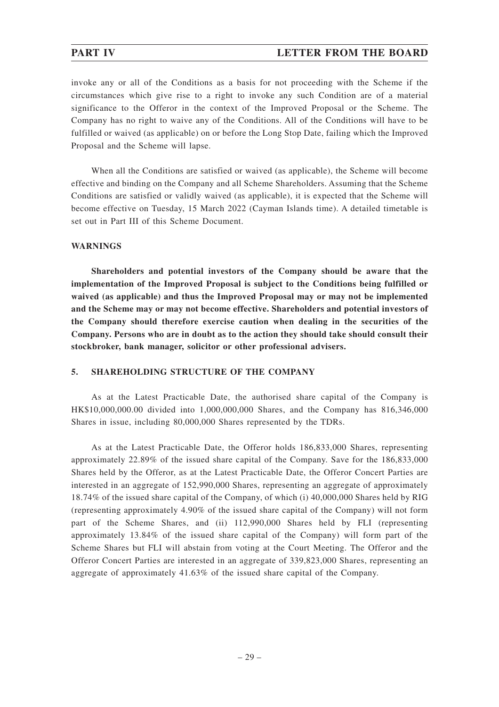### **PART IV LETTER FROM THE BOARD**

invoke any or all of the Conditions as a basis for not proceeding with the Scheme if the circumstances which give rise to a right to invoke any such Condition are of a material significance to the Offeror in the context of the Improved Proposal or the Scheme. The Company has no right to waive any of the Conditions. All of the Conditions will have to be fulfilled or waived (as applicable) on or before the Long Stop Date, failing which the Improved Proposal and the Scheme will lapse.

When all the Conditions are satisfied or waived (as applicable), the Scheme will become effective and binding on the Company and all Scheme Shareholders. Assuming that the Scheme Conditions are satisfied or validly waived (as applicable), it is expected that the Scheme will become effective on Tuesday, 15 March 2022 (Cayman Islands time). A detailed timetable is set out in Part III of this Scheme Document.

### **WARNINGS**

**Shareholders and potential investors of the Company should be aware that the implementation of the Improved Proposal is subject to the Conditions being fulfilled or waived (as applicable) and thus the Improved Proposal may or may not be implemented and the Scheme may or may not become effective. Shareholders and potential investors of the Company should therefore exercise caution when dealing in the securities of the Company. Persons who are in doubt as to the action they should take should consult their stockbroker, bank manager, solicitor or other professional advisers.**

### **5. SHAREHOLDING STRUCTURE OF THE COMPANY**

As at the Latest Practicable Date, the authorised share capital of the Company is HK\$10,000,000.00 divided into 1,000,000,000 Shares, and the Company has 816,346,000 Shares in issue, including 80,000,000 Shares represented by the TDRs.

As at the Latest Practicable Date, the Offeror holds 186,833,000 Shares, representing approximately 22.89% of the issued share capital of the Company. Save for the 186,833,000 Shares held by the Offeror, as at the Latest Practicable Date, the Offeror Concert Parties are interested in an aggregate of 152,990,000 Shares, representing an aggregate of approximately 18.74% of the issued share capital of the Company, of which (i) 40,000,000 Shares held by RIG (representing approximately 4.90% of the issued share capital of the Company) will not form part of the Scheme Shares, and (ii) 112,990,000 Shares held by FLI (representing approximately 13.84% of the issued share capital of the Company) will form part of the Scheme Shares but FLI will abstain from voting at the Court Meeting. The Offeror and the Offeror Concert Parties are interested in an aggregate of 339,823,000 Shares, representing an aggregate of approximately 41.63% of the issued share capital of the Company.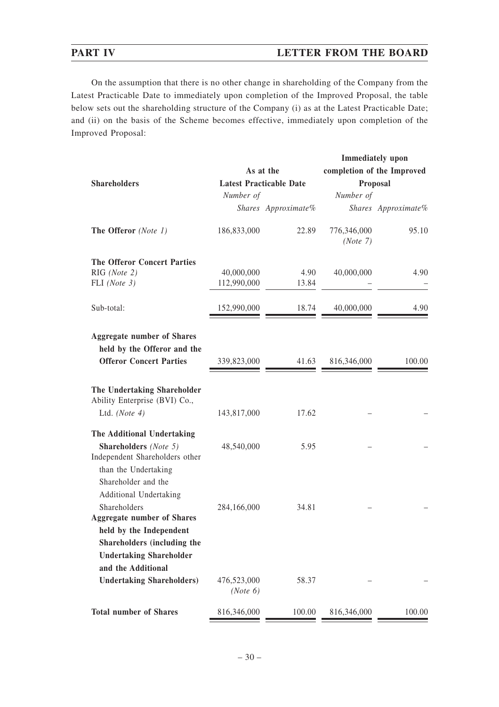# **PART IV LETTER FROM THE BOARD**

On the assumption that there is no other change in shareholding of the Company from the Latest Practicable Date to immediately upon completion of the Improved Proposal, the table below sets out the shareholding structure of the Company (i) as at the Latest Practicable Date; and (ii) on the basis of the Scheme becomes effective, immediately upon completion of the Improved Proposal:

|                                                                                                               |                         |                                |                            | <b>Immediately</b> upon |  |
|---------------------------------------------------------------------------------------------------------------|-------------------------|--------------------------------|----------------------------|-------------------------|--|
|                                                                                                               | As at the               |                                | completion of the Improved |                         |  |
| <b>Shareholders</b>                                                                                           |                         | <b>Latest Practicable Date</b> |                            | Proposal                |  |
|                                                                                                               | Number of               |                                | Number of                  |                         |  |
|                                                                                                               |                         | Shares Approximate%            |                            | Shares Approximate%     |  |
| The Offeror (Note 1)                                                                                          | 186,833,000             | 22.89                          | 776,346,000<br>(Note 7)    | 95.10                   |  |
| <b>The Offeror Concert Parties</b>                                                                            |                         |                                |                            |                         |  |
| RIG (Note 2)                                                                                                  | 40,000,000              | 4.90                           | 40,000,000                 | 4.90                    |  |
| FLI (Note $3$ )                                                                                               | 112,990,000             | 13.84                          |                            |                         |  |
| Sub-total:                                                                                                    | 152,990,000             | 18.74                          | 40,000,000                 | 4.90                    |  |
| <b>Aggregate number of Shares</b>                                                                             |                         |                                |                            |                         |  |
| held by the Offeror and the                                                                                   |                         |                                |                            |                         |  |
| <b>Offeror Concert Parties</b>                                                                                | 339,823,000             | 41.63                          | 816,346,000                | 100.00                  |  |
| The Undertaking Shareholder<br>Ability Enterprise (BVI) Co.,<br>Ltd. (Note $4$ )                              | 143,817,000             | 17.62                          |                            |                         |  |
| The Additional Undertaking                                                                                    |                         |                                |                            |                         |  |
| <b>Shareholders</b> (Note 5)<br>Independent Shareholders other<br>than the Undertaking<br>Shareholder and the | 48,540,000              | 5.95                           |                            |                         |  |
| Additional Undertaking<br>Shareholders                                                                        | 284,166,000             | 34.81                          |                            |                         |  |
| <b>Aggregate number of Shares</b>                                                                             |                         |                                |                            |                         |  |
| held by the Independent                                                                                       |                         |                                |                            |                         |  |
| Shareholders (including the                                                                                   |                         |                                |                            |                         |  |
| <b>Undertaking Shareholder</b>                                                                                |                         |                                |                            |                         |  |
| and the Additional                                                                                            |                         |                                |                            |                         |  |
| <b>Undertaking Shareholders)</b>                                                                              | 476,523,000<br>(Note 6) | 58.37                          |                            |                         |  |
| <b>Total number of Shares</b>                                                                                 | 816,346,000             | 100.00                         | 816,346,000                | 100.00                  |  |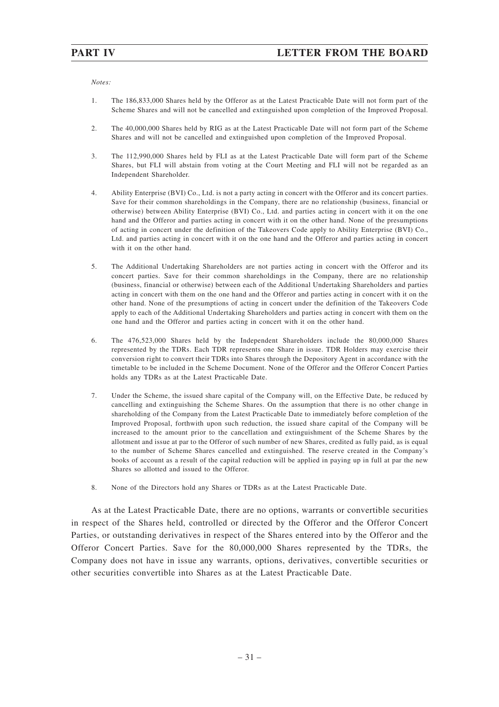### *Notes:*

- 1. The 186,833,000 Shares held by the Offeror as at the Latest Practicable Date will not form part of the Scheme Shares and will not be cancelled and extinguished upon completion of the Improved Proposal.
- 2. The 40,000,000 Shares held by RIG as at the Latest Practicable Date will not form part of the Scheme Shares and will not be cancelled and extinguished upon completion of the Improved Proposal.
- 3. The 112,990,000 Shares held by FLI as at the Latest Practicable Date will form part of the Scheme Shares, but FLI will abstain from voting at the Court Meeting and FLI will not be regarded as an Independent Shareholder.
- 4. Ability Enterprise (BVI) Co., Ltd. is not a party acting in concert with the Offeror and its concert parties. Save for their common shareholdings in the Company, there are no relationship (business, financial or otherwise) between Ability Enterprise (BVI) Co., Ltd. and parties acting in concert with it on the one hand and the Offeror and parties acting in concert with it on the other hand. None of the presumptions of acting in concert under the definition of the Takeovers Code apply to Ability Enterprise (BVI) Co., Ltd. and parties acting in concert with it on the one hand and the Offeror and parties acting in concert with it on the other hand.
- 5. The Additional Undertaking Shareholders are not parties acting in concert with the Offeror and its concert parties. Save for their common shareholdings in the Company, there are no relationship (business, financial or otherwise) between each of the Additional Undertaking Shareholders and parties acting in concert with them on the one hand and the Offeror and parties acting in concert with it on the other hand. None of the presumptions of acting in concert under the definition of the Takeovers Code apply to each of the Additional Undertaking Shareholders and parties acting in concert with them on the one hand and the Offeror and parties acting in concert with it on the other hand.
- 6. The 476,523,000 Shares held by the Independent Shareholders include the 80,000,000 Shares represented by the TDRs. Each TDR represents one Share in issue. TDR Holders may exercise their conversion right to convert their TDRs into Shares through the Depository Agent in accordance with the timetable to be included in the Scheme Document. None of the Offeror and the Offeror Concert Parties holds any TDRs as at the Latest Practicable Date.
- 7. Under the Scheme, the issued share capital of the Company will, on the Effective Date, be reduced by cancelling and extinguishing the Scheme Shares. On the assumption that there is no other change in shareholding of the Company from the Latest Practicable Date to immediately before completion of the Improved Proposal, forthwith upon such reduction, the issued share capital of the Company will be increased to the amount prior to the cancellation and extinguishment of the Scheme Shares by the allotment and issue at par to the Offeror of such number of new Shares, credited as fully paid, as is equal to the number of Scheme Shares cancelled and extinguished. The reserve created in the Company's books of account as a result of the capital reduction will be applied in paying up in full at par the new Shares so allotted and issued to the Offeror.
- 8. None of the Directors hold any Shares or TDRs as at the Latest Practicable Date.

As at the Latest Practicable Date, there are no options, warrants or convertible securities in respect of the Shares held, controlled or directed by the Offeror and the Offeror Concert Parties, or outstanding derivatives in respect of the Shares entered into by the Offeror and the Offeror Concert Parties. Save for the 80,000,000 Shares represented by the TDRs, the Company does not have in issue any warrants, options, derivatives, convertible securities or other securities convertible into Shares as at the Latest Practicable Date.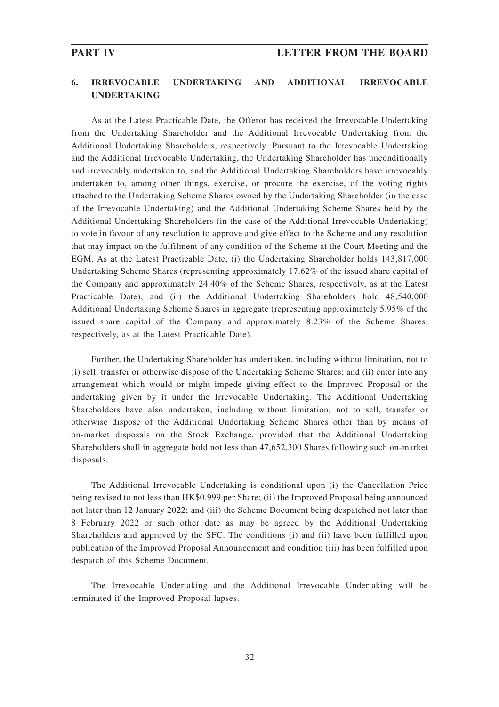## **6. IRREVOCABLE UNDERTAKING AND ADDITIONAL IRREVOCABLE UNDERTAKING**

As at the Latest Practicable Date, the Offeror has received the Irrevocable Undertaking from the Undertaking Shareholder and the Additional Irrevocable Undertaking from the Additional Undertaking Shareholders, respectively. Pursuant to the Irrevocable Undertaking and the Additional Irrevocable Undertaking, the Undertaking Shareholder has unconditionally and irrevocably undertaken to, and the Additional Undertaking Shareholders have irrevocably undertaken to, among other things, exercise, or procure the exercise, of the voting rights attached to the Undertaking Scheme Shares owned by the Undertaking Shareholder (in the case of the Irrevocable Undertaking) and the Additional Undertaking Scheme Shares held by the Additional Undertaking Shareholders (in the case of the Additional Irrevocable Undertaking) to vote in favour of any resolution to approve and give effect to the Scheme and any resolution that may impact on the fulfilment of any condition of the Scheme at the Court Meeting and the EGM. As at the Latest Practicable Date, (i) the Undertaking Shareholder holds 143,817,000 Undertaking Scheme Shares (representing approximately 17.62% of the issued share capital of the Company and approximately 24.40% of the Scheme Shares, respectively, as at the Latest Practicable Date), and (ii) the Additional Undertaking Shareholders hold 48,540,000 Additional Undertaking Scheme Shares in aggregate (representing approximately 5.95% of the issued share capital of the Company and approximately 8.23% of the Scheme Shares, respectively, as at the Latest Practicable Date).

Further, the Undertaking Shareholder has undertaken, including without limitation, not to (i) sell, transfer or otherwise dispose of the Undertaking Scheme Shares; and (ii) enter into any arrangement which would or might impede giving effect to the Improved Proposal or the undertaking given by it under the Irrevocable Undertaking. The Additional Undertaking Shareholders have also undertaken, including without limitation, not to sell, transfer or otherwise dispose of the Additional Undertaking Scheme Shares other than by means of on-market disposals on the Stock Exchange, provided that the Additional Undertaking Shareholders shall in aggregate hold not less than 47,652,300 Shares following such on-market disposals.

The Additional Irrevocable Undertaking is conditional upon (i) the Cancellation Price being revised to not less than HK\$0.999 per Share; (ii) the Improved Proposal being announced not later than 12 January 2022; and (iii) the Scheme Document being despatched not later than 8 February 2022 or such other date as may be agreed by the Additional Undertaking Shareholders and approved by the SFC. The conditions (i) and (ii) have been fulfilled upon publication of the Improved Proposal Announcement and condition (iii) has been fulfilled upon despatch of this Scheme Document.

The Irrevocable Undertaking and the Additional Irrevocable Undertaking will be terminated if the Improved Proposal lapses.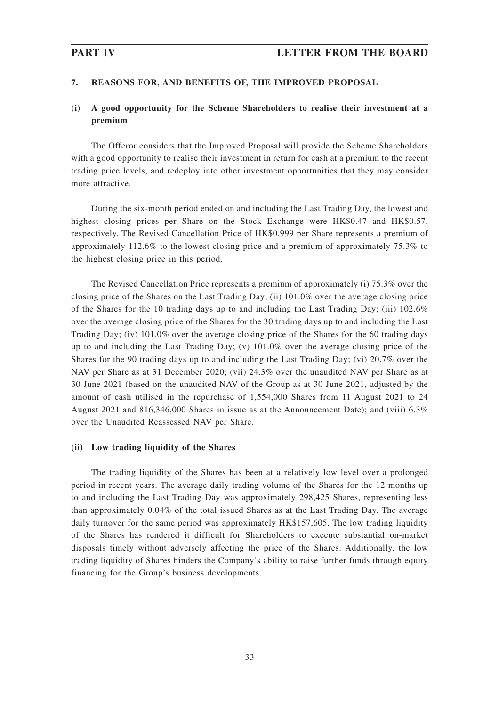## **7. REASONS FOR, AND BENEFITS OF, THE IMPROVED PROPOSAL**

# **(i) A good opportunity for the Scheme Shareholders to realise their investment at a premium**

The Offeror considers that the Improved Proposal will provide the Scheme Shareholders with a good opportunity to realise their investment in return for cash at a premium to the recent trading price levels, and redeploy into other investment opportunities that they may consider more attractive.

During the six-month period ended on and including the Last Trading Day, the lowest and highest closing prices per Share on the Stock Exchange were HK\$0.47 and HK\$0.57, respectively. The Revised Cancellation Price of HK\$0.999 per Share represents a premium of approximately 112.6% to the lowest closing price and a premium of approximately 75.3% to the highest closing price in this period.

The Revised Cancellation Price represents a premium of approximately (i) 75.3% over the closing price of the Shares on the Last Trading Day; (ii) 101.0% over the average closing price of the Shares for the 10 trading days up to and including the Last Trading Day; (iii) 102.6% over the average closing price of the Shares for the 30 trading days up to and including the Last Trading Day; (iv) 101.0% over the average closing price of the Shares for the 60 trading days up to and including the Last Trading Day; (v) 101.0% over the average closing price of the Shares for the 90 trading days up to and including the Last Trading Day; (vi) 20.7% over the NAV per Share as at 31 December 2020; (vii) 24.3% over the unaudited NAV per Share as at 30 June 2021 (based on the unaudited NAV of the Group as at 30 June 2021, adjusted by the amount of cash utilised in the repurchase of 1,554,000 Shares from 11 August 2021 to 24 August 2021 and 816,346,000 Shares in issue as at the Announcement Date); and (viii) 6.3% over the Unaudited Reassessed NAV per Share.

### **(ii) Low trading liquidity of the Shares**

The trading liquidity of the Shares has been at a relatively low level over a prolonged period in recent years. The average daily trading volume of the Shares for the 12 months up to and including the Last Trading Day was approximately 298,425 Shares, representing less than approximately 0.04% of the total issued Shares as at the Last Trading Day. The average daily turnover for the same period was approximately HK\$157,605. The low trading liquidity of the Shares has rendered it difficult for Shareholders to execute substantial on-market disposals timely without adversely affecting the price of the Shares. Additionally, the low trading liquidity of Shares hinders the Company's ability to raise further funds through equity financing for the Group's business developments.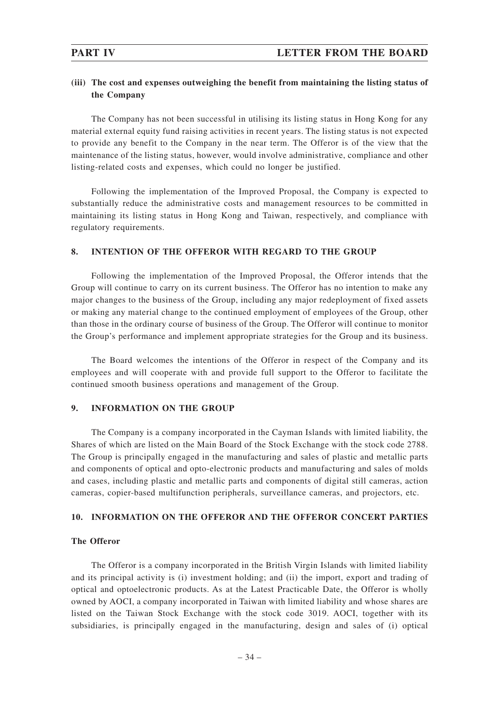# **(iii) The cost and expenses outweighing the benefit from maintaining the listing status of the Company**

The Company has not been successful in utilising its listing status in Hong Kong for any material external equity fund raising activities in recent years. The listing status is not expected to provide any benefit to the Company in the near term. The Offeror is of the view that the maintenance of the listing status, however, would involve administrative, compliance and other listing-related costs and expenses, which could no longer be justified.

Following the implementation of the Improved Proposal, the Company is expected to substantially reduce the administrative costs and management resources to be committed in maintaining its listing status in Hong Kong and Taiwan, respectively, and compliance with regulatory requirements.

## **8. INTENTION OF THE OFFEROR WITH REGARD TO THE GROUP**

Following the implementation of the Improved Proposal, the Offeror intends that the Group will continue to carry on its current business. The Offeror has no intention to make any major changes to the business of the Group, including any major redeployment of fixed assets or making any material change to the continued employment of employees of the Group, other than those in the ordinary course of business of the Group. The Offeror will continue to monitor the Group's performance and implement appropriate strategies for the Group and its business.

The Board welcomes the intentions of the Offeror in respect of the Company and its employees and will cooperate with and provide full support to the Offeror to facilitate the continued smooth business operations and management of the Group.

# **9. INFORMATION ON THE GROUP**

The Company is a company incorporated in the Cayman Islands with limited liability, the Shares of which are listed on the Main Board of the Stock Exchange with the stock code 2788. The Group is principally engaged in the manufacturing and sales of plastic and metallic parts and components of optical and opto-electronic products and manufacturing and sales of molds and cases, including plastic and metallic parts and components of digital still cameras, action cameras, copier-based multifunction peripherals, surveillance cameras, and projectors, etc.

## **10. INFORMATION ON THE OFFEROR AND THE OFFEROR CONCERT PARTIES**

## **The Offeror**

The Offeror is a company incorporated in the British Virgin Islands with limited liability and its principal activity is (i) investment holding; and (ii) the import, export and trading of optical and optoelectronic products. As at the Latest Practicable Date, the Offeror is wholly owned by AOCI, a company incorporated in Taiwan with limited liability and whose shares are listed on the Taiwan Stock Exchange with the stock code 3019. AOCI, together with its subsidiaries, is principally engaged in the manufacturing, design and sales of (i) optical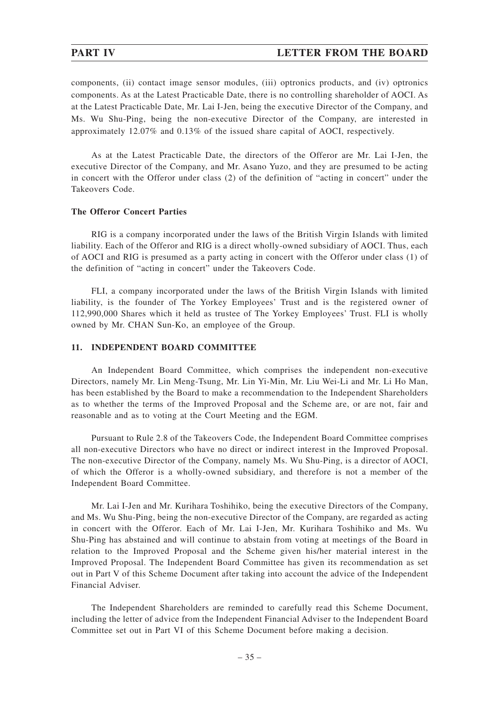components, (ii) contact image sensor modules, (iii) optronics products, and (iv) optronics components. As at the Latest Practicable Date, there is no controlling shareholder of AOCI. As at the Latest Practicable Date, Mr. Lai I-Jen, being the executive Director of the Company, and Ms. Wu Shu-Ping, being the non-executive Director of the Company, are interested in approximately 12.07% and 0.13% of the issued share capital of AOCI, respectively.

As at the Latest Practicable Date, the directors of the Offeror are Mr. Lai I-Jen, the executive Director of the Company, and Mr. Asano Yuzo, and they are presumed to be acting in concert with the Offeror under class (2) of the definition of "acting in concert" under the Takeovers Code.

## **The Offeror Concert Parties**

RIG is a company incorporated under the laws of the British Virgin Islands with limited liability. Each of the Offeror and RIG is a direct wholly-owned subsidiary of AOCI. Thus, each of AOCI and RIG is presumed as a party acting in concert with the Offeror under class (1) of the definition of "acting in concert" under the Takeovers Code.

FLI, a company incorporated under the laws of the British Virgin Islands with limited liability, is the founder of The Yorkey Employees' Trust and is the registered owner of 112,990,000 Shares which it held as trustee of The Yorkey Employees' Trust. FLI is wholly owned by Mr. CHAN Sun-Ko, an employee of the Group.

## **11. INDEPENDENT BOARD COMMITTEE**

An Independent Board Committee, which comprises the independent non-executive Directors, namely Mr. Lin Meng-Tsung, Mr. Lin Yi-Min, Mr. Liu Wei-Li and Mr. Li Ho Man, has been established by the Board to make a recommendation to the Independent Shareholders as to whether the terms of the Improved Proposal and the Scheme are, or are not, fair and reasonable and as to voting at the Court Meeting and the EGM.

Pursuant to Rule 2.8 of the Takeovers Code, the Independent Board Committee comprises all non-executive Directors who have no direct or indirect interest in the Improved Proposal. The non-executive Director of the Company, namely Ms. Wu Shu-Ping, is a director of AOCI, of which the Offeror is a wholly-owned subsidiary, and therefore is not a member of the Independent Board Committee.

Mr. Lai I-Jen and Mr. Kurihara Toshihiko, being the executive Directors of the Company, and Ms. Wu Shu-Ping, being the non-executive Director of the Company, are regarded as acting in concert with the Offeror. Each of Mr. Lai I-Jen, Mr. Kurihara Toshihiko and Ms. Wu Shu-Ping has abstained and will continue to abstain from voting at meetings of the Board in relation to the Improved Proposal and the Scheme given his/her material interest in the Improved Proposal. The Independent Board Committee has given its recommendation as set out in Part V of this Scheme Document after taking into account the advice of the Independent Financial Adviser.

The Independent Shareholders are reminded to carefully read this Scheme Document, including the letter of advice from the Independent Financial Adviser to the Independent Board Committee set out in Part VI of this Scheme Document before making a decision.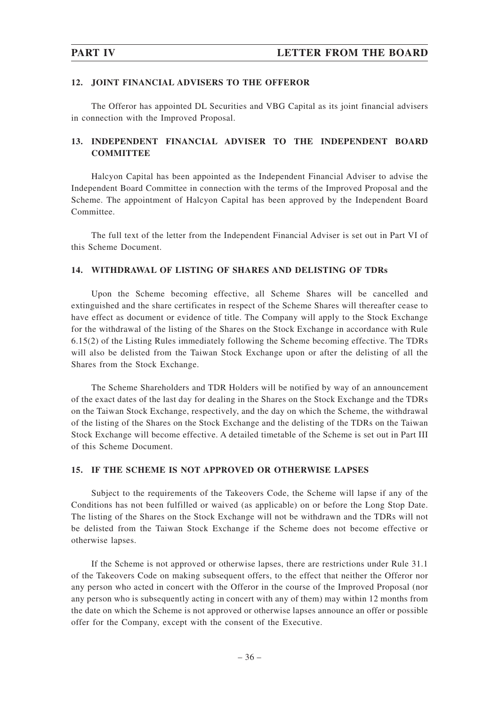## **12. JOINT FINANCIAL ADVISERS TO THE OFFEROR**

The Offeror has appointed DL Securities and VBG Capital as its joint financial advisers in connection with the Improved Proposal.

# **13. INDEPENDENT FINANCIAL ADVISER TO THE INDEPENDENT BOARD COMMITTEE**

Halcyon Capital has been appointed as the Independent Financial Adviser to advise the Independent Board Committee in connection with the terms of the Improved Proposal and the Scheme. The appointment of Halcyon Capital has been approved by the Independent Board Committee.

The full text of the letter from the Independent Financial Adviser is set out in Part VI of this Scheme Document.

## **14. WITHDRAWAL OF LISTING OF SHARES AND DELISTING OF TDRs**

Upon the Scheme becoming effective, all Scheme Shares will be cancelled and extinguished and the share certificates in respect of the Scheme Shares will thereafter cease to have effect as document or evidence of title. The Company will apply to the Stock Exchange for the withdrawal of the listing of the Shares on the Stock Exchange in accordance with Rule 6.15(2) of the Listing Rules immediately following the Scheme becoming effective. The TDRs will also be delisted from the Taiwan Stock Exchange upon or after the delisting of all the Shares from the Stock Exchange.

The Scheme Shareholders and TDR Holders will be notified by way of an announcement of the exact dates of the last day for dealing in the Shares on the Stock Exchange and the TDRs on the Taiwan Stock Exchange, respectively, and the day on which the Scheme, the withdrawal of the listing of the Shares on the Stock Exchange and the delisting of the TDRs on the Taiwan Stock Exchange will become effective. A detailed timetable of the Scheme is set out in Part III of this Scheme Document.

### **15. IF THE SCHEME IS NOT APPROVED OR OTHERWISE LAPSES**

Subject to the requirements of the Takeovers Code, the Scheme will lapse if any of the Conditions has not been fulfilled or waived (as applicable) on or before the Long Stop Date. The listing of the Shares on the Stock Exchange will not be withdrawn and the TDRs will not be delisted from the Taiwan Stock Exchange if the Scheme does not become effective or otherwise lapses.

If the Scheme is not approved or otherwise lapses, there are restrictions under Rule 31.1 of the Takeovers Code on making subsequent offers, to the effect that neither the Offeror nor any person who acted in concert with the Offeror in the course of the Improved Proposal (nor any person who is subsequently acting in concert with any of them) may within 12 months from the date on which the Scheme is not approved or otherwise lapses announce an offer or possible offer for the Company, except with the consent of the Executive.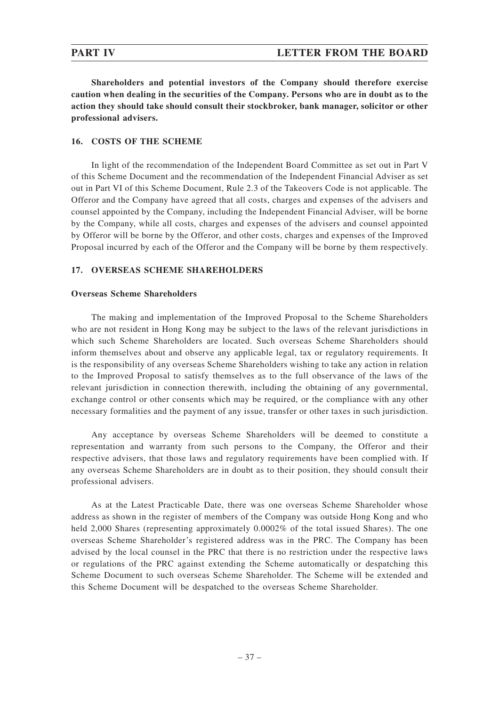**Shareholders and potential investors of the Company should therefore exercise caution when dealing in the securities of the Company. Persons who are in doubt as to the action they should take should consult their stockbroker, bank manager, solicitor or other professional advisers.**

# **16. COSTS OF THE SCHEME**

In light of the recommendation of the Independent Board Committee as set out in Part V of this Scheme Document and the recommendation of the Independent Financial Adviser as set out in Part VI of this Scheme Document, Rule 2.3 of the Takeovers Code is not applicable. The Offeror and the Company have agreed that all costs, charges and expenses of the advisers and counsel appointed by the Company, including the Independent Financial Adviser, will be borne by the Company, while all costs, charges and expenses of the advisers and counsel appointed by Offeror will be borne by the Offeror, and other costs, charges and expenses of the Improved Proposal incurred by each of the Offeror and the Company will be borne by them respectively.

# **17. OVERSEAS SCHEME SHAREHOLDERS**

# **Overseas Scheme Shareholders**

The making and implementation of the Improved Proposal to the Scheme Shareholders who are not resident in Hong Kong may be subject to the laws of the relevant jurisdictions in which such Scheme Shareholders are located. Such overseas Scheme Shareholders should inform themselves about and observe any applicable legal, tax or regulatory requirements. It is the responsibility of any overseas Scheme Shareholders wishing to take any action in relation to the Improved Proposal to satisfy themselves as to the full observance of the laws of the relevant jurisdiction in connection therewith, including the obtaining of any governmental, exchange control or other consents which may be required, or the compliance with any other necessary formalities and the payment of any issue, transfer or other taxes in such jurisdiction.

Any acceptance by overseas Scheme Shareholders will be deemed to constitute a representation and warranty from such persons to the Company, the Offeror and their respective advisers, that those laws and regulatory requirements have been complied with. If any overseas Scheme Shareholders are in doubt as to their position, they should consult their professional advisers.

As at the Latest Practicable Date, there was one overseas Scheme Shareholder whose address as shown in the register of members of the Company was outside Hong Kong and who held 2,000 Shares (representing approximately 0.0002\% of the total issued Shares). The one overseas Scheme Shareholder's registered address was in the PRC. The Company has been advised by the local counsel in the PRC that there is no restriction under the respective laws or regulations of the PRC against extending the Scheme automatically or despatching this Scheme Document to such overseas Scheme Shareholder. The Scheme will be extended and this Scheme Document will be despatched to the overseas Scheme Shareholder.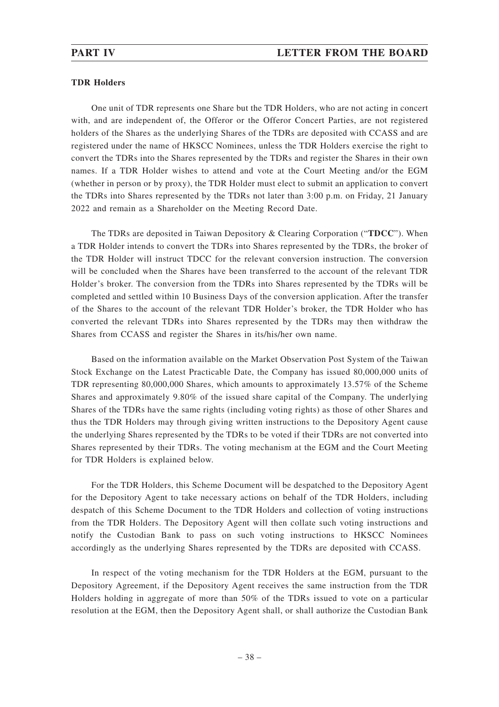## **TDR Holders**

One unit of TDR represents one Share but the TDR Holders, who are not acting in concert with, and are independent of, the Offeror or the Offeror Concert Parties, are not registered holders of the Shares as the underlying Shares of the TDRs are deposited with CCASS and are registered under the name of HKSCC Nominees, unless the TDR Holders exercise the right to convert the TDRs into the Shares represented by the TDRs and register the Shares in their own names. If a TDR Holder wishes to attend and vote at the Court Meeting and/or the EGM (whether in person or by proxy), the TDR Holder must elect to submit an application to convert the TDRs into Shares represented by the TDRs not later than 3:00 p.m. on Friday, 21 January 2022 and remain as a Shareholder on the Meeting Record Date.

The TDRs are deposited in Taiwan Depository & Clearing Corporation ("**TDCC**"). When a TDR Holder intends to convert the TDRs into Shares represented by the TDRs, the broker of the TDR Holder will instruct TDCC for the relevant conversion instruction. The conversion will be concluded when the Shares have been transferred to the account of the relevant TDR Holder's broker. The conversion from the TDRs into Shares represented by the TDRs will be completed and settled within 10 Business Days of the conversion application. After the transfer of the Shares to the account of the relevant TDR Holder's broker, the TDR Holder who has converted the relevant TDRs into Shares represented by the TDRs may then withdraw the Shares from CCASS and register the Shares in its/his/her own name.

Based on the information available on the Market Observation Post System of the Taiwan Stock Exchange on the Latest Practicable Date, the Company has issued 80,000,000 units of TDR representing 80,000,000 Shares, which amounts to approximately 13.57% of the Scheme Shares and approximately 9.80% of the issued share capital of the Company. The underlying Shares of the TDRs have the same rights (including voting rights) as those of other Shares and thus the TDR Holders may through giving written instructions to the Depository Agent cause the underlying Shares represented by the TDRs to be voted if their TDRs are not converted into Shares represented by their TDRs. The voting mechanism at the EGM and the Court Meeting for TDR Holders is explained below.

For the TDR Holders, this Scheme Document will be despatched to the Depository Agent for the Depository Agent to take necessary actions on behalf of the TDR Holders, including despatch of this Scheme Document to the TDR Holders and collection of voting instructions from the TDR Holders. The Depository Agent will then collate such voting instructions and notify the Custodian Bank to pass on such voting instructions to HKSCC Nominees accordingly as the underlying Shares represented by the TDRs are deposited with CCASS.

In respect of the voting mechanism for the TDR Holders at the EGM, pursuant to the Depository Agreement, if the Depository Agent receives the same instruction from the TDR Holders holding in aggregate of more than 50% of the TDRs issued to vote on a particular resolution at the EGM, then the Depository Agent shall, or shall authorize the Custodian Bank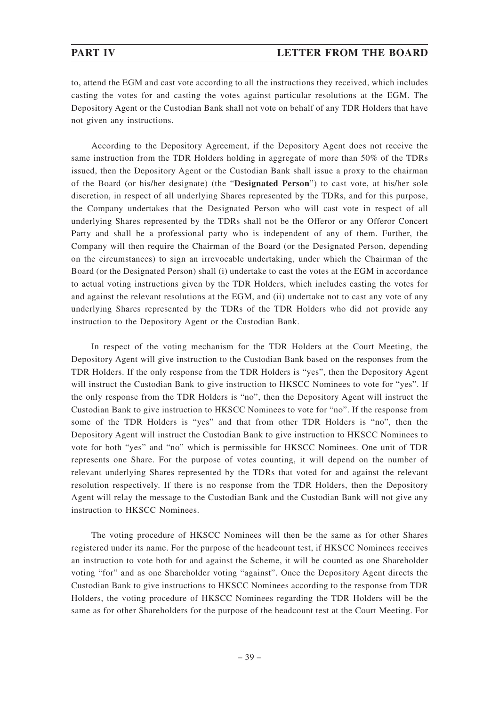to, attend the EGM and cast vote according to all the instructions they received, which includes casting the votes for and casting the votes against particular resolutions at the EGM. The Depository Agent or the Custodian Bank shall not vote on behalf of any TDR Holders that have not given any instructions.

According to the Depository Agreement, if the Depository Agent does not receive the same instruction from the TDR Holders holding in aggregate of more than 50% of the TDRs issued, then the Depository Agent or the Custodian Bank shall issue a proxy to the chairman of the Board (or his/her designate) (the "**Designated Person**") to cast vote, at his/her sole discretion, in respect of all underlying Shares represented by the TDRs, and for this purpose, the Company undertakes that the Designated Person who will cast vote in respect of all underlying Shares represented by the TDRs shall not be the Offeror or any Offeror Concert Party and shall be a professional party who is independent of any of them. Further, the Company will then require the Chairman of the Board (or the Designated Person, depending on the circumstances) to sign an irrevocable undertaking, under which the Chairman of the Board (or the Designated Person) shall (i) undertake to cast the votes at the EGM in accordance to actual voting instructions given by the TDR Holders, which includes casting the votes for and against the relevant resolutions at the EGM, and (ii) undertake not to cast any vote of any underlying Shares represented by the TDRs of the TDR Holders who did not provide any instruction to the Depository Agent or the Custodian Bank.

In respect of the voting mechanism for the TDR Holders at the Court Meeting, the Depository Agent will give instruction to the Custodian Bank based on the responses from the TDR Holders. If the only response from the TDR Holders is "yes", then the Depository Agent will instruct the Custodian Bank to give instruction to HKSCC Nominees to vote for "yes". If the only response from the TDR Holders is "no", then the Depository Agent will instruct the Custodian Bank to give instruction to HKSCC Nominees to vote for "no". If the response from some of the TDR Holders is "yes" and that from other TDR Holders is "no", then the Depository Agent will instruct the Custodian Bank to give instruction to HKSCC Nominees to vote for both "yes" and "no" which is permissible for HKSCC Nominees. One unit of TDR represents one Share. For the purpose of votes counting, it will depend on the number of relevant underlying Shares represented by the TDRs that voted for and against the relevant resolution respectively. If there is no response from the TDR Holders, then the Depository Agent will relay the message to the Custodian Bank and the Custodian Bank will not give any instruction to HKSCC Nominees.

The voting procedure of HKSCC Nominees will then be the same as for other Shares registered under its name. For the purpose of the headcount test, if HKSCC Nominees receives an instruction to vote both for and against the Scheme, it will be counted as one Shareholder voting "for" and as one Shareholder voting "against". Once the Depository Agent directs the Custodian Bank to give instructions to HKSCC Nominees according to the response from TDR Holders, the voting procedure of HKSCC Nominees regarding the TDR Holders will be the same as for other Shareholders for the purpose of the headcount test at the Court Meeting. For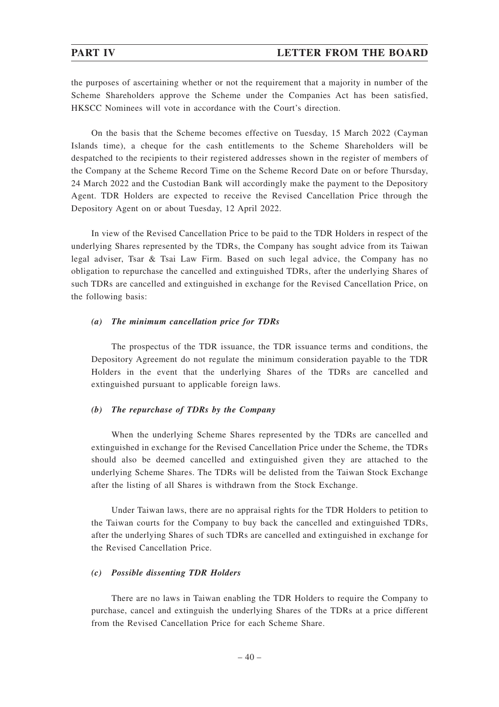the purposes of ascertaining whether or not the requirement that a majority in number of the Scheme Shareholders approve the Scheme under the Companies Act has been satisfied, HKSCC Nominees will vote in accordance with the Court's direction.

On the basis that the Scheme becomes effective on Tuesday, 15 March 2022 (Cayman Islands time), a cheque for the cash entitlements to the Scheme Shareholders will be despatched to the recipients to their registered addresses shown in the register of members of the Company at the Scheme Record Time on the Scheme Record Date on or before Thursday, 24 March 2022 and the Custodian Bank will accordingly make the payment to the Depository Agent. TDR Holders are expected to receive the Revised Cancellation Price through the Depository Agent on or about Tuesday, 12 April 2022.

In view of the Revised Cancellation Price to be paid to the TDR Holders in respect of the underlying Shares represented by the TDRs, the Company has sought advice from its Taiwan legal adviser, Tsar & Tsai Law Firm. Based on such legal advice, the Company has no obligation to repurchase the cancelled and extinguished TDRs, after the underlying Shares of such TDRs are cancelled and extinguished in exchange for the Revised Cancellation Price, on the following basis:

## *(a) The minimum cancellation price for TDRs*

The prospectus of the TDR issuance, the TDR issuance terms and conditions, the Depository Agreement do not regulate the minimum consideration payable to the TDR Holders in the event that the underlying Shares of the TDRs are cancelled and extinguished pursuant to applicable foreign laws.

### *(b) The repurchase of TDRs by the Company*

When the underlying Scheme Shares represented by the TDRs are cancelled and extinguished in exchange for the Revised Cancellation Price under the Scheme, the TDRs should also be deemed cancelled and extinguished given they are attached to the underlying Scheme Shares. The TDRs will be delisted from the Taiwan Stock Exchange after the listing of all Shares is withdrawn from the Stock Exchange.

Under Taiwan laws, there are no appraisal rights for the TDR Holders to petition to the Taiwan courts for the Company to buy back the cancelled and extinguished TDRs, after the underlying Shares of such TDRs are cancelled and extinguished in exchange for the Revised Cancellation Price.

### *(c) Possible dissenting TDR Holders*

There are no laws in Taiwan enabling the TDR Holders to require the Company to purchase, cancel and extinguish the underlying Shares of the TDRs at a price different from the Revised Cancellation Price for each Scheme Share.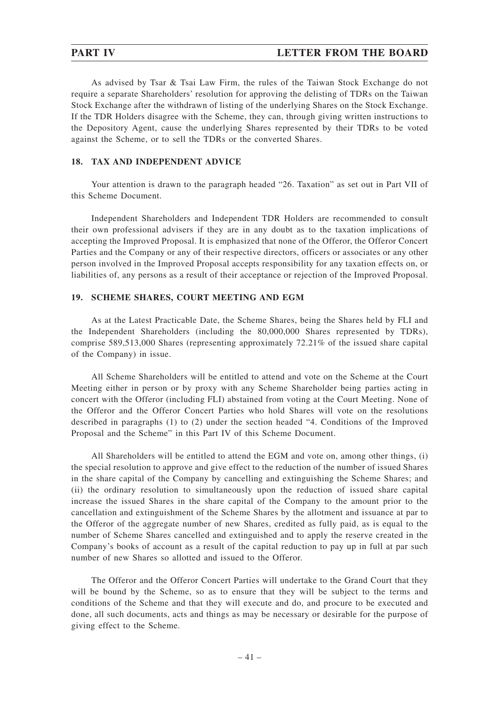As advised by Tsar & Tsai Law Firm, the rules of the Taiwan Stock Exchange do not require a separate Shareholders' resolution for approving the delisting of TDRs on the Taiwan Stock Exchange after the withdrawn of listing of the underlying Shares on the Stock Exchange. If the TDR Holders disagree with the Scheme, they can, through giving written instructions to the Depository Agent, cause the underlying Shares represented by their TDRs to be voted against the Scheme, or to sell the TDRs or the converted Shares.

## **18. TAX AND INDEPENDENT ADVICE**

Your attention is drawn to the paragraph headed "26. Taxation" as set out in Part VII of this Scheme Document.

Independent Shareholders and Independent TDR Holders are recommended to consult their own professional advisers if they are in any doubt as to the taxation implications of accepting the Improved Proposal. It is emphasized that none of the Offeror, the Offeror Concert Parties and the Company or any of their respective directors, officers or associates or any other person involved in the Improved Proposal accepts responsibility for any taxation effects on, or liabilities of, any persons as a result of their acceptance or rejection of the Improved Proposal.

## **19. SCHEME SHARES, COURT MEETING AND EGM**

As at the Latest Practicable Date, the Scheme Shares, being the Shares held by FLI and the Independent Shareholders (including the 80,000,000 Shares represented by TDRs), comprise 589,513,000 Shares (representing approximately 72.21% of the issued share capital of the Company) in issue.

All Scheme Shareholders will be entitled to attend and vote on the Scheme at the Court Meeting either in person or by proxy with any Scheme Shareholder being parties acting in concert with the Offeror (including FLI) abstained from voting at the Court Meeting. None of the Offeror and the Offeror Concert Parties who hold Shares will vote on the resolutions described in paragraphs (1) to (2) under the section headed "4. Conditions of the Improved Proposal and the Scheme" in this Part IV of this Scheme Document.

All Shareholders will be entitled to attend the EGM and vote on, among other things, (i) the special resolution to approve and give effect to the reduction of the number of issued Shares in the share capital of the Company by cancelling and extinguishing the Scheme Shares; and (ii) the ordinary resolution to simultaneously upon the reduction of issued share capital increase the issued Shares in the share capital of the Company to the amount prior to the cancellation and extinguishment of the Scheme Shares by the allotment and issuance at par to the Offeror of the aggregate number of new Shares, credited as fully paid, as is equal to the number of Scheme Shares cancelled and extinguished and to apply the reserve created in the Company's books of account as a result of the capital reduction to pay up in full at par such number of new Shares so allotted and issued to the Offeror.

The Offeror and the Offeror Concert Parties will undertake to the Grand Court that they will be bound by the Scheme, so as to ensure that they will be subject to the terms and conditions of the Scheme and that they will execute and do, and procure to be executed and done, all such documents, acts and things as may be necessary or desirable for the purpose of giving effect to the Scheme.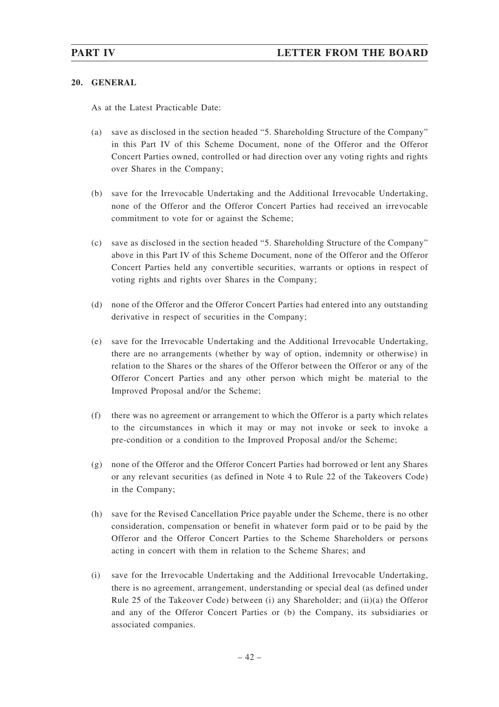## **20. GENERAL**

As at the Latest Practicable Date:

- (a) save as disclosed in the section headed "5. Shareholding Structure of the Company" in this Part IV of this Scheme Document, none of the Offeror and the Offeror Concert Parties owned, controlled or had direction over any voting rights and rights over Shares in the Company;
- (b) save for the Irrevocable Undertaking and the Additional Irrevocable Undertaking, none of the Offeror and the Offeror Concert Parties had received an irrevocable commitment to vote for or against the Scheme;
- (c) save as disclosed in the section headed "5. Shareholding Structure of the Company" above in this Part IV of this Scheme Document, none of the Offeror and the Offeror Concert Parties held any convertible securities, warrants or options in respect of voting rights and rights over Shares in the Company;
- (d) none of the Offeror and the Offeror Concert Parties had entered into any outstanding derivative in respect of securities in the Company;
- (e) save for the Irrevocable Undertaking and the Additional Irrevocable Undertaking, there are no arrangements (whether by way of option, indemnity or otherwise) in relation to the Shares or the shares of the Offeror between the Offeror or any of the Offeror Concert Parties and any other person which might be material to the Improved Proposal and/or the Scheme;
- (f) there was no agreement or arrangement to which the Offeror is a party which relates to the circumstances in which it may or may not invoke or seek to invoke a pre-condition or a condition to the Improved Proposal and/or the Scheme;
- (g) none of the Offeror and the Offeror Concert Parties had borrowed or lent any Shares or any relevant securities (as defined in Note 4 to Rule 22 of the Takeovers Code) in the Company;
- (h) save for the Revised Cancellation Price payable under the Scheme, there is no other consideration, compensation or benefit in whatever form paid or to be paid by the Offeror and the Offeror Concert Parties to the Scheme Shareholders or persons acting in concert with them in relation to the Scheme Shares; and
- (i) save for the Irrevocable Undertaking and the Additional Irrevocable Undertaking, there is no agreement, arrangement, understanding or special deal (as defined under Rule 25 of the Takeover Code) between (i) any Shareholder; and (ii)(a) the Offeror and any of the Offeror Concert Parties or (b) the Company, its subsidiaries or associated companies.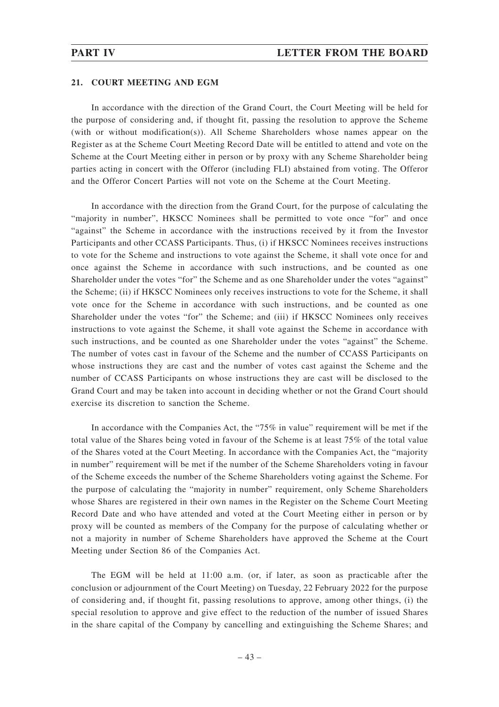## **21. COURT MEETING AND EGM**

In accordance with the direction of the Grand Court, the Court Meeting will be held for the purpose of considering and, if thought fit, passing the resolution to approve the Scheme (with or without modification(s)). All Scheme Shareholders whose names appear on the Register as at the Scheme Court Meeting Record Date will be entitled to attend and vote on the Scheme at the Court Meeting either in person or by proxy with any Scheme Shareholder being parties acting in concert with the Offeror (including FLI) abstained from voting. The Offeror and the Offeror Concert Parties will not vote on the Scheme at the Court Meeting.

In accordance with the direction from the Grand Court, for the purpose of calculating the "majority in number", HKSCC Nominees shall be permitted to vote once "for" and once "against" the Scheme in accordance with the instructions received by it from the Investor Participants and other CCASS Participants. Thus, (i) if HKSCC Nominees receives instructions to vote for the Scheme and instructions to vote against the Scheme, it shall vote once for and once against the Scheme in accordance with such instructions, and be counted as one Shareholder under the votes "for" the Scheme and as one Shareholder under the votes "against" the Scheme; (ii) if HKSCC Nominees only receives instructions to vote for the Scheme, it shall vote once for the Scheme in accordance with such instructions, and be counted as one Shareholder under the votes "for" the Scheme; and (iii) if HKSCC Nominees only receives instructions to vote against the Scheme, it shall vote against the Scheme in accordance with such instructions, and be counted as one Shareholder under the votes "against" the Scheme. The number of votes cast in favour of the Scheme and the number of CCASS Participants on whose instructions they are cast and the number of votes cast against the Scheme and the number of CCASS Participants on whose instructions they are cast will be disclosed to the Grand Court and may be taken into account in deciding whether or not the Grand Court should exercise its discretion to sanction the Scheme.

In accordance with the Companies Act, the "75% in value" requirement will be met if the total value of the Shares being voted in favour of the Scheme is at least 75% of the total value of the Shares voted at the Court Meeting. In accordance with the Companies Act, the "majority in number" requirement will be met if the number of the Scheme Shareholders voting in favour of the Scheme exceeds the number of the Scheme Shareholders voting against the Scheme. For the purpose of calculating the "majority in number" requirement, only Scheme Shareholders whose Shares are registered in their own names in the Register on the Scheme Court Meeting Record Date and who have attended and voted at the Court Meeting either in person or by proxy will be counted as members of the Company for the purpose of calculating whether or not a majority in number of Scheme Shareholders have approved the Scheme at the Court Meeting under Section 86 of the Companies Act.

The EGM will be held at 11:00 a.m. (or, if later, as soon as practicable after the conclusion or adjournment of the Court Meeting) on Tuesday, 22 February 2022 for the purpose of considering and, if thought fit, passing resolutions to approve, among other things, (i) the special resolution to approve and give effect to the reduction of the number of issued Shares in the share capital of the Company by cancelling and extinguishing the Scheme Shares; and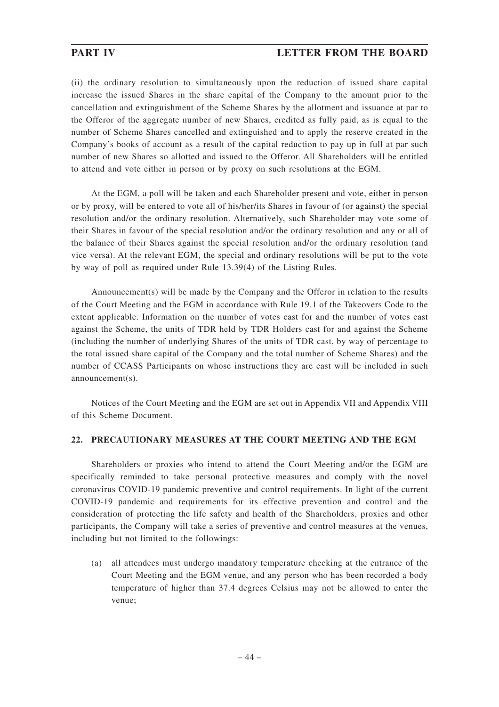(ii) the ordinary resolution to simultaneously upon the reduction of issued share capital increase the issued Shares in the share capital of the Company to the amount prior to the cancellation and extinguishment of the Scheme Shares by the allotment and issuance at par to the Offeror of the aggregate number of new Shares, credited as fully paid, as is equal to the number of Scheme Shares cancelled and extinguished and to apply the reserve created in the Company's books of account as a result of the capital reduction to pay up in full at par such number of new Shares so allotted and issued to the Offeror. All Shareholders will be entitled to attend and vote either in person or by proxy on such resolutions at the EGM.

At the EGM, a poll will be taken and each Shareholder present and vote, either in person or by proxy, will be entered to vote all of his/her/its Shares in favour of (or against) the special resolution and/or the ordinary resolution. Alternatively, such Shareholder may vote some of their Shares in favour of the special resolution and/or the ordinary resolution and any or all of the balance of their Shares against the special resolution and/or the ordinary resolution (and vice versa). At the relevant EGM, the special and ordinary resolutions will be put to the vote by way of poll as required under Rule 13.39(4) of the Listing Rules.

Announcement(s) will be made by the Company and the Offeror in relation to the results of the Court Meeting and the EGM in accordance with Rule 19.1 of the Takeovers Code to the extent applicable. Information on the number of votes cast for and the number of votes cast against the Scheme, the units of TDR held by TDR Holders cast for and against the Scheme (including the number of underlying Shares of the units of TDR cast, by way of percentage to the total issued share capital of the Company and the total number of Scheme Shares) and the number of CCASS Participants on whose instructions they are cast will be included in such announcement(s).

Notices of the Court Meeting and the EGM are set out in Appendix VII and Appendix VIII of this Scheme Document.

## **22. PRECAUTIONARY MEASURES AT THE COURT MEETING AND THE EGM**

Shareholders or proxies who intend to attend the Court Meeting and/or the EGM are specifically reminded to take personal protective measures and comply with the novel coronavirus COVID-19 pandemic preventive and control requirements. In light of the current COVID-19 pandemic and requirements for its effective prevention and control and the consideration of protecting the life safety and health of the Shareholders, proxies and other participants, the Company will take a series of preventive and control measures at the venues, including but not limited to the followings:

(a) all attendees must undergo mandatory temperature checking at the entrance of the Court Meeting and the EGM venue, and any person who has been recorded a body temperature of higher than 37.4 degrees Celsius may not be allowed to enter the venue;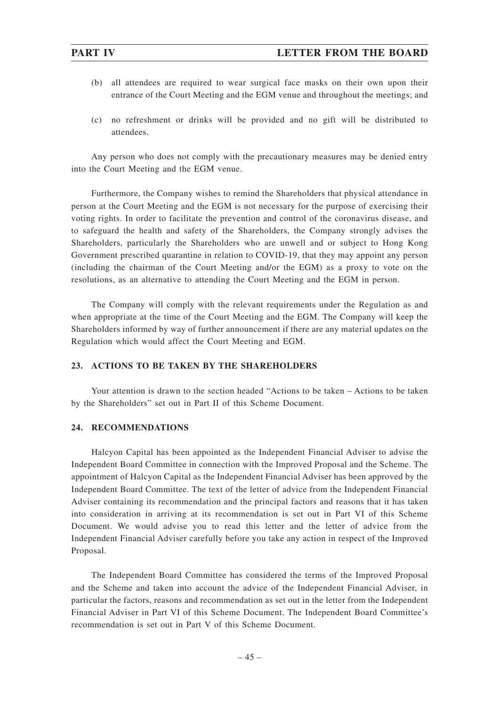- (b) all attendees are required to wear surgical face masks on their own upon their entrance of the Court Meeting and the EGM venue and throughout the meetings; and
- (c) no refreshment or drinks will be provided and no gift will be distributed to attendees.

Any person who does not comply with the precautionary measures may be denied entry into the Court Meeting and the EGM venue.

Furthermore, the Company wishes to remind the Shareholders that physical attendance in person at the Court Meeting and the EGM is not necessary for the purpose of exercising their voting rights. In order to facilitate the prevention and control of the coronavirus disease, and to safeguard the health and safety of the Shareholders, the Company strongly advises the Shareholders, particularly the Shareholders who are unwell and or subject to Hong Kong Government prescribed quarantine in relation to COVID-19, that they may appoint any person (including the chairman of the Court Meeting and/or the EGM) as a proxy to vote on the resolutions, as an alternative to attending the Court Meeting and the EGM in person.

The Company will comply with the relevant requirements under the Regulation as and when appropriate at the time of the Court Meeting and the EGM. The Company will keep the Shareholders informed by way of further announcement if there are any material updates on the Regulation which would affect the Court Meeting and EGM.

## **23. ACTIONS TO BE TAKEN BY THE SHAREHOLDERS**

Your attention is drawn to the section headed "Actions to be taken – Actions to be taken by the Shareholders" set out in Part II of this Scheme Document.

# **24. RECOMMENDATIONS**

Halcyon Capital has been appointed as the Independent Financial Adviser to advise the Independent Board Committee in connection with the Improved Proposal and the Scheme. The appointment of Halcyon Capital as the Independent Financial Adviser has been approved by the Independent Board Committee. The text of the letter of advice from the Independent Financial Adviser containing its recommendation and the principal factors and reasons that it has taken into consideration in arriving at its recommendation is set out in Part VI of this Scheme Document. We would advise you to read this letter and the letter of advice from the Independent Financial Adviser carefully before you take any action in respect of the Improved Proposal.

The Independent Board Committee has considered the terms of the Improved Proposal and the Scheme and taken into account the advice of the Independent Financial Adviser, in particular the factors, reasons and recommendation as set out in the letter from the Independent Financial Adviser in Part VI of this Scheme Document. The Independent Board Committee's recommendation is set out in Part V of this Scheme Document.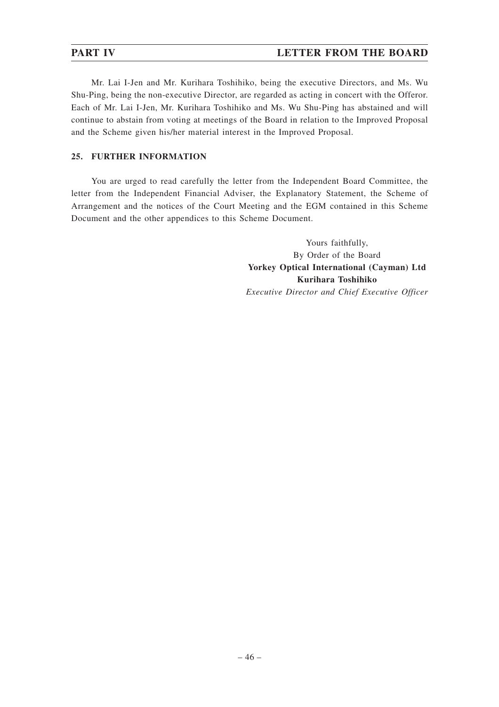# **PART IV LETTER FROM THE BOARD**

Mr. Lai I-Jen and Mr. Kurihara Toshihiko, being the executive Directors, and Ms. Wu Shu-Ping, being the non-executive Director, are regarded as acting in concert with the Offeror. Each of Mr. Lai I-Jen, Mr. Kurihara Toshihiko and Ms. Wu Shu-Ping has abstained and will continue to abstain from voting at meetings of the Board in relation to the Improved Proposal and the Scheme given his/her material interest in the Improved Proposal.

# **25. FURTHER INFORMATION**

You are urged to read carefully the letter from the Independent Board Committee, the letter from the Independent Financial Adviser, the Explanatory Statement, the Scheme of Arrangement and the notices of the Court Meeting and the EGM contained in this Scheme Document and the other appendices to this Scheme Document.

> Yours faithfully, By Order of the Board **Yorkey Optical International (Cayman) Ltd Kurihara Toshihiko** *Executive Director and Chief Executive Officer*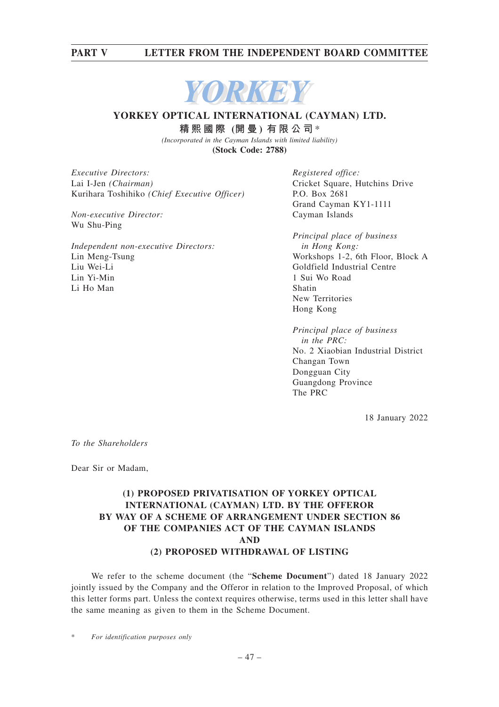# **PART V LETTER FROM THE INDEPENDENT BOARD COMMITTEE**



# **YORKEY OPTICAL INTERNATIONAL (CAYMAN) LTD. 精熙國際 (開 曼 ) 有限公司** \*

*(Incorporated in the Cayman Islands with limited liability)* **(Stock Code: 2788)**

*Executive Directors:* Lai I-Jen *(Chairman)* Kurihara Toshihiko *(Chief Executive Officer)*

*Non-executive Director:* Wu Shu-Ping

*Independent non-executive Directors:* Lin Meng-Tsung Liu Wei-Li Lin Yi-Min Li Ho Man

*Registered office:* Cricket Square, Hutchins Drive P.O. Box 2681 Grand Cayman KY1-1111 Cayman Islands

*Principal place of business in Hong Kong:* Workshops 1-2, 6th Floor, Block A Goldfield Industrial Centre 1 Sui Wo Road Shatin New Territories Hong Kong

*Principal place of business in the PRC:* No. 2 Xiaobian Industrial District Changan Town Dongguan City Guangdong Province The PRC

18 January 2022

*To the Shareholders*

Dear Sir or Madam,

# **(1) PROPOSED PRIVATISATION OF YORKEY OPTICAL INTERNATIONAL (CAYMAN) LTD. BY THE OFFEROR BY WAY OF A SCHEME OF ARRANGEMENT UNDER SECTION 86 OF THE COMPANIES ACT OF THE CAYMAN ISLANDS AND (2) PROPOSED WITHDRAWAL OF LISTING**

We refer to the scheme document (the "**Scheme Document**") dated 18 January 2022 jointly issued by the Company and the Offeror in relation to the Improved Proposal, of which this letter forms part. Unless the context requires otherwise, terms used in this letter shall have the same meaning as given to them in the Scheme Document.

 $For$  *identification purposes only*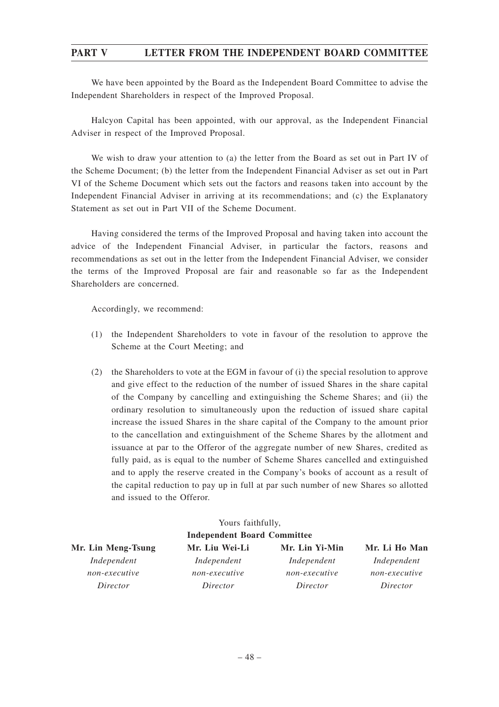# **PART V LETTER FROM THE INDEPENDENT BOARD COMMITTEE**

We have been appointed by the Board as the Independent Board Committee to advise the Independent Shareholders in respect of the Improved Proposal.

Halcyon Capital has been appointed, with our approval, as the Independent Financial Adviser in respect of the Improved Proposal.

We wish to draw your attention to (a) the letter from the Board as set out in Part IV of the Scheme Document; (b) the letter from the Independent Financial Adviser as set out in Part VI of the Scheme Document which sets out the factors and reasons taken into account by the Independent Financial Adviser in arriving at its recommendations; and (c) the Explanatory Statement as set out in Part VII of the Scheme Document.

Having considered the terms of the Improved Proposal and having taken into account the advice of the Independent Financial Adviser, in particular the factors, reasons and recommendations as set out in the letter from the Independent Financial Adviser, we consider the terms of the Improved Proposal are fair and reasonable so far as the Independent Shareholders are concerned.

Accordingly, we recommend:

- (1) the Independent Shareholders to vote in favour of the resolution to approve the Scheme at the Court Meeting; and
- (2) the Shareholders to vote at the EGM in favour of (i) the special resolution to approve and give effect to the reduction of the number of issued Shares in the share capital of the Company by cancelling and extinguishing the Scheme Shares; and (ii) the ordinary resolution to simultaneously upon the reduction of issued share capital increase the issued Shares in the share capital of the Company to the amount prior to the cancellation and extinguishment of the Scheme Shares by the allotment and issuance at par to the Offeror of the aggregate number of new Shares, credited as fully paid, as is equal to the number of Scheme Shares cancelled and extinguished and to apply the reserve created in the Company's books of account as a result of the capital reduction to pay up in full at par such number of new Shares so allotted and issued to the Offeror.

| Yours faithfully,<br><b>Independent Board Committee</b> |               |               |               |  |  |  |  |
|---------------------------------------------------------|---------------|---------------|---------------|--|--|--|--|
|                                                         |               |               |               |  |  |  |  |
| Independent                                             | Independent   | Independent   | Independent   |  |  |  |  |
| non-executive                                           | non-executive | non-executive | non-executive |  |  |  |  |
| Director                                                | Director      | Director      | Director      |  |  |  |  |
|                                                         |               |               |               |  |  |  |  |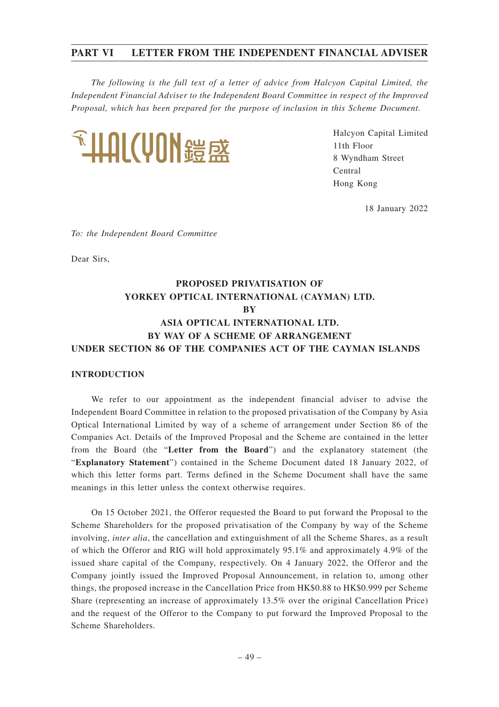*The following is the full text of a letter of advice from Halcyon Capital Limited, the Independent Financial Adviser to the Independent Board Committee in respect of the Improved Proposal, which has been prepared for the purpose of inclusion in this Scheme Document.*



Halcyon Capital Limited 11th Floor 8 Wyndham Street Central Hong Kong

18 January 2022

*To: the Independent Board Committee*

Dear Sirs,

# **PROPOSED PRIVATISATION OF YORKEY OPTICAL INTERNATIONAL (CAYMAN) LTD. BY ASIA OPTICAL INTERNATIONAL LTD. BY WAY OF A SCHEME OF ARRANGEMENT UNDER SECTION 86 OF THE COMPANIES ACT OF THE CAYMAN ISLANDS**

## **INTRODUCTION**

We refer to our appointment as the independent financial adviser to advise the Independent Board Committee in relation to the proposed privatisation of the Company by Asia Optical International Limited by way of a scheme of arrangement under Section 86 of the Companies Act. Details of the Improved Proposal and the Scheme are contained in the letter from the Board (the "**Letter from the Board**") and the explanatory statement (the "**Explanatory Statement**") contained in the Scheme Document dated 18 January 2022, of which this letter forms part. Terms defined in the Scheme Document shall have the same meanings in this letter unless the context otherwise requires.

On 15 October 2021, the Offeror requested the Board to put forward the Proposal to the Scheme Shareholders for the proposed privatisation of the Company by way of the Scheme involving, *inter alia*, the cancellation and extinguishment of all the Scheme Shares, as a result of which the Offeror and RIG will hold approximately 95.1% and approximately 4.9% of the issued share capital of the Company, respectively. On 4 January 2022, the Offeror and the Company jointly issued the Improved Proposal Announcement, in relation to, among other things, the proposed increase in the Cancellation Price from HK\$0.88 to HK\$0.999 per Scheme Share (representing an increase of approximately 13.5% over the original Cancellation Price) and the request of the Offeror to the Company to put forward the Improved Proposal to the Scheme Shareholders.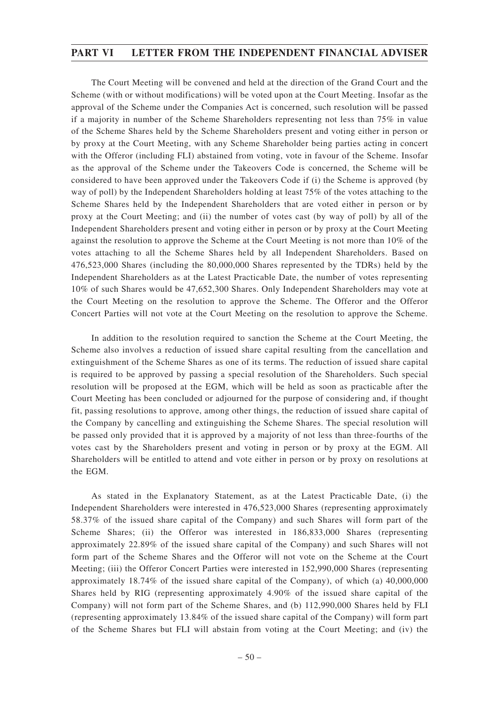The Court Meeting will be convened and held at the direction of the Grand Court and the Scheme (with or without modifications) will be voted upon at the Court Meeting. Insofar as the approval of the Scheme under the Companies Act is concerned, such resolution will be passed if a majority in number of the Scheme Shareholders representing not less than 75% in value of the Scheme Shares held by the Scheme Shareholders present and voting either in person or by proxy at the Court Meeting, with any Scheme Shareholder being parties acting in concert with the Offeror (including FLI) abstained from voting, vote in favour of the Scheme. Insofar as the approval of the Scheme under the Takeovers Code is concerned, the Scheme will be considered to have been approved under the Takeovers Code if (i) the Scheme is approved (by way of poll) by the Independent Shareholders holding at least 75% of the votes attaching to the Scheme Shares held by the Independent Shareholders that are voted either in person or by proxy at the Court Meeting; and (ii) the number of votes cast (by way of poll) by all of the Independent Shareholders present and voting either in person or by proxy at the Court Meeting against the resolution to approve the Scheme at the Court Meeting is not more than 10% of the votes attaching to all the Scheme Shares held by all Independent Shareholders. Based on 476,523,000 Shares (including the 80,000,000 Shares represented by the TDRs) held by the Independent Shareholders as at the Latest Practicable Date, the number of votes representing 10% of such Shares would be 47,652,300 Shares. Only Independent Shareholders may vote at the Court Meeting on the resolution to approve the Scheme. The Offeror and the Offeror Concert Parties will not vote at the Court Meeting on the resolution to approve the Scheme.

In addition to the resolution required to sanction the Scheme at the Court Meeting, the Scheme also involves a reduction of issued share capital resulting from the cancellation and extinguishment of the Scheme Shares as one of its terms. The reduction of issued share capital is required to be approved by passing a special resolution of the Shareholders. Such special resolution will be proposed at the EGM, which will be held as soon as practicable after the Court Meeting has been concluded or adjourned for the purpose of considering and, if thought fit, passing resolutions to approve, among other things, the reduction of issued share capital of the Company by cancelling and extinguishing the Scheme Shares. The special resolution will be passed only provided that it is approved by a majority of not less than three-fourths of the votes cast by the Shareholders present and voting in person or by proxy at the EGM. All Shareholders will be entitled to attend and vote either in person or by proxy on resolutions at the EGM.

As stated in the Explanatory Statement, as at the Latest Practicable Date, (i) the Independent Shareholders were interested in 476,523,000 Shares (representing approximately 58.37% of the issued share capital of the Company) and such Shares will form part of the Scheme Shares; (ii) the Offeror was interested in 186,833,000 Shares (representing approximately 22.89% of the issued share capital of the Company) and such Shares will not form part of the Scheme Shares and the Offeror will not vote on the Scheme at the Court Meeting; (iii) the Offeror Concert Parties were interested in 152,990,000 Shares (representing approximately 18.74% of the issued share capital of the Company), of which (a) 40,000,000 Shares held by RIG (representing approximately 4.90% of the issued share capital of the Company) will not form part of the Scheme Shares, and (b) 112,990,000 Shares held by FLI (representing approximately 13.84% of the issued share capital of the Company) will form part of the Scheme Shares but FLI will abstain from voting at the Court Meeting; and (iv) the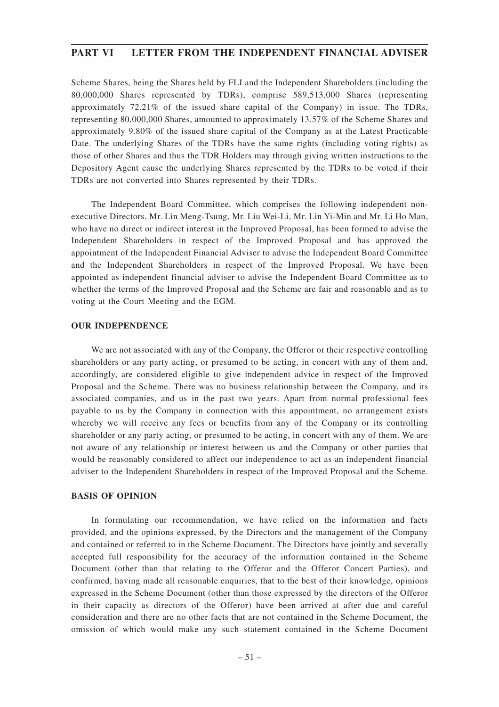Scheme Shares, being the Shares held by FLI and the Independent Shareholders (including the 80,000,000 Shares represented by TDRs), comprise 589,513,000 Shares (representing approximately 72.21% of the issued share capital of the Company) in issue. The TDRs, representing 80,000,000 Shares, amounted to approximately 13.57% of the Scheme Shares and approximately 9.80% of the issued share capital of the Company as at the Latest Practicable Date. The underlying Shares of the TDRs have the same rights (including voting rights) as those of other Shares and thus the TDR Holders may through giving written instructions to the Depository Agent cause the underlying Shares represented by the TDRs to be voted if their TDRs are not converted into Shares represented by their TDRs.

The Independent Board Committee, which comprises the following independent nonexecutive Directors, Mr. Lin Meng-Tsung, Mr. Liu Wei-Li, Mr. Lin Yi-Min and Mr. Li Ho Man, who have no direct or indirect interest in the Improved Proposal, has been formed to advise the Independent Shareholders in respect of the Improved Proposal and has approved the appointment of the Independent Financial Adviser to advise the Independent Board Committee and the Independent Shareholders in respect of the Improved Proposal. We have been appointed as independent financial adviser to advise the Independent Board Committee as to whether the terms of the Improved Proposal and the Scheme are fair and reasonable and as to voting at the Court Meeting and the EGM.

### **OUR INDEPENDENCE**

We are not associated with any of the Company, the Offeror or their respective controlling shareholders or any party acting, or presumed to be acting, in concert with any of them and, accordingly, are considered eligible to give independent advice in respect of the Improved Proposal and the Scheme. There was no business relationship between the Company, and its associated companies, and us in the past two years. Apart from normal professional fees payable to us by the Company in connection with this appointment, no arrangement exists whereby we will receive any fees or benefits from any of the Company or its controlling shareholder or any party acting, or presumed to be acting, in concert with any of them. We are not aware of any relationship or interest between us and the Company or other parties that would be reasonably considered to affect our independence to act as an independent financial adviser to the Independent Shareholders in respect of the Improved Proposal and the Scheme.

### **BASIS OF OPINION**

In formulating our recommendation, we have relied on the information and facts provided, and the opinions expressed, by the Directors and the management of the Company and contained or referred to in the Scheme Document. The Directors have jointly and severally accepted full responsibility for the accuracy of the information contained in the Scheme Document (other than that relating to the Offeror and the Offeror Concert Parties), and confirmed, having made all reasonable enquiries, that to the best of their knowledge, opinions expressed in the Scheme Document (other than those expressed by the directors of the Offeror in their capacity as directors of the Offeror) have been arrived at after due and careful consideration and there are no other facts that are not contained in the Scheme Document, the omission of which would make any such statement contained in the Scheme Document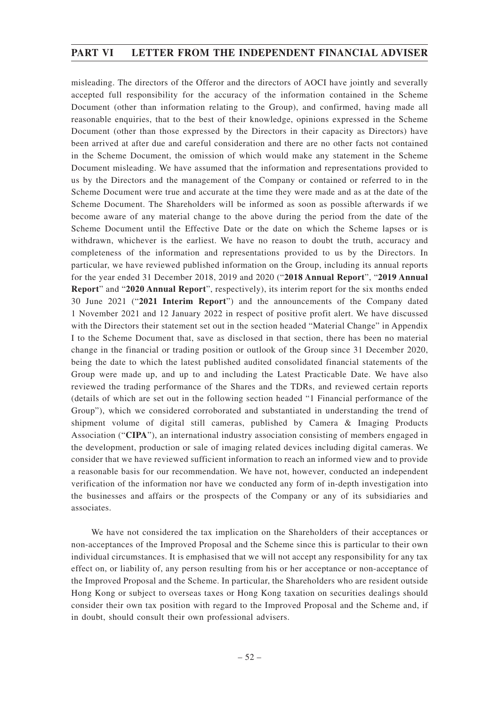misleading. The directors of the Offeror and the directors of AOCI have jointly and severally accepted full responsibility for the accuracy of the information contained in the Scheme Document (other than information relating to the Group), and confirmed, having made all reasonable enquiries, that to the best of their knowledge, opinions expressed in the Scheme Document (other than those expressed by the Directors in their capacity as Directors) have been arrived at after due and careful consideration and there are no other facts not contained in the Scheme Document, the omission of which would make any statement in the Scheme Document misleading. We have assumed that the information and representations provided to us by the Directors and the management of the Company or contained or referred to in the Scheme Document were true and accurate at the time they were made and as at the date of the Scheme Document. The Shareholders will be informed as soon as possible afterwards if we become aware of any material change to the above during the period from the date of the Scheme Document until the Effective Date or the date on which the Scheme lapses or is withdrawn, whichever is the earliest. We have no reason to doubt the truth, accuracy and completeness of the information and representations provided to us by the Directors. In particular, we have reviewed published information on the Group, including its annual reports for the year ended 31 December 2018, 2019 and 2020 ("**2018 Annual Report**", "**2019 Annual Report**" and "**2020 Annual Report**", respectively), its interim report for the six months ended 30 June 2021 ("**2021 Interim Report**") and the announcements of the Company dated 1 November 2021 and 12 January 2022 in respect of positive profit alert. We have discussed with the Directors their statement set out in the section headed "Material Change" in Appendix I to the Scheme Document that, save as disclosed in that section, there has been no material change in the financial or trading position or outlook of the Group since 31 December 2020, being the date to which the latest published audited consolidated financial statements of the Group were made up, and up to and including the Latest Practicable Date. We have also reviewed the trading performance of the Shares and the TDRs, and reviewed certain reports (details of which are set out in the following section headed "1 Financial performance of the Group"), which we considered corroborated and substantiated in understanding the trend of shipment volume of digital still cameras, published by Camera & Imaging Products Association ("**CIPA**"), an international industry association consisting of members engaged in the development, production or sale of imaging related devices including digital cameras. We consider that we have reviewed sufficient information to reach an informed view and to provide a reasonable basis for our recommendation. We have not, however, conducted an independent verification of the information nor have we conducted any form of in-depth investigation into the businesses and affairs or the prospects of the Company or any of its subsidiaries and associates.

We have not considered the tax implication on the Shareholders of their acceptances or non-acceptances of the Improved Proposal and the Scheme since this is particular to their own individual circumstances. It is emphasised that we will not accept any responsibility for any tax effect on, or liability of, any person resulting from his or her acceptance or non-acceptance of the Improved Proposal and the Scheme. In particular, the Shareholders who are resident outside Hong Kong or subject to overseas taxes or Hong Kong taxation on securities dealings should consider their own tax position with regard to the Improved Proposal and the Scheme and, if in doubt, should consult their own professional advisers.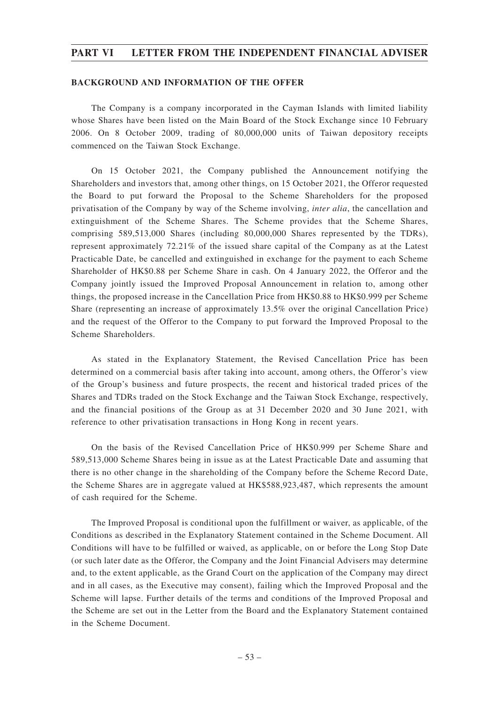### **BACKGROUND AND INFORMATION OF THE OFFER**

The Company is a company incorporated in the Cayman Islands with limited liability whose Shares have been listed on the Main Board of the Stock Exchange since 10 February 2006. On 8 October 2009, trading of 80,000,000 units of Taiwan depository receipts commenced on the Taiwan Stock Exchange.

On 15 October 2021, the Company published the Announcement notifying the Shareholders and investors that, among other things, on 15 October 2021, the Offeror requested the Board to put forward the Proposal to the Scheme Shareholders for the proposed privatisation of the Company by way of the Scheme involving, *inter alia*, the cancellation and extinguishment of the Scheme Shares. The Scheme provides that the Scheme Shares, comprising 589,513,000 Shares (including 80,000,000 Shares represented by the TDRs), represent approximately 72.21% of the issued share capital of the Company as at the Latest Practicable Date, be cancelled and extinguished in exchange for the payment to each Scheme Shareholder of HK\$0.88 per Scheme Share in cash. On 4 January 2022, the Offeror and the Company jointly issued the Improved Proposal Announcement in relation to, among other things, the proposed increase in the Cancellation Price from HK\$0.88 to HK\$0.999 per Scheme Share (representing an increase of approximately 13.5% over the original Cancellation Price) and the request of the Offeror to the Company to put forward the Improved Proposal to the Scheme Shareholders.

As stated in the Explanatory Statement, the Revised Cancellation Price has been determined on a commercial basis after taking into account, among others, the Offeror's view of the Group's business and future prospects, the recent and historical traded prices of the Shares and TDRs traded on the Stock Exchange and the Taiwan Stock Exchange, respectively, and the financial positions of the Group as at 31 December 2020 and 30 June 2021, with reference to other privatisation transactions in Hong Kong in recent years.

On the basis of the Revised Cancellation Price of HK\$0.999 per Scheme Share and 589,513,000 Scheme Shares being in issue as at the Latest Practicable Date and assuming that there is no other change in the shareholding of the Company before the Scheme Record Date, the Scheme Shares are in aggregate valued at HK\$588,923,487, which represents the amount of cash required for the Scheme.

The Improved Proposal is conditional upon the fulfillment or waiver, as applicable, of the Conditions as described in the Explanatory Statement contained in the Scheme Document. All Conditions will have to be fulfilled or waived, as applicable, on or before the Long Stop Date (or such later date as the Offeror, the Company and the Joint Financial Advisers may determine and, to the extent applicable, as the Grand Court on the application of the Company may direct and in all cases, as the Executive may consent), failing which the Improved Proposal and the Scheme will lapse. Further details of the terms and conditions of the Improved Proposal and the Scheme are set out in the Letter from the Board and the Explanatory Statement contained in the Scheme Document.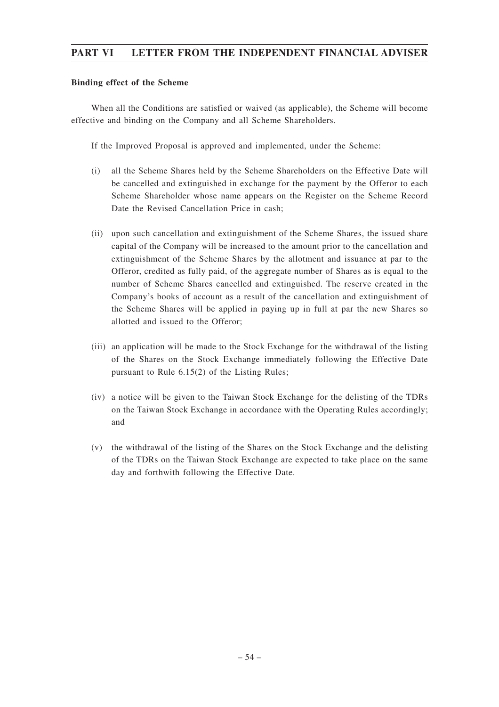## **Binding effect of the Scheme**

When all the Conditions are satisfied or waived (as applicable), the Scheme will become effective and binding on the Company and all Scheme Shareholders.

If the Improved Proposal is approved and implemented, under the Scheme:

- (i) all the Scheme Shares held by the Scheme Shareholders on the Effective Date will be cancelled and extinguished in exchange for the payment by the Offeror to each Scheme Shareholder whose name appears on the Register on the Scheme Record Date the Revised Cancellation Price in cash;
- (ii) upon such cancellation and extinguishment of the Scheme Shares, the issued share capital of the Company will be increased to the amount prior to the cancellation and extinguishment of the Scheme Shares by the allotment and issuance at par to the Offeror, credited as fully paid, of the aggregate number of Shares as is equal to the number of Scheme Shares cancelled and extinguished. The reserve created in the Company's books of account as a result of the cancellation and extinguishment of the Scheme Shares will be applied in paying up in full at par the new Shares so allotted and issued to the Offeror;
- (iii) an application will be made to the Stock Exchange for the withdrawal of the listing of the Shares on the Stock Exchange immediately following the Effective Date pursuant to Rule 6.15(2) of the Listing Rules;
- (iv) a notice will be given to the Taiwan Stock Exchange for the delisting of the TDRs on the Taiwan Stock Exchange in accordance with the Operating Rules accordingly; and
- (v) the withdrawal of the listing of the Shares on the Stock Exchange and the delisting of the TDRs on the Taiwan Stock Exchange are expected to take place on the same day and forthwith following the Effective Date.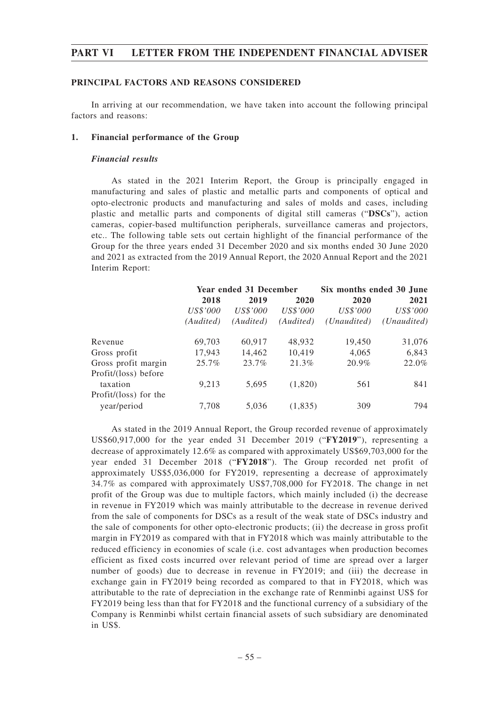## **PRINCIPAL FACTORS AND REASONS CONSIDERED**

In arriving at our recommendation, we have taken into account the following principal factors and reasons:

## **1. Financial performance of the Group**

### *Financial results*

As stated in the 2021 Interim Report, the Group is principally engaged in manufacturing and sales of plastic and metallic parts and components of optical and opto-electronic products and manufacturing and sales of molds and cases, including plastic and metallic parts and components of digital still cameras ("**DSCs**"), action cameras, copier-based multifunction peripherals, surveillance cameras and projectors, etc.. The following table sets out certain highlight of the financial performance of the Group for the three years ended 31 December 2020 and six months ended 30 June 2020 and 2021 as extracted from the 2019 Annual Report, the 2020 Annual Report and the 2021 Interim Report:

|                       | Year ended 31 December |           |           | Six months ended 30 June |             |
|-----------------------|------------------------|-----------|-----------|--------------------------|-------------|
|                       | 2018                   | 2019      | 2020      | 2020                     | 2021        |
|                       | US\$'000               | US\$'000  | US\$'000  | US\$'000                 | US\$'000    |
|                       | (Audited)              | (Audited) | (Audited) | ( <i>Unaudited</i> )     | (Unaudited) |
| Revenue               | 69,703                 | 60,917    | 48,932    | 19,450                   | 31,076      |
| Gross profit          | 17,943                 | 14,462    | 10,419    | 4.065                    | 6,843       |
| Gross profit margin   | 25.7%                  | 23.7%     | 21.3%     | 20.9%                    | 22.0%       |
| Profit/(loss) before  |                        |           |           |                          |             |
| taxation              | 9,213                  | 5,695     | (1,820)   | 561                      | 841         |
| Profit/(loss) for the |                        |           |           |                          |             |
| year/period           | 7,708                  | 5,036     | (1,835)   | 309                      | 794         |

As stated in the 2019 Annual Report, the Group recorded revenue of approximately US\$60,917,000 for the year ended 31 December 2019 ("**FY2019**"), representing a decrease of approximately 12.6% as compared with approximately US\$69,703,000 for the year ended 31 December 2018 ("**FY2018**"). The Group recorded net profit of approximately US\$5,036,000 for FY2019, representing a decrease of approximately 34.7% as compared with approximately US\$7,708,000 for FY2018. The change in net profit of the Group was due to multiple factors, which mainly included (i) the decrease in revenue in FY2019 which was mainly attributable to the decrease in revenue derived from the sale of components for DSCs as a result of the weak state of DSCs industry and the sale of components for other opto-electronic products; (ii) the decrease in gross profit margin in FY2019 as compared with that in FY2018 which was mainly attributable to the reduced efficiency in economies of scale (i.e. cost advantages when production becomes efficient as fixed costs incurred over relevant period of time are spread over a larger number of goods) due to decrease in revenue in FY2019; and (iii) the decrease in exchange gain in FY2019 being recorded as compared to that in FY2018, which was attributable to the rate of depreciation in the exchange rate of Renminbi against US\$ for FY2019 being less than that for FY2018 and the functional currency of a subsidiary of the Company is Renminbi whilst certain financial assets of such subsidiary are denominated in US\$.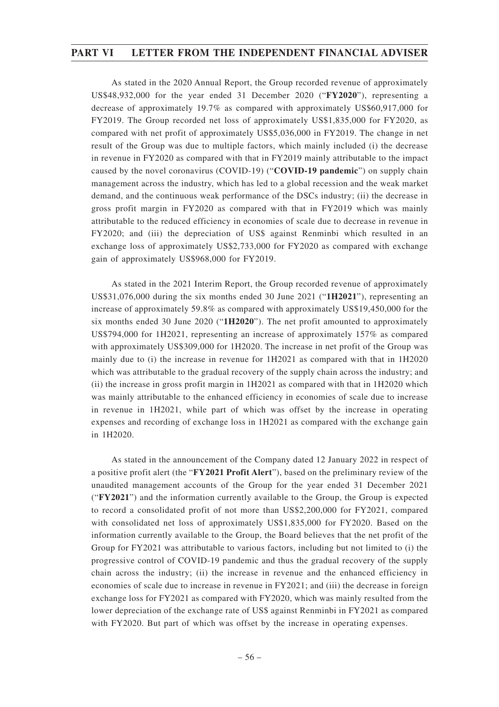As stated in the 2020 Annual Report, the Group recorded revenue of approximately US\$48,932,000 for the year ended 31 December 2020 ("**FY2020**"), representing a decrease of approximately 19.7% as compared with approximately US\$60,917,000 for FY2019. The Group recorded net loss of approximately US\$1,835,000 for FY2020, as compared with net profit of approximately US\$5,036,000 in FY2019. The change in net result of the Group was due to multiple factors, which mainly included (i) the decrease in revenue in FY2020 as compared with that in FY2019 mainly attributable to the impact caused by the novel coronavirus (COVID-19) ("**COVID-19 pandemic**") on supply chain management across the industry, which has led to a global recession and the weak market demand, and the continuous weak performance of the DSCs industry; (ii) the decrease in gross profit margin in FY2020 as compared with that in FY2019 which was mainly attributable to the reduced efficiency in economies of scale due to decrease in revenue in FY2020; and (iii) the depreciation of US\$ against Renminbi which resulted in an exchange loss of approximately US\$2,733,000 for FY2020 as compared with exchange gain of approximately US\$968,000 for FY2019.

As stated in the 2021 Interim Report, the Group recorded revenue of approximately US\$31,076,000 during the six months ended 30 June 2021 ("**1H2021**"), representing an increase of approximately 59.8% as compared with approximately US\$19,450,000 for the six months ended 30 June 2020 ("**1H2020**"). The net profit amounted to approximately US\$794,000 for 1H2021, representing an increase of approximately 157% as compared with approximately US\$309,000 for 1H2020. The increase in net profit of the Group was mainly due to (i) the increase in revenue for 1H2021 as compared with that in 1H2020 which was attributable to the gradual recovery of the supply chain across the industry; and (ii) the increase in gross profit margin in 1H2021 as compared with that in 1H2020 which was mainly attributable to the enhanced efficiency in economies of scale due to increase in revenue in 1H2021, while part of which was offset by the increase in operating expenses and recording of exchange loss in 1H2021 as compared with the exchange gain in 1H2020.

As stated in the announcement of the Company dated 12 January 2022 in respect of a positive profit alert (the "**FY2021 Profit Alert**"), based on the preliminary review of the unaudited management accounts of the Group for the year ended 31 December 2021 ("**FY2021**") and the information currently available to the Group, the Group is expected to record a consolidated profit of not more than US\$2,200,000 for FY2021, compared with consolidated net loss of approximately US\$1,835,000 for FY2020. Based on the information currently available to the Group, the Board believes that the net profit of the Group for FY2021 was attributable to various factors, including but not limited to (i) the progressive control of COVID-19 pandemic and thus the gradual recovery of the supply chain across the industry; (ii) the increase in revenue and the enhanced efficiency in economies of scale due to increase in revenue in FY2021; and (iii) the decrease in foreign exchange loss for FY2021 as compared with FY2020, which was mainly resulted from the lower depreciation of the exchange rate of US\$ against Renminbi in FY2021 as compared with FY2020. But part of which was offset by the increase in operating expenses.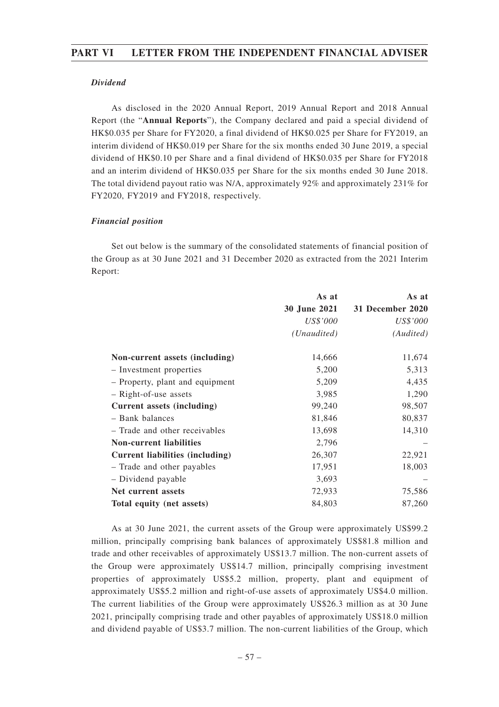## *Dividend*

As disclosed in the 2020 Annual Report, 2019 Annual Report and 2018 Annual Report (the "**Annual Reports**"), the Company declared and paid a special dividend of HK\$0.035 per Share for FY2020, a final dividend of HK\$0.025 per Share for FY2019, an interim dividend of HK\$0.019 per Share for the six months ended 30 June 2019, a special dividend of HK\$0.10 per Share and a final dividend of HK\$0.035 per Share for FY2018 and an interim dividend of HK\$0.035 per Share for the six months ended 30 June 2018. The total dividend payout ratio was N/A, approximately 92% and approximately 231% for FY2020, FY2019 and FY2018, respectively.

## *Financial position*

Set out below is the summary of the consolidated statements of financial position of the Group as at 30 June 2021 and 31 December 2020 as extracted from the 2021 Interim Report:

|                                        | As at        | As at            |
|----------------------------------------|--------------|------------------|
|                                        | 30 June 2021 | 31 December 2020 |
|                                        | US\$'000     | <i>US\$'000</i>  |
|                                        | (Unaudited)  | (Audited)        |
| Non-current assets (including)         | 14,666       | 11,674           |
| - Investment properties                | 5,200        | 5,313            |
| - Property, plant and equipment        | 5,209        | 4,435            |
| - Right-of-use assets                  | 3,985        | 1,290            |
| Current assets (including)             | 99,240       | 98,507           |
| - Bank balances                        | 81,846       | 80,837           |
| - Trade and other receivables          | 13,698       | 14,310           |
| <b>Non-current liabilities</b>         | 2,796        |                  |
| <b>Current liabilities (including)</b> | 26,307       | 22,921           |
| - Trade and other payables             | 17,951       | 18,003           |
| - Dividend payable                     | 3,693        |                  |
| Net current assets                     | 72,933       | 75,586           |
| Total equity (net assets)              | 84,803       | 87,260           |

As at 30 June 2021, the current assets of the Group were approximately US\$99.2 million, principally comprising bank balances of approximately US\$81.8 million and trade and other receivables of approximately US\$13.7 million. The non-current assets of the Group were approximately US\$14.7 million, principally comprising investment properties of approximately US\$5.2 million, property, plant and equipment of approximately US\$5.2 million and right-of-use assets of approximately US\$4.0 million. The current liabilities of the Group were approximately US\$26.3 million as at 30 June 2021, principally comprising trade and other payables of approximately US\$18.0 million and dividend payable of US\$3.7 million. The non-current liabilities of the Group, which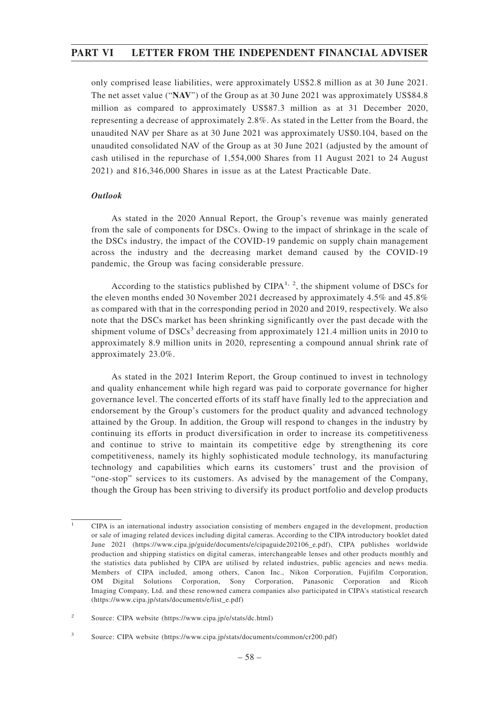only comprised lease liabilities, were approximately US\$2.8 million as at 30 June 2021. The net asset value ("**NAV**") of the Group as at 30 June 2021 was approximately US\$84.8 million as compared to approximately US\$87.3 million as at 31 December 2020, representing a decrease of approximately 2.8%. As stated in the Letter from the Board, the unaudited NAV per Share as at 30 June 2021 was approximately US\$0.104, based on the unaudited consolidated NAV of the Group as at 30 June 2021 (adjusted by the amount of cash utilised in the repurchase of 1,554,000 Shares from 11 August 2021 to 24 August 2021) and 816,346,000 Shares in issue as at the Latest Practicable Date.

## *Outlook*

As stated in the 2020 Annual Report, the Group's revenue was mainly generated from the sale of components for DSCs. Owing to the impact of shrinkage in the scale of the DSCs industry, the impact of the COVID-19 pandemic on supply chain management across the industry and the decreasing market demand caused by the COVID-19 pandemic, the Group was facing considerable pressure.

According to the statistics published by CIPA<sup>1, 2</sup>, the shipment volume of DSCs for the eleven months ended 30 November 2021 decreased by approximately 4.5% and 45.8% as compared with that in the corresponding period in 2020 and 2019, respectively. We also note that the DSCs market has been shrinking significantly over the past decade with the shipment volume of  $DSCs<sup>3</sup>$  decreasing from approximately 121.4 million units in 2010 to approximately 8.9 million units in 2020, representing a compound annual shrink rate of approximately 23.0%.

As stated in the 2021 Interim Report, the Group continued to invest in technology and quality enhancement while high regard was paid to corporate governance for higher governance level. The concerted efforts of its staff have finally led to the appreciation and endorsement by the Group's customers for the product quality and advanced technology attained by the Group. In addition, the Group will respond to changes in the industry by continuing its efforts in product diversification in order to increase its competitiveness and continue to strive to maintain its competitive edge by strengthening its core competitiveness, namely its highly sophisticated module technology, its manufacturing technology and capabilities which earns its customers' trust and the provision of "one-stop" services to its customers. As advised by the management of the Company, though the Group has been striving to diversify its product portfolio and develop products

<sup>1</sup> CIPA is an international industry association consisting of members engaged in the development, production or sale of imaging related devices including digital cameras. According to the CIPA introductory booklet dated June 2021 (https://www.cipa.jp/guide/documents/e/cipaguide202106\_e.pdf), CIPA publishes worldwide production and shipping statistics on digital cameras, interchangeable lenses and other products monthly and the statistics data published by CIPA are utilised by related industries, public agencies and news media. Members of CIPA included, among others, Canon Inc., Nikon Corporation, Fujifilm Corporation, OM Digital Solutions Corporation, Sony Corporation, Panasonic Corporation and Ricoh Imaging Company, Ltd. and these renowned camera companies also participated in CIPA's statistical research (https://www.cipa.jp/stats/documents/e/list\_e.pdf)

<sup>2</sup> Source: CIPA website (https://www.cipa.jp/e/stats/dc.html)

<sup>3</sup> Source: CIPA website (https://www.cipa.jp/stats/documents/common/cr200.pdf)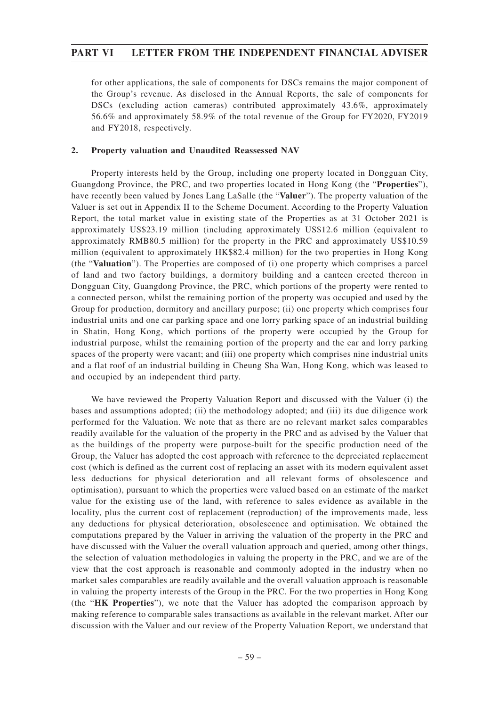for other applications, the sale of components for DSCs remains the major component of the Group's revenue. As disclosed in the Annual Reports, the sale of components for DSCs (excluding action cameras) contributed approximately 43.6%, approximately 56.6% and approximately 58.9% of the total revenue of the Group for FY2020, FY2019 and FY2018, respectively.

## **2. Property valuation and Unaudited Reassessed NAV**

Property interests held by the Group, including one property located in Dongguan City, Guangdong Province, the PRC, and two properties located in Hong Kong (the "**Properties**"), have recently been valued by Jones Lang LaSalle (the "**Valuer**"). The property valuation of the Valuer is set out in Appendix II to the Scheme Document. According to the Property Valuation Report, the total market value in existing state of the Properties as at 31 October 2021 is approximately US\$23.19 million (including approximately US\$12.6 million (equivalent to approximately RMB80.5 million) for the property in the PRC and approximately US\$10.59 million (equivalent to approximately HK\$82.4 million) for the two properties in Hong Kong (the "**Valuation**"). The Properties are composed of (i) one property which comprises a parcel of land and two factory buildings, a dormitory building and a canteen erected thereon in Dongguan City, Guangdong Province, the PRC, which portions of the property were rented to a connected person, whilst the remaining portion of the property was occupied and used by the Group for production, dormitory and ancillary purpose; (ii) one property which comprises four industrial units and one car parking space and one lorry parking space of an industrial building in Shatin, Hong Kong, which portions of the property were occupied by the Group for industrial purpose, whilst the remaining portion of the property and the car and lorry parking spaces of the property were vacant; and (iii) one property which comprises nine industrial units and a flat roof of an industrial building in Cheung Sha Wan, Hong Kong, which was leased to and occupied by an independent third party.

We have reviewed the Property Valuation Report and discussed with the Valuer (i) the bases and assumptions adopted; (ii) the methodology adopted; and (iii) its due diligence work performed for the Valuation. We note that as there are no relevant market sales comparables readily available for the valuation of the property in the PRC and as advised by the Valuer that as the buildings of the property were purpose-built for the specific production need of the Group, the Valuer has adopted the cost approach with reference to the depreciated replacement cost (which is defined as the current cost of replacing an asset with its modern equivalent asset less deductions for physical deterioration and all relevant forms of obsolescence and optimisation), pursuant to which the properties were valued based on an estimate of the market value for the existing use of the land, with reference to sales evidence as available in the locality, plus the current cost of replacement (reproduction) of the improvements made, less any deductions for physical deterioration, obsolescence and optimisation. We obtained the computations prepared by the Valuer in arriving the valuation of the property in the PRC and have discussed with the Valuer the overall valuation approach and queried, among other things, the selection of valuation methodologies in valuing the property in the PRC, and we are of the view that the cost approach is reasonable and commonly adopted in the industry when no market sales comparables are readily available and the overall valuation approach is reasonable in valuing the property interests of the Group in the PRC. For the two properties in Hong Kong (the "**HK Properties**"), we note that the Valuer has adopted the comparison approach by making reference to comparable sales transactions as available in the relevant market. After our discussion with the Valuer and our review of the Property Valuation Report, we understand that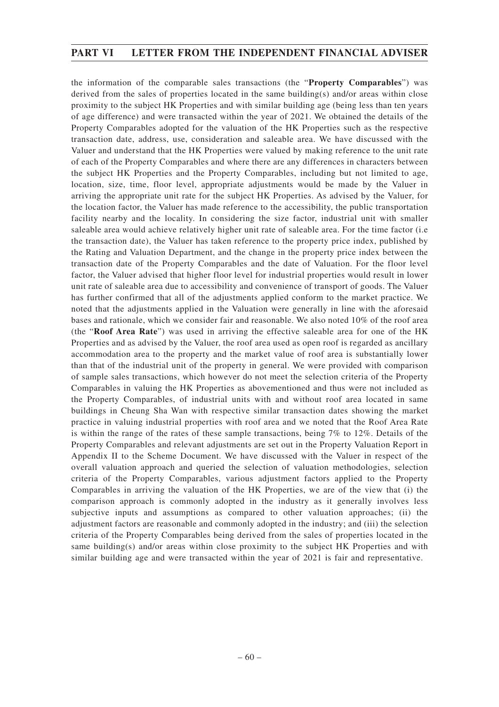the information of the comparable sales transactions (the "**Property Comparables**") was derived from the sales of properties located in the same building(s) and/or areas within close proximity to the subject HK Properties and with similar building age (being less than ten years of age difference) and were transacted within the year of 2021. We obtained the details of the Property Comparables adopted for the valuation of the HK Properties such as the respective transaction date, address, use, consideration and saleable area. We have discussed with the Valuer and understand that the HK Properties were valued by making reference to the unit rate of each of the Property Comparables and where there are any differences in characters between the subject HK Properties and the Property Comparables, including but not limited to age, location, size, time, floor level, appropriate adjustments would be made by the Valuer in arriving the appropriate unit rate for the subject HK Properties. As advised by the Valuer, for the location factor, the Valuer has made reference to the accessibility, the public transportation facility nearby and the locality. In considering the size factor, industrial unit with smaller saleable area would achieve relatively higher unit rate of saleable area. For the time factor (i.e the transaction date), the Valuer has taken reference to the property price index, published by the Rating and Valuation Department, and the change in the property price index between the transaction date of the Property Comparables and the date of Valuation. For the floor level factor, the Valuer advised that higher floor level for industrial properties would result in lower unit rate of saleable area due to accessibility and convenience of transport of goods. The Valuer has further confirmed that all of the adjustments applied conform to the market practice. We noted that the adjustments applied in the Valuation were generally in line with the aforesaid bases and rationale, which we consider fair and reasonable. We also noted 10% of the roof area (the "**Roof Area Rate**") was used in arriving the effective saleable area for one of the HK Properties and as advised by the Valuer, the roof area used as open roof is regarded as ancillary accommodation area to the property and the market value of roof area is substantially lower than that of the industrial unit of the property in general. We were provided with comparison of sample sales transactions, which however do not meet the selection criteria of the Property Comparables in valuing the HK Properties as abovementioned and thus were not included as the Property Comparables, of industrial units with and without roof area located in same buildings in Cheung Sha Wan with respective similar transaction dates showing the market practice in valuing industrial properties with roof area and we noted that the Roof Area Rate is within the range of the rates of these sample transactions, being 7% to 12%. Details of the Property Comparables and relevant adjustments are set out in the Property Valuation Report in Appendix II to the Scheme Document. We have discussed with the Valuer in respect of the overall valuation approach and queried the selection of valuation methodologies, selection criteria of the Property Comparables, various adjustment factors applied to the Property Comparables in arriving the valuation of the HK Properties, we are of the view that (i) the comparison approach is commonly adopted in the industry as it generally involves less subjective inputs and assumptions as compared to other valuation approaches; (ii) the adjustment factors are reasonable and commonly adopted in the industry; and (iii) the selection criteria of the Property Comparables being derived from the sales of properties located in the same building(s) and/or areas within close proximity to the subject HK Properties and with similar building age and were transacted within the year of 2021 is fair and representative.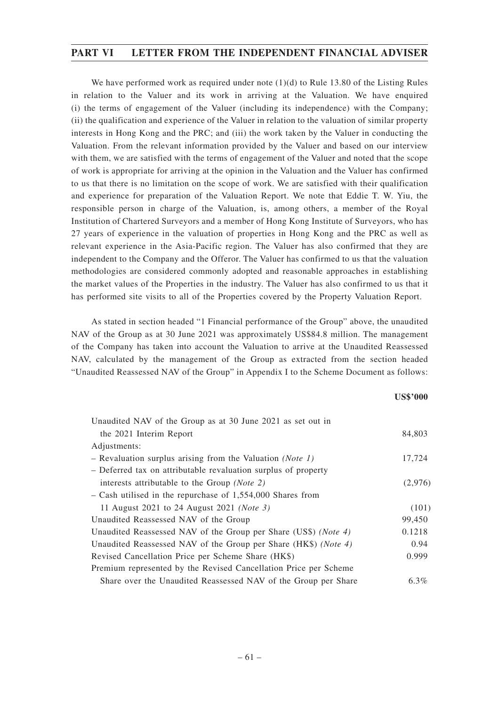We have performed work as required under note  $(1)(d)$  to Rule 13.80 of the Listing Rules in relation to the Valuer and its work in arriving at the Valuation. We have enquired (i) the terms of engagement of the Valuer (including its independence) with the Company; (ii) the qualification and experience of the Valuer in relation to the valuation of similar property interests in Hong Kong and the PRC; and (iii) the work taken by the Valuer in conducting the Valuation. From the relevant information provided by the Valuer and based on our interview with them, we are satisfied with the terms of engagement of the Valuer and noted that the scope of work is appropriate for arriving at the opinion in the Valuation and the Valuer has confirmed to us that there is no limitation on the scope of work. We are satisfied with their qualification and experience for preparation of the Valuation Report. We note that Eddie T. W. Yiu, the responsible person in charge of the Valuation, is, among others, a member of the Royal Institution of Chartered Surveyors and a member of Hong Kong Institute of Surveyors, who has 27 years of experience in the valuation of properties in Hong Kong and the PRC as well as relevant experience in the Asia-Pacific region. The Valuer has also confirmed that they are independent to the Company and the Offeror. The Valuer has confirmed to us that the valuation methodologies are considered commonly adopted and reasonable approaches in establishing the market values of the Properties in the industry. The Valuer has also confirmed to us that it has performed site visits to all of the Properties covered by the Property Valuation Report.

As stated in section headed "1 Financial performance of the Group" above, the unaudited NAV of the Group as at 30 June 2021 was approximately US\$84.8 million. The management of the Company has taken into account the Valuation to arrive at the Unaudited Reassessed NAV, calculated by the management of the Group as extracted from the section headed "Unaudited Reassessed NAV of the Group" in Appendix I to the Scheme Document as follows:

## **US\$'000**

| Unaudited NAV of the Group as at 30 June 2021 as set out in              |         |
|--------------------------------------------------------------------------|---------|
| the 2021 Interim Report                                                  | 84,803  |
| Adjustments:                                                             |         |
| - Revaluation surplus arising from the Valuation ( <i>Note 1</i> )       | 17,724  |
| - Deferred tax on attributable revaluation surplus of property           |         |
| interests attributable to the Group (Note 2)                             | (2,976) |
| $-$ Cash utilised in the repurchase of 1,554,000 Shares from             |         |
| 11 August 2021 to 24 August 2021 ( <i>Note 3</i> )                       | (101)   |
| Unaudited Reassessed NAV of the Group                                    | 99,450  |
| Unaudited Reassessed NAV of the Group per Share (US\$) ( <i>Note 4</i> ) | 0.1218  |
| Unaudited Reassessed NAV of the Group per Share (HK\$) (Note 4)          | 0.94    |
| Revised Cancellation Price per Scheme Share (HK\$)                       | 0.999   |
| Premium represented by the Revised Cancellation Price per Scheme         |         |
| Share over the Unaudited Reassessed NAV of the Group per Share           | $6.3\%$ |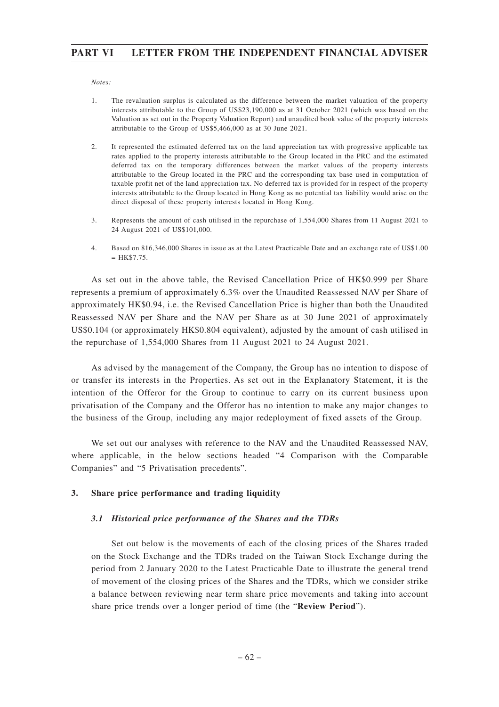### *Notes:*

- 1. The revaluation surplus is calculated as the difference between the market valuation of the property interests attributable to the Group of US\$23,190,000 as at 31 October 2021 (which was based on the Valuation as set out in the Property Valuation Report) and unaudited book value of the property interests attributable to the Group of US\$5,466,000 as at 30 June 2021.
- 2. It represented the estimated deferred tax on the land appreciation tax with progressive applicable tax rates applied to the property interests attributable to the Group located in the PRC and the estimated deferred tax on the temporary differences between the market values of the property interests attributable to the Group located in the PRC and the corresponding tax base used in computation of taxable profit net of the land appreciation tax. No deferred tax is provided for in respect of the property interests attributable to the Group located in Hong Kong as no potential tax liability would arise on the direct disposal of these property interests located in Hong Kong.
- 3. Represents the amount of cash utilised in the repurchase of 1,554,000 Shares from 11 August 2021 to 24 August 2021 of US\$101,000.
- 4. Based on 816,346,000 Shares in issue as at the Latest Practicable Date and an exchange rate of US\$1.00  $=$  HK\$7.75.

As set out in the above table, the Revised Cancellation Price of HK\$0.999 per Share represents a premium of approximately 6.3% over the Unaudited Reassessed NAV per Share of approximately HK\$0.94, i.e. the Revised Cancellation Price is higher than both the Unaudited Reassessed NAV per Share and the NAV per Share as at 30 June 2021 of approximately US\$0.104 (or approximately HK\$0.804 equivalent), adjusted by the amount of cash utilised in the repurchase of 1,554,000 Shares from 11 August 2021 to 24 August 2021.

As advised by the management of the Company, the Group has no intention to dispose of or transfer its interests in the Properties. As set out in the Explanatory Statement, it is the intention of the Offeror for the Group to continue to carry on its current business upon privatisation of the Company and the Offeror has no intention to make any major changes to the business of the Group, including any major redeployment of fixed assets of the Group.

We set out our analyses with reference to the NAV and the Unaudited Reassessed NAV, where applicable, in the below sections headed "4 Comparison with the Comparable Companies" and "5 Privatisation precedents".

### **3. Share price performance and trading liquidity**

## *3.1 Historical price performance of the Shares and the TDRs*

Set out below is the movements of each of the closing prices of the Shares traded on the Stock Exchange and the TDRs traded on the Taiwan Stock Exchange during the period from 2 January 2020 to the Latest Practicable Date to illustrate the general trend of movement of the closing prices of the Shares and the TDRs, which we consider strike a balance between reviewing near term share price movements and taking into account share price trends over a longer period of time (the "**Review Period**").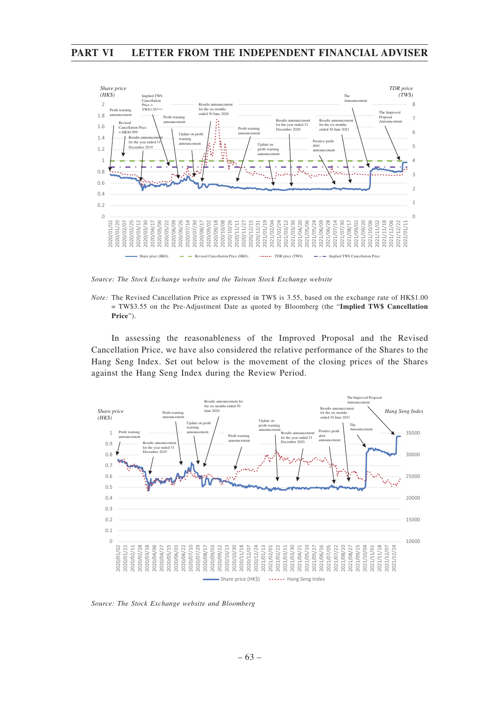

*Source: The Stock Exchange website and the Taiwan Stock Exchange website*

*Note:* The Revised Cancellation Price as expressed in TW\$ is 3.55, based on the exchange rate of HK\$1.00 = TW\$3.55 on the Pre-Adjustment Date as quoted by Bloomberg (the "**Implied TW\$ Cancellation Price**").

In assessing the reasonableness of the Improved Proposal and the Revised Cancellation Price, we have also considered the relative performance of the Shares to the Hang Seng Index. Set out below is the movement of the closing prices of the Shares against the Hang Seng Index during the Review Period.



*Source: The Stock Exchange website and Bloomberg*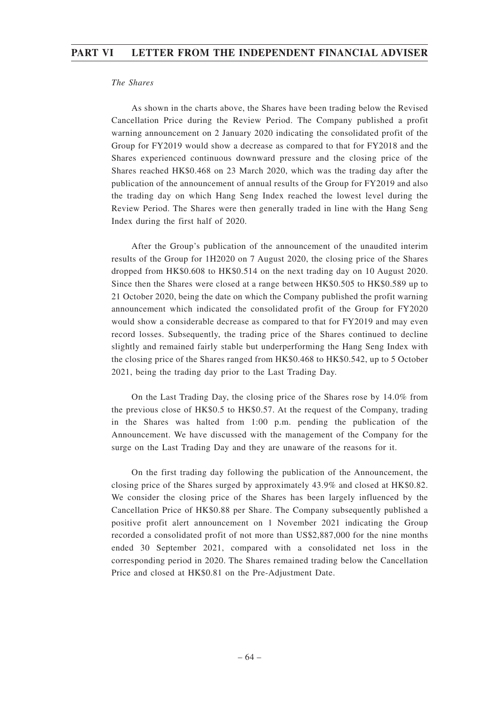## *The Shares*

As shown in the charts above, the Shares have been trading below the Revised Cancellation Price during the Review Period. The Company published a profit warning announcement on 2 January 2020 indicating the consolidated profit of the Group for FY2019 would show a decrease as compared to that for FY2018 and the Shares experienced continuous downward pressure and the closing price of the Shares reached HK\$0.468 on 23 March 2020, which was the trading day after the publication of the announcement of annual results of the Group for FY2019 and also the trading day on which Hang Seng Index reached the lowest level during the Review Period. The Shares were then generally traded in line with the Hang Seng Index during the first half of 2020.

After the Group's publication of the announcement of the unaudited interim results of the Group for 1H2020 on 7 August 2020, the closing price of the Shares dropped from HK\$0.608 to HK\$0.514 on the next trading day on 10 August 2020. Since then the Shares were closed at a range between HK\$0.505 to HK\$0.589 up to 21 October 2020, being the date on which the Company published the profit warning announcement which indicated the consolidated profit of the Group for FY2020 would show a considerable decrease as compared to that for FY2019 and may even record losses. Subsequently, the trading price of the Shares continued to decline slightly and remained fairly stable but underperforming the Hang Seng Index with the closing price of the Shares ranged from HK\$0.468 to HK\$0.542, up to 5 October 2021, being the trading day prior to the Last Trading Day.

On the Last Trading Day, the closing price of the Shares rose by 14.0% from the previous close of HK\$0.5 to HK\$0.57. At the request of the Company, trading in the Shares was halted from 1:00 p.m. pending the publication of the Announcement. We have discussed with the management of the Company for the surge on the Last Trading Day and they are unaware of the reasons for it.

On the first trading day following the publication of the Announcement, the closing price of the Shares surged by approximately 43.9% and closed at HK\$0.82. We consider the closing price of the Shares has been largely influenced by the Cancellation Price of HK\$0.88 per Share. The Company subsequently published a positive profit alert announcement on 1 November 2021 indicating the Group recorded a consolidated profit of not more than US\$2,887,000 for the nine months ended 30 September 2021, compared with a consolidated net loss in the corresponding period in 2020. The Shares remained trading below the Cancellation Price and closed at HK\$0.81 on the Pre-Adjustment Date.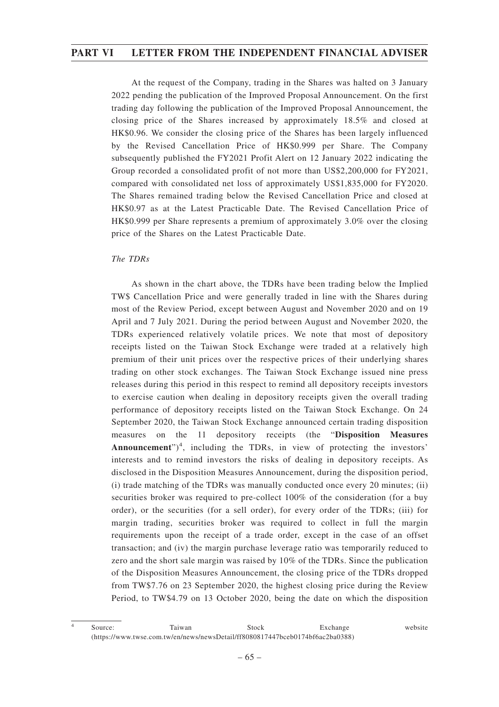At the request of the Company, trading in the Shares was halted on 3 January 2022 pending the publication of the Improved Proposal Announcement. On the first trading day following the publication of the Improved Proposal Announcement, the closing price of the Shares increased by approximately 18.5% and closed at HK\$0.96. We consider the closing price of the Shares has been largely influenced by the Revised Cancellation Price of HK\$0.999 per Share. The Company subsequently published the FY2021 Profit Alert on 12 January 2022 indicating the Group recorded a consolidated profit of not more than US\$2,200,000 for FY2021, compared with consolidated net loss of approximately US\$1,835,000 for FY2020. The Shares remained trading below the Revised Cancellation Price and closed at HK\$0.97 as at the Latest Practicable Date. The Revised Cancellation Price of HK\$0.999 per Share represents a premium of approximately 3.0% over the closing price of the Shares on the Latest Practicable Date.

## *The TDRs*

As shown in the chart above, the TDRs have been trading below the Implied TW\$ Cancellation Price and were generally traded in line with the Shares during most of the Review Period, except between August and November 2020 and on 19 April and 7 July 2021. During the period between August and November 2020, the TDRs experienced relatively volatile prices. We note that most of depository receipts listed on the Taiwan Stock Exchange were traded at a relatively high premium of their unit prices over the respective prices of their underlying shares trading on other stock exchanges. The Taiwan Stock Exchange issued nine press releases during this period in this respect to remind all depository receipts investors to exercise caution when dealing in depository receipts given the overall trading performance of depository receipts listed on the Taiwan Stock Exchange. On 24 September 2020, the Taiwan Stock Exchange announced certain trading disposition measures on the 11 depository receipts (the "**Disposition Measures** Announcement")<sup>4</sup>, including the TDRs, in view of protecting the investors' interests and to remind investors the risks of dealing in depository receipts. As disclosed in the Disposition Measures Announcement, during the disposition period, (i) trade matching of the TDRs was manually conducted once every 20 minutes; (ii) securities broker was required to pre-collect 100% of the consideration (for a buy order), or the securities (for a sell order), for every order of the TDRs; (iii) for margin trading, securities broker was required to collect in full the margin requirements upon the receipt of a trade order, except in the case of an offset transaction; and (iv) the margin purchase leverage ratio was temporarily reduced to zero and the short sale margin was raised by 10% of the TDRs. Since the publication of the Disposition Measures Announcement, the closing price of the TDRs dropped from TW\$7.76 on 23 September 2020, the highest closing price during the Review Period, to TW\$4.79 on 13 October 2020, being the date on which the disposition

<sup>&</sup>lt;sup>4</sup> Source: Taiwan Stock Exchange website (https://www.twse.com.tw/en/news/newsDetail/ff8080817447bceb0174bf6ac2ba0388)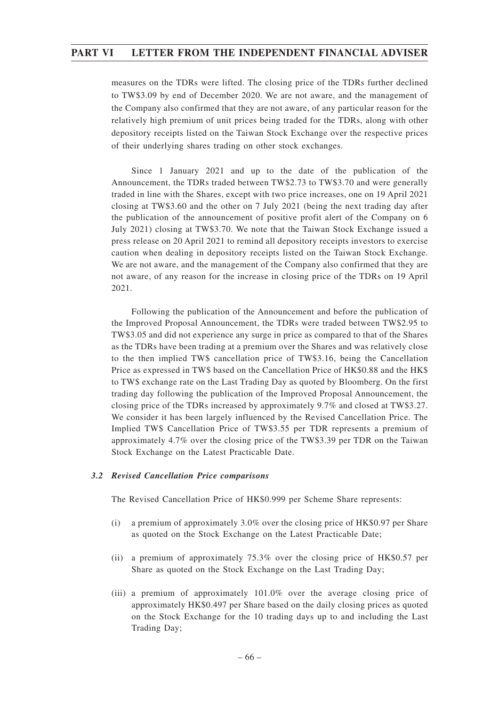measures on the TDRs were lifted. The closing price of the TDRs further declined to TW\$3.09 by end of December 2020. We are not aware, and the management of the Company also confirmed that they are not aware, of any particular reason for the relatively high premium of unit prices being traded for the TDRs, along with other depository receipts listed on the Taiwan Stock Exchange over the respective prices of their underlying shares trading on other stock exchanges.

Since 1 January 2021 and up to the date of the publication of the Announcement, the TDRs traded between TW\$2.73 to TW\$3.70 and were generally traded in line with the Shares, except with two price increases, one on 19 April 2021 closing at TW\$3.60 and the other on 7 July 2021 (being the next trading day after the publication of the announcement of positive profit alert of the Company on 6 July 2021) closing at TW\$3.70. We note that the Taiwan Stock Exchange issued a press release on 20 April 2021 to remind all depository receipts investors to exercise caution when dealing in depository receipts listed on the Taiwan Stock Exchange. We are not aware, and the management of the Company also confirmed that they are not aware, of any reason for the increase in closing price of the TDRs on 19 April 2021.

Following the publication of the Announcement and before the publication of the Improved Proposal Announcement, the TDRs were traded between TW\$2.95 to TW\$3.05 and did not experience any surge in price as compared to that of the Shares as the TDRs have been trading at a premium over the Shares and was relatively close to the then implied TW\$ cancellation price of TW\$3.16, being the Cancellation Price as expressed in TW\$ based on the Cancellation Price of HK\$0.88 and the HK\$ to TW\$ exchange rate on the Last Trading Day as quoted by Bloomberg. On the first trading day following the publication of the Improved Proposal Announcement, the closing price of the TDRs increased by approximately 9.7% and closed at TW\$3.27. We consider it has been largely influenced by the Revised Cancellation Price. The Implied TW\$ Cancellation Price of TW\$3.55 per TDR represents a premium of approximately 4.7% over the closing price of the TW\$3.39 per TDR on the Taiwan Stock Exchange on the Latest Practicable Date.

## *3.2 Revised Cancellation Price comparisons*

The Revised Cancellation Price of HK\$0.999 per Scheme Share represents:

- (i) a premium of approximately 3.0% over the closing price of HK\$0.97 per Share as quoted on the Stock Exchange on the Latest Practicable Date;
- (ii) a premium of approximately 75.3% over the closing price of HK\$0.57 per Share as quoted on the Stock Exchange on the Last Trading Day;
- (iii) a premium of approximately 101.0% over the average closing price of approximately HK\$0.497 per Share based on the daily closing prices as quoted on the Stock Exchange for the 10 trading days up to and including the Last Trading Day;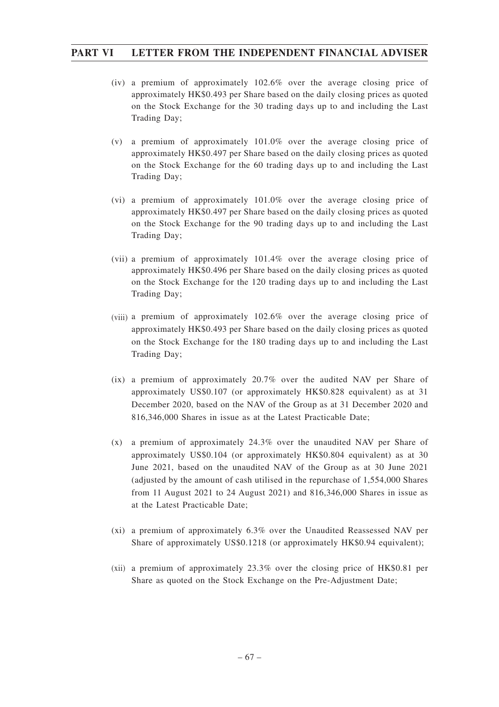- (iv) a premium of approximately 102.6% over the average closing price of approximately HK\$0.493 per Share based on the daily closing prices as quoted on the Stock Exchange for the 30 trading days up to and including the Last Trading Day;
- (v) a premium of approximately 101.0% over the average closing price of approximately HK\$0.497 per Share based on the daily closing prices as quoted on the Stock Exchange for the 60 trading days up to and including the Last Trading Day;
- (vi) a premium of approximately 101.0% over the average closing price of approximately HK\$0.497 per Share based on the daily closing prices as quoted on the Stock Exchange for the 90 trading days up to and including the Last Trading Day;
- (vii) a premium of approximately 101.4% over the average closing price of approximately HK\$0.496 per Share based on the daily closing prices as quoted on the Stock Exchange for the 120 trading days up to and including the Last Trading Day;
- (viii) a premium of approximately 102.6% over the average closing price of approximately HK\$0.493 per Share based on the daily closing prices as quoted on the Stock Exchange for the 180 trading days up to and including the Last Trading Day;
- (ix) a premium of approximately 20.7% over the audited NAV per Share of approximately US\$0.107 (or approximately HK\$0.828 equivalent) as at 31 December 2020, based on the NAV of the Group as at 31 December 2020 and 816,346,000 Shares in issue as at the Latest Practicable Date;
- (x) a premium of approximately 24.3% over the unaudited NAV per Share of approximately US\$0.104 (or approximately HK\$0.804 equivalent) as at 30 June 2021, based on the unaudited NAV of the Group as at 30 June 2021 (adjusted by the amount of cash utilised in the repurchase of 1,554,000 Shares from 11 August 2021 to 24 August 2021) and 816,346,000 Shares in issue as at the Latest Practicable Date;
- (xi) a premium of approximately 6.3% over the Unaudited Reassessed NAV per Share of approximately US\$0.1218 (or approximately HK\$0.94 equivalent);
- (xii) a premium of approximately 23.3% over the closing price of HK\$0.81 per Share as quoted on the Stock Exchange on the Pre-Adjustment Date;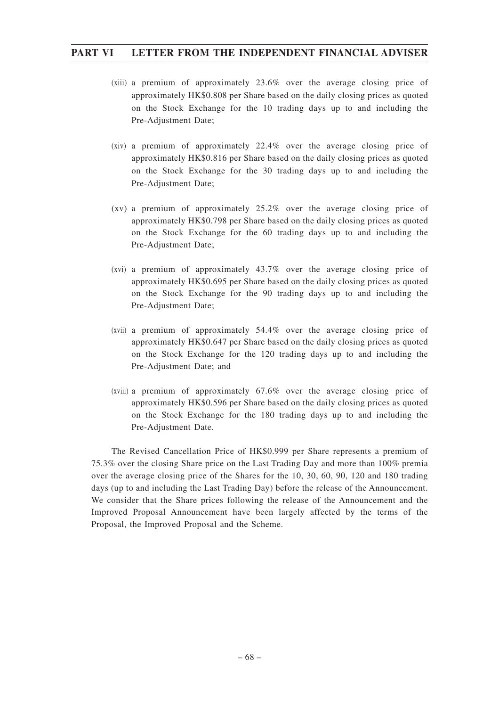- (xiii) a premium of approximately 23.6% over the average closing price of approximately HK\$0.808 per Share based on the daily closing prices as quoted on the Stock Exchange for the 10 trading days up to and including the Pre-Adjustment Date;
- (xiv) a premium of approximately 22.4% over the average closing price of approximately HK\$0.816 per Share based on the daily closing prices as quoted on the Stock Exchange for the 30 trading days up to and including the Pre-Adjustment Date;
- (xv) a premium of approximately 25.2% over the average closing price of approximately HK\$0.798 per Share based on the daily closing prices as quoted on the Stock Exchange for the 60 trading days up to and including the Pre-Adjustment Date;
- (xvi) a premium of approximately 43.7% over the average closing price of approximately HK\$0.695 per Share based on the daily closing prices as quoted on the Stock Exchange for the 90 trading days up to and including the Pre-Adjustment Date;
- (xvii) a premium of approximately 54.4% over the average closing price of approximately HK\$0.647 per Share based on the daily closing prices as quoted on the Stock Exchange for the 120 trading days up to and including the Pre-Adjustment Date; and
- (xviii) a premium of approximately 67.6% over the average closing price of approximately HK\$0.596 per Share based on the daily closing prices as quoted on the Stock Exchange for the 180 trading days up to and including the Pre-Adjustment Date.

The Revised Cancellation Price of HK\$0.999 per Share represents a premium of 75.3% over the closing Share price on the Last Trading Day and more than 100% premia over the average closing price of the Shares for the 10, 30, 60, 90, 120 and 180 trading days (up to and including the Last Trading Day) before the release of the Announcement. We consider that the Share prices following the release of the Announcement and the Improved Proposal Announcement have been largely affected by the terms of the Proposal, the Improved Proposal and the Scheme.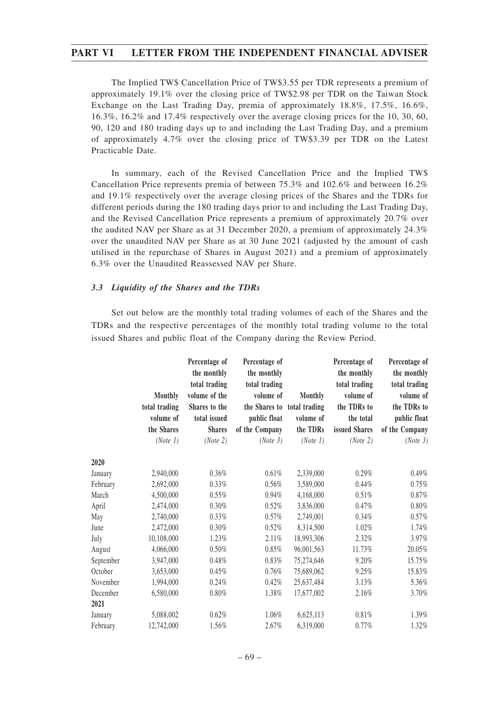The Implied TW\$ Cancellation Price of TW\$3.55 per TDR represents a premium of approximately 19.1% over the closing price of TW\$2.98 per TDR on the Taiwan Stock Exchange on the Last Trading Day, premia of approximately 18.8%, 17.5%, 16.6%, 16.3%, 16.2% and 17.4% respectively over the average closing prices for the 10, 30, 60, 90, 120 and 180 trading days up to and including the Last Trading Day, and a premium of approximately 4.7% over the closing price of TW\$3.39 per TDR on the Latest Practicable Date.

In summary, each of the Revised Cancellation Price and the Implied TW\$ Cancellation Price represents premia of between 75.3% and 102.6% and between 16.2% and 19.1% respectively over the average closing prices of the Shares and the TDRs for different periods during the 180 trading days prior to and including the Last Trading Day, and the Revised Cancellation Price represents a premium of approximately 20.7% over the audited NAV per Share as at 31 December 2020, a premium of approximately 24.3% over the unaudited NAV per Share as at 30 June 2021 (adjusted by the amount of cash utilised in the repurchase of Shares in August 2021) and a premium of approximately 6.3% over the Unaudited Reassessed NAV per Share.

### *3.3 Liquidity of the Shares and the TDRs*

Set out below are the monthly total trading volumes of each of the Shares and the TDRs and the respective percentages of the monthly total trading volume to the total issued Shares and public float of the Company during the Review Period.

|           |                | Percentage of<br>the monthly<br>total trading | Percentage of<br>the monthly<br>total trading |                | Percentage of<br>the monthly<br>total trading | Percentage of<br>the monthly<br>total trading |
|-----------|----------------|-----------------------------------------------|-----------------------------------------------|----------------|-----------------------------------------------|-----------------------------------------------|
|           | <b>Monthly</b> | volume of the                                 | volume of                                     | <b>Monthly</b> | volume of                                     | volume of                                     |
|           | total trading  | Shares to the                                 | the Shares to total trading                   |                | the TDRs to                                   | the TDRs to                                   |
|           | volume of      | total issued                                  | public float                                  | volume of      | the total                                     | public float                                  |
|           | the Shares     | <b>Shares</b>                                 | of the Company                                | the TDRs       | issued Shares                                 | of the Company                                |
|           | (Note 1)       | (Note 2)                                      | (Note 3)                                      | (Note 1)       | (Note 2)                                      | (Note 3)                                      |
| 2020      |                |                                               |                                               |                |                                               |                                               |
| January   | 2,940,000      | 0.36%                                         | 0.61%                                         | 2,339,000      | 0.29%                                         | 0.49%                                         |
| February  | 2,692,000      | 0.33%                                         | 0.56%                                         | 3,589,000      | $0.44\%$                                      | 0.75%                                         |
| March     | 4,500,000      | 0.55%                                         | 0.94%                                         | 4,168,000      | 0.51%                                         | $0.87\%$                                      |
| April     | 2,474,000      | 0.30%                                         | 0.52%                                         | 3,836,000      | 0.47%                                         | $0.80\%$                                      |
| May       | 2,740,000      | 0.33%                                         | 0.57%                                         | 2,749,001      | 0.34%                                         | 0.57%                                         |
| June      | 2,472,000      | 0.30%                                         | 0.52%                                         | 8,314,500      | 1.02%                                         | 1.74%                                         |
| July      | 10,108,000     | 1.23%                                         | 2.11%                                         | 18,993,306     | 2.32%                                         | 3.97%                                         |
| August    | 4,066,000      | 0.50%                                         | 0.85%                                         | 96,001,563     | 11.73%                                        | 20.05%                                        |
| September | 3,947,000      | 0.48%                                         | 0.83%                                         | 75,274,646     | 9.20%                                         | 15.75%                                        |
| October   | 3,653,000      | 0.45%                                         | 0.76%                                         | 75,689,062     | 9.25%                                         | 15.83%                                        |
| November  | 1,994,000      | 0.24%                                         | 0.42%                                         | 25,637,484     | 3.13%                                         | 5.36%                                         |
| December  | 6,580,000      | $0.80\%$                                      | 1.38%                                         | 17,677,002     | 2.16%                                         | 3.70%                                         |
| 2021      |                |                                               |                                               |                |                                               |                                               |
| January   | 5,088,002      | 0.62%                                         | 1.06%                                         | 6,625,113      | 0.81%                                         | 1.39%                                         |
| February  | 12,742,000     | 1.56%                                         | 2.67%                                         | 6,319,000      | 0.77%                                         | 1.32%                                         |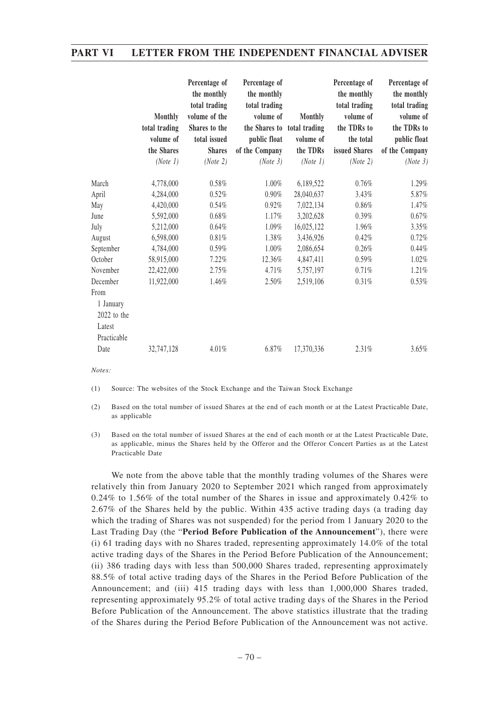|             | <b>Monthly</b><br>total trading<br>volume of<br>the Shares<br>(Note 1) | Percentage of<br>the monthly<br>total trading<br>volume of the<br>Shares to the<br>total issued<br><b>Shares</b><br>(Note 2) | Percentage of<br>the monthly<br>total trading<br>volume of<br>the Shares to total trading<br>public float<br>of the Company<br>(Note 3) | <b>Monthly</b><br>volume of<br>the TDRs<br>(Note 1) | Percentage of<br>the monthly<br>total trading<br>volume of<br>the TDRs to<br>the total<br>issued Shares<br>(Note 2) | Percentage of<br>the monthly<br>total trading<br>volume of<br>the TDRs to<br>public float<br>of the Company<br>(Note 3) |
|-------------|------------------------------------------------------------------------|------------------------------------------------------------------------------------------------------------------------------|-----------------------------------------------------------------------------------------------------------------------------------------|-----------------------------------------------------|---------------------------------------------------------------------------------------------------------------------|-------------------------------------------------------------------------------------------------------------------------|
|             |                                                                        |                                                                                                                              |                                                                                                                                         |                                                     |                                                                                                                     |                                                                                                                         |
| March       | 4,778,000                                                              | 0.58%                                                                                                                        | 1.00%                                                                                                                                   | 6,189,522                                           | 0.76%                                                                                                               | 1.29%                                                                                                                   |
| April       | 4,284,000                                                              | 0.52%                                                                                                                        | 0.90%                                                                                                                                   | 28,040,637                                          | 3.43%                                                                                                               | 5.87%                                                                                                                   |
| May         | 4,420,000                                                              | 0.54%                                                                                                                        | 0.92%                                                                                                                                   | 7,022,134                                           | 0.86%                                                                                                               | 1.47%                                                                                                                   |
| June        | 5,592,000                                                              | 0.68%                                                                                                                        | 1.17%                                                                                                                                   | 3,202,628                                           | 0.39%                                                                                                               | 0.67%                                                                                                                   |
| July        | 5,212,000                                                              | 0.64%                                                                                                                        | 1.09%                                                                                                                                   | 16,025,122                                          | 1.96%                                                                                                               | 3.35%                                                                                                                   |
| August      | 6,598,000                                                              | 0.81%                                                                                                                        | 1.38%                                                                                                                                   | 3,436,926                                           | 0.42%                                                                                                               | 0.72%                                                                                                                   |
| September   | 4,784,000                                                              | 0.59%                                                                                                                        | 1.00%                                                                                                                                   | 2,086,654                                           | 0.26%                                                                                                               | 0.44%                                                                                                                   |
| October     | 58,915,000                                                             | 7.22%                                                                                                                        | 12.36%                                                                                                                                  | 4,847,411                                           | 0.59%                                                                                                               | 1.02%                                                                                                                   |
| November    | 22,422,000                                                             | 2.75%                                                                                                                        | 4.71%                                                                                                                                   | 5,757,197                                           | 0.71%                                                                                                               | 1.21%                                                                                                                   |
| December    | 11,922,000                                                             | 1.46%                                                                                                                        | 2.50%                                                                                                                                   | 2,519,106                                           | $0.31\%$                                                                                                            | 0.53%                                                                                                                   |
| From        |                                                                        |                                                                                                                              |                                                                                                                                         |                                                     |                                                                                                                     |                                                                                                                         |
| 1 January   |                                                                        |                                                                                                                              |                                                                                                                                         |                                                     |                                                                                                                     |                                                                                                                         |
| 2022 to the |                                                                        |                                                                                                                              |                                                                                                                                         |                                                     |                                                                                                                     |                                                                                                                         |
| Latest      |                                                                        |                                                                                                                              |                                                                                                                                         |                                                     |                                                                                                                     |                                                                                                                         |
| Practicable |                                                                        |                                                                                                                              |                                                                                                                                         |                                                     |                                                                                                                     |                                                                                                                         |
| Date        | 32,747,128                                                             | 4.01%                                                                                                                        | 6.87%                                                                                                                                   | 17,370,336                                          | 2.31%                                                                                                               | 3.65%                                                                                                                   |

*Notes:*

(1) Source: The websites of the Stock Exchange and the Taiwan Stock Exchange

(2) Based on the total number of issued Shares at the end of each month or at the Latest Practicable Date, as applicable

(3) Based on the total number of issued Shares at the end of each month or at the Latest Practicable Date, as applicable, minus the Shares held by the Offeror and the Offeror Concert Parties as at the Latest Practicable Date

We note from the above table that the monthly trading volumes of the Shares were relatively thin from January 2020 to September 2021 which ranged from approximately 0.24% to 1.56% of the total number of the Shares in issue and approximately 0.42% to 2.67% of the Shares held by the public. Within 435 active trading days (a trading day which the trading of Shares was not suspended) for the period from 1 January 2020 to the Last Trading Day (the "**Period Before Publication of the Announcement**"), there were (i) 61 trading days with no Shares traded, representing approximately 14.0% of the total active trading days of the Shares in the Period Before Publication of the Announcement; (ii) 386 trading days with less than 500,000 Shares traded, representing approximately 88.5% of total active trading days of the Shares in the Period Before Publication of the Announcement; and (iii) 415 trading days with less than 1,000,000 Shares traded, representing approximately 95.2% of total active trading days of the Shares in the Period Before Publication of the Announcement. The above statistics illustrate that the trading of the Shares during the Period Before Publication of the Announcement was not active.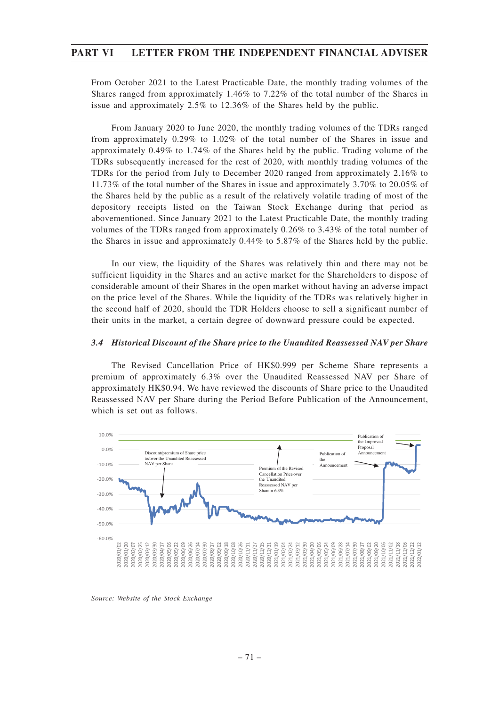From October 2021 to the Latest Practicable Date, the monthly trading volumes of the Shares ranged from approximately 1.46% to 7.22% of the total number of the Shares in issue and approximately 2.5% to 12.36% of the Shares held by the public.

From January 2020 to June 2020, the monthly trading volumes of the TDRs ranged from approximately 0.29% to 1.02% of the total number of the Shares in issue and approximately 0.49% to 1.74% of the Shares held by the public. Trading volume of the TDRs subsequently increased for the rest of 2020, with monthly trading volumes of the TDRs for the period from July to December 2020 ranged from approximately 2.16% to 11.73% of the total number of the Shares in issue and approximately 3.70% to 20.05% of the Shares held by the public as a result of the relatively volatile trading of most of the depository receipts listed on the Taiwan Stock Exchange during that period as abovementioned. Since January 2021 to the Latest Practicable Date, the monthly trading volumes of the TDRs ranged from approximately 0.26% to 3.43% of the total number of the Shares in issue and approximately 0.44% to 5.87% of the Shares held by the public.

In our view, the liquidity of the Shares was relatively thin and there may not be sufficient liquidity in the Shares and an active market for the Shareholders to dispose of considerable amount of their Shares in the open market without having an adverse impact on the price level of the Shares. While the liquidity of the TDRs was relatively higher in the second half of 2020, should the TDR Holders choose to sell a significant number of their units in the market, a certain degree of downward pressure could be expected.

### *3.4 Historical Discount of the Share price to the Unaudited Reassessed NAV per Share*

The Revised Cancellation Price of HK\$0.999 per Scheme Share represents a premium of approximately 6.3% over the Unaudited Reassessed NAV per Share of approximately HK\$0.94. We have reviewed the discounts of Share price to the Unaudited Reassessed NAV per Share during the Period Before Publication of the Announcement, which is set out as follows.



*Source: Website of the Stock Exchange*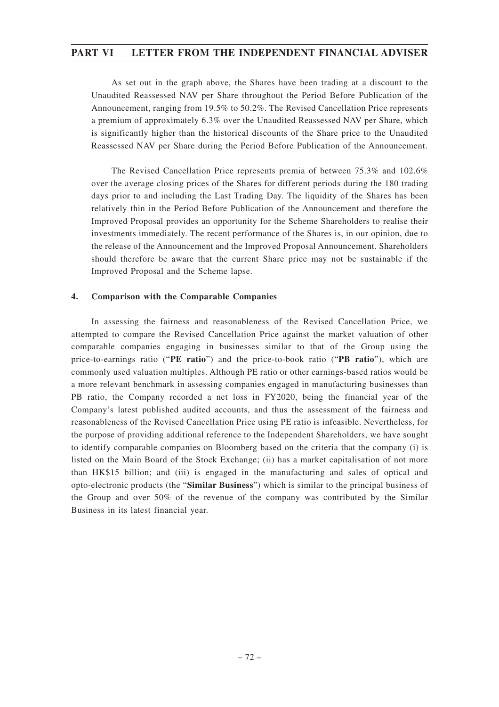As set out in the graph above, the Shares have been trading at a discount to the Unaudited Reassessed NAV per Share throughout the Period Before Publication of the Announcement, ranging from 19.5% to 50.2%. The Revised Cancellation Price represents a premium of approximately 6.3% over the Unaudited Reassessed NAV per Share, which is significantly higher than the historical discounts of the Share price to the Unaudited Reassessed NAV per Share during the Period Before Publication of the Announcement.

The Revised Cancellation Price represents premia of between 75.3% and 102.6% over the average closing prices of the Shares for different periods during the 180 trading days prior to and including the Last Trading Day. The liquidity of the Shares has been relatively thin in the Period Before Publication of the Announcement and therefore the Improved Proposal provides an opportunity for the Scheme Shareholders to realise their investments immediately. The recent performance of the Shares is, in our opinion, due to the release of the Announcement and the Improved Proposal Announcement. Shareholders should therefore be aware that the current Share price may not be sustainable if the Improved Proposal and the Scheme lapse.

### **4. Comparison with the Comparable Companies**

In assessing the fairness and reasonableness of the Revised Cancellation Price, we attempted to compare the Revised Cancellation Price against the market valuation of other comparable companies engaging in businesses similar to that of the Group using the price-to-earnings ratio ("**PE ratio**") and the price-to-book ratio ("**PB ratio**"), which are commonly used valuation multiples. Although PE ratio or other earnings-based ratios would be a more relevant benchmark in assessing companies engaged in manufacturing businesses than PB ratio, the Company recorded a net loss in FY2020, being the financial year of the Company's latest published audited accounts, and thus the assessment of the fairness and reasonableness of the Revised Cancellation Price using PE ratio is infeasible. Nevertheless, for the purpose of providing additional reference to the Independent Shareholders, we have sought to identify comparable companies on Bloomberg based on the criteria that the company (i) is listed on the Main Board of the Stock Exchange; (ii) has a market capitalisation of not more than HK\$15 billion; and (iii) is engaged in the manufacturing and sales of optical and opto-electronic products (the "**Similar Business**") which is similar to the principal business of the Group and over 50% of the revenue of the company was contributed by the Similar Business in its latest financial year.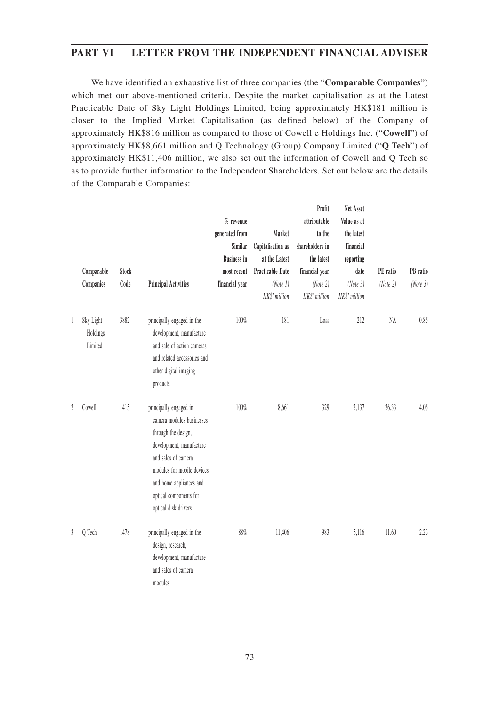We have identified an exhaustive list of three companies (the "**Comparable Companies**") which met our above-mentioned criteria. Despite the market capitalisation as at the Latest Practicable Date of Sky Light Holdings Limited, being approximately HK\$181 million is closer to the Implied Market Capitalisation (as defined below) of the Company of approximately HK\$816 million as compared to those of Cowell e Holdings Inc. ("**Cowell**") of approximately HK\$8,661 million and Q Technology (Group) Company Limited ("**Q Tech**") of approximately HK\$11,406 million, we also set out the information of Cowell and Q Tech so as to provide further information to the Independent Shareholders. Set out below are the details of the Comparable Companies:

|   | Comparable<br>Companies          | <b>Stock</b><br>Code | <b>Principal Activities</b>                                                                                                                                                                                                              | $%$ revenue<br>generated from<br>Similar<br><b>Business in</b><br>most recent<br>financial year | Market<br>Capitalisation as<br>at the Latest<br><b>Practicable Date</b><br>(Note 1)<br>HK\$' million | Profit<br>attributable<br>to the<br>shareholders in<br>the latest<br>financial year<br>(Note 2)<br>HK\$' million | Net Asset<br>Value as at<br>the latest<br>financial<br>reporting<br>date<br>(Note 3)<br>HK\$' million | PE ratio<br>(Note 2) | PB ratio<br>(Note 3) |
|---|----------------------------------|----------------------|------------------------------------------------------------------------------------------------------------------------------------------------------------------------------------------------------------------------------------------|-------------------------------------------------------------------------------------------------|------------------------------------------------------------------------------------------------------|------------------------------------------------------------------------------------------------------------------|-------------------------------------------------------------------------------------------------------|----------------------|----------------------|
| 1 | Sky Light<br>Holdings<br>Limited | 3882                 | principally engaged in the<br>development, manufacture<br>and sale of action cameras<br>and related accessories and<br>other digital imaging<br>products                                                                                 | 100%                                                                                            | 181                                                                                                  | Loss                                                                                                             | 212                                                                                                   | NA                   | 0.85                 |
| 2 | Cowell                           | 1415                 | principally engaged in<br>camera modules businesses<br>through the design,<br>development, manufacture<br>and sales of camera<br>modules for mobile devices<br>and home appliances and<br>optical components for<br>optical disk drivers | 100%                                                                                            | 8,661                                                                                                | 329                                                                                                              | 2,137                                                                                                 | 26.33                | 4.05                 |
| 3 | Q Tech                           | 1478                 | principally engaged in the<br>design, research,<br>development, manufacture<br>and sales of camera<br>modules                                                                                                                            | 88%                                                                                             | 11,406                                                                                               | 983                                                                                                              | 5,116                                                                                                 | 11.60                | 2.23                 |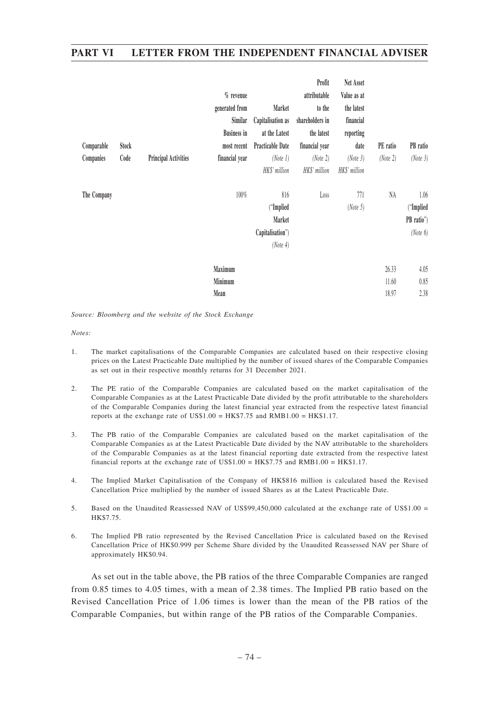|             |       |                             | $%$ revenue<br>generated from<br>Similar<br><b>Business in</b> | Market<br>Capitalisation as<br>at the Latest               | Profit<br>attributable<br>to the<br>shareholders in<br>the latest | Net Asset<br>Value as at<br>the latest<br>financial<br>reporting |                         |                                               |
|-------------|-------|-----------------------------|----------------------------------------------------------------|------------------------------------------------------------|-------------------------------------------------------------------|------------------------------------------------------------------|-------------------------|-----------------------------------------------|
| Comparable  | Stock |                             | most recent                                                    | <b>Practicable Date</b>                                    | financial year                                                    | date                                                             | PE ratio                | PB ratio                                      |
| Companies   | Code  | <b>Principal Activities</b> | financial year                                                 | (Note 1)<br>HK\$' million                                  | (Note 2)<br>HK\$' million                                         | (Note 3)<br>HK\$' million                                        | (Note 2)                | (Note 3)                                      |
| The Company |       |                             | 100%                                                           | 816<br>("Implied<br>Market<br>Capitalisation")<br>(Note 4) | Loss                                                              | 771<br>(Note 5)                                                  | NA                      | $1.06$<br>("Implied<br>PB ratio")<br>(Note 6) |
|             |       |                             | Maximum<br>Minimum<br>Mean                                     |                                                            |                                                                   |                                                                  | 26.33<br>11.60<br>18.97 | 4.05<br>0.85<br>2.38                          |

*Source: Bloomberg and the website of the Stock Exchange*

*Notes:*

- 1. The market capitalisations of the Comparable Companies are calculated based on their respective closing prices on the Latest Practicable Date multiplied by the number of issued shares of the Comparable Companies as set out in their respective monthly returns for 31 December 2021.
- 2. The PE ratio of the Comparable Companies are calculated based on the market capitalisation of the Comparable Companies as at the Latest Practicable Date divided by the profit attributable to the shareholders of the Comparable Companies during the latest financial year extracted from the respective latest financial reports at the exchange rate of US\$1.00 =  $HK$7.75$  and  $RMB1.00 = HK$1.17$ .
- 3. The PB ratio of the Comparable Companies are calculated based on the market capitalisation of the Comparable Companies as at the Latest Practicable Date divided by the NAV attributable to the shareholders of the Comparable Companies as at the latest financial reporting date extracted from the respective latest financial reports at the exchange rate of US\$1.00 =  $HK$7.75$  and RMB1.00 =  $HK$1.17$ .
- 4. The Implied Market Capitalisation of the Company of HK\$816 million is calculated based the Revised Cancellation Price multiplied by the number of issued Shares as at the Latest Practicable Date.
- 5. Based on the Unaudited Reassessed NAV of US\$99,450,000 calculated at the exchange rate of US\$1.00 = HK\$7.75.
- 6. The Implied PB ratio represented by the Revised Cancellation Price is calculated based on the Revised Cancellation Price of HK\$0.999 per Scheme Share divided by the Unaudited Reassessed NAV per Share of approximately HK\$0.94.

As set out in the table above, the PB ratios of the three Comparable Companies are ranged from 0.85 times to 4.05 times, with a mean of 2.38 times. The Implied PB ratio based on the Revised Cancellation Price of 1.06 times is lower than the mean of the PB ratios of the Comparable Companies, but within range of the PB ratios of the Comparable Companies.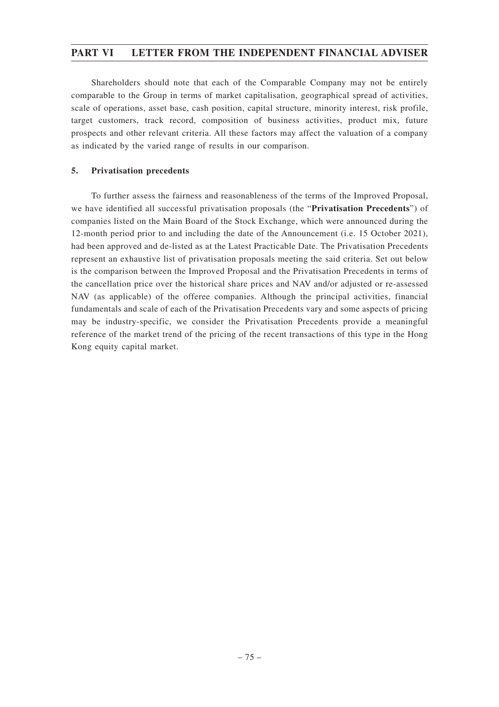Shareholders should note that each of the Comparable Company may not be entirely comparable to the Group in terms of market capitalisation, geographical spread of activities, scale of operations, asset base, cash position, capital structure, minority interest, risk profile, target customers, track record, composition of business activities, product mix, future prospects and other relevant criteria. All these factors may affect the valuation of a company as indicated by the varied range of results in our comparison.

### **5. Privatisation precedents**

To further assess the fairness and reasonableness of the terms of the Improved Proposal, we have identified all successful privatisation proposals (the "**Privatisation Precedents**") of companies listed on the Main Board of the Stock Exchange, which were announced during the 12-month period prior to and including the date of the Announcement (i.e. 15 October 2021), had been approved and de-listed as at the Latest Practicable Date. The Privatisation Precedents represent an exhaustive list of privatisation proposals meeting the said criteria. Set out below is the comparison between the Improved Proposal and the Privatisation Precedents in terms of the cancellation price over the historical share prices and NAV and/or adjusted or re-assessed NAV (as applicable) of the offeree companies. Although the principal activities, financial fundamentals and scale of each of the Privatisation Precedents vary and some aspects of pricing may be industry-specific, we consider the Privatisation Precedents provide a meaningful reference of the market trend of the pricing of the recent transactions of this type in the Hong Kong equity capital market.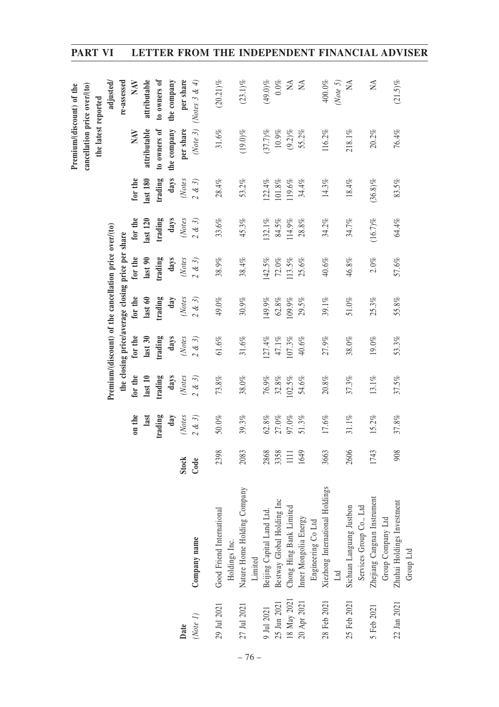|             |                                        |       |          |               |                                                        |          |           |            |            | Premium/(discount) of the    |                              |
|-------------|----------------------------------------|-------|----------|---------------|--------------------------------------------------------|----------|-----------|------------|------------|------------------------------|------------------------------|
|             |                                        |       |          |               |                                                        |          |           |            |            | cancellation price over/(to) |                              |
|             |                                        |       |          |               |                                                        |          |           |            |            | the latest reported          |                              |
|             |                                        |       |          |               | Premium/(discount) of the cancellation price over/(to) |          |           |            |            |                              | adjusted/                    |
|             |                                        |       |          |               | the closing price/average closing price per share      |          |           |            |            |                              | re-assessed                  |
|             |                                        |       | on the   | for the       | for the                                                | for the  | for the   | for the    | for the    | NAV                          | NAV                          |
|             |                                        |       | last     | last 10       | last30                                                 | last 60  | last 90   | last 120   | last 180   | attributable                 | attributable                 |
|             |                                        |       | trading  | trading       | trading                                                | trading  | trading   | trading    | trading    | to owners of                 | to owners of                 |
|             |                                        |       | day      | days          | days                                                   | day      | days      | days       | days       | the company                  | the company                  |
| Date        |                                        | Stock | (Notes   | (Notes        | (Notes                                                 | (Notes   | (Notes    | (Notes     | (Notes     | per share                    | per share                    |
| (Note 1)    | Company name                           | Code  | 2 & 3    | $2 \ \& \ 3)$ | $2$ & $3)$                                             | 2 & 3    | 2 & 3     | 2 & 3      | 2 & 3      | (Note $3)$                   | (Notes 3 & 4)                |
| 29 Jul 2021 | Good Friend International              | 2398  | $50.0\%$ | $73.8\%$      | $61.6\%$                                               | $49.0\%$ | $38.9\%$  | $33.6\%$   | $28.4\%$   | $31.6\%$                     | $(20.21)\%$                  |
|             | Holdings Inc.                          |       |          |               |                                                        |          |           |            |            |                              |                              |
| 27 Jul 2021 | Nature Home Holding Company<br>Limited | 2083  | 39.3%    | $38.0\%$      | $31.6\%$                                               | $30.9\%$ | 38.4%     | 45.3%      | 53.2%      | $(19.0)\%$                   | $(23.1)\%$                   |
| 9 Jul 2021  | Beijing Capital Land Ltd.              | 2868  | $62.8\%$ | $76.9\%$      | 127.4%                                                 | 149.9%   | $142.5\%$ | $132.1\%$  | 122.4%     | (37.7)%                      | $(49.0)\%$                   |
| 25 Jun 2021 | Bestway Global Holding Inc             | 3358  | $27.0\%$ | $32.8\%$      | $47.1\%$                                               | $62.8\%$ | $72.0\%$  | 84.5%      | $101.8\%$  | $10.9\%$                     | $0.0\%$                      |
| 18 May 2021 | Chong Hing Bank Limited                | $\Xi$ | $97.0\%$ | $102.5\%$     | $107.3\%$                                              | 109.9%   | 113.5%    | 114.9%     | 119.6%     | $(9.2)\%$                    | Ž                            |
| 20 Apr 2021 | Inner Mongolia Energy                  | 1649  | $51.3\%$ | 54.6%         | $40.6\%$                                               | 29.5%    | 25.6%     | 28.8%      | 34.4%      | 55.2%                        | $\lesssim$                   |
|             | Engineering Co Ltd                     |       |          |               |                                                        |          |           |            |            |                              |                              |
| 28 Feb 2021 | Xiezhong International Holdings        | 3663  | 17.6%    | $20.8\%$      | 27.9%                                                  | 39.1%    | 40.6%     | 34.2%      | 14.3%      | 116.2%                       | 400.0%                       |
|             | $\Box$                                 |       |          |               |                                                        |          |           |            |            |                              | (Note 5)                     |
| 25 Feb 2021 | Sichuan Languang Justbon               | 2606  | 31.1%    | 37.3%         | $38.0\%$                                               | $51.0\%$ | 46.8%     | 34.7%      | $18.4\%$   | $218.1\%$                    | ΧÁ                           |
|             | Services Group Co., Ltd                |       |          |               |                                                        |          |           |            |            |                              |                              |
| 5 Feb 2021  | Zhejiang Cangnan Instrument            | 1743  | 15.2%    | $13.1\%$      | $19.0\%$                                               | $25.3\%$ | $2.0\%$   | $(16.7)$ % | $(36.8)\%$ | $20.2\%$                     | $\stackrel{\triangle}{\geq}$ |
|             | Group Company Ltd                      |       |          |               |                                                        |          |           |            |            |                              |                              |
| 22 Jan 2021 | Zhuhai Holdings Investment             | 908   | 37.8%    | 37.5%         | 53.3%                                                  | 55.8%    | 57.6%     | 64.4%      | 83.5%      | 76.4%                        | $(21.5)\%$                   |
|             | Group Ltd                              |       |          |               |                                                        |          |           |            |            |                              |                              |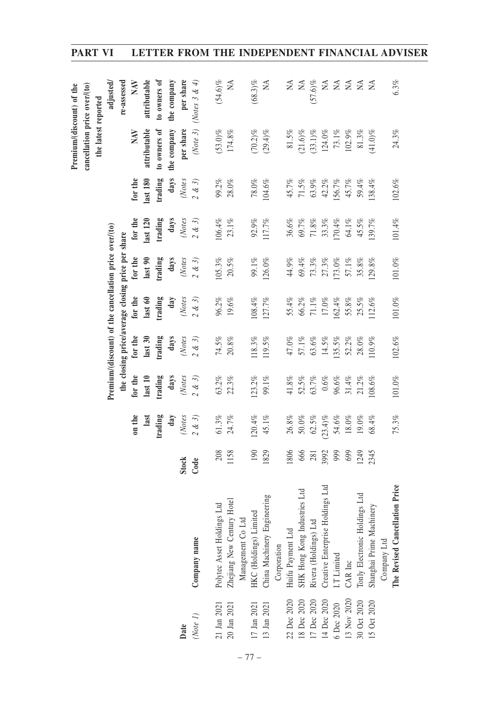|             |                                  |              |            |               |                                                        |           |           |               |           | Premium/(discount) of the    |                        |
|-------------|----------------------------------|--------------|------------|---------------|--------------------------------------------------------|-----------|-----------|---------------|-----------|------------------------------|------------------------|
|             |                                  |              |            |               |                                                        |           |           |               |           | cancellation price over/(to) |                        |
|             |                                  |              |            |               |                                                        |           |           |               |           | the latest reported          |                        |
|             |                                  |              |            |               | Premium/(discount) of the cancellation price over/(to) |           |           |               |           |                              | adjusted,              |
|             |                                  |              |            |               | the closing price/average closing price per share      |           |           |               |           |                              | re-assessed            |
|             |                                  |              | on the     | for the       | for the                                                | for the   | for the   | for the       | for the   | NAV                          | NAV                    |
|             |                                  |              | last       | last 10       | last 30                                                | last 60   | last 90   | last 120      | last 180  | attributable                 | attributable           |
|             |                                  |              | trading    | trading       | trading                                                | trading   | trading   | trading       | trading   | to owners of                 | to owners of           |
|             |                                  |              | day        | days          | days                                                   | day       | days      | days          | days      | the company                  | the company            |
| Date        |                                  | <b>Stock</b> | (Notes     | (Notes        | (Notes                                                 | (Notes    | (Notes    | (Notes        | (Notes    | per share                    | per share              |
| (Note 1)    | Company name                     | Code         | 2 & 3      | $2 \ \& \ 3)$ | $2 \ \& \ 3)$                                          | 2 & 3     | 2 & 3     | $2 \ \& \ 3)$ | 2 & 3     |                              | (Note 3) (Notes 3 & 4) |
| 21 Jan 2021 | Polytec Asset Holdings Ltd       | 208          | 61.3%      | 63.2%         | $74.5\%$                                               | 96.2%     | $105.3\%$ | 106.4%        | 99.2%     | $(53.0)\%$                   | $(54.6)\%$             |
| 20 Jan 2021 | Zhejiang New Century Hotel       | 1158         | 24.7%      | 22.3%         | $20.8\%$                                               | $19.6\%$  | $20.5\%$  | 23.1%         | $28.0\%$  | 174.8%                       | ΧÁ                     |
|             | Management Co Ltd                |              |            |               |                                                        |           |           |               |           |                              |                        |
| 17 Jan 2021 | HKC (Holdings) Limited           | 190          | 120.4%     | 123.2%        | 118.3%                                                 | $108.4\%$ | 99.1%     | $92.9\%$      | $78.0\%$  | $(70.2)\%$                   | $(68.3)\%$             |
| 13 Jan 2021 | China Machinery Engineering      | 1829         | 45.1%      | 99.1%         | 119.5%                                                 | 127.7%    | 126.0%    | 117.7%        | 104.6%    | $(29.4)\%$                   | ΧÁ                     |
|             | Corporation                      |              |            |               |                                                        |           |           |               |           |                              |                        |
| 22 Dec 2020 | Huifu Payment Ltd                | 1806         | $26.8\%$   | $41.8\%$      | $47.0\%$                                               | 55.4%     | 44.9%     | 36.6%         | 45.7%     | $81.5\%$                     | $\lesssim$             |
| 18 Dec 2020 | SHK Hong Kong Industries Ltd     | 666          | $50.0\%$   | $52.5\%$      | 57.1%                                                  | 66.2%     | 69.4%     | 69.7%         | $71.5\%$  | $(21.6)\%$                   | $\leq$                 |
| 17 Dec 2020 | Rivera (Holdings) Ltd            | 281          | $62.5\%$   | 63.7%         | $63.6\%$                                               | $71.1\%$  | $73.3\%$  | $71.8\%$      | 63.9%     | $(33.1)\%$                   | $(57.6)\%$             |
| 14 Dec 2020 | Creative Enterprise Holdings Ltd | 3992         | $(23.4)\%$ | $0.6\%$       | $14.5\%$                                               | $17.0\%$  | 27.3%     | 33.3%         | $42.2\%$  | 124.0%                       | Ž                      |
| 6 Dec 2020  | I.T Limited                      | 999          | $54.6\%$   | 96.6%         | 135.5%                                                 | 162.4%    | 173.0%    | $170.4\%$     | 156.7%    | $73.1\%$                     | $\lesssim$             |
| 13 Nov 2020 | CAR Inc                          | 699          | $18.0\%$   | 31.4%         | $52.2\%$                                               | 55.8%     | 57.1%     | $64.1\%$      | 45.7%     | $102.9\%$                    | $\mathbb{A}$           |
| 30 Oct 2020 | Tonly Electronic Holdings Ltd    | 1249         | 19.0%      | 21.2%         | 28.0%                                                  | 25.5%     | 35.8%     | 45.5%         | 59.4%     | $81.3\%$                     | $\tilde{A}$            |
| 15 Oct 2020 | Shanghai Prime Machinery         | 2345         | 68.4%      | 108.6%        | 110.9%                                                 | 112.6%    | 129.8%    | 139.7%        | 138.4%    | $(41.0)\%$                   | $\mathbb{A}$           |
|             | Company Ltd                      |              |            |               |                                                        |           |           |               |           |                              |                        |
|             | The Revised Cancellation Price   |              | 75.3%      | $101.0\%$     | $102.6\%$                                              | $101.0\%$ | $101.0\%$ | $101.4\%$     | $102.6\%$ | $24.3\%$                     | $6.3\%$                |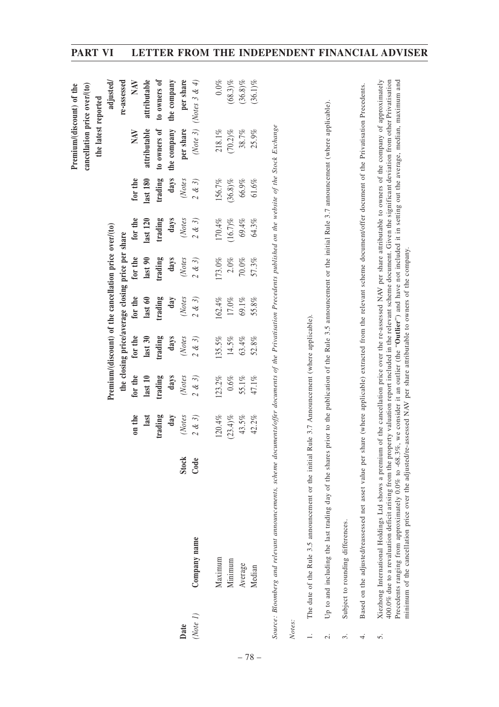|                          |                                                                                                                                                                                                                                                                                                                                                                                                                                                                                                                                                                                                                                                                  |       |            |         |                                                        |               |            |            |            | Premium/(discount) of the                                                                                      |               |
|--------------------------|------------------------------------------------------------------------------------------------------------------------------------------------------------------------------------------------------------------------------------------------------------------------------------------------------------------------------------------------------------------------------------------------------------------------------------------------------------------------------------------------------------------------------------------------------------------------------------------------------------------------------------------------------------------|-------|------------|---------|--------------------------------------------------------|---------------|------------|------------|------------|----------------------------------------------------------------------------------------------------------------|---------------|
|                          |                                                                                                                                                                                                                                                                                                                                                                                                                                                                                                                                                                                                                                                                  |       |            |         |                                                        |               |            |            |            | cancellation price over/(to)                                                                                   |               |
|                          |                                                                                                                                                                                                                                                                                                                                                                                                                                                                                                                                                                                                                                                                  |       |            |         |                                                        |               |            |            |            | the latest reported                                                                                            |               |
|                          |                                                                                                                                                                                                                                                                                                                                                                                                                                                                                                                                                                                                                                                                  |       |            |         | Premium/(discount) of the cancellation price over/(to) |               |            |            |            |                                                                                                                | adjusted/     |
|                          |                                                                                                                                                                                                                                                                                                                                                                                                                                                                                                                                                                                                                                                                  |       |            |         | the closing price/average closing price per share      |               |            |            |            |                                                                                                                | re-assessed   |
|                          |                                                                                                                                                                                                                                                                                                                                                                                                                                                                                                                                                                                                                                                                  |       | on the     | for the | for the                                                | for the       | for the    | for the    | for the    | NAV                                                                                                            | NAV           |
|                          |                                                                                                                                                                                                                                                                                                                                                                                                                                                                                                                                                                                                                                                                  |       | last       | last 10 | last30                                                 | last 60       | last90     | last 120   | last 180   | attributable                                                                                                   | attributable  |
|                          |                                                                                                                                                                                                                                                                                                                                                                                                                                                                                                                                                                                                                                                                  |       | trading    | trading | trading                                                | trading       | trading    | trading    | trading    | to owners of                                                                                                   | to owners of  |
|                          |                                                                                                                                                                                                                                                                                                                                                                                                                                                                                                                                                                                                                                                                  |       | day        | days    | days                                                   | $d$ ay        | days       | days       | days       | the company                                                                                                    | the company   |
| Date                     |                                                                                                                                                                                                                                                                                                                                                                                                                                                                                                                                                                                                                                                                  | Stock | (Notes     | (Notes  | (Notes                                                 | (Notes        | (Notes     | (Notes     | (Notes     | per share                                                                                                      | per share     |
| (Note 1)                 | Company name                                                                                                                                                                                                                                                                                                                                                                                                                                                                                                                                                                                                                                                     | Code  | 2 & 3      | 2 & 3   | 2 & 3                                                  | $2 \ \& \ 3)$ | $2$ & $3)$ | 2 & 3      | 2 & 3      | $(Note 3)$                                                                                                     | (Notes 3 & 4) |
|                          | Maximum                                                                                                                                                                                                                                                                                                                                                                                                                                                                                                                                                                                                                                                          |       | 120.4%     | 123.2%  | 135.5%                                                 | 162.4%        | 173.0%     | 170.4%     | 156.7%     | $218.1\%$                                                                                                      | $0.0\%$       |
|                          | Minimum                                                                                                                                                                                                                                                                                                                                                                                                                                                                                                                                                                                                                                                          |       | $(23.4)\%$ | $0.6\%$ | $14.5\%$                                               | $17.0\%$      | $2.0\%$    | $(16.7)\%$ | $(36.8)\%$ | $(70.2)\%$                                                                                                     | $(68.3)\%$    |
|                          | Average                                                                                                                                                                                                                                                                                                                                                                                                                                                                                                                                                                                                                                                          |       | $43.5\%$   | 55.1%   | 63.4%                                                  | $69.1\%$      | $70.0\%$   | $69.4\%$   | $66.9\%$   | $38.7\%$                                                                                                       | $(36.8)\%$    |
|                          | Median                                                                                                                                                                                                                                                                                                                                                                                                                                                                                                                                                                                                                                                           |       | 42.2%      | 47.1%   | 52.8%                                                  | 55.8%         | 57.3%      | 64.3%      | $61.6\%$   | 25.9%                                                                                                          | $(36.1)\%$    |
|                          | Source: Bloomberg and relevant announcements, scheme documents/offer documents of the Privatisation Precedents published on the website of the Stock Exchange                                                                                                                                                                                                                                                                                                                                                                                                                                                                                                    |       |            |         |                                                        |               |            |            |            |                                                                                                                |               |
| Notes:                   |                                                                                                                                                                                                                                                                                                                                                                                                                                                                                                                                                                                                                                                                  |       |            |         |                                                        |               |            |            |            |                                                                                                                |               |
| $\ddot{ }$               | The date of the Rule 3.5 announcement or the initial                                                                                                                                                                                                                                                                                                                                                                                                                                                                                                                                                                                                             |       |            |         | Rule 3.7 Announcement (where applicable).              |               |            |            |            |                                                                                                                |               |
| $\overline{\mathcal{C}}$ | Up to and including the last trading day of the shares                                                                                                                                                                                                                                                                                                                                                                                                                                                                                                                                                                                                           |       |            |         |                                                        |               |            |            |            | prior to the publication of the Rule 3.5 announcement or the initial Rule 3.7 announcement (where applicable). |               |
| $\dot{\mathfrak{c}}$     | Subject to rounding differences.                                                                                                                                                                                                                                                                                                                                                                                                                                                                                                                                                                                                                                 |       |            |         |                                                        |               |            |            |            |                                                                                                                |               |
| 4.                       | Based on the adjusted/reassessed net asset value per share (where applicable) extracted from the relevant scheme document/offer document of the Privatisation Precedents.                                                                                                                                                                                                                                                                                                                                                                                                                                                                                        |       |            |         |                                                        |               |            |            |            |                                                                                                                |               |
| s.                       | Precedents ranging from approximately 0.0% to -68.3%, we consider it an outlier (the "Outlier") and have not included it in setting out the average, median, maximum and<br>Xiezhong International Holdings Ltd shows a premium of the cancellation price over the re-assessed NAV per share attributable to owners of the company of approximately<br>400.0% due to a revaluation deficit arising from the property valuation report included in the relevant scheme document. Given the significant deviation from other Privatisation<br>minimum of the cancellation price over the adjusted/re-assessed NAV per share attributable to owners of the company. |       |            |         |                                                        |               |            |            |            |                                                                                                                |               |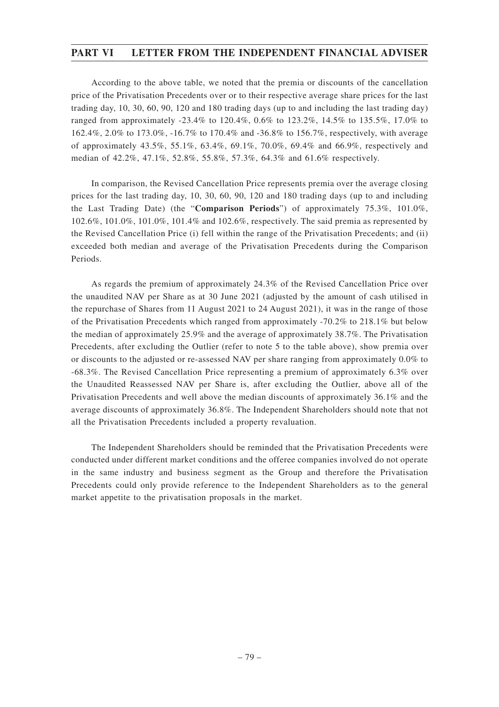According to the above table, we noted that the premia or discounts of the cancellation price of the Privatisation Precedents over or to their respective average share prices for the last trading day, 10, 30, 60, 90, 120 and 180 trading days (up to and including the last trading day) ranged from approximately -23.4% to 120.4%, 0.6% to 123.2%, 14.5% to 135.5%, 17.0% to 162.4%, 2.0% to 173.0%, -16.7% to 170.4% and -36.8% to 156.7%, respectively, with average of approximately 43.5%, 55.1%, 63.4%, 69.1%, 70.0%, 69.4% and 66.9%, respectively and median of 42.2%, 47.1%, 52.8%, 55.8%, 57.3%, 64.3% and 61.6% respectively.

In comparison, the Revised Cancellation Price represents premia over the average closing prices for the last trading day, 10, 30, 60, 90, 120 and 180 trading days (up to and including the Last Trading Date) (the "**Comparison Periods**") of approximately 75.3%, 101.0%, 102.6%, 101.0%, 101.0%, 101.4% and 102.6%, respectively. The said premia as represented by the Revised Cancellation Price (i) fell within the range of the Privatisation Precedents; and (ii) exceeded both median and average of the Privatisation Precedents during the Comparison Periods.

As regards the premium of approximately 24.3% of the Revised Cancellation Price over the unaudited NAV per Share as at 30 June 2021 (adjusted by the amount of cash utilised in the repurchase of Shares from 11 August 2021 to 24 August 2021), it was in the range of those of the Privatisation Precedents which ranged from approximately -70.2% to 218.1% but below the median of approximately 25.9% and the average of approximately 38.7%. The Privatisation Precedents, after excluding the Outlier (refer to note 5 to the table above), show premia over or discounts to the adjusted or re-assessed NAV per share ranging from approximately 0.0% to -68.3%. The Revised Cancellation Price representing a premium of approximately 6.3% over the Unaudited Reassessed NAV per Share is, after excluding the Outlier, above all of the Privatisation Precedents and well above the median discounts of approximately 36.1% and the average discounts of approximately 36.8%. The Independent Shareholders should note that not all the Privatisation Precedents included a property revaluation.

The Independent Shareholders should be reminded that the Privatisation Precedents were conducted under different market conditions and the offeree companies involved do not operate in the same industry and business segment as the Group and therefore the Privatisation Precedents could only provide reference to the Independent Shareholders as to the general market appetite to the privatisation proposals in the market.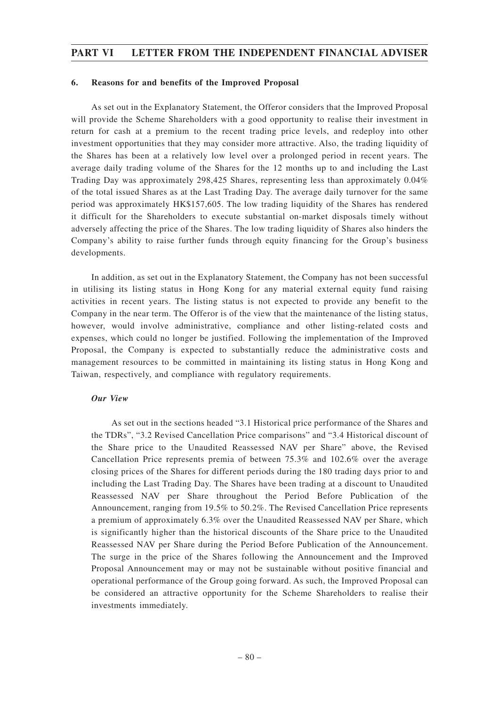### **6. Reasons for and benefits of the Improved Proposal**

As set out in the Explanatory Statement, the Offeror considers that the Improved Proposal will provide the Scheme Shareholders with a good opportunity to realise their investment in return for cash at a premium to the recent trading price levels, and redeploy into other investment opportunities that they may consider more attractive. Also, the trading liquidity of the Shares has been at a relatively low level over a prolonged period in recent years. The average daily trading volume of the Shares for the 12 months up to and including the Last Trading Day was approximately 298,425 Shares, representing less than approximately 0.04% of the total issued Shares as at the Last Trading Day. The average daily turnover for the same period was approximately HK\$157,605. The low trading liquidity of the Shares has rendered it difficult for the Shareholders to execute substantial on-market disposals timely without adversely affecting the price of the Shares. The low trading liquidity of Shares also hinders the Company's ability to raise further funds through equity financing for the Group's business developments.

In addition, as set out in the Explanatory Statement, the Company has not been successful in utilising its listing status in Hong Kong for any material external equity fund raising activities in recent years. The listing status is not expected to provide any benefit to the Company in the near term. The Offeror is of the view that the maintenance of the listing status, however, would involve administrative, compliance and other listing-related costs and expenses, which could no longer be justified. Following the implementation of the Improved Proposal, the Company is expected to substantially reduce the administrative costs and management resources to be committed in maintaining its listing status in Hong Kong and Taiwan, respectively, and compliance with regulatory requirements.

### *Our View*

As set out in the sections headed "3.1 Historical price performance of the Shares and the TDRs", "3.2 Revised Cancellation Price comparisons" and "3.4 Historical discount of the Share price to the Unaudited Reassessed NAV per Share" above, the Revised Cancellation Price represents premia of between 75.3% and 102.6% over the average closing prices of the Shares for different periods during the 180 trading days prior to and including the Last Trading Day. The Shares have been trading at a discount to Unaudited Reassessed NAV per Share throughout the Period Before Publication of the Announcement, ranging from 19.5% to 50.2%. The Revised Cancellation Price represents a premium of approximately 6.3% over the Unaudited Reassessed NAV per Share, which is significantly higher than the historical discounts of the Share price to the Unaudited Reassessed NAV per Share during the Period Before Publication of the Announcement. The surge in the price of the Shares following the Announcement and the Improved Proposal Announcement may or may not be sustainable without positive financial and operational performance of the Group going forward. As such, the Improved Proposal can be considered an attractive opportunity for the Scheme Shareholders to realise their investments immediately.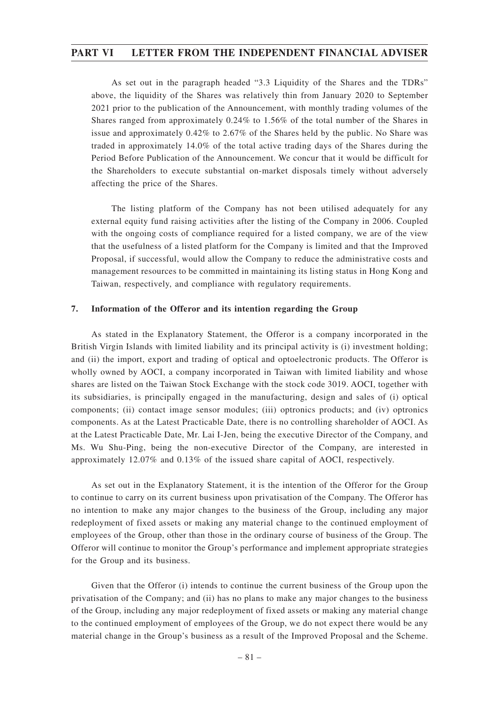As set out in the paragraph headed "3.3 Liquidity of the Shares and the TDRs" above, the liquidity of the Shares was relatively thin from January 2020 to September 2021 prior to the publication of the Announcement, with monthly trading volumes of the Shares ranged from approximately 0.24% to 1.56% of the total number of the Shares in issue and approximately 0.42% to 2.67% of the Shares held by the public. No Share was traded in approximately 14.0% of the total active trading days of the Shares during the Period Before Publication of the Announcement. We concur that it would be difficult for the Shareholders to execute substantial on-market disposals timely without adversely affecting the price of the Shares.

The listing platform of the Company has not been utilised adequately for any external equity fund raising activities after the listing of the Company in 2006. Coupled with the ongoing costs of compliance required for a listed company, we are of the view that the usefulness of a listed platform for the Company is limited and that the Improved Proposal, if successful, would allow the Company to reduce the administrative costs and management resources to be committed in maintaining its listing status in Hong Kong and Taiwan, respectively, and compliance with regulatory requirements.

### **7. Information of the Offeror and its intention regarding the Group**

As stated in the Explanatory Statement, the Offeror is a company incorporated in the British Virgin Islands with limited liability and its principal activity is (i) investment holding; and (ii) the import, export and trading of optical and optoelectronic products. The Offeror is wholly owned by AOCI, a company incorporated in Taiwan with limited liability and whose shares are listed on the Taiwan Stock Exchange with the stock code 3019. AOCI, together with its subsidiaries, is principally engaged in the manufacturing, design and sales of (i) optical components; (ii) contact image sensor modules; (iii) optronics products; and (iv) optronics components. As at the Latest Practicable Date, there is no controlling shareholder of AOCI. As at the Latest Practicable Date, Mr. Lai I-Jen, being the executive Director of the Company, and Ms. Wu Shu-Ping, being the non-executive Director of the Company, are interested in approximately 12.07% and 0.13% of the issued share capital of AOCI, respectively.

As set out in the Explanatory Statement, it is the intention of the Offeror for the Group to continue to carry on its current business upon privatisation of the Company. The Offeror has no intention to make any major changes to the business of the Group, including any major redeployment of fixed assets or making any material change to the continued employment of employees of the Group, other than those in the ordinary course of business of the Group. The Offeror will continue to monitor the Group's performance and implement appropriate strategies for the Group and its business.

Given that the Offeror (i) intends to continue the current business of the Group upon the privatisation of the Company; and (ii) has no plans to make any major changes to the business of the Group, including any major redeployment of fixed assets or making any material change to the continued employment of employees of the Group, we do not expect there would be any material change in the Group's business as a result of the Improved Proposal and the Scheme.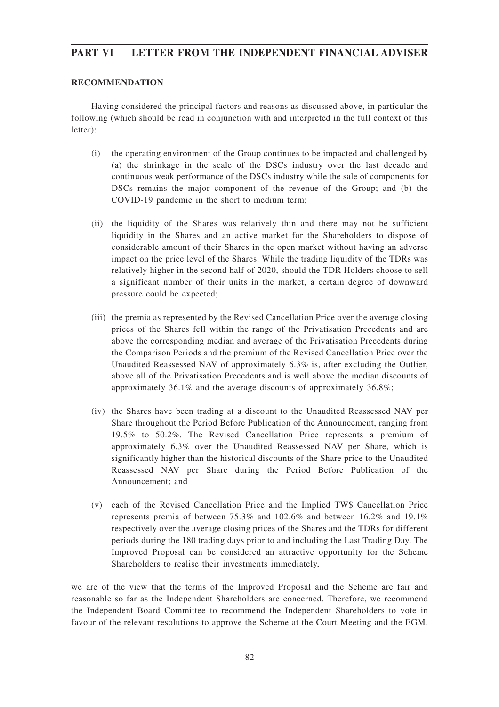### **RECOMMENDATION**

Having considered the principal factors and reasons as discussed above, in particular the following (which should be read in conjunction with and interpreted in the full context of this letter):

- (i) the operating environment of the Group continues to be impacted and challenged by (a) the shrinkage in the scale of the DSCs industry over the last decade and continuous weak performance of the DSCs industry while the sale of components for DSCs remains the major component of the revenue of the Group; and (b) the COVID-19 pandemic in the short to medium term;
- (ii) the liquidity of the Shares was relatively thin and there may not be sufficient liquidity in the Shares and an active market for the Shareholders to dispose of considerable amount of their Shares in the open market without having an adverse impact on the price level of the Shares. While the trading liquidity of the TDRs was relatively higher in the second half of 2020, should the TDR Holders choose to sell a significant number of their units in the market, a certain degree of downward pressure could be expected;
- (iii) the premia as represented by the Revised Cancellation Price over the average closing prices of the Shares fell within the range of the Privatisation Precedents and are above the corresponding median and average of the Privatisation Precedents during the Comparison Periods and the premium of the Revised Cancellation Price over the Unaudited Reassessed NAV of approximately 6.3% is, after excluding the Outlier, above all of the Privatisation Precedents and is well above the median discounts of approximately 36.1% and the average discounts of approximately 36.8%;
- (iv) the Shares have been trading at a discount to the Unaudited Reassessed NAV per Share throughout the Period Before Publication of the Announcement, ranging from 19.5% to 50.2%. The Revised Cancellation Price represents a premium of approximately 6.3% over the Unaudited Reassessed NAV per Share, which is significantly higher than the historical discounts of the Share price to the Unaudited Reassessed NAV per Share during the Period Before Publication of the Announcement; and
- (v) each of the Revised Cancellation Price and the Implied TW\$ Cancellation Price represents premia of between 75.3% and 102.6% and between 16.2% and 19.1% respectively over the average closing prices of the Shares and the TDRs for different periods during the 180 trading days prior to and including the Last Trading Day. The Improved Proposal can be considered an attractive opportunity for the Scheme Shareholders to realise their investments immediately,

we are of the view that the terms of the Improved Proposal and the Scheme are fair and reasonable so far as the Independent Shareholders are concerned. Therefore, we recommend the Independent Board Committee to recommend the Independent Shareholders to vote in favour of the relevant resolutions to approve the Scheme at the Court Meeting and the EGM.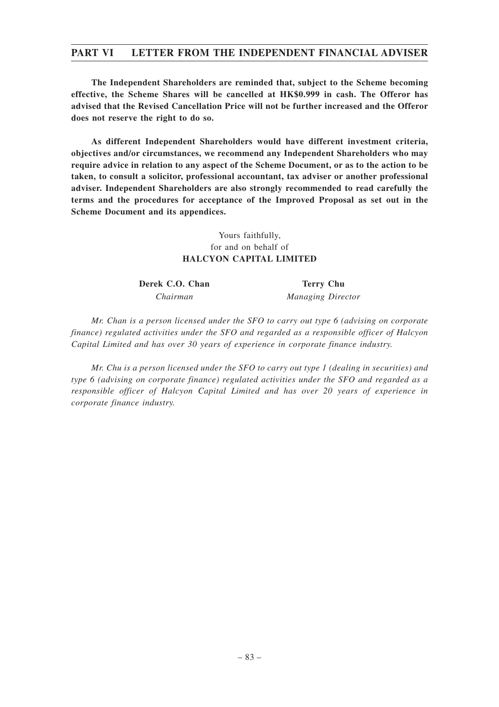**The Independent Shareholders are reminded that, subject to the Scheme becoming effective, the Scheme Shares will be cancelled at HK\$0.999 in cash. The Offeror has advised that the Revised Cancellation Price will not be further increased and the Offeror does not reserve the right to do so.**

**As different Independent Shareholders would have different investment criteria, objectives and/or circumstances, we recommend any Independent Shareholders who may require advice in relation to any aspect of the Scheme Document, or as to the action to be taken, to consult a solicitor, professional accountant, tax adviser or another professional adviser. Independent Shareholders are also strongly recommended to read carefully the terms and the procedures for acceptance of the Improved Proposal as set out in the Scheme Document and its appendices.**

### Yours faithfully, for and on behalf of **HALCYON CAPITAL LIMITED**

**Derek C.O. Chan Terry Chu** 

*Chairman Managing Director*

*Mr. Chan is a person licensed under the SFO to carry out type 6 (advising on corporate finance) regulated activities under the SFO and regarded as a responsible officer of Halcyon Capital Limited and has over 30 years of experience in corporate finance industry.*

*Mr. Chu is a person licensed under the SFO to carry out type 1 (dealing in securities) and type 6 (advising on corporate finance) regulated activities under the SFO and regarded as a responsible officer of Halcyon Capital Limited and has over 20 years of experience in corporate finance industry.*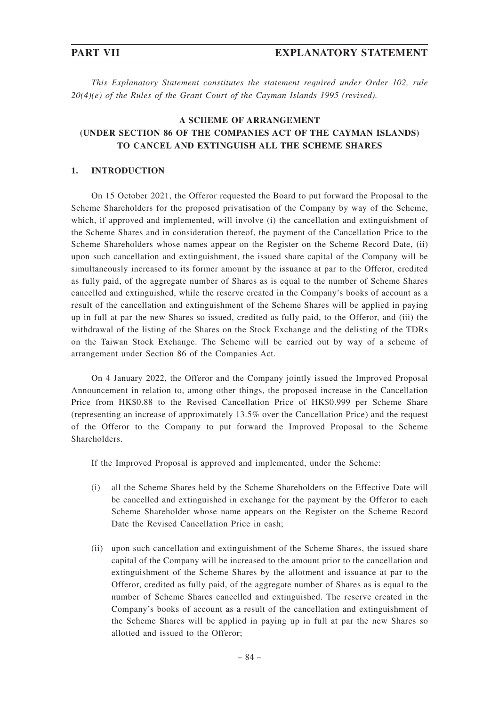*This Explanatory Statement constitutes the statement required under Order 102, rule 20(4)(e) of the Rules of the Grant Court of the Cayman Islands 1995 (revised).*

## **A SCHEME OF ARRANGEMENT (UNDER SECTION 86 OF THE COMPANIES ACT OF THE CAYMAN ISLANDS) TO CANCEL AND EXTINGUISH ALL THE SCHEME SHARES**

### **1. INTRODUCTION**

On 15 October 2021, the Offeror requested the Board to put forward the Proposal to the Scheme Shareholders for the proposed privatisation of the Company by way of the Scheme, which, if approved and implemented, will involve (i) the cancellation and extinguishment of the Scheme Shares and in consideration thereof, the payment of the Cancellation Price to the Scheme Shareholders whose names appear on the Register on the Scheme Record Date, (ii) upon such cancellation and extinguishment, the issued share capital of the Company will be simultaneously increased to its former amount by the issuance at par to the Offeror, credited as fully paid, of the aggregate number of Shares as is equal to the number of Scheme Shares cancelled and extinguished, while the reserve created in the Company's books of account as a result of the cancellation and extinguishment of the Scheme Shares will be applied in paying up in full at par the new Shares so issued, credited as fully paid, to the Offeror, and (iii) the withdrawal of the listing of the Shares on the Stock Exchange and the delisting of the TDRs on the Taiwan Stock Exchange. The Scheme will be carried out by way of a scheme of arrangement under Section 86 of the Companies Act.

On 4 January 2022, the Offeror and the Company jointly issued the Improved Proposal Announcement in relation to, among other things, the proposed increase in the Cancellation Price from HK\$0.88 to the Revised Cancellation Price of HK\$0.999 per Scheme Share (representing an increase of approximately 13.5% over the Cancellation Price) and the request of the Offeror to the Company to put forward the Improved Proposal to the Scheme Shareholders.

If the Improved Proposal is approved and implemented, under the Scheme:

- (i) all the Scheme Shares held by the Scheme Shareholders on the Effective Date will be cancelled and extinguished in exchange for the payment by the Offeror to each Scheme Shareholder whose name appears on the Register on the Scheme Record Date the Revised Cancellation Price in cash;
- (ii) upon such cancellation and extinguishment of the Scheme Shares, the issued share capital of the Company will be increased to the amount prior to the cancellation and extinguishment of the Scheme Shares by the allotment and issuance at par to the Offeror, credited as fully paid, of the aggregate number of Shares as is equal to the number of Scheme Shares cancelled and extinguished. The reserve created in the Company's books of account as a result of the cancellation and extinguishment of the Scheme Shares will be applied in paying up in full at par the new Shares so allotted and issued to the Offeror;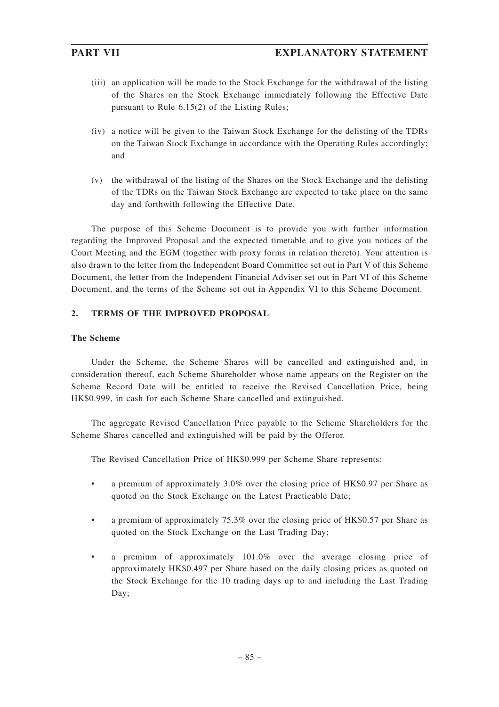- (iii) an application will be made to the Stock Exchange for the withdrawal of the listing of the Shares on the Stock Exchange immediately following the Effective Date pursuant to Rule 6.15(2) of the Listing Rules;
- (iv) a notice will be given to the Taiwan Stock Exchange for the delisting of the TDRs on the Taiwan Stock Exchange in accordance with the Operating Rules accordingly; and
- (v) the withdrawal of the listing of the Shares on the Stock Exchange and the delisting of the TDRs on the Taiwan Stock Exchange are expected to take place on the same day and forthwith following the Effective Date.

The purpose of this Scheme Document is to provide you with further information regarding the Improved Proposal and the expected timetable and to give you notices of the Court Meeting and the EGM (together with proxy forms in relation thereto). Your attention is also drawn to the letter from the Independent Board Committee set out in Part V of this Scheme Document, the letter from the Independent Financial Adviser set out in Part VI of this Scheme Document, and the terms of the Scheme set out in Appendix VI to this Scheme Document.

## **2. TERMS OF THE IMPROVED PROPOSAL**

### **The Scheme**

Under the Scheme, the Scheme Shares will be cancelled and extinguished and, in consideration thereof, each Scheme Shareholder whose name appears on the Register on the Scheme Record Date will be entitled to receive the Revised Cancellation Price, being HK\$0.999, in cash for each Scheme Share cancelled and extinguished.

The aggregate Revised Cancellation Price payable to the Scheme Shareholders for the Scheme Shares cancelled and extinguished will be paid by the Offeror.

The Revised Cancellation Price of HK\$0.999 per Scheme Share represents:

- a premium of approximately 3.0% over the closing price of HK\$0.97 per Share as quoted on the Stock Exchange on the Latest Practicable Date;
- a premium of approximately 75.3% over the closing price of HK\$0.57 per Share as quoted on the Stock Exchange on the Last Trading Day;
- a premium of approximately 101.0% over the average closing price of approximately HK\$0.497 per Share based on the daily closing prices as quoted on the Stock Exchange for the 10 trading days up to and including the Last Trading Day;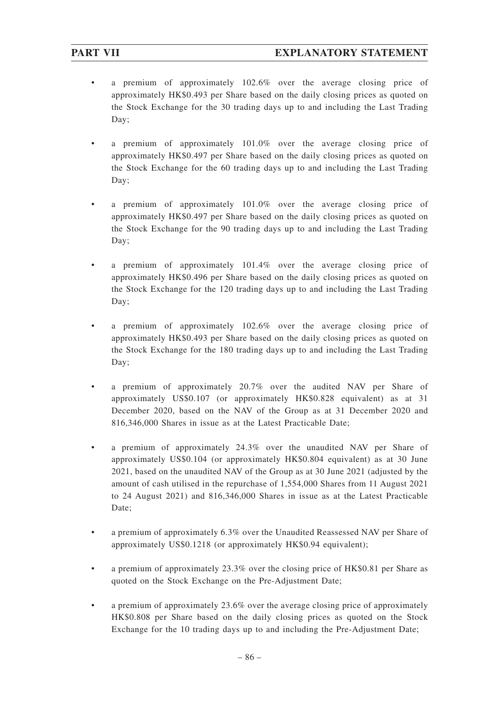- a premium of approximately 102.6% over the average closing price of approximately HK\$0.493 per Share based on the daily closing prices as quoted on the Stock Exchange for the 30 trading days up to and including the Last Trading Day;
- a premium of approximately 101.0% over the average closing price of approximately HK\$0.497 per Share based on the daily closing prices as quoted on the Stock Exchange for the 60 trading days up to and including the Last Trading Day;
- a premium of approximately 101.0% over the average closing price of approximately HK\$0.497 per Share based on the daily closing prices as quoted on the Stock Exchange for the 90 trading days up to and including the Last Trading Day;
- a premium of approximately 101.4% over the average closing price of approximately HK\$0.496 per Share based on the daily closing prices as quoted on the Stock Exchange for the 120 trading days up to and including the Last Trading Day;
- a premium of approximately 102.6% over the average closing price of approximately HK\$0.493 per Share based on the daily closing prices as quoted on the Stock Exchange for the 180 trading days up to and including the Last Trading Day;
- a premium of approximately 20.7% over the audited NAV per Share of approximately US\$0.107 (or approximately HK\$0.828 equivalent) as at 31 December 2020, based on the NAV of the Group as at 31 December 2020 and 816,346,000 Shares in issue as at the Latest Practicable Date;
- a premium of approximately 24.3% over the unaudited NAV per Share of approximately US\$0.104 (or approximately HK\$0.804 equivalent) as at 30 June 2021, based on the unaudited NAV of the Group as at 30 June 2021 (adjusted by the amount of cash utilised in the repurchase of 1,554,000 Shares from 11 August 2021 to 24 August 2021) and 816,346,000 Shares in issue as at the Latest Practicable Date;
- a premium of approximately 6.3% over the Unaudited Reassessed NAV per Share of approximately US\$0.1218 (or approximately HK\$0.94 equivalent);
- a premium of approximately 23.3% over the closing price of HK\$0.81 per Share as quoted on the Stock Exchange on the Pre-Adjustment Date;
- a premium of approximately 23.6% over the average closing price of approximately HK\$0.808 per Share based on the daily closing prices as quoted on the Stock Exchange for the 10 trading days up to and including the Pre-Adjustment Date;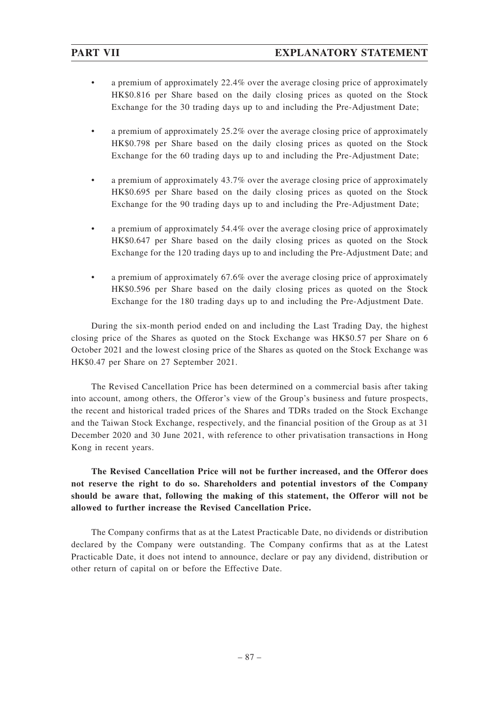- a premium of approximately 22.4% over the average closing price of approximately HK\$0.816 per Share based on the daily closing prices as quoted on the Stock Exchange for the 30 trading days up to and including the Pre-Adjustment Date;
- a premium of approximately 25.2% over the average closing price of approximately HK\$0.798 per Share based on the daily closing prices as quoted on the Stock Exchange for the 60 trading days up to and including the Pre-Adjustment Date;
- a premium of approximately 43.7% over the average closing price of approximately HK\$0.695 per Share based on the daily closing prices as quoted on the Stock Exchange for the 90 trading days up to and including the Pre-Adjustment Date;
- a premium of approximately 54.4% over the average closing price of approximately HK\$0.647 per Share based on the daily closing prices as quoted on the Stock Exchange for the 120 trading days up to and including the Pre-Adjustment Date; and
- a premium of approximately 67.6% over the average closing price of approximately HK\$0.596 per Share based on the daily closing prices as quoted on the Stock Exchange for the 180 trading days up to and including the Pre-Adjustment Date.

During the six-month period ended on and including the Last Trading Day, the highest closing price of the Shares as quoted on the Stock Exchange was HK\$0.57 per Share on 6 October 2021 and the lowest closing price of the Shares as quoted on the Stock Exchange was HK\$0.47 per Share on 27 September 2021.

The Revised Cancellation Price has been determined on a commercial basis after taking into account, among others, the Offeror's view of the Group's business and future prospects, the recent and historical traded prices of the Shares and TDRs traded on the Stock Exchange and the Taiwan Stock Exchange, respectively, and the financial position of the Group as at 31 December 2020 and 30 June 2021, with reference to other privatisation transactions in Hong Kong in recent years.

**The Revised Cancellation Price will not be further increased, and the Offeror does not reserve the right to do so. Shareholders and potential investors of the Company should be aware that, following the making of this statement, the Offeror will not be allowed to further increase the Revised Cancellation Price.**

The Company confirms that as at the Latest Practicable Date, no dividends or distribution declared by the Company were outstanding. The Company confirms that as at the Latest Practicable Date, it does not intend to announce, declare or pay any dividend, distribution or other return of capital on or before the Effective Date.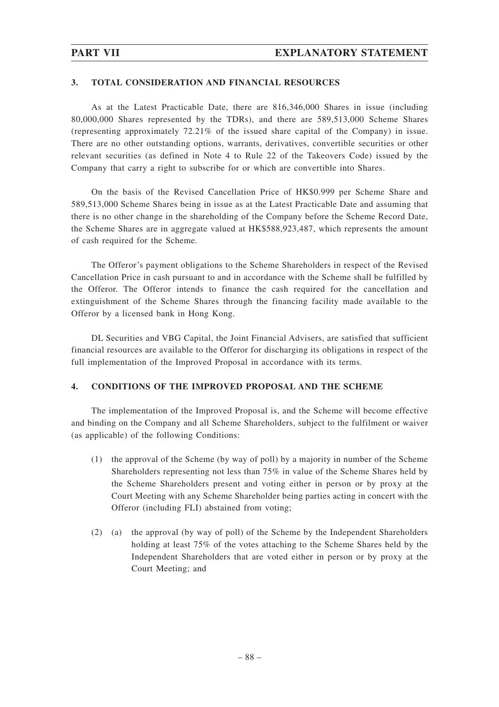### **3. TOTAL CONSIDERATION AND FINANCIAL RESOURCES**

As at the Latest Practicable Date, there are 816,346,000 Shares in issue (including 80,000,000 Shares represented by the TDRs), and there are 589,513,000 Scheme Shares (representing approximately 72.21% of the issued share capital of the Company) in issue. There are no other outstanding options, warrants, derivatives, convertible securities or other relevant securities (as defined in Note 4 to Rule 22 of the Takeovers Code) issued by the Company that carry a right to subscribe for or which are convertible into Shares.

On the basis of the Revised Cancellation Price of HK\$0.999 per Scheme Share and 589,513,000 Scheme Shares being in issue as at the Latest Practicable Date and assuming that there is no other change in the shareholding of the Company before the Scheme Record Date, the Scheme Shares are in aggregate valued at HK\$588,923,487, which represents the amount of cash required for the Scheme.

The Offeror's payment obligations to the Scheme Shareholders in respect of the Revised Cancellation Price in cash pursuant to and in accordance with the Scheme shall be fulfilled by the Offeror. The Offeror intends to finance the cash required for the cancellation and extinguishment of the Scheme Shares through the financing facility made available to the Offeror by a licensed bank in Hong Kong.

DL Securities and VBG Capital, the Joint Financial Advisers, are satisfied that sufficient financial resources are available to the Offeror for discharging its obligations in respect of the full implementation of the Improved Proposal in accordance with its terms.

### **4. CONDITIONS OF THE IMPROVED PROPOSAL AND THE SCHEME**

The implementation of the Improved Proposal is, and the Scheme will become effective and binding on the Company and all Scheme Shareholders, subject to the fulfilment or waiver (as applicable) of the following Conditions:

- (1) the approval of the Scheme (by way of poll) by a majority in number of the Scheme Shareholders representing not less than 75% in value of the Scheme Shares held by the Scheme Shareholders present and voting either in person or by proxy at the Court Meeting with any Scheme Shareholder being parties acting in concert with the Offeror (including FLI) abstained from voting;
- (2) (a) the approval (by way of poll) of the Scheme by the Independent Shareholders holding at least 75% of the votes attaching to the Scheme Shares held by the Independent Shareholders that are voted either in person or by proxy at the Court Meeting; and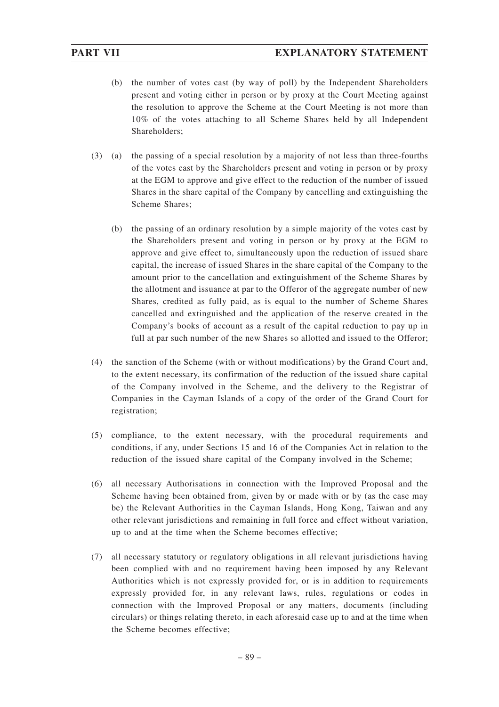- (b) the number of votes cast (by way of poll) by the Independent Shareholders present and voting either in person or by proxy at the Court Meeting against the resolution to approve the Scheme at the Court Meeting is not more than 10% of the votes attaching to all Scheme Shares held by all Independent Shareholders;
- (3) (a) the passing of a special resolution by a majority of not less than three-fourths of the votes cast by the Shareholders present and voting in person or by proxy at the EGM to approve and give effect to the reduction of the number of issued Shares in the share capital of the Company by cancelling and extinguishing the Scheme Shares;
	- (b) the passing of an ordinary resolution by a simple majority of the votes cast by the Shareholders present and voting in person or by proxy at the EGM to approve and give effect to, simultaneously upon the reduction of issued share capital, the increase of issued Shares in the share capital of the Company to the amount prior to the cancellation and extinguishment of the Scheme Shares by the allotment and issuance at par to the Offeror of the aggregate number of new Shares, credited as fully paid, as is equal to the number of Scheme Shares cancelled and extinguished and the application of the reserve created in the Company's books of account as a result of the capital reduction to pay up in full at par such number of the new Shares so allotted and issued to the Offeror;
- (4) the sanction of the Scheme (with or without modifications) by the Grand Court and, to the extent necessary, its confirmation of the reduction of the issued share capital of the Company involved in the Scheme, and the delivery to the Registrar of Companies in the Cayman Islands of a copy of the order of the Grand Court for registration;
- (5) compliance, to the extent necessary, with the procedural requirements and conditions, if any, under Sections 15 and 16 of the Companies Act in relation to the reduction of the issued share capital of the Company involved in the Scheme;
- (6) all necessary Authorisations in connection with the Improved Proposal and the Scheme having been obtained from, given by or made with or by (as the case may be) the Relevant Authorities in the Cayman Islands, Hong Kong, Taiwan and any other relevant jurisdictions and remaining in full force and effect without variation, up to and at the time when the Scheme becomes effective;
- (7) all necessary statutory or regulatory obligations in all relevant jurisdictions having been complied with and no requirement having been imposed by any Relevant Authorities which is not expressly provided for, or is in addition to requirements expressly provided for, in any relevant laws, rules, regulations or codes in connection with the Improved Proposal or any matters, documents (including circulars) or things relating thereto, in each aforesaid case up to and at the time when the Scheme becomes effective;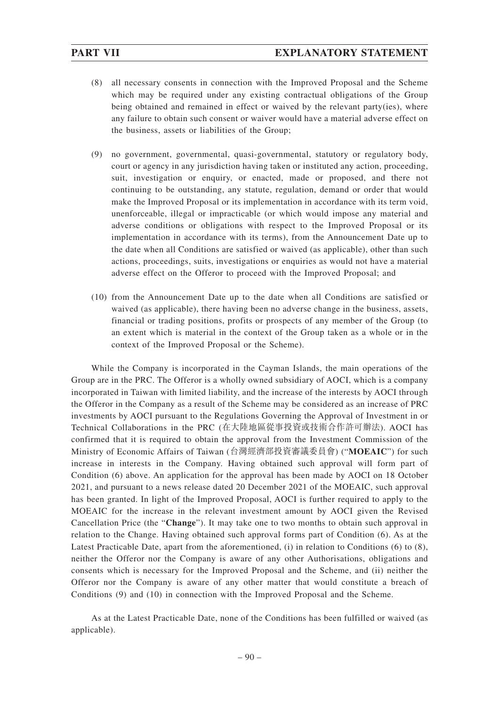- (8) all necessary consents in connection with the Improved Proposal and the Scheme which may be required under any existing contractual obligations of the Group being obtained and remained in effect or waived by the relevant party(ies), where any failure to obtain such consent or waiver would have a material adverse effect on the business, assets or liabilities of the Group;
- (9) no government, governmental, quasi-governmental, statutory or regulatory body, court or agency in any jurisdiction having taken or instituted any action, proceeding, suit, investigation or enquiry, or enacted, made or proposed, and there not continuing to be outstanding, any statute, regulation, demand or order that would make the Improved Proposal or its implementation in accordance with its term void, unenforceable, illegal or impracticable (or which would impose any material and adverse conditions or obligations with respect to the Improved Proposal or its implementation in accordance with its terms), from the Announcement Date up to the date when all Conditions are satisfied or waived (as applicable), other than such actions, proceedings, suits, investigations or enquiries as would not have a material adverse effect on the Offeror to proceed with the Improved Proposal; and
- (10) from the Announcement Date up to the date when all Conditions are satisfied or waived (as applicable), there having been no adverse change in the business, assets, financial or trading positions, profits or prospects of any member of the Group (to an extent which is material in the context of the Group taken as a whole or in the context of the Improved Proposal or the Scheme).

While the Company is incorporated in the Cayman Islands, the main operations of the Group are in the PRC. The Offeror is a wholly owned subsidiary of AOCI, which is a company incorporated in Taiwan with limited liability, and the increase of the interests by AOCI through the Offeror in the Company as a result of the Scheme may be considered as an increase of PRC investments by AOCI pursuant to the Regulations Governing the Approval of Investment in or Technical Collaborations in the PRC (在大陸地區從事投資或技術合作許可辦法). AOCI has confirmed that it is required to obtain the approval from the Investment Commission of the Ministry of Economic Affairs of Taiwan (台灣經濟部投資審議委員會) ("**MOEAIC**") for such increase in interests in the Company. Having obtained such approval will form part of Condition (6) above. An application for the approval has been made by AOCI on 18 October 2021, and pursuant to a news release dated 20 December 2021 of the MOEAIC, such approval has been granted. In light of the Improved Proposal, AOCI is further required to apply to the MOEAIC for the increase in the relevant investment amount by AOCI given the Revised Cancellation Price (the "**Change**"). It may take one to two months to obtain such approval in relation to the Change. Having obtained such approval forms part of Condition (6). As at the Latest Practicable Date, apart from the aforementioned, (i) in relation to Conditions (6) to (8), neither the Offeror nor the Company is aware of any other Authorisations, obligations and consents which is necessary for the Improved Proposal and the Scheme, and (ii) neither the Offeror nor the Company is aware of any other matter that would constitute a breach of Conditions (9) and (10) in connection with the Improved Proposal and the Scheme.

As at the Latest Practicable Date, none of the Conditions has been fulfilled or waived (as applicable).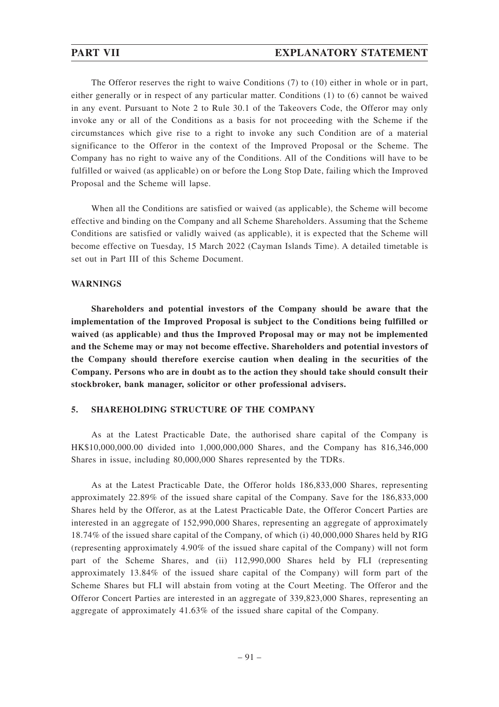The Offeror reserves the right to waive Conditions (7) to (10) either in whole or in part, either generally or in respect of any particular matter. Conditions (1) to (6) cannot be waived in any event. Pursuant to Note 2 to Rule 30.1 of the Takeovers Code, the Offeror may only invoke any or all of the Conditions as a basis for not proceeding with the Scheme if the circumstances which give rise to a right to invoke any such Condition are of a material significance to the Offeror in the context of the Improved Proposal or the Scheme. The Company has no right to waive any of the Conditions. All of the Conditions will have to be fulfilled or waived (as applicable) on or before the Long Stop Date, failing which the Improved Proposal and the Scheme will lapse.

When all the Conditions are satisfied or waived (as applicable), the Scheme will become effective and binding on the Company and all Scheme Shareholders. Assuming that the Scheme Conditions are satisfied or validly waived (as applicable), it is expected that the Scheme will become effective on Tuesday, 15 March 2022 (Cayman Islands Time). A detailed timetable is set out in Part III of this Scheme Document.

### **WARNINGS**

**Shareholders and potential investors of the Company should be aware that the implementation of the Improved Proposal is subject to the Conditions being fulfilled or waived (as applicable) and thus the Improved Proposal may or may not be implemented and the Scheme may or may not become effective. Shareholders and potential investors of the Company should therefore exercise caution when dealing in the securities of the Company. Persons who are in doubt as to the action they should take should consult their stockbroker, bank manager, solicitor or other professional advisers.**

### **5. SHAREHOLDING STRUCTURE OF THE COMPANY**

As at the Latest Practicable Date, the authorised share capital of the Company is HK\$10,000,000.00 divided into 1,000,000,000 Shares, and the Company has 816,346,000 Shares in issue, including 80,000,000 Shares represented by the TDRs.

As at the Latest Practicable Date, the Offeror holds 186,833,000 Shares, representing approximately 22.89% of the issued share capital of the Company. Save for the 186,833,000 Shares held by the Offeror, as at the Latest Practicable Date, the Offeror Concert Parties are interested in an aggregate of 152,990,000 Shares, representing an aggregate of approximately 18.74% of the issued share capital of the Company, of which (i) 40,000,000 Shares held by RIG (representing approximately 4.90% of the issued share capital of the Company) will not form part of the Scheme Shares, and (ii) 112,990,000 Shares held by FLI (representing approximately 13.84% of the issued share capital of the Company) will form part of the Scheme Shares but FLI will abstain from voting at the Court Meeting. The Offeror and the Offeror Concert Parties are interested in an aggregate of 339,823,000 Shares, representing an aggregate of approximately 41.63% of the issued share capital of the Company.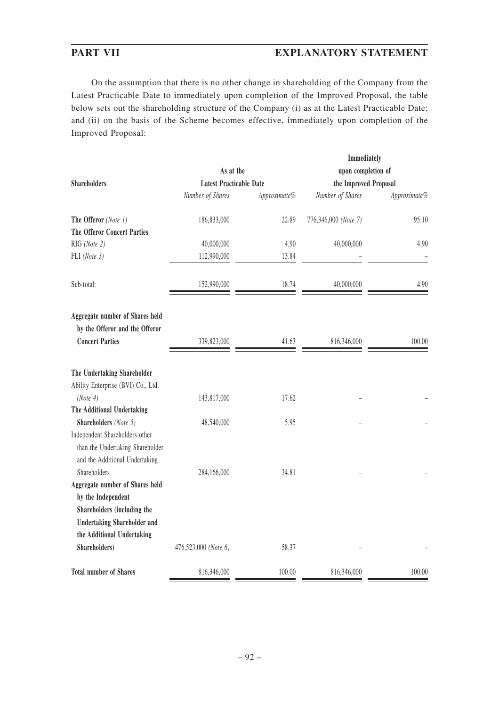## **PART VII EXPLANATORY STATEMENT**

On the assumption that there is no other change in shareholding of the Company from the Latest Practicable Date to immediately upon completion of the Improved Proposal, the table below sets out the shareholding structure of the Company (i) as at the Latest Practicable Date; and (ii) on the basis of the Scheme becomes effective, immediately upon completion of the Improved Proposal:

|                                    |                                |              | Immediately           |              |
|------------------------------------|--------------------------------|--------------|-----------------------|--------------|
|                                    | As at the                      |              | upon completion of    |              |
| <b>Shareholders</b>                | <b>Latest Practicable Date</b> |              | the Improved Proposal |              |
|                                    | Number of Shares               | Approximate% | Number of Shares      | Approximate% |
| The Offeror (Note 1)               | 186,833,000                    | 22.89        | 776,346,000 (Note 7)  | 95.10        |
| <b>The Offeror Concert Parties</b> |                                |              |                       |              |
| RIG (Note 2)                       | 40,000,000                     | 4.90         | 40,000,000            | 4.90         |
| FLI (Note 3)                       | 112,990,000                    | 13.84        |                       |              |
| Sub-total:                         | 152,990,000                    | 18.74        | 40,000,000            | 4.90         |
| Aggregate number of Shares held    |                                |              |                       |              |
| by the Offeror and the Offeror     |                                |              |                       |              |
| <b>Concert Parties</b>             | 339,823,000                    | 41.63        | 816,346,000           | 100.00       |
| The Undertaking Shareholder        |                                |              |                       |              |
| Ability Enterprise (BVI) Co., Ltd. |                                |              |                       |              |
| (Note 4)                           | 143,817,000                    | 17.62        |                       |              |
| The Additional Undertaking         |                                |              |                       |              |
| Shareholders (Note 5)              | 48,540,000                     | 5.95         |                       |              |
| Independent Shareholders other     |                                |              |                       |              |
| than the Undertaking Shareholder   |                                |              |                       |              |
| and the Additional Undertaking     |                                |              |                       |              |
| Shareholders                       | 284,166,000                    | 34.81        |                       |              |
| Aggregate number of Shares held    |                                |              |                       |              |
| by the Independent                 |                                |              |                       |              |
| Shareholders (including the        |                                |              |                       |              |
| <b>Undertaking Shareholder and</b> |                                |              |                       |              |
| the Additional Undertaking         |                                |              |                       |              |
| Shareholders)                      | 476,523,000 (Note 6)           | 58.37        |                       |              |
| <b>Total number of Shares</b>      | 816,346,000                    | 100.00       | 816,346,000           | 100.00       |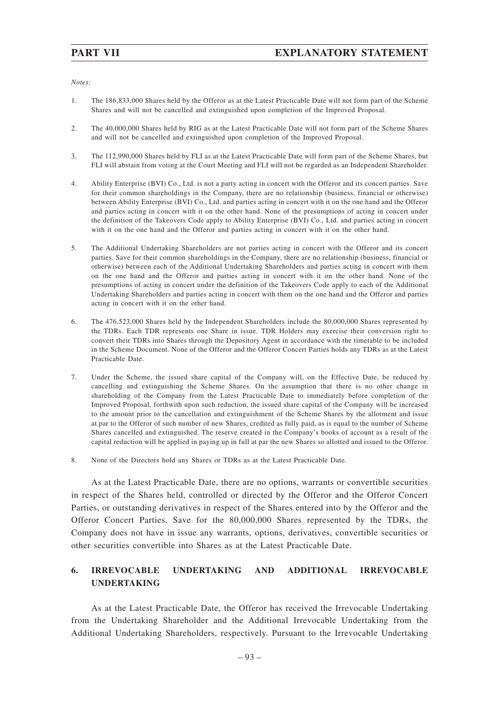*Notes:*

- 1. The 186,833,000 Shares held by the Offeror as at the Latest Practicable Date will not form part of the Scheme Shares and will not be cancelled and extinguished upon completion of the Improved Proposal.
- 2. The 40,000,000 Shares held by RIG as at the Latest Practicable Date will not form part of the Scheme Shares and will not be cancelled and extinguished upon completion of the Improved Proposal.
- 3. The 112,990,000 Shares held by FLI as at the Latest Practicable Date will form part of the Scheme Shares, but FLI will abstain from voting at the Court Meeting and FLI will not be regarded as an Independent Shareholder.
- 4. Ability Enterprise (BVI) Co., Ltd. is not a party acting in concert with the Offeror and its concert parties. Save for their common shareholdings in the Company, there are no relationship (business, financial or otherwise) between Ability Enterprise (BVI) Co., Ltd. and parties acting in concert with it on the one hand and the Offeror and parties acting in concert with it on the other hand. None of the presumptions of acting in concert under the definition of the Takeovers Code apply to Ability Enterprise (BVI) Co., Ltd. and parties acting in concert with it on the one hand and the Offeror and parties acting in concert with it on the other hand.
- 5. The Additional Undertaking Shareholders are not parties acting in concert with the Offeror and its concert parties. Save for their common shareholdings in the Company, there are no relationship (business, financial or otherwise) between each of the Additional Undertaking Shareholders and parties acting in concert with them on the one hand and the Offeror and parties acting in concert with it on the other hand. None of the presumptions of acting in concert under the definition of the Takeovers Code apply to each of the Additional Undertaking Shareholders and parties acting in concert with them on the one hand and the Offeror and parties acting in concert with it on the other hand.
- 6. The 476,523,000 Shares held by the Independent Shareholders include the 80,000,000 Shares represented by the TDRs. Each TDR represents one Share in issue. TDR Holders may exercise their conversion right to convert their TDRs into Shares through the Depository Agent in accordance with the timetable to be included in the Scheme Document. None of the Offeror and the Offeror Concert Parties holds any TDRs as at the Latest Practicable Date.
- 7. Under the Scheme, the issued share capital of the Company will, on the Effective Date, be reduced by cancelling and extinguishing the Scheme Shares. On the assumption that there is no other change in shareholding of the Company from the Latest Practicable Date to immediately before completion of the Improved Proposal, forthwith upon such reduction, the issued share capital of the Company will be increased to the amount prior to the cancellation and extinguishment of the Scheme Shares by the allotment and issue at par to the Offeror of such number of new Shares, credited as fully paid, as is equal to the number of Scheme Shares cancelled and extinguished. The reserve created in the Company's books of account as a result of the capital reduction will be applied in paying up in full at par the new Shares so allotted and issued to the Offeror.
- 8. None of the Directors hold any Shares or TDRs as at the Latest Practicable Date.

As at the Latest Practicable Date, there are no options, warrants or convertible securities in respect of the Shares held, controlled or directed by the Offeror and the Offeror Concert Parties, or outstanding derivatives in respect of the Shares entered into by the Offeror and the Offeror Concert Parties. Save for the 80,000,000 Shares represented by the TDRs, the Company does not have in issue any warrants, options, derivatives, convertible securities or other securities convertible into Shares as at the Latest Practicable Date.

## **6. IRREVOCABLE UNDERTAKING AND ADDITIONAL IRREVOCABLE UNDERTAKING**

As at the Latest Practicable Date, the Offeror has received the Irrevocable Undertaking from the Undertaking Shareholder and the Additional Irrevocable Undertaking from the Additional Undertaking Shareholders, respectively. Pursuant to the Irrevocable Undertaking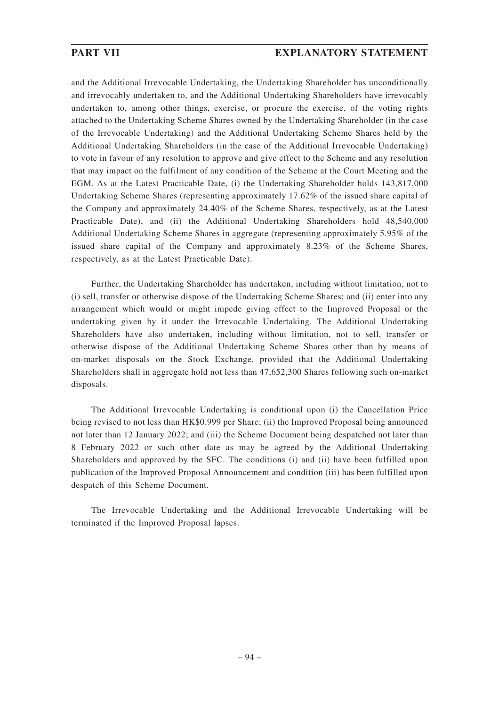and the Additional Irrevocable Undertaking, the Undertaking Shareholder has unconditionally and irrevocably undertaken to, and the Additional Undertaking Shareholders have irrevocably undertaken to, among other things, exercise, or procure the exercise, of the voting rights attached to the Undertaking Scheme Shares owned by the Undertaking Shareholder (in the case of the Irrevocable Undertaking) and the Additional Undertaking Scheme Shares held by the Additional Undertaking Shareholders (in the case of the Additional Irrevocable Undertaking) to vote in favour of any resolution to approve and give effect to the Scheme and any resolution that may impact on the fulfilment of any condition of the Scheme at the Court Meeting and the EGM. As at the Latest Practicable Date, (i) the Undertaking Shareholder holds 143,817,000 Undertaking Scheme Shares (representing approximately 17.62% of the issued share capital of the Company and approximately 24.40% of the Scheme Shares, respectively, as at the Latest Practicable Date), and (ii) the Additional Undertaking Shareholders hold 48,540,000 Additional Undertaking Scheme Shares in aggregate (representing approximately 5.95% of the issued share capital of the Company and approximately 8.23% of the Scheme Shares, respectively, as at the Latest Practicable Date).

Further, the Undertaking Shareholder has undertaken, including without limitation, not to (i) sell, transfer or otherwise dispose of the Undertaking Scheme Shares; and (ii) enter into any arrangement which would or might impede giving effect to the Improved Proposal or the undertaking given by it under the Irrevocable Undertaking. The Additional Undertaking Shareholders have also undertaken, including without limitation, not to sell, transfer or otherwise dispose of the Additional Undertaking Scheme Shares other than by means of on-market disposals on the Stock Exchange, provided that the Additional Undertaking Shareholders shall in aggregate hold not less than 47,652,300 Shares following such on-market disposals.

The Additional Irrevocable Undertaking is conditional upon (i) the Cancellation Price being revised to not less than HK\$0.999 per Share; (ii) the Improved Proposal being announced not later than 12 January 2022; and (iii) the Scheme Document being despatched not later than 8 February 2022 or such other date as may be agreed by the Additional Undertaking Shareholders and approved by the SFC. The conditions (i) and (ii) have been fulfilled upon publication of the Improved Proposal Announcement and condition (iii) has been fulfilled upon despatch of this Scheme Document.

The Irrevocable Undertaking and the Additional Irrevocable Undertaking will be terminated if the Improved Proposal lapses.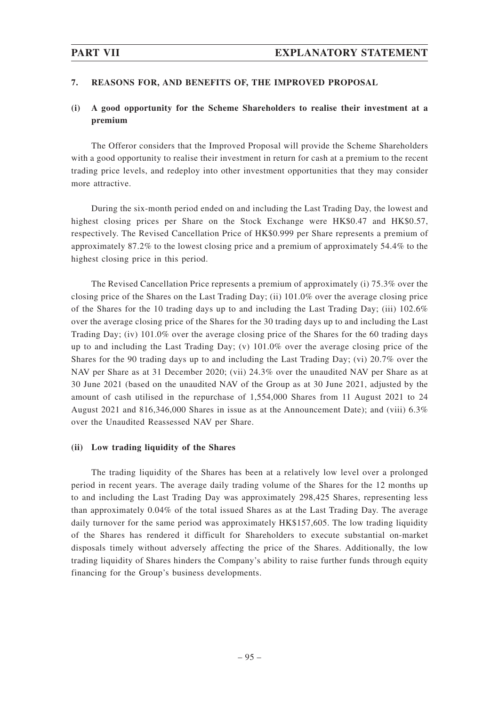### **7. REASONS FOR, AND BENEFITS OF, THE IMPROVED PROPOSAL**

## **(i) A good opportunity for the Scheme Shareholders to realise their investment at a premium**

The Offeror considers that the Improved Proposal will provide the Scheme Shareholders with a good opportunity to realise their investment in return for cash at a premium to the recent trading price levels, and redeploy into other investment opportunities that they may consider more attractive.

During the six-month period ended on and including the Last Trading Day, the lowest and highest closing prices per Share on the Stock Exchange were HK\$0.47 and HK\$0.57, respectively. The Revised Cancellation Price of HK\$0.999 per Share represents a premium of approximately 87.2% to the lowest closing price and a premium of approximately 54.4% to the highest closing price in this period.

The Revised Cancellation Price represents a premium of approximately (i) 75.3% over the closing price of the Shares on the Last Trading Day; (ii) 101.0% over the average closing price of the Shares for the 10 trading days up to and including the Last Trading Day; (iii) 102.6% over the average closing price of the Shares for the 30 trading days up to and including the Last Trading Day; (iv) 101.0% over the average closing price of the Shares for the 60 trading days up to and including the Last Trading Day; (v) 101.0% over the average closing price of the Shares for the 90 trading days up to and including the Last Trading Day; (vi) 20.7% over the NAV per Share as at 31 December 2020; (vii) 24.3% over the unaudited NAV per Share as at 30 June 2021 (based on the unaudited NAV of the Group as at 30 June 2021, adjusted by the amount of cash utilised in the repurchase of 1,554,000 Shares from 11 August 2021 to 24 August 2021 and 816,346,000 Shares in issue as at the Announcement Date); and (viii) 6.3% over the Unaudited Reassessed NAV per Share.

### **(ii) Low trading liquidity of the Shares**

The trading liquidity of the Shares has been at a relatively low level over a prolonged period in recent years. The average daily trading volume of the Shares for the 12 months up to and including the Last Trading Day was approximately 298,425 Shares, representing less than approximately 0.04% of the total issued Shares as at the Last Trading Day. The average daily turnover for the same period was approximately HK\$157,605. The low trading liquidity of the Shares has rendered it difficult for Shareholders to execute substantial on-market disposals timely without adversely affecting the price of the Shares. Additionally, the low trading liquidity of Shares hinders the Company's ability to raise further funds through equity financing for the Group's business developments.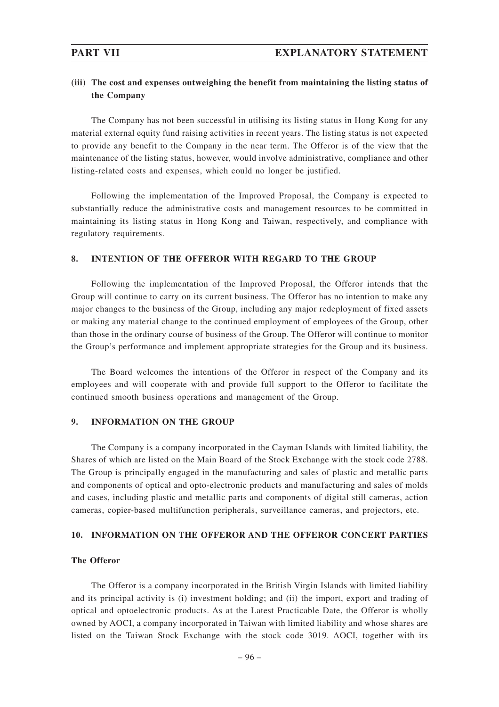## **(iii) The cost and expenses outweighing the benefit from maintaining the listing status of the Company**

The Company has not been successful in utilising its listing status in Hong Kong for any material external equity fund raising activities in recent years. The listing status is not expected to provide any benefit to the Company in the near term. The Offeror is of the view that the maintenance of the listing status, however, would involve administrative, compliance and other listing-related costs and expenses, which could no longer be justified.

Following the implementation of the Improved Proposal, the Company is expected to substantially reduce the administrative costs and management resources to be committed in maintaining its listing status in Hong Kong and Taiwan, respectively, and compliance with regulatory requirements.

### **8. INTENTION OF THE OFFEROR WITH REGARD TO THE GROUP**

Following the implementation of the Improved Proposal, the Offeror intends that the Group will continue to carry on its current business. The Offeror has no intention to make any major changes to the business of the Group, including any major redeployment of fixed assets or making any material change to the continued employment of employees of the Group, other than those in the ordinary course of business of the Group. The Offeror will continue to monitor the Group's performance and implement appropriate strategies for the Group and its business.

The Board welcomes the intentions of the Offeror in respect of the Company and its employees and will cooperate with and provide full support to the Offeror to facilitate the continued smooth business operations and management of the Group.

### **9. INFORMATION ON THE GROUP**

The Company is a company incorporated in the Cayman Islands with limited liability, the Shares of which are listed on the Main Board of the Stock Exchange with the stock code 2788. The Group is principally engaged in the manufacturing and sales of plastic and metallic parts and components of optical and opto-electronic products and manufacturing and sales of molds and cases, including plastic and metallic parts and components of digital still cameras, action cameras, copier-based multifunction peripherals, surveillance cameras, and projectors, etc.

### **10. INFORMATION ON THE OFFEROR AND THE OFFEROR CONCERT PARTIES**

### **The Offeror**

The Offeror is a company incorporated in the British Virgin Islands with limited liability and its principal activity is (i) investment holding; and (ii) the import, export and trading of optical and optoelectronic products. As at the Latest Practicable Date, the Offeror is wholly owned by AOCI, a company incorporated in Taiwan with limited liability and whose shares are listed on the Taiwan Stock Exchange with the stock code 3019. AOCI, together with its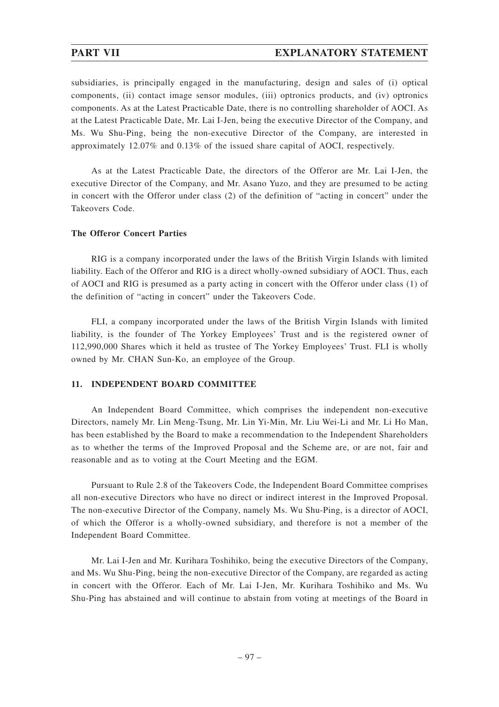subsidiaries, is principally engaged in the manufacturing, design and sales of (i) optical components, (ii) contact image sensor modules, (iii) optronics products, and (iv) optronics components. As at the Latest Practicable Date, there is no controlling shareholder of AOCI. As at the Latest Practicable Date, Mr. Lai I-Jen, being the executive Director of the Company, and Ms. Wu Shu-Ping, being the non-executive Director of the Company, are interested in approximately 12.07% and 0.13% of the issued share capital of AOCI, respectively.

As at the Latest Practicable Date, the directors of the Offeror are Mr. Lai I-Jen, the executive Director of the Company, and Mr. Asano Yuzo, and they are presumed to be acting in concert with the Offeror under class (2) of the definition of "acting in concert" under the Takeovers Code.

### **The Offeror Concert Parties**

RIG is a company incorporated under the laws of the British Virgin Islands with limited liability. Each of the Offeror and RIG is a direct wholly-owned subsidiary of AOCI. Thus, each of AOCI and RIG is presumed as a party acting in concert with the Offeror under class (1) of the definition of "acting in concert" under the Takeovers Code.

FLI, a company incorporated under the laws of the British Virgin Islands with limited liability, is the founder of The Yorkey Employees' Trust and is the registered owner of 112,990,000 Shares which it held as trustee of The Yorkey Employees' Trust. FLI is wholly owned by Mr. CHAN Sun-Ko, an employee of the Group.

### **11. INDEPENDENT BOARD COMMITTEE**

An Independent Board Committee, which comprises the independent non-executive Directors, namely Mr. Lin Meng-Tsung, Mr. Lin Yi-Min, Mr. Liu Wei-Li and Mr. Li Ho Man, has been established by the Board to make a recommendation to the Independent Shareholders as to whether the terms of the Improved Proposal and the Scheme are, or are not, fair and reasonable and as to voting at the Court Meeting and the EGM.

Pursuant to Rule 2.8 of the Takeovers Code, the Independent Board Committee comprises all non-executive Directors who have no direct or indirect interest in the Improved Proposal. The non-executive Director of the Company, namely Ms. Wu Shu-Ping, is a director of AOCI, of which the Offeror is a wholly-owned subsidiary, and therefore is not a member of the Independent Board Committee.

Mr. Lai I-Jen and Mr. Kurihara Toshihiko, being the executive Directors of the Company, and Ms. Wu Shu-Ping, being the non-executive Director of the Company, are regarded as acting in concert with the Offeror. Each of Mr. Lai I-Jen, Mr. Kurihara Toshihiko and Ms. Wu Shu-Ping has abstained and will continue to abstain from voting at meetings of the Board in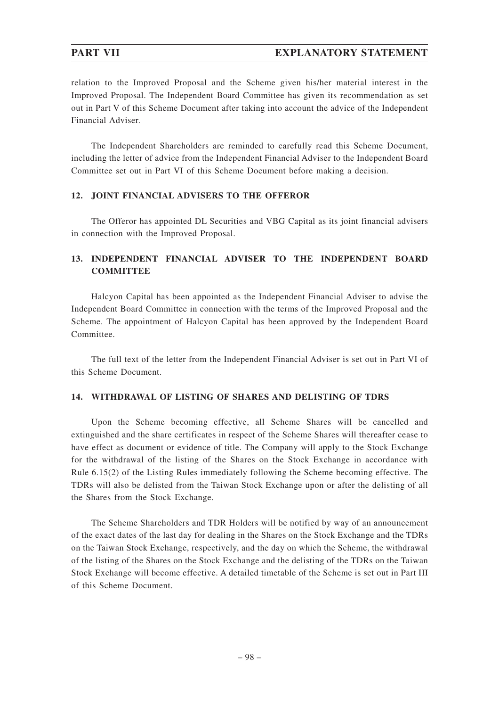relation to the Improved Proposal and the Scheme given his/her material interest in the Improved Proposal. The Independent Board Committee has given its recommendation as set out in Part V of this Scheme Document after taking into account the advice of the Independent Financial Adviser.

The Independent Shareholders are reminded to carefully read this Scheme Document, including the letter of advice from the Independent Financial Adviser to the Independent Board Committee set out in Part VI of this Scheme Document before making a decision.

### **12. JOINT FINANCIAL ADVISERS TO THE OFFEROR**

The Offeror has appointed DL Securities and VBG Capital as its joint financial advisers in connection with the Improved Proposal.

## **13. INDEPENDENT FINANCIAL ADVISER TO THE INDEPENDENT BOARD COMMITTEE**

Halcyon Capital has been appointed as the Independent Financial Adviser to advise the Independent Board Committee in connection with the terms of the Improved Proposal and the Scheme. The appointment of Halcyon Capital has been approved by the Independent Board Committee.

The full text of the letter from the Independent Financial Adviser is set out in Part VI of this Scheme Document.

### **14. WITHDRAWAL OF LISTING OF SHARES AND DELISTING OF TDRS**

Upon the Scheme becoming effective, all Scheme Shares will be cancelled and extinguished and the share certificates in respect of the Scheme Shares will thereafter cease to have effect as document or evidence of title. The Company will apply to the Stock Exchange for the withdrawal of the listing of the Shares on the Stock Exchange in accordance with Rule 6.15(2) of the Listing Rules immediately following the Scheme becoming effective. The TDRs will also be delisted from the Taiwan Stock Exchange upon or after the delisting of all the Shares from the Stock Exchange.

The Scheme Shareholders and TDR Holders will be notified by way of an announcement of the exact dates of the last day for dealing in the Shares on the Stock Exchange and the TDRs on the Taiwan Stock Exchange, respectively, and the day on which the Scheme, the withdrawal of the listing of the Shares on the Stock Exchange and the delisting of the TDRs on the Taiwan Stock Exchange will become effective. A detailed timetable of the Scheme is set out in Part III of this Scheme Document.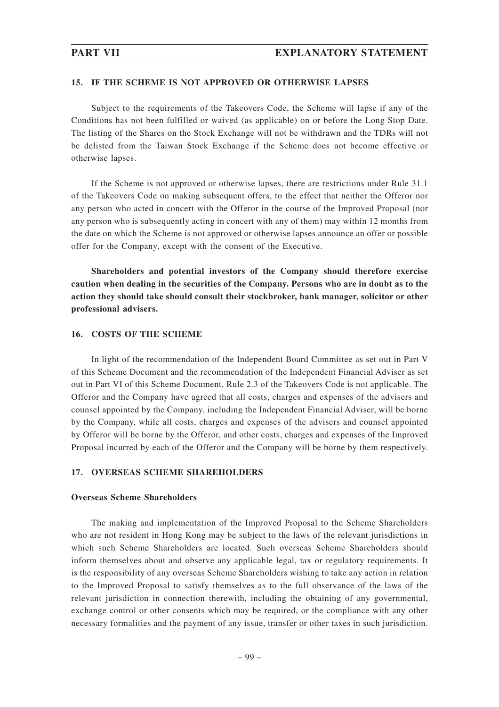### **15. IF THE SCHEME IS NOT APPROVED OR OTHERWISE LAPSES**

Subject to the requirements of the Takeovers Code, the Scheme will lapse if any of the Conditions has not been fulfilled or waived (as applicable) on or before the Long Stop Date. The listing of the Shares on the Stock Exchange will not be withdrawn and the TDRs will not be delisted from the Taiwan Stock Exchange if the Scheme does not become effective or otherwise lapses.

If the Scheme is not approved or otherwise lapses, there are restrictions under Rule 31.1 of the Takeovers Code on making subsequent offers, to the effect that neither the Offeror nor any person who acted in concert with the Offeror in the course of the Improved Proposal (nor any person who is subsequently acting in concert with any of them) may within 12 months from the date on which the Scheme is not approved or otherwise lapses announce an offer or possible offer for the Company, except with the consent of the Executive.

**Shareholders and potential investors of the Company should therefore exercise caution when dealing in the securities of the Company. Persons who are in doubt as to the action they should take should consult their stockbroker, bank manager, solicitor or other professional advisers.**

### **16. COSTS OF THE SCHEME**

In light of the recommendation of the Independent Board Committee as set out in Part V of this Scheme Document and the recommendation of the Independent Financial Adviser as set out in Part VI of this Scheme Document, Rule 2.3 of the Takeovers Code is not applicable. The Offeror and the Company have agreed that all costs, charges and expenses of the advisers and counsel appointed by the Company, including the Independent Financial Adviser, will be borne by the Company, while all costs, charges and expenses of the advisers and counsel appointed by Offeror will be borne by the Offeror, and other costs, charges and expenses of the Improved Proposal incurred by each of the Offeror and the Company will be borne by them respectively.

### **17. OVERSEAS SCHEME SHAREHOLDERS**

### **Overseas Scheme Shareholders**

The making and implementation of the Improved Proposal to the Scheme Shareholders who are not resident in Hong Kong may be subject to the laws of the relevant jurisdictions in which such Scheme Shareholders are located. Such overseas Scheme Shareholders should inform themselves about and observe any applicable legal, tax or regulatory requirements. It is the responsibility of any overseas Scheme Shareholders wishing to take any action in relation to the Improved Proposal to satisfy themselves as to the full observance of the laws of the relevant jurisdiction in connection therewith, including the obtaining of any governmental, exchange control or other consents which may be required, or the compliance with any other necessary formalities and the payment of any issue, transfer or other taxes in such jurisdiction.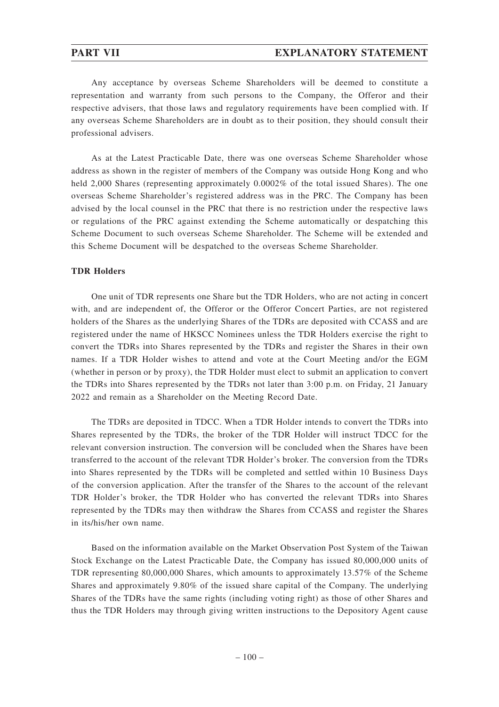### **PART VII EXPLANATORY STATEMENT**

Any acceptance by overseas Scheme Shareholders will be deemed to constitute a representation and warranty from such persons to the Company, the Offeror and their respective advisers, that those laws and regulatory requirements have been complied with. If any overseas Scheme Shareholders are in doubt as to their position, they should consult their professional advisers.

As at the Latest Practicable Date, there was one overseas Scheme Shareholder whose address as shown in the register of members of the Company was outside Hong Kong and who held 2,000 Shares (representing approximately 0.0002\% of the total issued Shares). The one overseas Scheme Shareholder's registered address was in the PRC. The Company has been advised by the local counsel in the PRC that there is no restriction under the respective laws or regulations of the PRC against extending the Scheme automatically or despatching this Scheme Document to such overseas Scheme Shareholder. The Scheme will be extended and this Scheme Document will be despatched to the overseas Scheme Shareholder.

### **TDR Holders**

One unit of TDR represents one Share but the TDR Holders, who are not acting in concert with, and are independent of, the Offeror or the Offeror Concert Parties, are not registered holders of the Shares as the underlying Shares of the TDRs are deposited with CCASS and are registered under the name of HKSCC Nominees unless the TDR Holders exercise the right to convert the TDRs into Shares represented by the TDRs and register the Shares in their own names. If a TDR Holder wishes to attend and vote at the Court Meeting and/or the EGM (whether in person or by proxy), the TDR Holder must elect to submit an application to convert the TDRs into Shares represented by the TDRs not later than 3:00 p.m. on Friday, 21 January 2022 and remain as a Shareholder on the Meeting Record Date.

The TDRs are deposited in TDCC. When a TDR Holder intends to convert the TDRs into Shares represented by the TDRs, the broker of the TDR Holder will instruct TDCC for the relevant conversion instruction. The conversion will be concluded when the Shares have been transferred to the account of the relevant TDR Holder's broker. The conversion from the TDRs into Shares represented by the TDRs will be completed and settled within 10 Business Days of the conversion application. After the transfer of the Shares to the account of the relevant TDR Holder's broker, the TDR Holder who has converted the relevant TDRs into Shares represented by the TDRs may then withdraw the Shares from CCASS and register the Shares in its/his/her own name.

Based on the information available on the Market Observation Post System of the Taiwan Stock Exchange on the Latest Practicable Date, the Company has issued 80,000,000 units of TDR representing 80,000,000 Shares, which amounts to approximately 13.57% of the Scheme Shares and approximately 9.80% of the issued share capital of the Company. The underlying Shares of the TDRs have the same rights (including voting right) as those of other Shares and thus the TDR Holders may through giving written instructions to the Depository Agent cause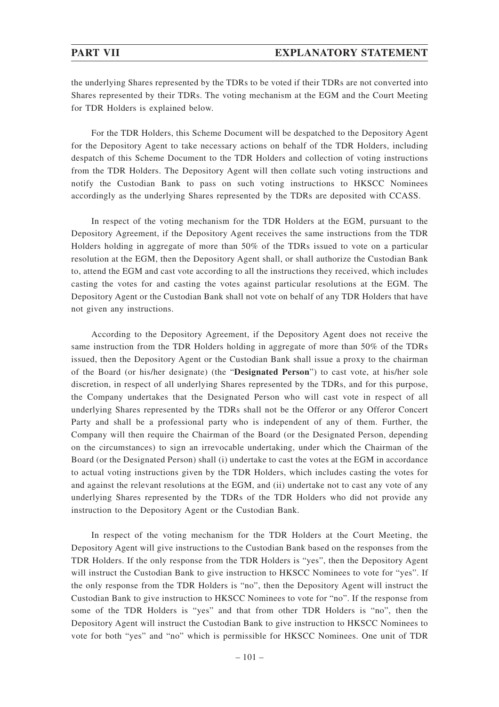the underlying Shares represented by the TDRs to be voted if their TDRs are not converted into Shares represented by their TDRs. The voting mechanism at the EGM and the Court Meeting for TDR Holders is explained below.

For the TDR Holders, this Scheme Document will be despatched to the Depository Agent for the Depository Agent to take necessary actions on behalf of the TDR Holders, including despatch of this Scheme Document to the TDR Holders and collection of voting instructions from the TDR Holders. The Depository Agent will then collate such voting instructions and notify the Custodian Bank to pass on such voting instructions to HKSCC Nominees accordingly as the underlying Shares represented by the TDRs are deposited with CCASS.

In respect of the voting mechanism for the TDR Holders at the EGM, pursuant to the Depository Agreement, if the Depository Agent receives the same instructions from the TDR Holders holding in aggregate of more than 50% of the TDRs issued to vote on a particular resolution at the EGM, then the Depository Agent shall, or shall authorize the Custodian Bank to, attend the EGM and cast vote according to all the instructions they received, which includes casting the votes for and casting the votes against particular resolutions at the EGM. The Depository Agent or the Custodian Bank shall not vote on behalf of any TDR Holders that have not given any instructions.

According to the Depository Agreement, if the Depository Agent does not receive the same instruction from the TDR Holders holding in aggregate of more than 50% of the TDRs issued, then the Depository Agent or the Custodian Bank shall issue a proxy to the chairman of the Board (or his/her designate) (the "**Designated Person**") to cast vote, at his/her sole discretion, in respect of all underlying Shares represented by the TDRs, and for this purpose, the Company undertakes that the Designated Person who will cast vote in respect of all underlying Shares represented by the TDRs shall not be the Offeror or any Offeror Concert Party and shall be a professional party who is independent of any of them. Further, the Company will then require the Chairman of the Board (or the Designated Person, depending on the circumstances) to sign an irrevocable undertaking, under which the Chairman of the Board (or the Designated Person) shall (i) undertake to cast the votes at the EGM in accordance to actual voting instructions given by the TDR Holders, which includes casting the votes for and against the relevant resolutions at the EGM, and (ii) undertake not to cast any vote of any underlying Shares represented by the TDRs of the TDR Holders who did not provide any instruction to the Depository Agent or the Custodian Bank.

In respect of the voting mechanism for the TDR Holders at the Court Meeting, the Depository Agent will give instructions to the Custodian Bank based on the responses from the TDR Holders. If the only response from the TDR Holders is "yes", then the Depository Agent will instruct the Custodian Bank to give instruction to HKSCC Nominees to vote for "yes". If the only response from the TDR Holders is "no", then the Depository Agent will instruct the Custodian Bank to give instruction to HKSCC Nominees to vote for "no". If the response from some of the TDR Holders is "yes" and that from other TDR Holders is "no", then the Depository Agent will instruct the Custodian Bank to give instruction to HKSCC Nominees to vote for both "yes" and "no" which is permissible for HKSCC Nominees. One unit of TDR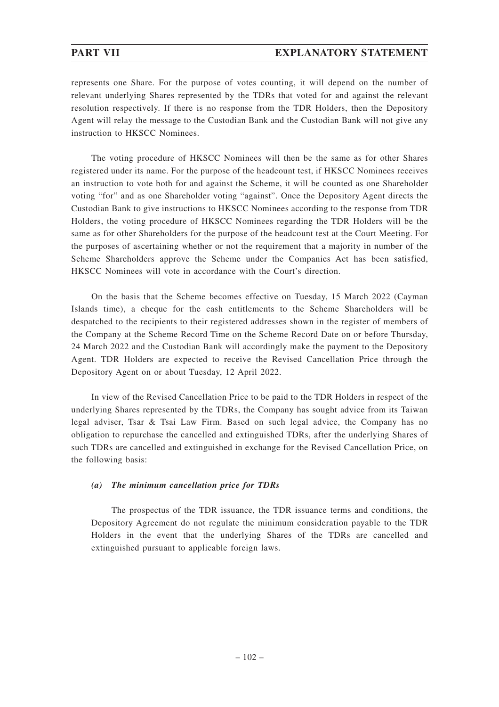## **PART VII EXPLANATORY STATEMENT**

represents one Share. For the purpose of votes counting, it will depend on the number of relevant underlying Shares represented by the TDRs that voted for and against the relevant resolution respectively. If there is no response from the TDR Holders, then the Depository Agent will relay the message to the Custodian Bank and the Custodian Bank will not give any instruction to HKSCC Nominees.

The voting procedure of HKSCC Nominees will then be the same as for other Shares registered under its name. For the purpose of the headcount test, if HKSCC Nominees receives an instruction to vote both for and against the Scheme, it will be counted as one Shareholder voting "for" and as one Shareholder voting "against". Once the Depository Agent directs the Custodian Bank to give instructions to HKSCC Nominees according to the response from TDR Holders, the voting procedure of HKSCC Nominees regarding the TDR Holders will be the same as for other Shareholders for the purpose of the headcount test at the Court Meeting. For the purposes of ascertaining whether or not the requirement that a majority in number of the Scheme Shareholders approve the Scheme under the Companies Act has been satisfied, HKSCC Nominees will vote in accordance with the Court's direction.

On the basis that the Scheme becomes effective on Tuesday, 15 March 2022 (Cayman Islands time), a cheque for the cash entitlements to the Scheme Shareholders will be despatched to the recipients to their registered addresses shown in the register of members of the Company at the Scheme Record Time on the Scheme Record Date on or before Thursday, 24 March 2022 and the Custodian Bank will accordingly make the payment to the Depository Agent. TDR Holders are expected to receive the Revised Cancellation Price through the Depository Agent on or about Tuesday, 12 April 2022.

In view of the Revised Cancellation Price to be paid to the TDR Holders in respect of the underlying Shares represented by the TDRs, the Company has sought advice from its Taiwan legal adviser, Tsar & Tsai Law Firm. Based on such legal advice, the Company has no obligation to repurchase the cancelled and extinguished TDRs, after the underlying Shares of such TDRs are cancelled and extinguished in exchange for the Revised Cancellation Price, on the following basis:

### *(a) The minimum cancellation price for TDRs*

The prospectus of the TDR issuance, the TDR issuance terms and conditions, the Depository Agreement do not regulate the minimum consideration payable to the TDR Holders in the event that the underlying Shares of the TDRs are cancelled and extinguished pursuant to applicable foreign laws.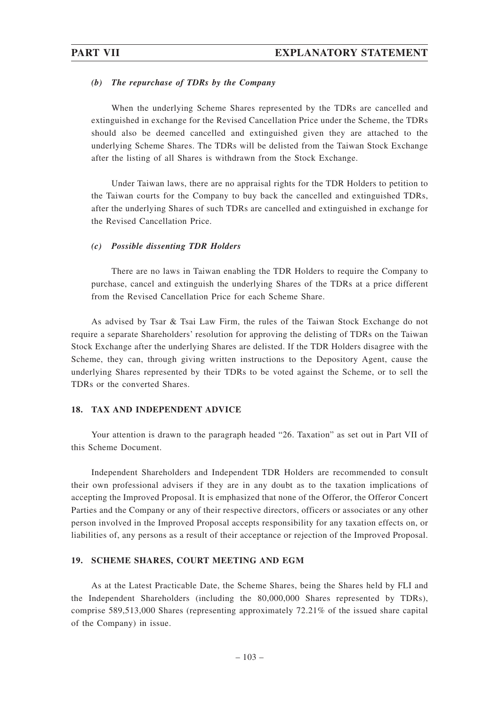### *(b) The repurchase of TDRs by the Company*

When the underlying Scheme Shares represented by the TDRs are cancelled and extinguished in exchange for the Revised Cancellation Price under the Scheme, the TDRs should also be deemed cancelled and extinguished given they are attached to the underlying Scheme Shares. The TDRs will be delisted from the Taiwan Stock Exchange after the listing of all Shares is withdrawn from the Stock Exchange.

Under Taiwan laws, there are no appraisal rights for the TDR Holders to petition to the Taiwan courts for the Company to buy back the cancelled and extinguished TDRs, after the underlying Shares of such TDRs are cancelled and extinguished in exchange for the Revised Cancellation Price.

### *(c) Possible dissenting TDR Holders*

There are no laws in Taiwan enabling the TDR Holders to require the Company to purchase, cancel and extinguish the underlying Shares of the TDRs at a price different from the Revised Cancellation Price for each Scheme Share.

As advised by Tsar & Tsai Law Firm, the rules of the Taiwan Stock Exchange do not require a separate Shareholders' resolution for approving the delisting of TDRs on the Taiwan Stock Exchange after the underlying Shares are delisted. If the TDR Holders disagree with the Scheme, they can, through giving written instructions to the Depository Agent, cause the underlying Shares represented by their TDRs to be voted against the Scheme, or to sell the TDRs or the converted Shares.

### **18. TAX AND INDEPENDENT ADVICE**

Your attention is drawn to the paragraph headed "26. Taxation" as set out in Part VII of this Scheme Document.

Independent Shareholders and Independent TDR Holders are recommended to consult their own professional advisers if they are in any doubt as to the taxation implications of accepting the Improved Proposal. It is emphasized that none of the Offeror, the Offeror Concert Parties and the Company or any of their respective directors, officers or associates or any other person involved in the Improved Proposal accepts responsibility for any taxation effects on, or liabilities of, any persons as a result of their acceptance or rejection of the Improved Proposal.

### **19. SCHEME SHARES, COURT MEETING AND EGM**

As at the Latest Practicable Date, the Scheme Shares, being the Shares held by FLI and the Independent Shareholders (including the 80,000,000 Shares represented by TDRs), comprise 589,513,000 Shares (representing approximately 72.21% of the issued share capital of the Company) in issue.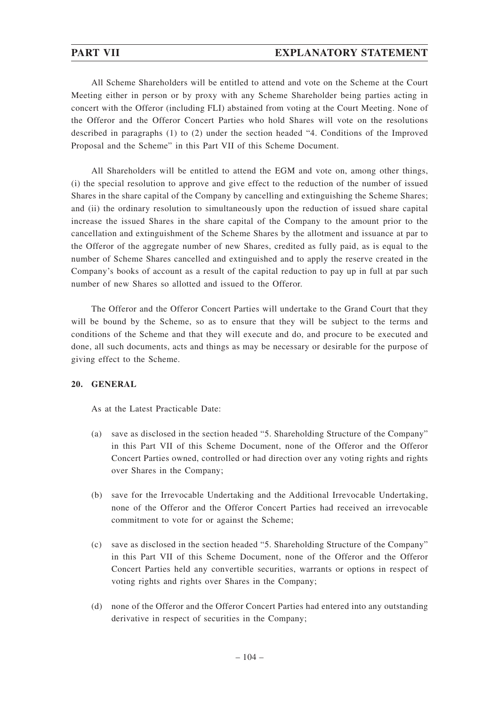## **PART VII EXPLANATORY STATEMENT**

All Scheme Shareholders will be entitled to attend and vote on the Scheme at the Court Meeting either in person or by proxy with any Scheme Shareholder being parties acting in concert with the Offeror (including FLI) abstained from voting at the Court Meeting. None of the Offeror and the Offeror Concert Parties who hold Shares will vote on the resolutions described in paragraphs (1) to (2) under the section headed "4. Conditions of the Improved Proposal and the Scheme" in this Part VII of this Scheme Document.

All Shareholders will be entitled to attend the EGM and vote on, among other things, (i) the special resolution to approve and give effect to the reduction of the number of issued Shares in the share capital of the Company by cancelling and extinguishing the Scheme Shares; and (ii) the ordinary resolution to simultaneously upon the reduction of issued share capital increase the issued Shares in the share capital of the Company to the amount prior to the cancellation and extinguishment of the Scheme Shares by the allotment and issuance at par to the Offeror of the aggregate number of new Shares, credited as fully paid, as is equal to the number of Scheme Shares cancelled and extinguished and to apply the reserve created in the Company's books of account as a result of the capital reduction to pay up in full at par such number of new Shares so allotted and issued to the Offeror.

The Offeror and the Offeror Concert Parties will undertake to the Grand Court that they will be bound by the Scheme, so as to ensure that they will be subject to the terms and conditions of the Scheme and that they will execute and do, and procure to be executed and done, all such documents, acts and things as may be necessary or desirable for the purpose of giving effect to the Scheme.

### **20. GENERAL**

As at the Latest Practicable Date:

- (a) save as disclosed in the section headed "5. Shareholding Structure of the Company" in this Part VII of this Scheme Document, none of the Offeror and the Offeror Concert Parties owned, controlled or had direction over any voting rights and rights over Shares in the Company;
- (b) save for the Irrevocable Undertaking and the Additional Irrevocable Undertaking, none of the Offeror and the Offeror Concert Parties had received an irrevocable commitment to vote for or against the Scheme;
- (c) save as disclosed in the section headed "5. Shareholding Structure of the Company" in this Part VII of this Scheme Document, none of the Offeror and the Offeror Concert Parties held any convertible securities, warrants or options in respect of voting rights and rights over Shares in the Company;
- (d) none of the Offeror and the Offeror Concert Parties had entered into any outstanding derivative in respect of securities in the Company;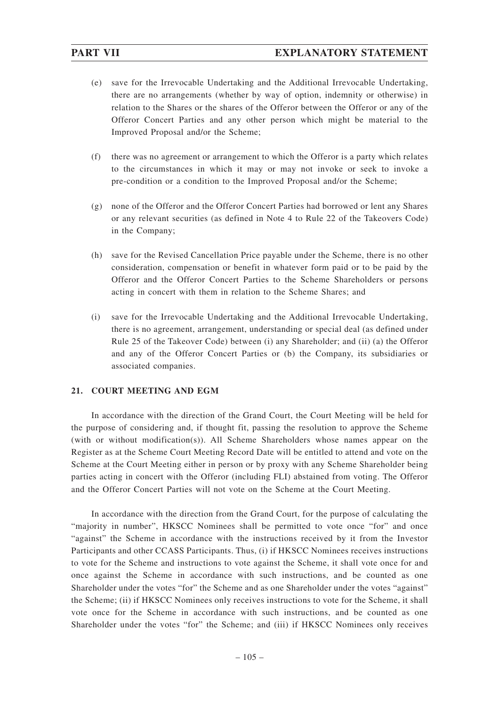- (e) save for the Irrevocable Undertaking and the Additional Irrevocable Undertaking, there are no arrangements (whether by way of option, indemnity or otherwise) in relation to the Shares or the shares of the Offeror between the Offeror or any of the Offeror Concert Parties and any other person which might be material to the Improved Proposal and/or the Scheme;
- (f) there was no agreement or arrangement to which the Offeror is a party which relates to the circumstances in which it may or may not invoke or seek to invoke a pre-condition or a condition to the Improved Proposal and/or the Scheme;
- (g) none of the Offeror and the Offeror Concert Parties had borrowed or lent any Shares or any relevant securities (as defined in Note 4 to Rule 22 of the Takeovers Code) in the Company;
- (h) save for the Revised Cancellation Price payable under the Scheme, there is no other consideration, compensation or benefit in whatever form paid or to be paid by the Offeror and the Offeror Concert Parties to the Scheme Shareholders or persons acting in concert with them in relation to the Scheme Shares; and
- (i) save for the Irrevocable Undertaking and the Additional Irrevocable Undertaking, there is no agreement, arrangement, understanding or special deal (as defined under Rule 25 of the Takeover Code) between (i) any Shareholder; and (ii) (a) the Offeror and any of the Offeror Concert Parties or (b) the Company, its subsidiaries or associated companies.

### **21. COURT MEETING AND EGM**

In accordance with the direction of the Grand Court, the Court Meeting will be held for the purpose of considering and, if thought fit, passing the resolution to approve the Scheme (with or without modification(s)). All Scheme Shareholders whose names appear on the Register as at the Scheme Court Meeting Record Date will be entitled to attend and vote on the Scheme at the Court Meeting either in person or by proxy with any Scheme Shareholder being parties acting in concert with the Offeror (including FLI) abstained from voting. The Offeror and the Offeror Concert Parties will not vote on the Scheme at the Court Meeting.

In accordance with the direction from the Grand Court, for the purpose of calculating the "majority in number", HKSCC Nominees shall be permitted to vote once "for" and once "against" the Scheme in accordance with the instructions received by it from the Investor Participants and other CCASS Participants. Thus, (i) if HKSCC Nominees receives instructions to vote for the Scheme and instructions to vote against the Scheme, it shall vote once for and once against the Scheme in accordance with such instructions, and be counted as one Shareholder under the votes "for" the Scheme and as one Shareholder under the votes "against" the Scheme; (ii) if HKSCC Nominees only receives instructions to vote for the Scheme, it shall vote once for the Scheme in accordance with such instructions, and be counted as one Shareholder under the votes "for" the Scheme; and (iii) if HKSCC Nominees only receives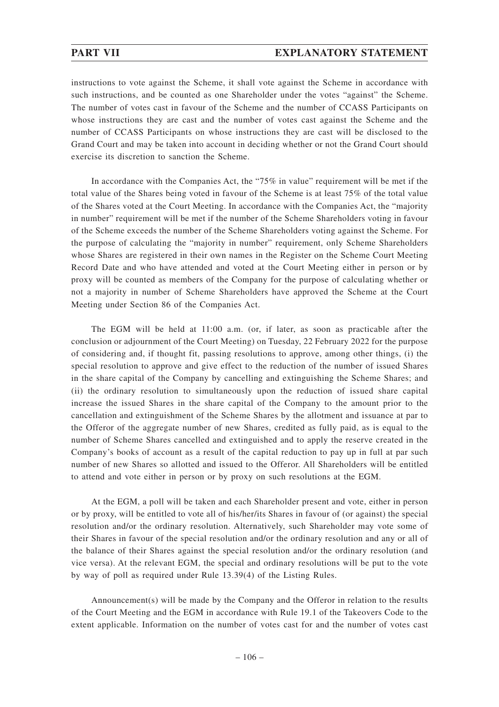instructions to vote against the Scheme, it shall vote against the Scheme in accordance with such instructions, and be counted as one Shareholder under the votes "against" the Scheme. The number of votes cast in favour of the Scheme and the number of CCASS Participants on whose instructions they are cast and the number of votes cast against the Scheme and the number of CCASS Participants on whose instructions they are cast will be disclosed to the Grand Court and may be taken into account in deciding whether or not the Grand Court should exercise its discretion to sanction the Scheme.

In accordance with the Companies Act, the "75% in value" requirement will be met if the total value of the Shares being voted in favour of the Scheme is at least 75% of the total value of the Shares voted at the Court Meeting. In accordance with the Companies Act, the "majority in number" requirement will be met if the number of the Scheme Shareholders voting in favour of the Scheme exceeds the number of the Scheme Shareholders voting against the Scheme. For the purpose of calculating the "majority in number" requirement, only Scheme Shareholders whose Shares are registered in their own names in the Register on the Scheme Court Meeting Record Date and who have attended and voted at the Court Meeting either in person or by proxy will be counted as members of the Company for the purpose of calculating whether or not a majority in number of Scheme Shareholders have approved the Scheme at the Court Meeting under Section 86 of the Companies Act.

The EGM will be held at 11:00 a.m. (or, if later, as soon as practicable after the conclusion or adjournment of the Court Meeting) on Tuesday, 22 February 2022 for the purpose of considering and, if thought fit, passing resolutions to approve, among other things, (i) the special resolution to approve and give effect to the reduction of the number of issued Shares in the share capital of the Company by cancelling and extinguishing the Scheme Shares; and (ii) the ordinary resolution to simultaneously upon the reduction of issued share capital increase the issued Shares in the share capital of the Company to the amount prior to the cancellation and extinguishment of the Scheme Shares by the allotment and issuance at par to the Offeror of the aggregate number of new Shares, credited as fully paid, as is equal to the number of Scheme Shares cancelled and extinguished and to apply the reserve created in the Company's books of account as a result of the capital reduction to pay up in full at par such number of new Shares so allotted and issued to the Offeror. All Shareholders will be entitled to attend and vote either in person or by proxy on such resolutions at the EGM.

At the EGM, a poll will be taken and each Shareholder present and vote, either in person or by proxy, will be entitled to vote all of his/her/its Shares in favour of (or against) the special resolution and/or the ordinary resolution. Alternatively, such Shareholder may vote some of their Shares in favour of the special resolution and/or the ordinary resolution and any or all of the balance of their Shares against the special resolution and/or the ordinary resolution (and vice versa). At the relevant EGM, the special and ordinary resolutions will be put to the vote by way of poll as required under Rule 13.39(4) of the Listing Rules.

Announcement(s) will be made by the Company and the Offeror in relation to the results of the Court Meeting and the EGM in accordance with Rule 19.1 of the Takeovers Code to the extent applicable. Information on the number of votes cast for and the number of votes cast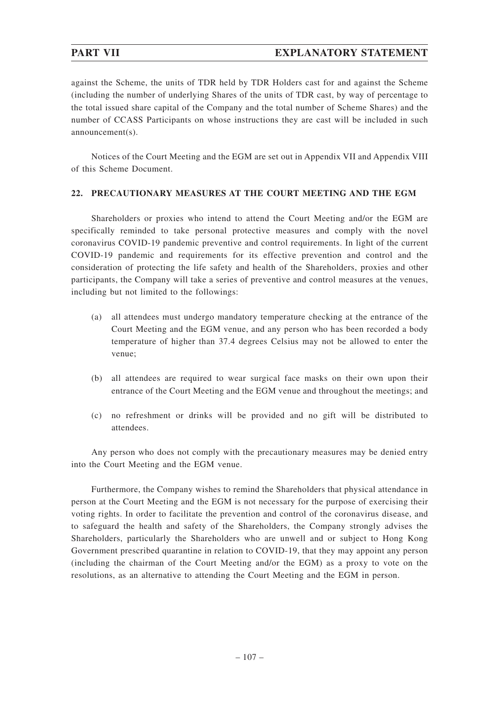# **PART VII EXPLANATORY STATEMENT**

against the Scheme, the units of TDR held by TDR Holders cast for and against the Scheme (including the number of underlying Shares of the units of TDR cast, by way of percentage to the total issued share capital of the Company and the total number of Scheme Shares) and the number of CCASS Participants on whose instructions they are cast will be included in such announcement(s).

Notices of the Court Meeting and the EGM are set out in Appendix VII and Appendix VIII of this Scheme Document.

### **22. PRECAUTIONARY MEASURES AT THE COURT MEETING AND THE EGM**

Shareholders or proxies who intend to attend the Court Meeting and/or the EGM are specifically reminded to take personal protective measures and comply with the novel coronavirus COVID-19 pandemic preventive and control requirements. In light of the current COVID-19 pandemic and requirements for its effective prevention and control and the consideration of protecting the life safety and health of the Shareholders, proxies and other participants, the Company will take a series of preventive and control measures at the venues, including but not limited to the followings:

- (a) all attendees must undergo mandatory temperature checking at the entrance of the Court Meeting and the EGM venue, and any person who has been recorded a body temperature of higher than 37.4 degrees Celsius may not be allowed to enter the venue;
- (b) all attendees are required to wear surgical face masks on their own upon their entrance of the Court Meeting and the EGM venue and throughout the meetings; and
- (c) no refreshment or drinks will be provided and no gift will be distributed to attendees.

Any person who does not comply with the precautionary measures may be denied entry into the Court Meeting and the EGM venue.

Furthermore, the Company wishes to remind the Shareholders that physical attendance in person at the Court Meeting and the EGM is not necessary for the purpose of exercising their voting rights. In order to facilitate the prevention and control of the coronavirus disease, and to safeguard the health and safety of the Shareholders, the Company strongly advises the Shareholders, particularly the Shareholders who are unwell and or subject to Hong Kong Government prescribed quarantine in relation to COVID-19, that they may appoint any person (including the chairman of the Court Meeting and/or the EGM) as a proxy to vote on the resolutions, as an alternative to attending the Court Meeting and the EGM in person.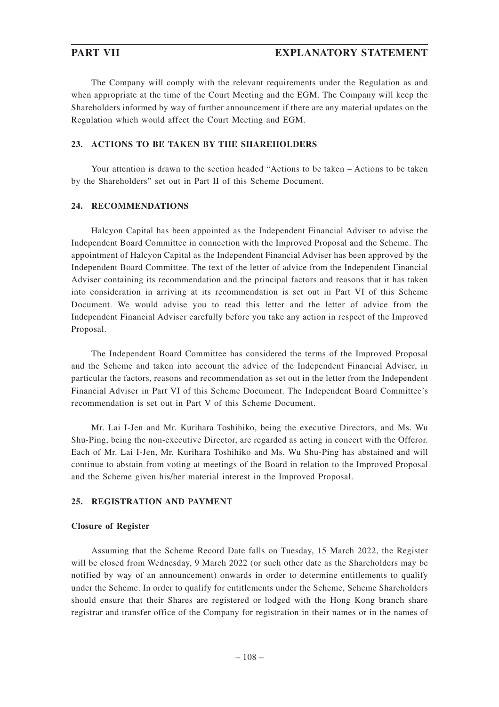The Company will comply with the relevant requirements under the Regulation as and when appropriate at the time of the Court Meeting and the EGM. The Company will keep the Shareholders informed by way of further announcement if there are any material updates on the Regulation which would affect the Court Meeting and EGM.

### **23. ACTIONS TO BE TAKEN BY THE SHAREHOLDERS**

Your attention is drawn to the section headed "Actions to be taken – Actions to be taken by the Shareholders" set out in Part II of this Scheme Document.

### **24. RECOMMENDATIONS**

Halcyon Capital has been appointed as the Independent Financial Adviser to advise the Independent Board Committee in connection with the Improved Proposal and the Scheme. The appointment of Halcyon Capital as the Independent Financial Adviser has been approved by the Independent Board Committee. The text of the letter of advice from the Independent Financial Adviser containing its recommendation and the principal factors and reasons that it has taken into consideration in arriving at its recommendation is set out in Part VI of this Scheme Document. We would advise you to read this letter and the letter of advice from the Independent Financial Adviser carefully before you take any action in respect of the Improved Proposal.

The Independent Board Committee has considered the terms of the Improved Proposal and the Scheme and taken into account the advice of the Independent Financial Adviser, in particular the factors, reasons and recommendation as set out in the letter from the Independent Financial Adviser in Part VI of this Scheme Document. The Independent Board Committee's recommendation is set out in Part V of this Scheme Document.

Mr. Lai I-Jen and Mr. Kurihara Toshihiko, being the executive Directors, and Ms. Wu Shu-Ping, being the non-executive Director, are regarded as acting in concert with the Offeror. Each of Mr. Lai I-Jen, Mr. Kurihara Toshihiko and Ms. Wu Shu-Ping has abstained and will continue to abstain from voting at meetings of the Board in relation to the Improved Proposal and the Scheme given his/her material interest in the Improved Proposal.

### **25. REGISTRATION AND PAYMENT**

#### **Closure of Register**

Assuming that the Scheme Record Date falls on Tuesday, 15 March 2022, the Register will be closed from Wednesday, 9 March 2022 (or such other date as the Shareholders may be notified by way of an announcement) onwards in order to determine entitlements to qualify under the Scheme. In order to qualify for entitlements under the Scheme, Scheme Shareholders should ensure that their Shares are registered or lodged with the Hong Kong branch share registrar and transfer office of the Company for registration in their names or in the names of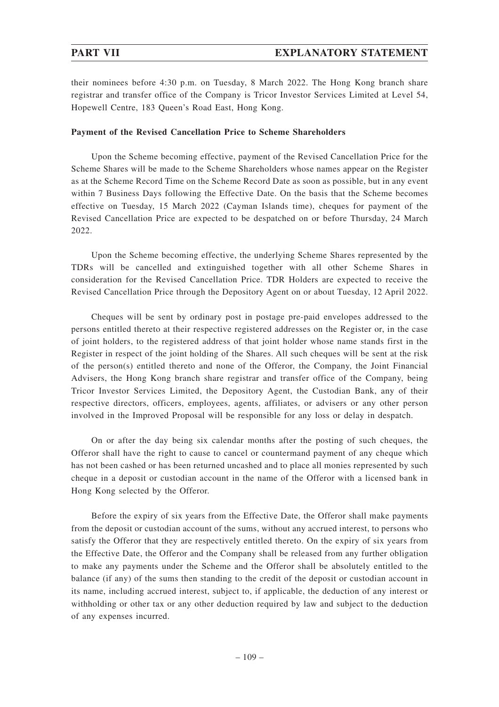their nominees before 4:30 p.m. on Tuesday, 8 March 2022. The Hong Kong branch share registrar and transfer office of the Company is Tricor Investor Services Limited at Level 54, Hopewell Centre, 183 Queen's Road East, Hong Kong.

### **Payment of the Revised Cancellation Price to Scheme Shareholders**

Upon the Scheme becoming effective, payment of the Revised Cancellation Price for the Scheme Shares will be made to the Scheme Shareholders whose names appear on the Register as at the Scheme Record Time on the Scheme Record Date as soon as possible, but in any event within 7 Business Days following the Effective Date. On the basis that the Scheme becomes effective on Tuesday, 15 March 2022 (Cayman Islands time), cheques for payment of the Revised Cancellation Price are expected to be despatched on or before Thursday, 24 March 2022.

Upon the Scheme becoming effective, the underlying Scheme Shares represented by the TDRs will be cancelled and extinguished together with all other Scheme Shares in consideration for the Revised Cancellation Price. TDR Holders are expected to receive the Revised Cancellation Price through the Depository Agent on or about Tuesday, 12 April 2022.

Cheques will be sent by ordinary post in postage pre-paid envelopes addressed to the persons entitled thereto at their respective registered addresses on the Register or, in the case of joint holders, to the registered address of that joint holder whose name stands first in the Register in respect of the joint holding of the Shares. All such cheques will be sent at the risk of the person(s) entitled thereto and none of the Offeror, the Company, the Joint Financial Advisers, the Hong Kong branch share registrar and transfer office of the Company, being Tricor Investor Services Limited, the Depository Agent, the Custodian Bank, any of their respective directors, officers, employees, agents, affiliates, or advisers or any other person involved in the Improved Proposal will be responsible for any loss or delay in despatch.

On or after the day being six calendar months after the posting of such cheques, the Offeror shall have the right to cause to cancel or countermand payment of any cheque which has not been cashed or has been returned uncashed and to place all monies represented by such cheque in a deposit or custodian account in the name of the Offeror with a licensed bank in Hong Kong selected by the Offeror.

Before the expiry of six years from the Effective Date, the Offeror shall make payments from the deposit or custodian account of the sums, without any accrued interest, to persons who satisfy the Offeror that they are respectively entitled thereto. On the expiry of six years from the Effective Date, the Offeror and the Company shall be released from any further obligation to make any payments under the Scheme and the Offeror shall be absolutely entitled to the balance (if any) of the sums then standing to the credit of the deposit or custodian account in its name, including accrued interest, subject to, if applicable, the deduction of any interest or withholding or other tax or any other deduction required by law and subject to the deduction of any expenses incurred.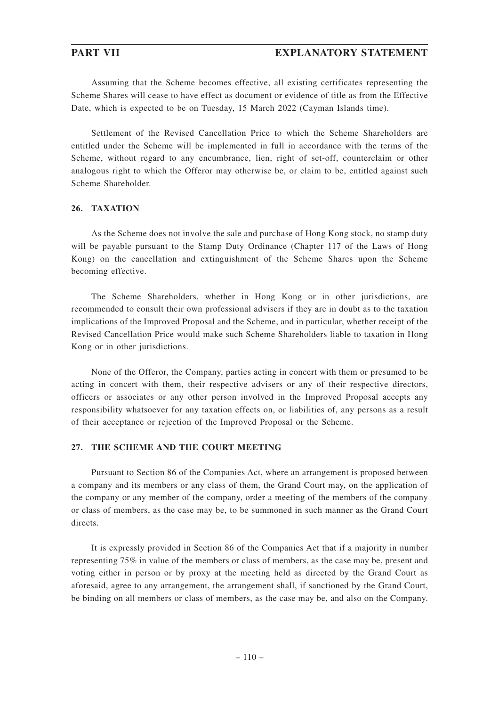Assuming that the Scheme becomes effective, all existing certificates representing the Scheme Shares will cease to have effect as document or evidence of title as from the Effective Date, which is expected to be on Tuesday, 15 March 2022 (Cayman Islands time).

Settlement of the Revised Cancellation Price to which the Scheme Shareholders are entitled under the Scheme will be implemented in full in accordance with the terms of the Scheme, without regard to any encumbrance, lien, right of set-off, counterclaim or other analogous right to which the Offeror may otherwise be, or claim to be, entitled against such Scheme Shareholder.

### **26. TAXATION**

As the Scheme does not involve the sale and purchase of Hong Kong stock, no stamp duty will be payable pursuant to the Stamp Duty Ordinance (Chapter 117 of the Laws of Hong Kong) on the cancellation and extinguishment of the Scheme Shares upon the Scheme becoming effective.

The Scheme Shareholders, whether in Hong Kong or in other jurisdictions, are recommended to consult their own professional advisers if they are in doubt as to the taxation implications of the Improved Proposal and the Scheme, and in particular, whether receipt of the Revised Cancellation Price would make such Scheme Shareholders liable to taxation in Hong Kong or in other jurisdictions.

None of the Offeror, the Company, parties acting in concert with them or presumed to be acting in concert with them, their respective advisers or any of their respective directors, officers or associates or any other person involved in the Improved Proposal accepts any responsibility whatsoever for any taxation effects on, or liabilities of, any persons as a result of their acceptance or rejection of the Improved Proposal or the Scheme.

#### **27. THE SCHEME AND THE COURT MEETING**

Pursuant to Section 86 of the Companies Act, where an arrangement is proposed between a company and its members or any class of them, the Grand Court may, on the application of the company or any member of the company, order a meeting of the members of the company or class of members, as the case may be, to be summoned in such manner as the Grand Court directs.

It is expressly provided in Section 86 of the Companies Act that if a majority in number representing 75% in value of the members or class of members, as the case may be, present and voting either in person or by proxy at the meeting held as directed by the Grand Court as aforesaid, agree to any arrangement, the arrangement shall, if sanctioned by the Grand Court, be binding on all members or class of members, as the case may be, and also on the Company.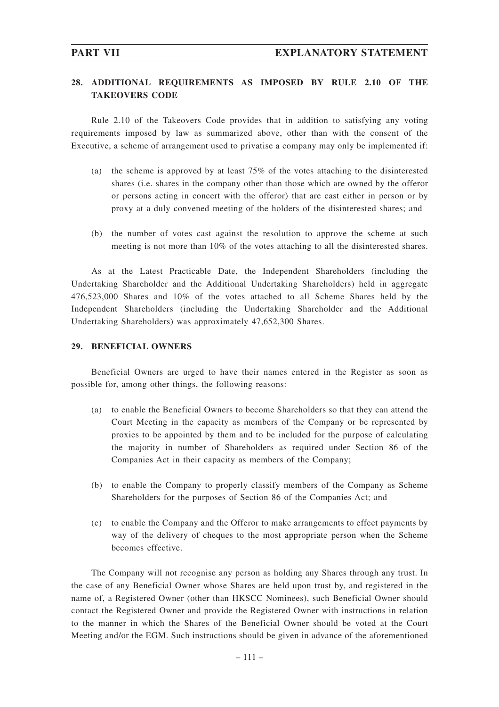# **28. ADDITIONAL REQUIREMENTS AS IMPOSED BY RULE 2.10 OF THE TAKEOVERS CODE**

Rule 2.10 of the Takeovers Code provides that in addition to satisfying any voting requirements imposed by law as summarized above, other than with the consent of the Executive, a scheme of arrangement used to privatise a company may only be implemented if:

- (a) the scheme is approved by at least 75% of the votes attaching to the disinterested shares (i.e. shares in the company other than those which are owned by the offeror or persons acting in concert with the offeror) that are cast either in person or by proxy at a duly convened meeting of the holders of the disinterested shares; and
- (b) the number of votes cast against the resolution to approve the scheme at such meeting is not more than 10% of the votes attaching to all the disinterested shares.

As at the Latest Practicable Date, the Independent Shareholders (including the Undertaking Shareholder and the Additional Undertaking Shareholders) held in aggregate 476,523,000 Shares and 10% of the votes attached to all Scheme Shares held by the Independent Shareholders (including the Undertaking Shareholder and the Additional Undertaking Shareholders) was approximately 47,652,300 Shares.

#### **29. BENEFICIAL OWNERS**

Beneficial Owners are urged to have their names entered in the Register as soon as possible for, among other things, the following reasons:

- (a) to enable the Beneficial Owners to become Shareholders so that they can attend the Court Meeting in the capacity as members of the Company or be represented by proxies to be appointed by them and to be included for the purpose of calculating the majority in number of Shareholders as required under Section 86 of the Companies Act in their capacity as members of the Company;
- (b) to enable the Company to properly classify members of the Company as Scheme Shareholders for the purposes of Section 86 of the Companies Act; and
- (c) to enable the Company and the Offeror to make arrangements to effect payments by way of the delivery of cheques to the most appropriate person when the Scheme becomes effective.

The Company will not recognise any person as holding any Shares through any trust. In the case of any Beneficial Owner whose Shares are held upon trust by, and registered in the name of, a Registered Owner (other than HKSCC Nominees), such Beneficial Owner should contact the Registered Owner and provide the Registered Owner with instructions in relation to the manner in which the Shares of the Beneficial Owner should be voted at the Court Meeting and/or the EGM. Such instructions should be given in advance of the aforementioned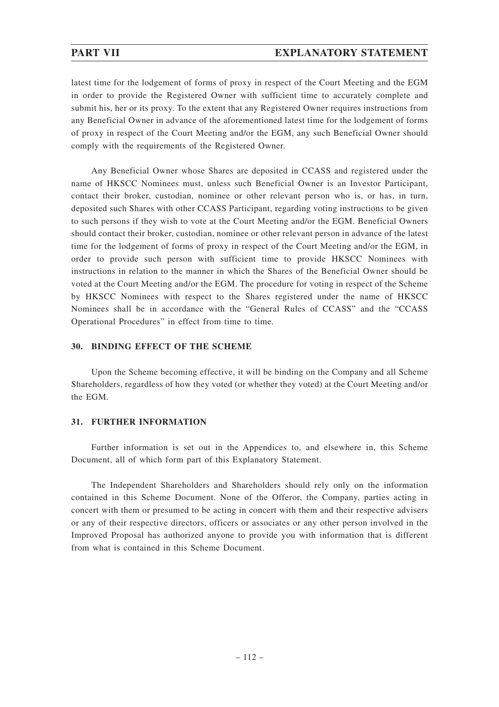latest time for the lodgement of forms of proxy in respect of the Court Meeting and the EGM in order to provide the Registered Owner with sufficient time to accurately complete and submit his, her or its proxy. To the extent that any Registered Owner requires instructions from any Beneficial Owner in advance of the aforementioned latest time for the lodgement of forms of proxy in respect of the Court Meeting and/or the EGM, any such Beneficial Owner should comply with the requirements of the Registered Owner.

Any Beneficial Owner whose Shares are deposited in CCASS and registered under the name of HKSCC Nominees must, unless such Beneficial Owner is an Investor Participant, contact their broker, custodian, nominee or other relevant person who is, or has, in turn, deposited such Shares with other CCASS Participant, regarding voting instructions to be given to such persons if they wish to vote at the Court Meeting and/or the EGM. Beneficial Owners should contact their broker, custodian, nominee or other relevant person in advance of the latest time for the lodgement of forms of proxy in respect of the Court Meeting and/or the EGM, in order to provide such person with sufficient time to provide HKSCC Nominees with instructions in relation to the manner in which the Shares of the Beneficial Owner should be voted at the Court Meeting and/or the EGM. The procedure for voting in respect of the Scheme by HKSCC Nominees with respect to the Shares registered under the name of HKSCC Nominees shall be in accordance with the "General Rules of CCASS" and the "CCASS Operational Procedures" in effect from time to time.

### **30. BINDING EFFECT OF THE SCHEME**

Upon the Scheme becoming effective, it will be binding on the Company and all Scheme Shareholders, regardless of how they voted (or whether they voted) at the Court Meeting and/or the EGM.

### **31. FURTHER INFORMATION**

Further information is set out in the Appendices to, and elsewhere in, this Scheme Document, all of which form part of this Explanatory Statement.

The Independent Shareholders and Shareholders should rely only on the information contained in this Scheme Document. None of the Offeror, the Company, parties acting in concert with them or presumed to be acting in concert with them and their respective advisers or any of their respective directors, officers or associates or any other person involved in the Improved Proposal has authorized anyone to provide you with information that is different from what is contained in this Scheme Document.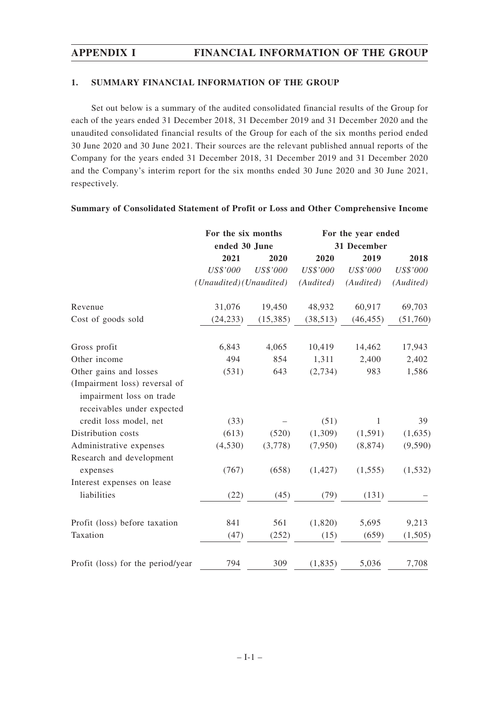### **1. SUMMARY FINANCIAL INFORMATION OF THE GROUP**

Set out below is a summary of the audited consolidated financial results of the Group for each of the years ended 31 December 2018, 31 December 2019 and 31 December 2020 and the unaudited consolidated financial results of the Group for each of the six months period ended 30 June 2020 and 30 June 2021. Their sources are the relevant published annual reports of the Company for the years ended 31 December 2018, 31 December 2019 and 31 December 2020 and the Company's interim report for the six months ended 30 June 2020 and 30 June 2021, respectively.

|                                                                                         | For the six months      |                 | For the year ended |             |           |  |
|-----------------------------------------------------------------------------------------|-------------------------|-----------------|--------------------|-------------|-----------|--|
|                                                                                         | ended 30 June           |                 |                    | 31 December |           |  |
|                                                                                         | 2021                    | 2020            | 2020               | 2019        | 2018      |  |
|                                                                                         | US\$'000                | <b>US\$'000</b> | US\$'000           | US\$'000    | US\$'000  |  |
|                                                                                         | (Unaudited) (Unaudited) |                 | (Audited)          | (Audited)   | (Audited) |  |
| Revenue                                                                                 | 31,076                  | 19,450          | 48,932             | 60,917      | 69,703    |  |
| Cost of goods sold                                                                      | (24, 233)               | (15,385)        | (38, 513)          | (46, 455)   | (51,760)  |  |
| Gross profit                                                                            | 6,843                   | 4,065           | 10,419             | 14,462      | 17,943    |  |
| Other income                                                                            | 494                     | 854             | 1,311              | 2,400       | 2,402     |  |
| Other gains and losses                                                                  | (531)                   | 643             | (2,734)            | 983         | 1,586     |  |
| (Impairment loss) reversal of<br>impairment loss on trade<br>receivables under expected |                         |                 |                    |             |           |  |
| credit loss model, net                                                                  | (33)                    |                 | (51)               | 1           | 39        |  |
| Distribution costs                                                                      | (613)                   | (520)           | (1,309)            | (1,591)     | (1,635)   |  |
| Administrative expenses                                                                 | (4,530)                 | (3,778)         | (7,950)            | (8, 874)    | (9, 590)  |  |
| Research and development                                                                |                         |                 |                    |             |           |  |
| expenses                                                                                | (767)                   | (658)           | (1, 427)           | (1, 555)    | (1, 532)  |  |
| Interest expenses on lease                                                              |                         |                 |                    |             |           |  |
| liabilities                                                                             | (22)                    | (45)            | (79)               | (131)       |           |  |
| Profit (loss) before taxation                                                           | 841                     | 561             | (1,820)            | 5,695       | 9,213     |  |
| Taxation                                                                                | (47)                    | (252)           | (15)               | (659)       | (1,505)   |  |
| Profit (loss) for the period/year                                                       | 794                     | 309             | (1, 835)           | 5,036       | 7,708     |  |

### **Summary of Consolidated Statement of Profit or Loss and Other Comprehensive Income**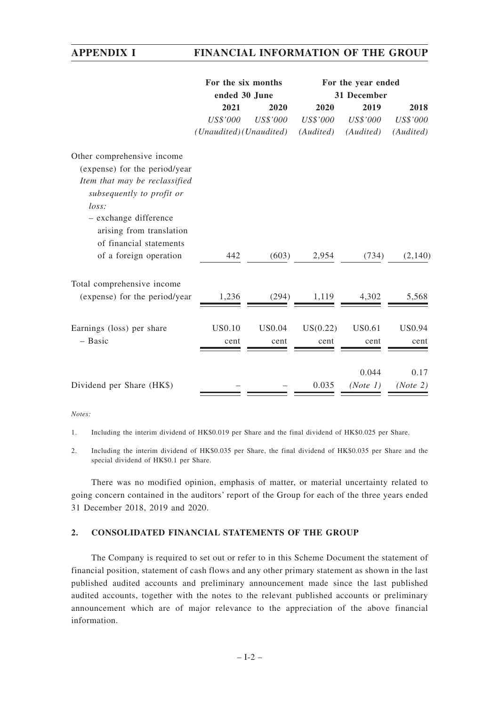|                               | For the six months      |                 | For the year ended |             |               |  |  |
|-------------------------------|-------------------------|-----------------|--------------------|-------------|---------------|--|--|
|                               | ended 30 June           |                 |                    | 31 December |               |  |  |
|                               | 2021                    | 2020            | 2020               | 2019        | 2018          |  |  |
|                               | US\$'000                | <b>US\$'000</b> | US\$'000           | US\$'000    | US\$'000      |  |  |
|                               | (Unaudited) (Unaudited) |                 | (Audited)          | (Audited)   | (Audited)     |  |  |
| Other comprehensive income    |                         |                 |                    |             |               |  |  |
| (expense) for the period/year |                         |                 |                    |             |               |  |  |
| Item that may be reclassified |                         |                 |                    |             |               |  |  |
| subsequently to profit or     |                         |                 |                    |             |               |  |  |
| loss:                         |                         |                 |                    |             |               |  |  |
| - exchange difference         |                         |                 |                    |             |               |  |  |
| arising from translation      |                         |                 |                    |             |               |  |  |
| of financial statements       |                         |                 |                    |             |               |  |  |
| of a foreign operation        | 442                     | (603)           | 2,954              | (734)       | (2,140)       |  |  |
| Total comprehensive income    |                         |                 |                    |             |               |  |  |
| (expense) for the period/year | 1,236                   | (294)           | 1,119              | 4,302       | 5,568         |  |  |
|                               |                         |                 |                    |             |               |  |  |
| Earnings (loss) per share     | US0.10                  | <b>US0.04</b>   | US(0.22)           | US0.61      | <b>US0.94</b> |  |  |
| - Basic                       | cent                    | cent            | cent               | cent        | cent          |  |  |
|                               |                         |                 |                    |             |               |  |  |
|                               |                         |                 |                    | 0.044       | 0.17          |  |  |
| Dividend per Share (HK\$)     |                         |                 | 0.035              | (Note 1)    | (Note 2)      |  |  |

*Notes:*

1. Including the interim dividend of HK\$0.019 per Share and the final dividend of HK\$0.025 per Share.

2. Including the interim dividend of HK\$0.035 per Share, the final dividend of HK\$0.035 per Share and the special dividend of HK\$0.1 per Share.

There was no modified opinion, emphasis of matter, or material uncertainty related to going concern contained in the auditors' report of the Group for each of the three years ended 31 December 2018, 2019 and 2020.

### **2. CONSOLIDATED FINANCIAL STATEMENTS OF THE GROUP**

The Company is required to set out or refer to in this Scheme Document the statement of financial position, statement of cash flows and any other primary statement as shown in the last published audited accounts and preliminary announcement made since the last published audited accounts, together with the notes to the relevant published accounts or preliminary announcement which are of major relevance to the appreciation of the above financial information.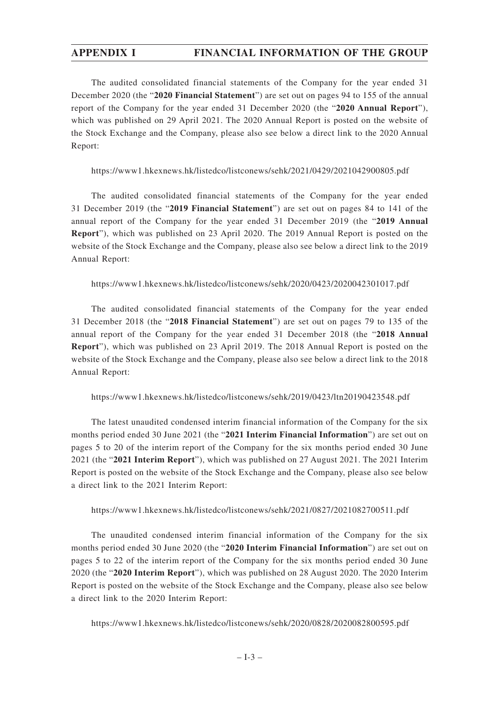The audited consolidated financial statements of the Company for the year ended 31 December 2020 (the "**2020 Financial Statement**") are set out on pages 94 to 155 of the annual report of the Company for the year ended 31 December 2020 (the "**2020 Annual Report**"), which was published on 29 April 2021. The 2020 Annual Report is posted on the website of the Stock Exchange and the Company, please also see below a direct link to the 2020 Annual Report:

https://www1.hkexnews.hk/listedco/listconews/sehk/2021/0429/2021042900805.pdf

The audited consolidated financial statements of the Company for the year ended 31 December 2019 (the "**2019 Financial Statement**") are set out on pages 84 to 141 of the annual report of the Company for the year ended 31 December 2019 (the "**2019 Annual Report**"), which was published on 23 April 2020. The 2019 Annual Report is posted on the website of the Stock Exchange and the Company, please also see below a direct link to the 2019 Annual Report:

https://www1.hkexnews.hk/listedco/listconews/sehk/2020/0423/2020042301017.pdf

The audited consolidated financial statements of the Company for the year ended 31 December 2018 (the "**2018 Financial Statement**") are set out on pages 79 to 135 of the annual report of the Company for the year ended 31 December 2018 (the "**2018 Annual Report**"), which was published on 23 April 2019. The 2018 Annual Report is posted on the website of the Stock Exchange and the Company, please also see below a direct link to the 2018 Annual Report:

https://www1.hkexnews.hk/listedco/listconews/sehk/2019/0423/ltn20190423548.pdf

The latest unaudited condensed interim financial information of the Company for the six months period ended 30 June 2021 (the "2021 **Interim Financial Information**") are set out on pages 5 to 20 of the interim report of the Company for the six months period ended 30 June 2021 (the "**2021 Interim Report**"), which was published on 27 August 2021. The 2021 Interim Report is posted on the website of the Stock Exchange and the Company, please also see below a direct link to the 2021 Interim Report:

https://www1.hkexnews.hk/listedco/listconews/sehk/2021/0827/2021082700511.pdf

The unaudited condensed interim financial information of the Company for the six months period ended 30 June 2020 (the "2020 Interim Financial Information") are set out on pages 5 to 22 of the interim report of the Company for the six months period ended 30 June 2020 (the "**2020 Interim Report**"), which was published on 28 August 2020. The 2020 Interim Report is posted on the website of the Stock Exchange and the Company, please also see below a direct link to the 2020 Interim Report:

https://www1.hkexnews.hk/listedco/listconews/sehk/2020/0828/2020082800595.pdf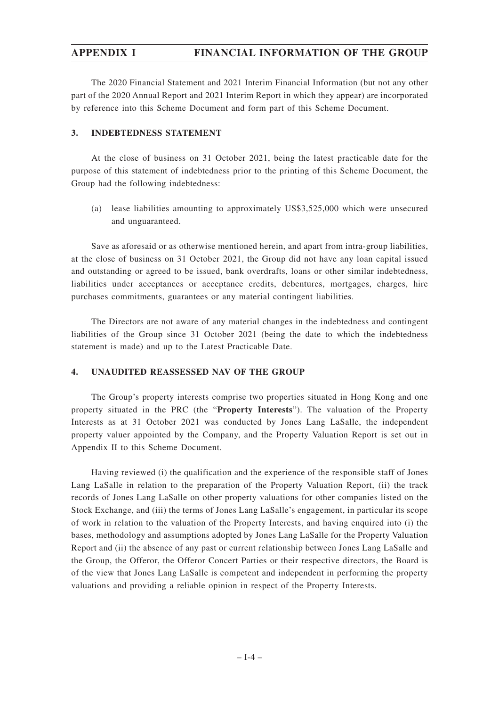The 2020 Financial Statement and 2021 Interim Financial Information (but not any other part of the 2020 Annual Report and 2021 Interim Report in which they appear) are incorporated by reference into this Scheme Document and form part of this Scheme Document.

### **3. INDEBTEDNESS STATEMENT**

At the close of business on 31 October 2021, being the latest practicable date for the purpose of this statement of indebtedness prior to the printing of this Scheme Document, the Group had the following indebtedness:

(a) lease liabilities amounting to approximately US\$3,525,000 which were unsecured and unguaranteed.

Save as aforesaid or as otherwise mentioned herein, and apart from intra-group liabilities, at the close of business on 31 October 2021, the Group did not have any loan capital issued and outstanding or agreed to be issued, bank overdrafts, loans or other similar indebtedness, liabilities under acceptances or acceptance credits, debentures, mortgages, charges, hire purchases commitments, guarantees or any material contingent liabilities.

The Directors are not aware of any material changes in the indebtedness and contingent liabilities of the Group since 31 October 2021 (being the date to which the indebtedness statement is made) and up to the Latest Practicable Date.

### **4. UNAUDITED REASSESSED NAV OF THE GROUP**

The Group's property interests comprise two properties situated in Hong Kong and one property situated in the PRC (the "**Property Interests**"). The valuation of the Property Interests as at 31 October 2021 was conducted by Jones Lang LaSalle, the independent property valuer appointed by the Company, and the Property Valuation Report is set out in Appendix II to this Scheme Document.

Having reviewed (i) the qualification and the experience of the responsible staff of Jones Lang LaSalle in relation to the preparation of the Property Valuation Report, (ii) the track records of Jones Lang LaSalle on other property valuations for other companies listed on the Stock Exchange, and (iii) the terms of Jones Lang LaSalle's engagement, in particular its scope of work in relation to the valuation of the Property Interests, and having enquired into (i) the bases, methodology and assumptions adopted by Jones Lang LaSalle for the Property Valuation Report and (ii) the absence of any past or current relationship between Jones Lang LaSalle and the Group, the Offeror, the Offeror Concert Parties or their respective directors, the Board is of the view that Jones Lang LaSalle is competent and independent in performing the property valuations and providing a reliable opinion in respect of the Property Interests.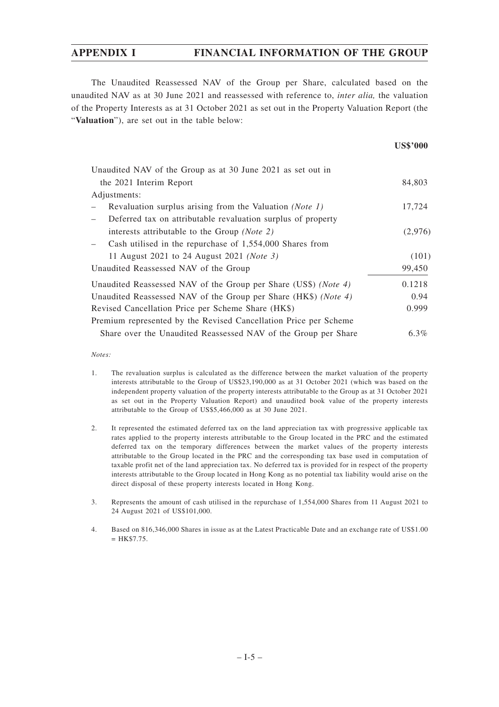The Unaudited Reassessed NAV of the Group per Share, calculated based on the unaudited NAV as at 30 June 2021 and reassessed with reference to, *inter alia,* the valuation of the Property Interests as at 31 October 2021 as set out in the Property Valuation Report (the "**Valuation**"), are set out in the table below:

| Unaudited NAV of the Group as at 30 June 2021 as set out in      |         |
|------------------------------------------------------------------|---------|
| the 2021 Interim Report                                          | 84,803  |
| Adjustments:                                                     |         |
| Revaluation surplus arising from the Valuation (Note 1)          | 17,724  |
| Deferred tax on attributable revaluation surplus of property     |         |
| interests attributable to the Group (Note 2)                     | (2,976) |
| Cash utilised in the repurchase of $1,554,000$ Shares from       |         |
| 11 August 2021 to 24 August 2021 ( <i>Note 3</i> )               | (101)   |
| Unaudited Reassessed NAV of the Group                            | 99,450  |
| Unaudited Reassessed NAV of the Group per Share (US\$) (Note 4)  | 0.1218  |
| Unaudited Reassessed NAV of the Group per Share (HK\$) (Note 4)  | 0.94    |
| Revised Cancellation Price per Scheme Share (HK\$)               | 0.999   |
| Premium represented by the Revised Cancellation Price per Scheme |         |
| Share over the Unaudited Reassessed NAV of the Group per Share   | $6.3\%$ |

*Notes:*

- 1. The revaluation surplus is calculated as the difference between the market valuation of the property interests attributable to the Group of US\$23,190,000 as at 31 October 2021 (which was based on the independent property valuation of the property interests attributable to the Group as at 31 October 2021 as set out in the Property Valuation Report) and unaudited book value of the property interests attributable to the Group of US\$5,466,000 as at 30 June 2021.
- 2. It represented the estimated deferred tax on the land appreciation tax with progressive applicable tax rates applied to the property interests attributable to the Group located in the PRC and the estimated deferred tax on the temporary differences between the market values of the property interests attributable to the Group located in the PRC and the corresponding tax base used in computation of taxable profit net of the land appreciation tax. No deferred tax is provided for in respect of the property interests attributable to the Group located in Hong Kong as no potential tax liability would arise on the direct disposal of these property interests located in Hong Kong.
- 3. Represents the amount of cash utilised in the repurchase of 1,554,000 Shares from 11 August 2021 to 24 August 2021 of US\$101,000.
- 4. Based on 816,346,000 Shares in issue as at the Latest Practicable Date and an exchange rate of US\$1.00  $= HK$ \$7.75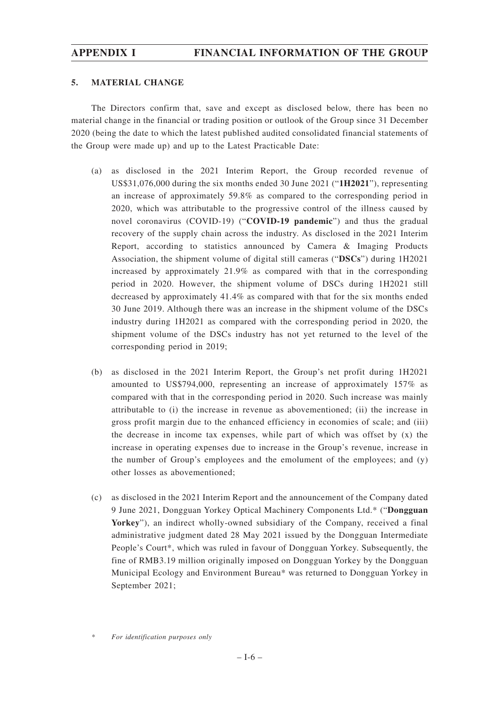### **5. MATERIAL CHANGE**

The Directors confirm that, save and except as disclosed below, there has been no material change in the financial or trading position or outlook of the Group since 31 December 2020 (being the date to which the latest published audited consolidated financial statements of the Group were made up) and up to the Latest Practicable Date:

- (a) as disclosed in the 2021 Interim Report, the Group recorded revenue of US\$31,076,000 during the six months ended 30 June 2021 ("**1H2021**"), representing an increase of approximately 59.8% as compared to the corresponding period in 2020, which was attributable to the progressive control of the illness caused by novel coronavirus (COVID-19) ("**COVID-19 pandemic**") and thus the gradual recovery of the supply chain across the industry. As disclosed in the 2021 Interim Report, according to statistics announced by Camera & Imaging Products Association, the shipment volume of digital still cameras ("**DSCs**") during 1H2021 increased by approximately 21.9% as compared with that in the corresponding period in 2020. However, the shipment volume of DSCs during 1H2021 still decreased by approximately 41.4% as compared with that for the six months ended 30 June 2019. Although there was an increase in the shipment volume of the DSCs industry during 1H2021 as compared with the corresponding period in 2020, the shipment volume of the DSCs industry has not yet returned to the level of the corresponding period in 2019;
- (b) as disclosed in the 2021 Interim Report, the Group's net profit during 1H2021 amounted to US\$794,000, representing an increase of approximately 157% as compared with that in the corresponding period in 2020. Such increase was mainly attributable to (i) the increase in revenue as abovementioned; (ii) the increase in gross profit margin due to the enhanced efficiency in economies of scale; and (iii) the decrease in income tax expenses, while part of which was offset by  $(x)$  the increase in operating expenses due to increase in the Group's revenue, increase in the number of Group's employees and the emolument of the employees; and (y) other losses as abovementioned;
- (c) as disclosed in the 2021 Interim Report and the announcement of the Company dated 9 June 2021, Dongguan Yorkey Optical Machinery Components Ltd.\* ("**Dongguan Yorkey**"), an indirect wholly-owned subsidiary of the Company, received a final administrative judgment dated 28 May 2021 issued by the Dongguan Intermediate People's Court\*, which was ruled in favour of Dongguan Yorkey. Subsequently, the fine of RMB3.19 million originally imposed on Dongguan Yorkey by the Dongguan Municipal Ecology and Environment Bureau\* was returned to Dongguan Yorkey in September 2021;

*<sup>\*</sup> For identification purposes only*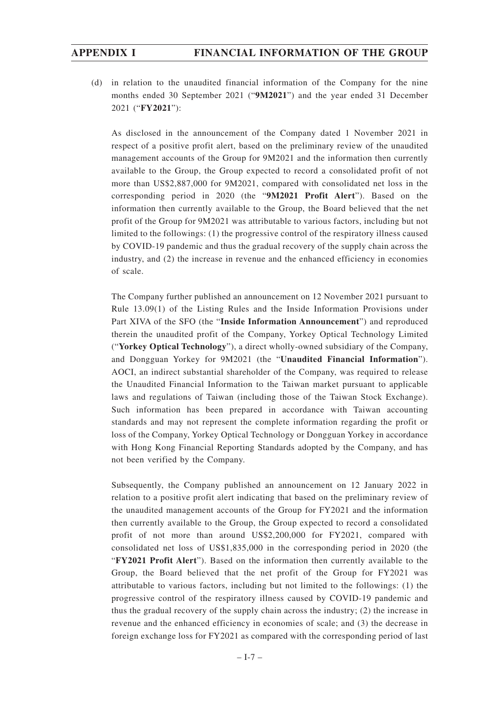(d) in relation to the unaudited financial information of the Company for the nine months ended 30 September 2021 ("**9M2021**") and the year ended 31 December 2021 ("**FY2021**"):

As disclosed in the announcement of the Company dated 1 November 2021 in respect of a positive profit alert, based on the preliminary review of the unaudited management accounts of the Group for 9M2021 and the information then currently available to the Group, the Group expected to record a consolidated profit of not more than US\$2,887,000 for 9M2021, compared with consolidated net loss in the corresponding period in 2020 (the "**9M2021 Profit Alert**"). Based on the information then currently available to the Group, the Board believed that the net profit of the Group for 9M2021 was attributable to various factors, including but not limited to the followings: (1) the progressive control of the respiratory illness caused by COVID-19 pandemic and thus the gradual recovery of the supply chain across the industry, and (2) the increase in revenue and the enhanced efficiency in economies of scale.

The Company further published an announcement on 12 November 2021 pursuant to Rule 13.09(1) of the Listing Rules and the Inside Information Provisions under Part XIVA of the SFO (the "**Inside Information Announcement**") and reproduced therein the unaudited profit of the Company, Yorkey Optical Technology Limited ("**Yorkey Optical Technology**"), a direct wholly-owned subsidiary of the Company, and Dongguan Yorkey for 9M2021 (the "**Unaudited Financial Information**"). AOCI, an indirect substantial shareholder of the Company, was required to release the Unaudited Financial Information to the Taiwan market pursuant to applicable laws and regulations of Taiwan (including those of the Taiwan Stock Exchange). Such information has been prepared in accordance with Taiwan accounting standards and may not represent the complete information regarding the profit or loss of the Company, Yorkey Optical Technology or Dongguan Yorkey in accordance with Hong Kong Financial Reporting Standards adopted by the Company, and has not been verified by the Company.

Subsequently, the Company published an announcement on 12 January 2022 in relation to a positive profit alert indicating that based on the preliminary review of the unaudited management accounts of the Group for FY2021 and the information then currently available to the Group, the Group expected to record a consolidated profit of not more than around US\$2,200,000 for FY2021, compared with consolidated net loss of US\$1,835,000 in the corresponding period in 2020 (the "**FY2021 Profit Alert**"). Based on the information then currently available to the Group, the Board believed that the net profit of the Group for FY2021 was attributable to various factors, including but not limited to the followings: (1) the progressive control of the respiratory illness caused by COVID-19 pandemic and thus the gradual recovery of the supply chain across the industry; (2) the increase in revenue and the enhanced efficiency in economies of scale; and (3) the decrease in foreign exchange loss for FY2021 as compared with the corresponding period of last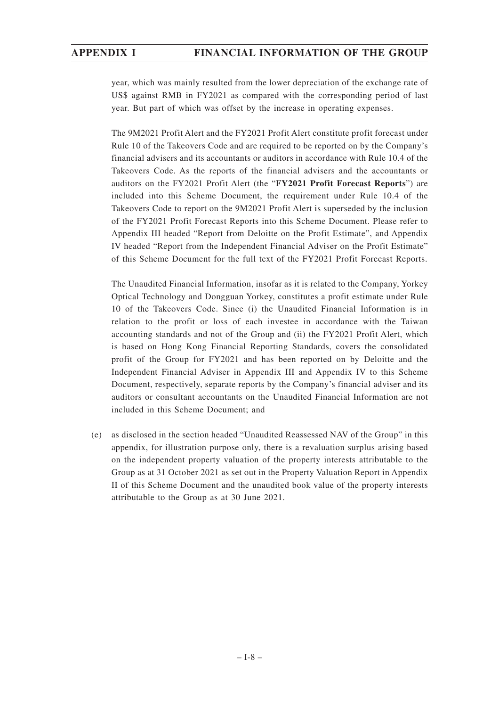year, which was mainly resulted from the lower depreciation of the exchange rate of US\$ against RMB in FY2021 as compared with the corresponding period of last year. But part of which was offset by the increase in operating expenses.

The 9M2021 Profit Alert and the FY2021 Profit Alert constitute profit forecast under Rule 10 of the Takeovers Code and are required to be reported on by the Company's financial advisers and its accountants or auditors in accordance with Rule 10.4 of the Takeovers Code. As the reports of the financial advisers and the accountants or auditors on the FY2021 Profit Alert (the "**FY2021 Profit Forecast Reports**") are included into this Scheme Document, the requirement under Rule 10.4 of the Takeovers Code to report on the 9M2021 Profit Alert is superseded by the inclusion of the FY2021 Profit Forecast Reports into this Scheme Document. Please refer to Appendix III headed "Report from Deloitte on the Profit Estimate", and Appendix IV headed "Report from the Independent Financial Adviser on the Profit Estimate" of this Scheme Document for the full text of the FY2021 Profit Forecast Reports.

The Unaudited Financial Information, insofar as it is related to the Company, Yorkey Optical Technology and Dongguan Yorkey, constitutes a profit estimate under Rule 10 of the Takeovers Code. Since (i) the Unaudited Financial Information is in relation to the profit or loss of each investee in accordance with the Taiwan accounting standards and not of the Group and (ii) the FY2021 Profit Alert, which is based on Hong Kong Financial Reporting Standards, covers the consolidated profit of the Group for FY2021 and has been reported on by Deloitte and the Independent Financial Adviser in Appendix III and Appendix IV to this Scheme Document, respectively, separate reports by the Company's financial adviser and its auditors or consultant accountants on the Unaudited Financial Information are not included in this Scheme Document; and

(e) as disclosed in the section headed "Unaudited Reassessed NAV of the Group" in this appendix, for illustration purpose only, there is a revaluation surplus arising based on the independent property valuation of the property interests attributable to the Group as at 31 October 2021 as set out in the Property Valuation Report in Appendix II of this Scheme Document and the unaudited book value of the property interests attributable to the Group as at 30 June 2021.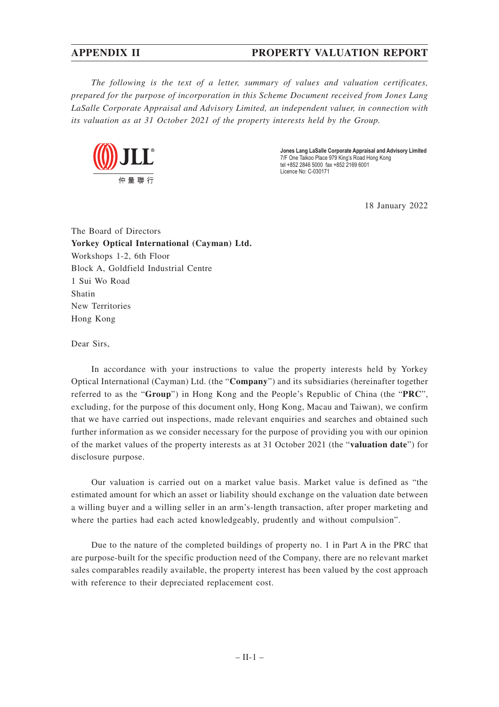*The following is the text of a letter, summary of values and valuation certificates, prepared for the purpose of incorporation in this Scheme Document received from Jones Lang LaSalle Corporate Appraisal and Advisory Limited, an independent valuer, in connection with its valuation as at 31 October 2021 of the property interests held by the Group.*



**Jones Lang LaSalle Corporate Appraisal and Advisory Limited** 7/F One Taikoo Place 979 King's Road Hong Kong tel +852 2846 5000 fax +852 2169 6001 Licence No: C-030171

18 January 2022

The Board of Directors **Yorkey Optical International (Cayman) Ltd.** Workshops 1-2, 6th Floor Block A, Goldfield Industrial Centre 1 Sui Wo Road Shatin New Territories Hong Kong

Dear Sirs,

In accordance with your instructions to value the property interests held by Yorkey Optical International (Cayman) Ltd. (the "**Company**") and its subsidiaries (hereinafter together referred to as the "**Group**") in Hong Kong and the People's Republic of China (the "**PRC**", excluding, for the purpose of this document only, Hong Kong, Macau and Taiwan), we confirm that we have carried out inspections, made relevant enquiries and searches and obtained such further information as we consider necessary for the purpose of providing you with our opinion of the market values of the property interests as at 31 October 2021 (the "**valuation date**") for disclosure purpose.

Our valuation is carried out on a market value basis. Market value is defined as "the estimated amount for which an asset or liability should exchange on the valuation date between a willing buyer and a willing seller in an arm's-length transaction, after proper marketing and where the parties had each acted knowledgeably, prudently and without compulsion".

Due to the nature of the completed buildings of property no. 1 in Part A in the PRC that are purpose-built for the specific production need of the Company, there are no relevant market sales comparables readily available, the property interest has been valued by the cost approach with reference to their depreciated replacement cost.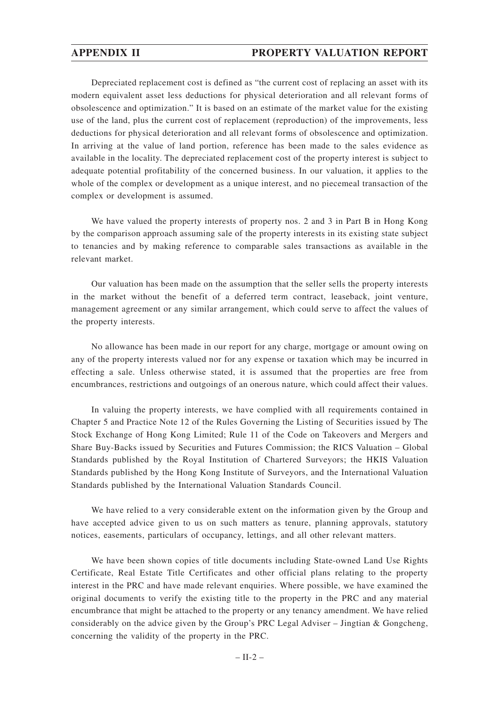Depreciated replacement cost is defined as "the current cost of replacing an asset with its modern equivalent asset less deductions for physical deterioration and all relevant forms of obsolescence and optimization." It is based on an estimate of the market value for the existing use of the land, plus the current cost of replacement (reproduction) of the improvements, less deductions for physical deterioration and all relevant forms of obsolescence and optimization. In arriving at the value of land portion, reference has been made to the sales evidence as available in the locality. The depreciated replacement cost of the property interest is subject to adequate potential profitability of the concerned business. In our valuation, it applies to the whole of the complex or development as a unique interest, and no piecemeal transaction of the complex or development is assumed.

We have valued the property interests of property nos. 2 and 3 in Part B in Hong Kong by the comparison approach assuming sale of the property interests in its existing state subject to tenancies and by making reference to comparable sales transactions as available in the relevant market.

Our valuation has been made on the assumption that the seller sells the property interests in the market without the benefit of a deferred term contract, leaseback, joint venture, management agreement or any similar arrangement, which could serve to affect the values of the property interests.

No allowance has been made in our report for any charge, mortgage or amount owing on any of the property interests valued nor for any expense or taxation which may be incurred in effecting a sale. Unless otherwise stated, it is assumed that the properties are free from encumbrances, restrictions and outgoings of an onerous nature, which could affect their values.

In valuing the property interests, we have complied with all requirements contained in Chapter 5 and Practice Note 12 of the Rules Governing the Listing of Securities issued by The Stock Exchange of Hong Kong Limited; Rule 11 of the Code on Takeovers and Mergers and Share Buy-Backs issued by Securities and Futures Commission; the RICS Valuation – Global Standards published by the Royal Institution of Chartered Surveyors; the HKIS Valuation Standards published by the Hong Kong Institute of Surveyors, and the International Valuation Standards published by the International Valuation Standards Council.

We have relied to a very considerable extent on the information given by the Group and have accepted advice given to us on such matters as tenure, planning approvals, statutory notices, easements, particulars of occupancy, lettings, and all other relevant matters.

We have been shown copies of title documents including State-owned Land Use Rights Certificate, Real Estate Title Certificates and other official plans relating to the property interest in the PRC and have made relevant enquiries. Where possible, we have examined the original documents to verify the existing title to the property in the PRC and any material encumbrance that might be attached to the property or any tenancy amendment. We have relied considerably on the advice given by the Group's PRC Legal Adviser – Jingtian & Gongcheng, concerning the validity of the property in the PRC.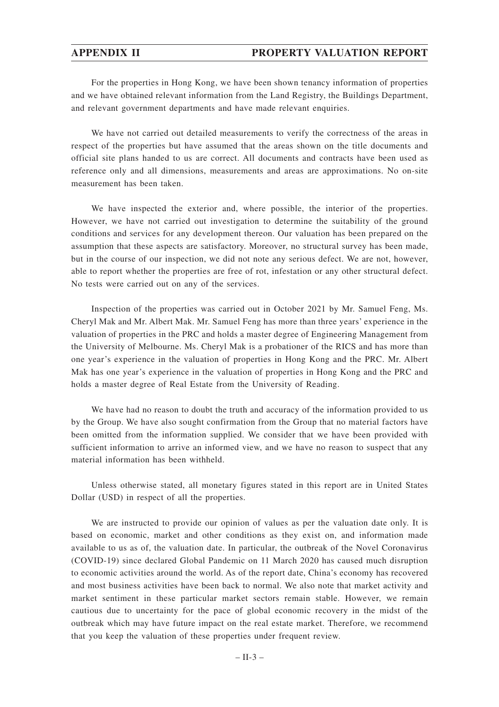For the properties in Hong Kong, we have been shown tenancy information of properties and we have obtained relevant information from the Land Registry, the Buildings Department, and relevant government departments and have made relevant enquiries.

We have not carried out detailed measurements to verify the correctness of the areas in respect of the properties but have assumed that the areas shown on the title documents and official site plans handed to us are correct. All documents and contracts have been used as reference only and all dimensions, measurements and areas are approximations. No on-site measurement has been taken.

We have inspected the exterior and, where possible, the interior of the properties. However, we have not carried out investigation to determine the suitability of the ground conditions and services for any development thereon. Our valuation has been prepared on the assumption that these aspects are satisfactory. Moreover, no structural survey has been made, but in the course of our inspection, we did not note any serious defect. We are not, however, able to report whether the properties are free of rot, infestation or any other structural defect. No tests were carried out on any of the services.

Inspection of the properties was carried out in October 2021 by Mr. Samuel Feng, Ms. Cheryl Mak and Mr. Albert Mak. Mr. Samuel Feng has more than three years' experience in the valuation of properties in the PRC and holds a master degree of Engineering Management from the University of Melbourne. Ms. Cheryl Mak is a probationer of the RICS and has more than one year's experience in the valuation of properties in Hong Kong and the PRC. Mr. Albert Mak has one year's experience in the valuation of properties in Hong Kong and the PRC and holds a master degree of Real Estate from the University of Reading.

We have had no reason to doubt the truth and accuracy of the information provided to us by the Group. We have also sought confirmation from the Group that no material factors have been omitted from the information supplied. We consider that we have been provided with sufficient information to arrive an informed view, and we have no reason to suspect that any material information has been withheld.

Unless otherwise stated, all monetary figures stated in this report are in United States Dollar (USD) in respect of all the properties.

We are instructed to provide our opinion of values as per the valuation date only. It is based on economic, market and other conditions as they exist on, and information made available to us as of, the valuation date. In particular, the outbreak of the Novel Coronavirus (COVID-19) since declared Global Pandemic on 11 March 2020 has caused much disruption to economic activities around the world. As of the report date, China's economy has recovered and most business activities have been back to normal. We also note that market activity and market sentiment in these particular market sectors remain stable. However, we remain cautious due to uncertainty for the pace of global economic recovery in the midst of the outbreak which may have future impact on the real estate market. Therefore, we recommend that you keep the valuation of these properties under frequent review.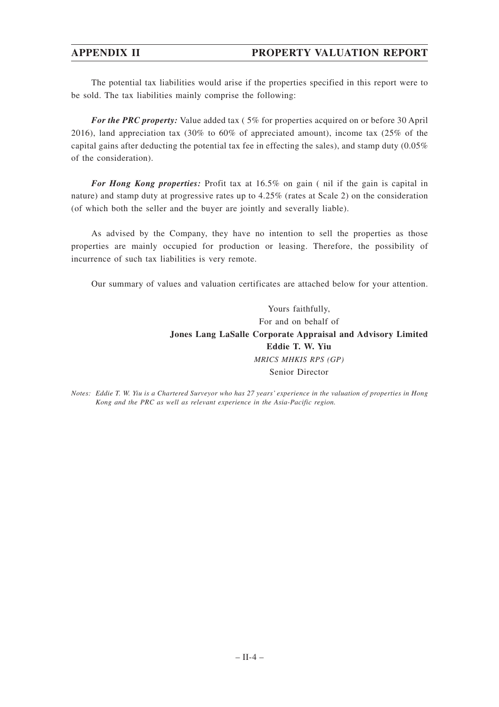The potential tax liabilities would arise if the properties specified in this report were to be sold. The tax liabilities mainly comprise the following:

*For the PRC property:* Value added tax (5% for properties acquired on or before 30 April 2016), land appreciation tax (30% to 60% of appreciated amount), income tax (25% of the capital gains after deducting the potential tax fee in effecting the sales), and stamp duty (0.05% of the consideration).

*For Hong Kong properties:* Profit tax at 16.5% on gain ( nil if the gain is capital in nature) and stamp duty at progressive rates up to 4.25% (rates at Scale 2) on the consideration (of which both the seller and the buyer are jointly and severally liable).

As advised by the Company, they have no intention to sell the properties as those properties are mainly occupied for production or leasing. Therefore, the possibility of incurrence of such tax liabilities is very remote.

Our summary of values and valuation certificates are attached below for your attention.

Yours faithfully, For and on behalf of **Jones Lang LaSalle Corporate Appraisal and Advisory Limited Eddie T. W. Yiu** *MRICS MHKIS RPS (GP)* Senior Director

*Notes: Eddie T. W. Yiu is a Chartered Surveyor who has 27 years' experience in the valuation of properties in Hong Kong and the PRC as well as relevant experience in the Asia-Pacific region.*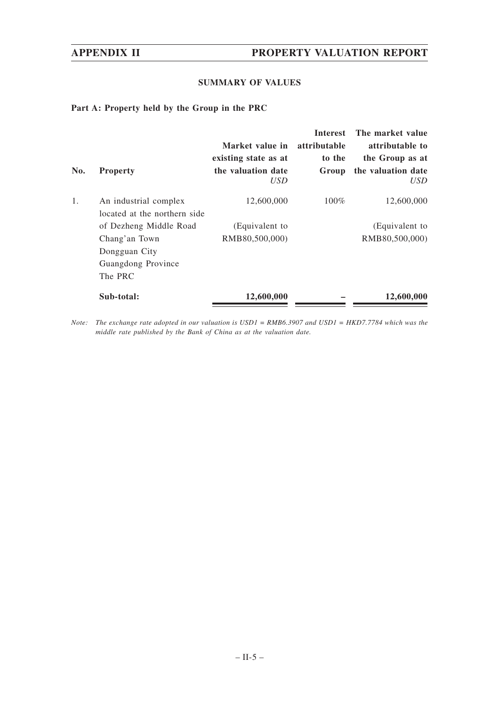### **SUMMARY OF VALUES**

**Part A: Property held by the Group in the PRC**

| No. | <b>Property</b>                                       | Market value in<br>existing state as at<br>the valuation date<br><i>USD</i> | <b>Interest</b><br>attributable<br>to the<br>Group | The market value<br>attributable to<br>the Group as at<br>the valuation date<br>USD |
|-----|-------------------------------------------------------|-----------------------------------------------------------------------------|----------------------------------------------------|-------------------------------------------------------------------------------------|
| 1.  | An industrial complex<br>located at the northern side | 12,600,000                                                                  | $100\%$                                            | 12,600,000                                                                          |
|     | of Dezheng Middle Road                                | (Equivalent to                                                              |                                                    | (Equivalent to                                                                      |
|     | Chang'an Town<br>Dongguan City                        | RMB80,500,000)                                                              |                                                    | RMB80,500,000)                                                                      |
|     | Guangdong Province                                    |                                                                             |                                                    |                                                                                     |
|     | The PRC                                               |                                                                             |                                                    |                                                                                     |
|     | Sub-total:                                            | 12,600,000                                                                  |                                                    | 12,600,000                                                                          |

*Note: The exchange rate adopted in our valuation is USD1 = RMB6.3907 and USD1 = HKD7.7784 which was the middle rate published by the Bank of China as at the valuation date.*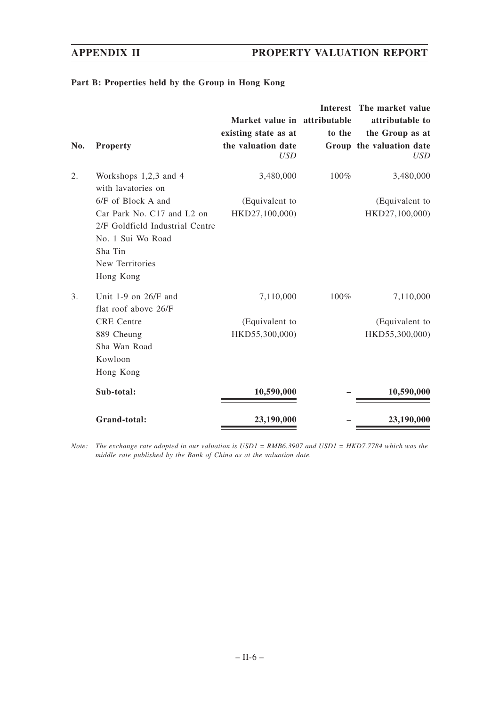### **Part B: Properties held by the Group in Hong Kong**

|     |                                 |                              |        | Interest The market value |
|-----|---------------------------------|------------------------------|--------|---------------------------|
|     |                                 | Market value in attributable |        | attributable to           |
|     |                                 | existing state as at         | to the | the Group as at           |
| No. | <b>Property</b>                 | the valuation date           |        | Group the valuation date  |
|     |                                 | <b>USD</b>                   |        | <b>USD</b>                |
| 2.  | Workshops $1,2,3$ and 4         | 3,480,000                    | 100%   | 3,480,000                 |
|     | with lavatories on              |                              |        |                           |
|     | 6/F of Block A and              | (Equivalent to               |        | (Equivalent to            |
|     | Car Park No. C17 and L2 on      | HKD27,100,000)               |        | HKD27,100,000)            |
|     | 2/F Goldfield Industrial Centre |                              |        |                           |
|     | No. 1 Sui Wo Road               |                              |        |                           |
|     | Sha Tin                         |                              |        |                           |
|     | New Territories                 |                              |        |                           |
|     | Hong Kong                       |                              |        |                           |
| 3.  | Unit $1-9$ on $26/F$ and        | 7,110,000                    | 100%   | 7,110,000                 |
|     | flat roof above 26/F            |                              |        |                           |
|     | <b>CRE</b> Centre               | (Equivalent to               |        | (Equivalent to            |
|     | 889 Cheung                      | HKD55,300,000)               |        | HKD55,300,000)            |
|     | Sha Wan Road                    |                              |        |                           |
|     | Kowloon                         |                              |        |                           |
|     | Hong Kong                       |                              |        |                           |
|     | Sub-total:                      | 10,590,000                   |        | 10,590,000                |
|     | Grand-total:                    | 23,190,000                   |        | 23,190,000                |

*Note: The exchange rate adopted in our valuation is USD1 = RMB6.3907 and USD1 = HKD7.7784 which was the middle rate published by the Bank of China as at the valuation date.*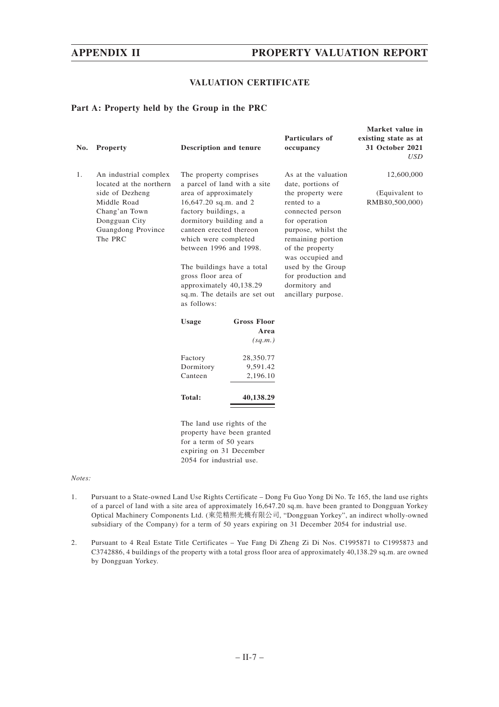**Market value in**

### **VALUATION CERTIFICATE**

### **Part A: Property held by the Group in the PRC**

| No. | <b>Property</b>                                                                                                                                       | <b>Description and tenure</b>                                                                                                                                                                                                                                                                                                                                             |                            | Particulars of<br>occupancy                                                                                                                                                                                                                                                            | existing state as at<br>31 October 2021<br>USD |
|-----|-------------------------------------------------------------------------------------------------------------------------------------------------------|---------------------------------------------------------------------------------------------------------------------------------------------------------------------------------------------------------------------------------------------------------------------------------------------------------------------------------------------------------------------------|----------------------------|----------------------------------------------------------------------------------------------------------------------------------------------------------------------------------------------------------------------------------------------------------------------------------------|------------------------------------------------|
| 1.  | An industrial complex<br>located at the northern<br>side of Dezheng<br>Middle Road<br>Chang'an Town<br>Dongguan City<br>Guangdong Province<br>The PRC | The property comprises<br>a parcel of land with a site<br>area of approximately<br>16,647.20 sq.m. and 2<br>factory buildings, a<br>dormitory building and a<br>canteen erected thereon<br>which were completed<br>between 1996 and 1998.<br>The buildings have a total<br>gross floor area of<br>approximately 40,138.29<br>sq.m. The details are set out<br>as follows: |                            | As at the valuation<br>date, portions of<br>the property were<br>rented to a<br>connected person<br>for operation<br>purpose, whilst the<br>remaining portion<br>of the property<br>was occupied and<br>used by the Group<br>for production and<br>dormitory and<br>ancillary purpose. | 12,600,000<br>(Equivalent to<br>RMB80,500,000) |
|     |                                                                                                                                                       |                                                                                                                                                                                                                                                                                                                                                                           | <b>Gross Floor</b>         |                                                                                                                                                                                                                                                                                        |                                                |
|     |                                                                                                                                                       | <b>Usage</b>                                                                                                                                                                                                                                                                                                                                                              | Area                       |                                                                                                                                                                                                                                                                                        |                                                |
|     |                                                                                                                                                       |                                                                                                                                                                                                                                                                                                                                                                           | (sq.m.)                    |                                                                                                                                                                                                                                                                                        |                                                |
|     |                                                                                                                                                       | Factory                                                                                                                                                                                                                                                                                                                                                                   | 28,350.77                  |                                                                                                                                                                                                                                                                                        |                                                |
|     |                                                                                                                                                       | Dormitory                                                                                                                                                                                                                                                                                                                                                                 | 9,591.42                   |                                                                                                                                                                                                                                                                                        |                                                |
|     |                                                                                                                                                       | Canteen                                                                                                                                                                                                                                                                                                                                                                   | 2,196.10                   |                                                                                                                                                                                                                                                                                        |                                                |
|     |                                                                                                                                                       | <b>Total:</b>                                                                                                                                                                                                                                                                                                                                                             | 40,138.29                  |                                                                                                                                                                                                                                                                                        |                                                |
|     |                                                                                                                                                       | The land use rights of the<br>for a term of 50 years<br>expiring on 31 December<br>2054 for industrial use.                                                                                                                                                                                                                                                               | property have been granted |                                                                                                                                                                                                                                                                                        |                                                |

#### *Notes:*

- 1. Pursuant to a State-owned Land Use Rights Certificate Dong Fu Guo Yong Di No. Te 165, the land use rights of a parcel of land with a site area of approximately 16,647.20 sq.m. have been granted to Dongguan Yorkey Optical Machinery Components Ltd. (東莞精熙光機有限公司, "Dongguan Yorkey", an indirect wholly-owned subsidiary of the Company) for a term of 50 years expiring on 31 December 2054 for industrial use.
- 2. Pursuant to 4 Real Estate Title Certificates Yue Fang Di Zheng Zi Di Nos. C1995871 to C1995873 and C3742886, 4 buildings of the property with a total gross floor area of approximately 40,138.29 sq.m. are owned by Dongguan Yorkey.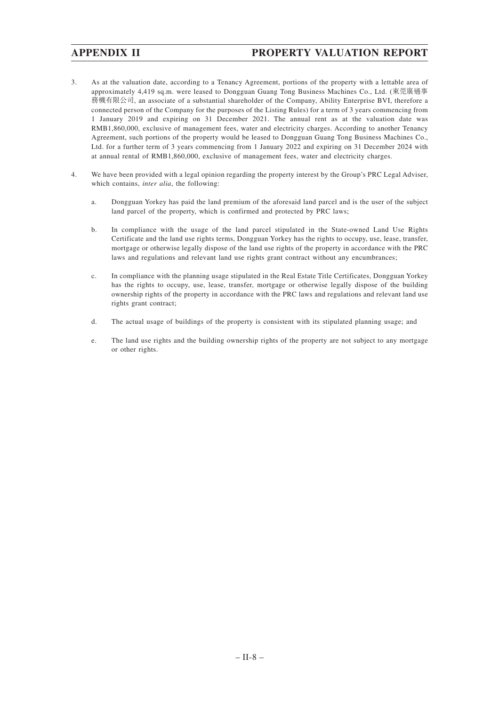- 3. As at the valuation date, according to a Tenancy Agreement, portions of the property with a lettable area of approximately 4,419 sq.m. were leased to Dongguan Guang Tong Business Machines Co., Ltd. (東莞廣通事 務機有限公司, an associate of a substantial shareholder of the Company, Ability Enterprise BVI, therefore a connected person of the Company for the purposes of the Listing Rules) for a term of 3 years commencing from 1 January 2019 and expiring on 31 December 2021. The annual rent as at the valuation date was RMB1,860,000, exclusive of management fees, water and electricity charges. According to another Tenancy Agreement, such portions of the property would be leased to Dongguan Guang Tong Business Machines Co., Ltd. for a further term of 3 years commencing from 1 January 2022 and expiring on 31 December 2024 with at annual rental of RMB1,860,000, exclusive of management fees, water and electricity charges.
- 4. We have been provided with a legal opinion regarding the property interest by the Group's PRC Legal Adviser, which contains, *inter alia*, the following:
	- a. Dongguan Yorkey has paid the land premium of the aforesaid land parcel and is the user of the subject land parcel of the property, which is confirmed and protected by PRC laws;
	- b. In compliance with the usage of the land parcel stipulated in the State-owned Land Use Rights Certificate and the land use rights terms, Dongguan Yorkey has the rights to occupy, use, lease, transfer, mortgage or otherwise legally dispose of the land use rights of the property in accordance with the PRC laws and regulations and relevant land use rights grant contract without any encumbrances;
	- c. In compliance with the planning usage stipulated in the Real Estate Title Certificates, Dongguan Yorkey has the rights to occupy, use, lease, transfer, mortgage or otherwise legally dispose of the building ownership rights of the property in accordance with the PRC laws and regulations and relevant land use rights grant contract;
	- d. The actual usage of buildings of the property is consistent with its stipulated planning usage; and
	- e. The land use rights and the building ownership rights of the property are not subject to any mortgage or other rights.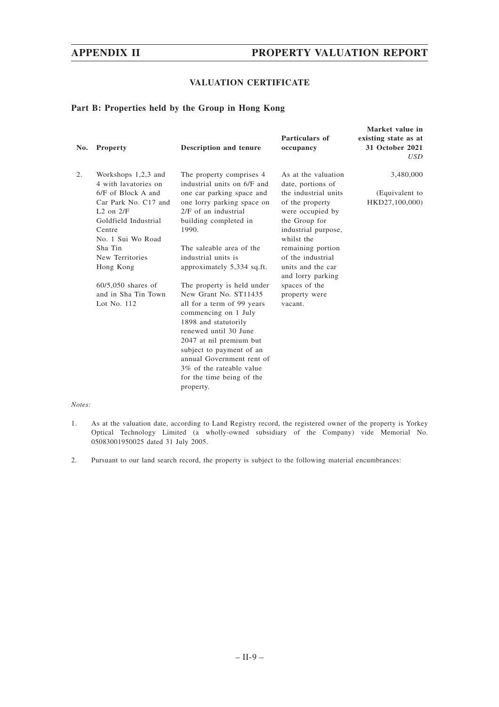### **VALUATION CERTIFICATE**

### **Part B: Properties held by the Group in Hong Kong**

| No. | <b>Property</b>                                                                                                                      | <b>Description and tenure</b>                                                                                                                                                                                                                                                                                         | Particulars of<br>occupancy                                                                                              | Market value in<br>existing state as at<br>31 October 2021<br>USD |
|-----|--------------------------------------------------------------------------------------------------------------------------------------|-----------------------------------------------------------------------------------------------------------------------------------------------------------------------------------------------------------------------------------------------------------------------------------------------------------------------|--------------------------------------------------------------------------------------------------------------------------|-------------------------------------------------------------------|
| 2.  | Workshops $1,2,3$ and<br>4 with lavatories on<br>6/F of Block A and<br>Car Park No. C17 and<br>$L2$ on $2/F$<br>Goldfield Industrial | The property comprises 4<br>industrial units on 6/F and<br>one car parking space and<br>one lorry parking space on<br>2/F of an industrial<br>building completed in                                                                                                                                                   | As at the valuation<br>date, portions of<br>the industrial units<br>of the property<br>were occupied by<br>the Group for | 3,480,000<br>(Equivalent to<br>HKD27,100,000)                     |
|     | Centre<br>No. 1 Sui Wo Road                                                                                                          | 1990.                                                                                                                                                                                                                                                                                                                 | industrial purpose,<br>whilst the                                                                                        |                                                                   |
|     | Sha Tin<br>New Territories<br>Hong Kong                                                                                              | The saleable area of the<br>industrial units is<br>approximately 5,334 sq.ft.                                                                                                                                                                                                                                         | remaining portion<br>of the industrial<br>units and the car<br>and lorry parking                                         |                                                                   |
|     | $60/5,050$ shares of<br>and in Sha Tin Town<br>Lot No. 112                                                                           | The property is held under<br>New Grant No. ST11435<br>all for a term of 99 years<br>commencing on 1 July<br>1898 and statutorily<br>renewed until 30 June<br>2047 at nil premium but<br>subject to payment of an<br>annual Government rent of<br>3\% of the rateable value<br>for the time being of the<br>property. | spaces of the<br>property were<br>vacant.                                                                                |                                                                   |

#### *Notes:*

- 1. As at the valuation date, according to Land Registry record, the registered owner of the property is Yorkey Optical Technology Limited (a wholly-owned subsidiary of the Company) vide Memorial No. 05083001950025 dated 31 July 2005.
- 2. Pursuant to our land search record, the property is subject to the following material encumbrances: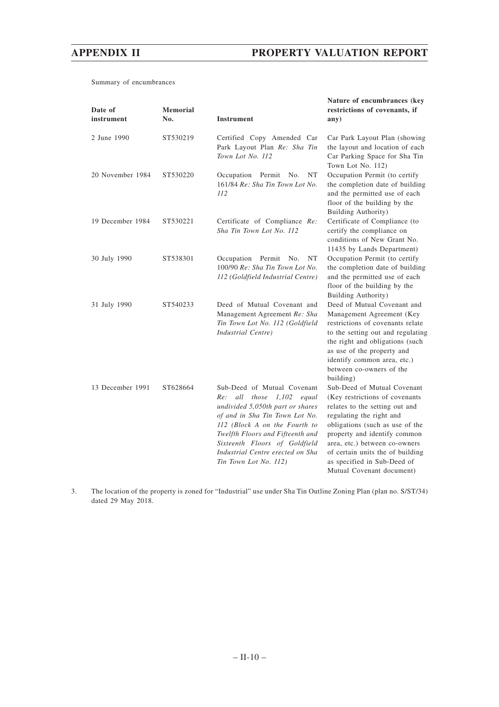Summary of encumbrances

| Date of<br>instrument | Memorial<br>No. | <b>Instrument</b>                                                                                                                                                                                                                                                                                            | Nature of encumbrances (key<br>restrictions of covenants, if<br>any)                                                                                                                                                                                                                                                            |
|-----------------------|-----------------|--------------------------------------------------------------------------------------------------------------------------------------------------------------------------------------------------------------------------------------------------------------------------------------------------------------|---------------------------------------------------------------------------------------------------------------------------------------------------------------------------------------------------------------------------------------------------------------------------------------------------------------------------------|
| 2 June 1990           | ST530219        | Certified Copy Amended Car<br>Park Layout Plan Re: Sha Tin<br>Town Lot No. 112                                                                                                                                                                                                                               | Car Park Layout Plan (showing<br>the layout and location of each<br>Car Parking Space for Sha Tin<br>Town Lot No. 112)                                                                                                                                                                                                          |
| 20 November 1984      | ST530220        | Occupation Permit No.<br>NT<br>161/84 Re: Sha Tin Town Lot No.<br>112                                                                                                                                                                                                                                        | Occupation Permit (to certify<br>the completion date of building<br>and the permitted use of each<br>floor of the building by the<br>Building Authority)                                                                                                                                                                        |
| 19 December 1984      | ST530221        | Certificate of Compliance Re:<br>Sha Tin Town Lot No. 112                                                                                                                                                                                                                                                    | Certificate of Compliance (to<br>certify the compliance on<br>conditions of New Grant No.<br>11435 by Lands Department)                                                                                                                                                                                                         |
| 30 July 1990          | ST538301        | Occupation Permit No.<br>NT<br>100/90 Re: Sha Tin Town Lot No.<br>112 (Goldfield Industrial Centre)                                                                                                                                                                                                          | Occupation Permit (to certify<br>the completion date of building<br>and the permitted use of each<br>floor of the building by the<br>Building Authority)                                                                                                                                                                        |
| 31 July 1990          | ST540233        | Deed of Mutual Covenant and<br>Management Agreement Re: Sha<br>Tin Town Lot No. 112 (Goldfield<br>Industrial Centre)                                                                                                                                                                                         | Deed of Mutual Covenant and<br>Management Agreement (Key<br>restrictions of covenants relate<br>to the setting out and regulating<br>the right and obligations (such<br>as use of the property and<br>identify common area, etc.)<br>between co-owners of the<br>building)                                                      |
| 13 December 1991      | ST628664        | Sub-Deed of Mutual Covenant<br>all<br>those $1,102$<br>equal<br>Re:<br>undivided 5,050th part or shares<br>of and in Sha Tin Town Lot No.<br>112 (Block A on the Fourth to<br>Twelfth Floors and Fifteenth and<br>Sixteenth Floors of Goldfield<br>Industrial Centre erected on Sha<br>Tin Town Lot No. 112) | Sub-Deed of Mutual Covenant<br>(Key restrictions of covenants<br>relates to the setting out and<br>regulating the right and<br>obligations (such as use of the<br>property and identify common<br>area, etc.) between co-owners<br>of certain units the of building<br>as specified in Sub-Deed of<br>Mutual Covenant document) |

3. The location of the property is zoned for "Industrial" use under Sha Tin Outline Zoning Plan (plan no. S/ST/34) dated 29 May 2018.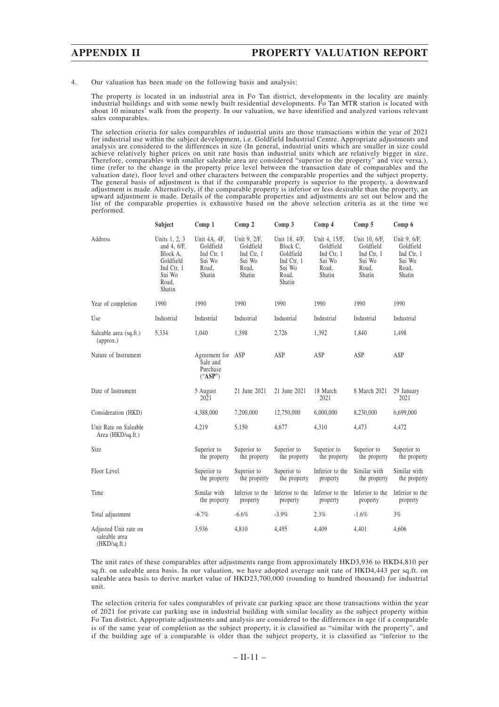4. Our valuation has been made on the following basis and analysis:

The property is located in an industrial area in Fo Tan district, developments in the locality are mainly industrial buildings and with some newly built residential developments. Fo Tan MTR station is located with about 10 minutes' walk from the property. In our valuation, we have identified and analyzed various relevant sales comparables.

The selection criteria for sales comparables of industrial units are those transactions within the year of 2021 for industrial use within the subject development, i.e. Goldfield Industrial Centre. Appropriate adjustments and analysis are considered to the differences in size (In general, industrial units which are smaller in size could achieve relatively higher prices on unit rate basis than industrial units which are relatively bigger in size. Therefore, comparables with smaller saleable area are considered "superior to the property" and vice versa.), time (refer to the change in the property price level between the transaction date of comparables and the valuation date), floor level and other characters between the comparable properties and the subject property. The general basis of adjustment is that if the comparable property is superior to the property, a downward adjustment is made. Alternatively, if the comparable property is inferior or less desirable than the property, an upward adjustment is made. Details of the comparable properties and adjustments are set out below and the list of the comparable properties is exhaustive based on the above selection criteria as at the time we performed.

|                                                        | Subject                                                                                          | Comp 1                                                               | Comp 2                                                               | Comp <sub>3</sub>                                                                 | Comp 4                                                                | Comp 5                                                                | Comp 6                                                               |
|--------------------------------------------------------|--------------------------------------------------------------------------------------------------|----------------------------------------------------------------------|----------------------------------------------------------------------|-----------------------------------------------------------------------------------|-----------------------------------------------------------------------|-----------------------------------------------------------------------|----------------------------------------------------------------------|
| Address                                                | Units 1, 2, 3<br>and 4, 6/F,<br>Block A,<br>Goldfield<br>Ind Ctr, 1<br>Sui Wo<br>Road,<br>Shatin | Unit 4A, 4F,<br>Goldfield<br>Ind Ctr, 1<br>Sui Wo<br>Road,<br>Shatin | Unit 9, 2/F,<br>Goldfield<br>Ind Ctr, 1<br>Sui Wo<br>Road,<br>Shatin | Unit 18, 4/F,<br>Block C.<br>Goldfield<br>Ind Ctr, 1<br>Sui Wo<br>Road,<br>Shatin | Unit 4, 15/F,<br>Goldfield<br>Ind Ctr, 1<br>Sui Wo<br>Road,<br>Shatin | Unit 10, 6/F,<br>Goldfield<br>Ind Ctr, 1<br>Sui Wo<br>Road,<br>Shatin | Unit 9, 6/F,<br>Goldfield<br>Ind Ctr, 1<br>Sui Wo<br>Road,<br>Shatin |
| Year of completion                                     | 1990                                                                                             | 1990                                                                 | 1990                                                                 | 1990                                                                              | 1990                                                                  | 1990                                                                  | 1990                                                                 |
| Use                                                    | Industrial                                                                                       | Industrial                                                           | Industrial                                                           | Industrial                                                                        | Industrial                                                            | Industrial                                                            | Industrial                                                           |
| Saleable area (sq.ft.)<br>(approx.)                    | 5,334                                                                                            | 1,040                                                                | 1,398                                                                | 2,726                                                                             | 1,392                                                                 | 1,840                                                                 | 1,498                                                                |
| Nature of Instrument                                   |                                                                                                  | Agreement for ASP<br>Sale and<br>Purchase<br>("ASP")                 |                                                                      | ASP                                                                               | ASP                                                                   | ASP                                                                   | ASP                                                                  |
| Date of Instrument                                     |                                                                                                  | 5 August<br>2021                                                     | 21 June 2021                                                         | 21 June 2021                                                                      | 18 March<br>2021                                                      | 8 March 2021                                                          | 29 January<br>2021                                                   |
| Consideration (HKD)                                    |                                                                                                  | 4,388,000                                                            | 7,200,000                                                            | 12,750,000                                                                        | 6,000,000                                                             | 8,230,000                                                             | 6,699,000                                                            |
| Unit Rate on Saleable<br>Area (HKD/sq.ft.)             |                                                                                                  | 4,219                                                                | 5,150                                                                | 4,677                                                                             | 4,310                                                                 | 4,473                                                                 | 4,472                                                                |
| Size                                                   |                                                                                                  | Superior to<br>the property                                          | Superior to<br>the property                                          | Superior to<br>the property                                                       | Superior to<br>the property                                           | Superior to<br>the property                                           | Superior to<br>the property                                          |
| Floor Level                                            |                                                                                                  | Superior to<br>the property                                          | Superior to<br>the property                                          | Superior to<br>the property                                                       | Inferior to the<br>property                                           | Similar with<br>the property                                          | Similar with<br>the property                                         |
| Time                                                   |                                                                                                  | Similar with<br>the property                                         | Inferior to the<br>property                                          | Inferior to the<br>property                                                       | Inferior to the<br>property                                           | Inferior to the<br>property                                           | Inferior to the<br>property                                          |
| Total adjustment                                       |                                                                                                  | $-6.7%$                                                              | $-6.6%$                                                              | $-3.9%$                                                                           | 2.3%                                                                  | $-1.6%$                                                               | 3%                                                                   |
| Adjusted Unit rate on<br>saleable area<br>(HKD/sq.fr.) |                                                                                                  | 3,936                                                                | 4,810                                                                | 4.495                                                                             | 4,409                                                                 | 4,401                                                                 | 4,606                                                                |

The unit rates of these comparables after adjustments range from approximately HKD3,936 to HKD4,810 per sq.ft. on saleable area basis. In our valuation, we have adopted average unit rate of HKD4,443 per sq.ft. on saleable area basis to derive market value of HKD23,700,000 (rounding to hundred thousand) for industrial unit.

The selection criteria for sales comparables of private car parking space are those transactions within the year of 2021 for private car parking use in industrial building with similar locality as the subject property within Fo Tan district. Appropriate adjustments and analysis are considered to the differences in age (if a comparable is of the same year of completion as the subject property, it is classified as "similar with the property", and if the building age of a comparable is older than the subject property, it is classified as "inferior to the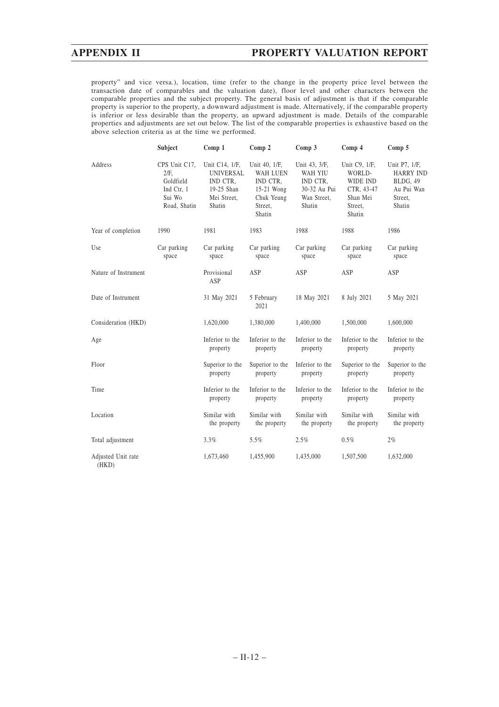property" and vice versa.), location, time (refer to the change in the property price level between the transaction date of comparables and the valuation date), floor level and other characters between the comparable properties and the subject property. The general basis of adjustment is that if the comparable property is superior to the property, a downward adjustment is made. Alternatively, if the comparable property is inferior or less desirable than the property, an upward adjustment is made. Details of the comparable properties and adjustments are set out below. The list of the comparable properties is exhaustive based on the above selection criteria as at the time we performed.

|                             | Subject                                                                    | Comp 1                                                                                | Comp 2                                                                                        | Comp 3                                                                               | Comp 4                                                                             | Comp 5                                                                           |
|-----------------------------|----------------------------------------------------------------------------|---------------------------------------------------------------------------------------|-----------------------------------------------------------------------------------------------|--------------------------------------------------------------------------------------|------------------------------------------------------------------------------------|----------------------------------------------------------------------------------|
| Address                     | CPS Unit C17.<br>2/F.<br>Goldfield<br>Ind Ctr, 1<br>Sui Wo<br>Road, Shatin | Unit C14, 1/F,<br><b>UNIVERSAL</b><br>IND CTR.<br>19-25 Shan<br>Mei Street,<br>Shatin | Unit 40, 1/F,<br><b>WAH LUEN</b><br>IND CTR.<br>15-21 Wong<br>Chuk Yeung<br>Street,<br>Shatin | Unit 43, 3/F,<br><b>WAH YIU</b><br>IND CTR,<br>30-32 Au Pui<br>Wan Street,<br>Shatin | Unit C9, 1/F,<br>WORLD-<br>WIDE IND<br>CTR, 43-47<br>Shan Mei<br>Street,<br>Shatin | Unit P7, 1/F,<br><b>HARRY IND</b><br>BLDG, 49<br>Au Pui Wan<br>Street,<br>Shatin |
| Year of completion          | 1990                                                                       | 1981                                                                                  | 1983                                                                                          | 1988                                                                                 | 1988                                                                               | 1986                                                                             |
| Use                         | Car parking<br>space                                                       | Car parking<br>space                                                                  | Car parking<br>space                                                                          | Car parking<br>space                                                                 | Car parking<br>space                                                               | Car parking<br>space                                                             |
| Nature of Instrument        |                                                                            | Provisional<br>ASP                                                                    | ASP                                                                                           | ASP                                                                                  | ASP                                                                                | ASP                                                                              |
| Date of Instrument          |                                                                            | 31 May 2021                                                                           | 5 February<br>2021                                                                            | 18 May 2021                                                                          | 8 July 2021                                                                        | 5 May 2021                                                                       |
| Consideration (HKD)         |                                                                            | 1,620,000                                                                             | 1,380,000                                                                                     | 1,400,000                                                                            | 1,500,000                                                                          | 1,600,000                                                                        |
| Age                         |                                                                            | Inferior to the<br>property                                                           | Inferior to the<br>property                                                                   | Inferior to the<br>property                                                          | Inferior to the<br>property                                                        | Inferior to the<br>property                                                      |
| Floor                       |                                                                            | Superior to the<br>property                                                           | Superior to the<br>property                                                                   | Inferior to the<br>property                                                          | Superior to the<br>property                                                        | Superior to the<br>property                                                      |
| Time                        |                                                                            | Inferior to the<br>property                                                           | Inferior to the<br>property                                                                   | Inferior to the<br>property                                                          | Inferior to the<br>property                                                        | Inferior to the<br>property                                                      |
| Location                    |                                                                            | Similar with<br>the property                                                          | Similar with<br>the property                                                                  | Similar with<br>the property                                                         | Similar with<br>the property                                                       | Similar with<br>the property                                                     |
| Total adjustment            |                                                                            | 3.3%                                                                                  | 5.5%                                                                                          | 2.5%                                                                                 | 0.5%                                                                               | 2%                                                                               |
| Adjusted Unit rate<br>(HKD) |                                                                            | 1,673,460                                                                             | 1,455,900                                                                                     | 1,435,000                                                                            | 1,507,500                                                                          | 1,632,000                                                                        |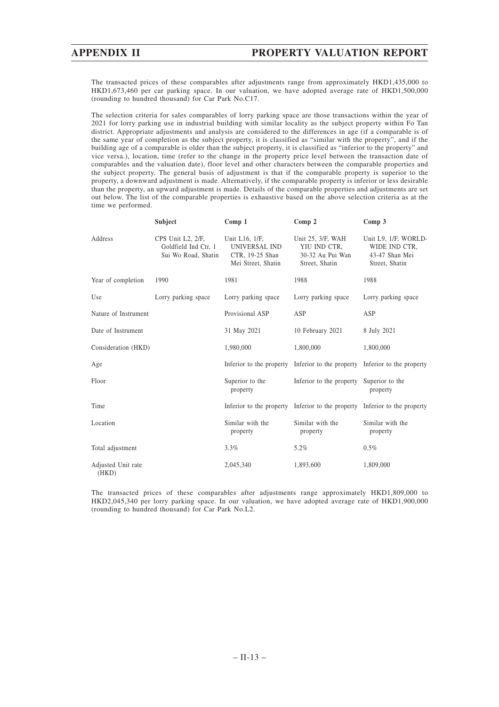The transacted prices of these comparables after adjustments range from approximately HKD1,435,000 to HKD1,673,460 per car parking space. In our valuation, we have adopted average rate of HKD1,500,000 (rounding to hundred thousand) for Car Park No.C17.

The selection criteria for sales comparables of lorry parking space are those transactions within the year of 2021 for lorry parking use in industrial building with similar locality as the subject property within Fo Tan district. Appropriate adjustments and analysis are considered to the differences in age (if a comparable is of the same year of completion as the subject property, it is classified as "similar with the property", and if the building age of a comparable is older than the subject property, it is classified as "inferior to the property" and vice versa.), location, time (refer to the change in the property price level between the transaction date of comparables and the valuation date), floor level and other characters between the comparable properties and the subject property. The general basis of adjustment is that if the comparable property is superior to the property, a downward adjustment is made. Alternatively, if the comparable property is inferior or less desirable than the property, an upward adjustment is made. Details of the comparable properties and adjustments are set out below. The list of the comparable properties is exhaustive based on the above selection criteria as at the time we performed.

|                             | Subject                                                          | Comp <sub>1</sub>                                                        | Comp <sub>2</sub>                                                          | Comp <sub>3</sub>                                                         |
|-----------------------------|------------------------------------------------------------------|--------------------------------------------------------------------------|----------------------------------------------------------------------------|---------------------------------------------------------------------------|
| Address                     | CPS Unit L2, 2/F,<br>Goldfield Ind Ctr, 1<br>Sui Wo Road, Shatin | Unit L16, 1/F.<br>UNIVERSAL IND<br>CTR, 19-25 Shan<br>Mei Street, Shatin | Unit 25, 3/F, WAH<br>YIU IND CTR.<br>30-32 Au Pui Wan<br>Street, Shatin    | Unit L9, 1/F, WORLD-<br>WIDE IND CTR.<br>43-47 Shan Mei<br>Street, Shatin |
| Year of completion          | 1990                                                             | 1981                                                                     | 1988                                                                       | 1988                                                                      |
| Use                         | Lorry parking space                                              | Lorry parking space                                                      | Lorry parking space                                                        | Lorry parking space                                                       |
| Nature of Instrument        |                                                                  | Provisional ASP                                                          | ASP                                                                        | ASP                                                                       |
| Date of Instrument          |                                                                  | 31 May 2021                                                              | 10 February 2021                                                           | 8 July 2021                                                               |
| Consideration (HKD)         |                                                                  | 1,980,000                                                                | 1,800,000                                                                  | 1,800,000                                                                 |
| Age                         |                                                                  |                                                                          | Inferior to the property Inferior to the property Inferior to the property |                                                                           |
| Floor                       |                                                                  | Superior to the<br>property                                              | Inferior to the property                                                   | Superior to the<br>property                                               |
| Time                        |                                                                  |                                                                          | Inferior to the property Inferior to the property Inferior to the property |                                                                           |
| Location                    |                                                                  | Similar with the<br>property                                             | Similar with the<br>property                                               | Similar with the<br>property                                              |
| Total adjustment            |                                                                  | $3.3\%$                                                                  | 5.2%                                                                       | $0.5\%$                                                                   |
| Adjusted Unit rate<br>(HKD) |                                                                  | 2,045,340                                                                | 1,893,600                                                                  | 1,809,000                                                                 |

The transacted prices of these comparables after adjustments range approximately HKD1,809,000 to HKD2,045,340 per lorry parking space. In our valuation, we have adopted average rate of HKD1,900,000 (rounding to hundred thousand) for Car Park No.L2.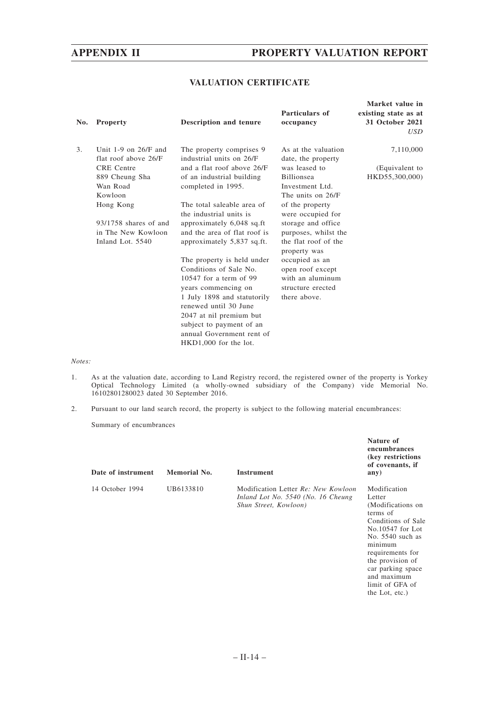### **VALUATION CERTIFICATE**

| No. | <b>Property</b>                                  | <b>Description and tenure</b>                        | Particulars of<br>occupancy               | Market value in<br>existing state as at<br>31 October 2021<br>USD |
|-----|--------------------------------------------------|------------------------------------------------------|-------------------------------------------|-------------------------------------------------------------------|
| 3.  | Unit $1-9$ on $26/F$ and<br>flat roof above 26/F | The property comprises 9<br>industrial units on 26/F | As at the valuation<br>date, the property | 7,110,000                                                         |
|     | <b>CRE</b> Centre                                | and a flat roof above 26/F                           | was leased to                             | (Equivalent to                                                    |
|     | 889 Cheung Sha                                   | of an industrial building                            | Billionsea                                | HKD55,300,000)                                                    |
|     | Wan Road                                         | completed in 1995.                                   | Investment Ltd.                           |                                                                   |
|     | Kowloon                                          |                                                      | The units on 26/F                         |                                                                   |
|     | Hong Kong                                        | The total saleable area of                           | of the property                           |                                                                   |
|     |                                                  | the industrial units is                              | were occupied for                         |                                                                   |
|     | 93/1758 shares of and                            | approximately 6,048 sq.ft                            | storage and office                        |                                                                   |
|     | in The New Kowloon                               | and the area of flat roof is                         | purposes, whilst the                      |                                                                   |
|     | Inland Lot. 5540                                 | approximately 5,837 sq.ft.                           | the flat roof of the<br>property was      |                                                                   |
|     |                                                  | The property is held under                           | occupied as an                            |                                                                   |
|     |                                                  | Conditions of Sale No.                               | open roof except                          |                                                                   |
|     |                                                  | $10547$ for a term of 99                             | with an aluminum                          |                                                                   |
|     |                                                  | years commencing on                                  | structure erected                         |                                                                   |
|     |                                                  | 1 July 1898 and statutorily                          | there above.                              |                                                                   |
|     |                                                  | renewed until 30 June                                |                                           |                                                                   |
|     |                                                  | 2047 at nil premium but                              |                                           |                                                                   |
|     |                                                  | subject to payment of an                             |                                           |                                                                   |
|     |                                                  | annual Government rent of                            |                                           |                                                                   |
|     |                                                  | HKD1,000 for the lot.                                |                                           |                                                                   |

*Notes:*

- 1. As at the valuation date, according to Land Registry record, the registered owner of the property is Yorkey Optical Technology Limited (a wholly-owned subsidiary of the Company) vide Memorial No. 16102801280023 dated 30 September 2016.
- 2. Pursuant to our land search record, the property is subject to the following material encumbrances:

Summary of encumbrances

| Date of instrument | Memorial No. | <b>Instrument</b>                                                                                  | Nature of<br>encumbrances<br>(key restrictions)<br>of covenants, if<br>any)                                                                                                                                                       |
|--------------------|--------------|----------------------------------------------------------------------------------------------------|-----------------------------------------------------------------------------------------------------------------------------------------------------------------------------------------------------------------------------------|
| 14 October 1994    | UB6133810    | Modification Letter Re: New Kowloon<br>Inland Lot No. 5540 (No. 16 Cheung<br>Shun Street, Kowloon) | Modification<br>Letter<br>(Modifications on<br>terms of<br>Conditions of Sale<br>No.10547 for Lot<br>No. $5540$ such as<br>minimum<br>requirements for<br>the provision of<br>car parking space<br>and maximum<br>limit of GFA of |

the Lot, etc.)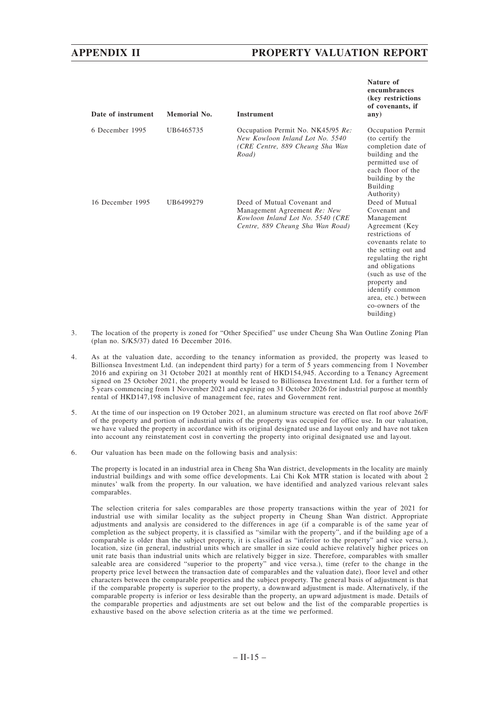**Nature of**

| Date of instrument | Memorial No. | <b>Instrument</b>                                                                                                                   | encumbrances<br>(key restrictions)<br>of covenants, if<br>any)                                                                                                                                                                                                                               |
|--------------------|--------------|-------------------------------------------------------------------------------------------------------------------------------------|----------------------------------------------------------------------------------------------------------------------------------------------------------------------------------------------------------------------------------------------------------------------------------------------|
| 6 December 1995    | UB6465735    | Occupation Permit No. NK45/95 Re:<br>New Kowloon Inland Lot No. 5540<br>(CRE Centre, 889 Cheung Sha Wan<br>Road)                    | Occupation Permit<br>(to certify the<br>completion date of<br>building and the<br>permitted use of<br>each floor of the<br>building by the<br>Building<br>Authority)                                                                                                                         |
| 16 December 1995   | UB6499279    | Deed of Mutual Covenant and<br>Management Agreement Re: New<br>Kowloon Inland Lot No. 5540 (CRE<br>Centre, 889 Cheung Sha Wan Road) | Deed of Mutual<br>Covenant and<br>Management<br>Agreement (Key<br>restrictions of<br>covenants relate to<br>the setting out and<br>regulating the right<br>and obligations<br>(such as use of the<br>property and<br>identify common<br>area, etc.) between<br>co-owners of the<br>building) |

- 3. The location of the property is zoned for "Other Specified" use under Cheung Sha Wan Outline Zoning Plan (plan no. S/K5/37) dated 16 December 2016.
- 4. As at the valuation date, according to the tenancy information as provided, the property was leased to Billionsea Investment Ltd. (an independent third party) for a term of 5 years commencing from 1 November 2016 and expiring on 31 October 2021 at monthly rent of HKD154,945. According to a Tenancy Agreement signed on 25 October 2021, the property would be leased to Billionsea Investment Ltd. for a further term of 5 years commencing from 1 November 2021 and expiring on 31 October 2026 for industrial purpose at monthly rental of HKD147,198 inclusive of management fee, rates and Government rent.
- 5. At the time of our inspection on 19 October 2021, an aluminum structure was erected on flat roof above 26/F of the property and portion of industrial units of the property was occupied for office use. In our valuation, we have valued the property in accordance with its original designated use and layout only and have not taken into account any reinstatement cost in converting the property into original designated use and layout.
- 6. Our valuation has been made on the following basis and analysis:

The property is located in an industrial area in Cheng Sha Wan district, developments in the locality are mainly industrial buildings and with some office developments. Lai Chi Kok MTR station is located with about 2 minutes' walk from the property. In our valuation, we have identified and analyzed various relevant sales comparables.

The selection criteria for sales comparables are those property transactions within the year of 2021 for industrial use with similar locality as the subject property in Cheung Shan Wan district. Appropriate adjustments and analysis are considered to the differences in age (if a comparable is of the same year of completion as the subject property, it is classified as "similar with the property", and if the building age of a comparable is older than the subject property, it is classified as "inferior to the property" and vice versa.), location, size (in general, industrial units which are smaller in size could achieve relatively higher prices on unit rate basis than industrial units which are relatively bigger in size. Therefore, comparables with smaller saleable area are considered "superior to the property" and vice versa.), time (refer to the change in the property price level between the transaction date of comparables and the valuation date), floor level and other characters between the comparable properties and the subject property. The general basis of adjustment is that if the comparable property is superior to the property, a downward adjustment is made. Alternatively, if the comparable property is inferior or less desirable than the property, an upward adjustment is made. Details of the comparable properties and adjustments are set out below and the list of the comparable properties is exhaustive based on the above selection criteria as at the time we performed.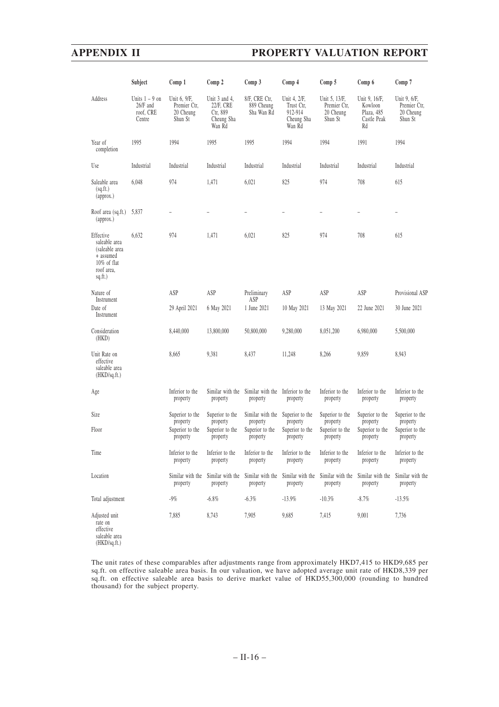|                                                                                                   | Subject                                             | Comp 1                                               | Comp 2                                                         | Comp 3                                       | Comp 4                                                        | Comp 5                                                | Comp 6                                                      | Comp 7                                               |
|---------------------------------------------------------------------------------------------------|-----------------------------------------------------|------------------------------------------------------|----------------------------------------------------------------|----------------------------------------------|---------------------------------------------------------------|-------------------------------------------------------|-------------------------------------------------------------|------------------------------------------------------|
| Address                                                                                           | Units $1 - 9$ on<br>26/F and<br>roof, CRE<br>Centre | Unit 6, 9/F,<br>Premier Ctr,<br>20 Cheung<br>Shun St | Unit 3 and 4,<br>22/F, CRE<br>Ctr, 889<br>Cheung Sha<br>Wan Rd | 8/F, CRE Ctr,<br>889 Cheung<br>Sha Wan Rd    | Unit 4, 2/F,<br>Trust Ctr.<br>912-914<br>Cheung Sha<br>Wan Rd | Unit 5, 13/F,<br>Premier Ctr,<br>20 Cheung<br>Shun St | Unit 9, 16/F,<br>Kowloon<br>Plaza, 485<br>Castle Peak<br>Rd | Unit 9, 6/F,<br>Premier Ctr,<br>20 Cheung<br>Shun St |
| Year of<br>completion                                                                             | 1995                                                | 1994                                                 | 1995                                                           | 1995                                         | 1994                                                          | 1994                                                  | 1991                                                        | 1994                                                 |
| Use                                                                                               | Industrial                                          | Industrial                                           | Industrial                                                     | Industrial                                   | Industrial                                                    | Industrial                                            | Industrial                                                  | Industrial                                           |
| Saleable area<br>(sq.fit.)<br>(approx.)                                                           | 6,048                                               | 974                                                  | 1,471                                                          | 6,021                                        | 825                                                           | 974                                                   | 708                                                         | 615                                                  |
| Roof area (sq.ft.)<br>(approx.)                                                                   | 5,837                                               |                                                      |                                                                |                                              |                                                               |                                                       |                                                             |                                                      |
| Effective<br>saleable area<br>(saleable area<br>+ assumed<br>10% of flat<br>roof area,<br>sq.ft.) | 6,632                                               | 974                                                  | 1,471                                                          | 6,021                                        | 825                                                           | 974                                                   | 708                                                         | 615                                                  |
| Nature of<br>Instrument                                                                           |                                                     | ASP                                                  | ASP                                                            | Preliminary<br>ASP                           | ASP                                                           | ASP                                                   | ASP                                                         | Provisional ASP                                      |
| Date of<br>Instrument                                                                             |                                                     | 29 April 2021                                        | 6 May 2021                                                     | 1 June 2021                                  | 10 May 2021                                                   | 13 May 2021                                           | 22 June 2021                                                | 30 June 2021                                         |
| Consideration<br>(HKD)                                                                            |                                                     | 8,440,000                                            | 13,800,000                                                     | 50,800,000                                   | 9,280,000                                                     | 8,051,200                                             | 6,980,000                                                   | 5,500,000                                            |
| Unit Rate on<br>effective<br>saleable area<br>(HKD/sq.fr.)                                        |                                                     | 8,665                                                | 9,381                                                          | 8,437                                        | 11,248                                                        | 8,266                                                 | 9,859                                                       | 8,943                                                |
| Age                                                                                               |                                                     | Inferior to the<br>property                          | Similar with the<br>property                                   | Similar with the Inferior to the<br>property | property                                                      | Inferior to the<br>property                           | Inferior to the<br>property                                 | Inferior to the<br>property                          |
| Size                                                                                              |                                                     | Superior to the<br>property                          | Superior to the<br>property                                    | Similar with the Superior to the<br>property | property                                                      | Superior to the<br>property                           | Superior to the<br>property                                 | Superior to the<br>property                          |
| Floor                                                                                             |                                                     | Superior to the<br>property                          | Superior to the<br>property                                    | Superior to the<br>property                  | Superior to the<br>property                                   | Superior to the<br>property                           | Superior to the<br>property                                 | Superior to the<br>property                          |
| Time                                                                                              |                                                     | Inferior to the<br>property                          | Inferior to the<br>property                                    | Inferior to the<br>property                  | Inferior to the<br>property                                   | Inferior to the<br>property                           | Inferior to the<br>property                                 | Inferior to the<br>property                          |
| Location                                                                                          |                                                     | Similar with the<br>property                         | Similar with the<br>property                                   | Similar with the<br>property                 | Similar with the<br>property                                  | Similar with the<br>property                          | Similar with the<br>property                                | Similar with the<br>property                         |
| Total adjustment                                                                                  |                                                     | $-9\%$                                               | $-6.8%$                                                        | $-6.3%$                                      | $-13.9%$                                                      | $-10.3%$                                              | $-8.7\%$                                                    | $-13.5%$                                             |
| Adjusted unit<br>rate on<br>effective<br>saleable area<br>(HKD/sq.fit.)                           |                                                     | 7,885                                                | 8,743                                                          | 7,905                                        | 9,685                                                         | 7,415                                                 | 9,001                                                       | 7,736                                                |

The unit rates of these comparables after adjustments range from approximately HKD7,415 to HKD9,685 per sq.ft. on effective saleable area basis. In our valuation, we have adopted average unit rate of HKD8,339 per sq.ft. on effective saleable area basis to derive market value of HKD55,300,000 (rounding to hundred thousand) for the subject property.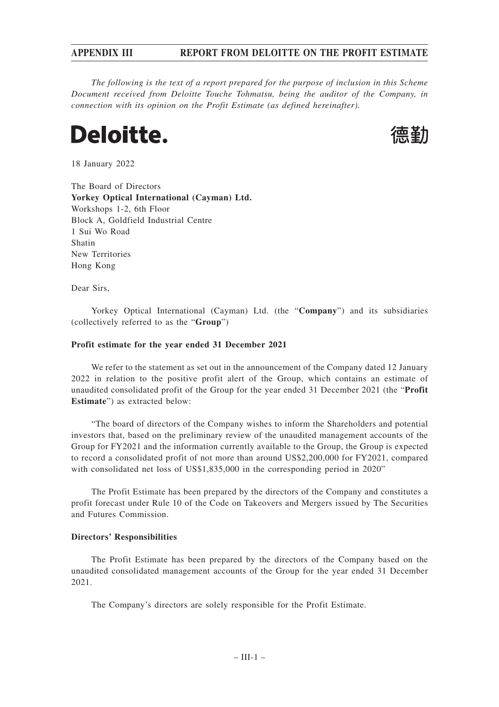# **APPENDIX III REPORT FROM DELOITTE ON THE PROFIT ESTIMATE**

*The following is the text of a report prepared for the purpose of inclusion in this Scheme Document received from Deloitte Touche Tohmatsu, being the auditor of the Company, in connection with its opinion on the Profit Estimate (as defined hereinafter).*

# **Deloitte.**



18 January 2022

The Board of Directors **Yorkey Optical International (Cayman) Ltd.** Workshops 1-2, 6th Floor Block A, Goldfield Industrial Centre 1 Sui Wo Road Shatin New Territories Hong Kong

Dear Sirs,

Yorkey Optical International (Cayman) Ltd. (the "**Company**") and its subsidiaries (collectively referred to as the "**Group**")

#### **Profit estimate for the year ended 31 December 2021**

We refer to the statement as set out in the announcement of the Company dated 12 January 2022 in relation to the positive profit alert of the Group, which contains an estimate of unaudited consolidated profit of the Group for the year ended 31 December 2021 (the "**Profit Estimate**") as extracted below:

"The board of directors of the Company wishes to inform the Shareholders and potential investors that, based on the preliminary review of the unaudited management accounts of the Group for FY2021 and the information currently available to the Group, the Group is expected to record a consolidated profit of not more than around US\$2,200,000 for FY2021, compared with consolidated net loss of US\$1,835,000 in the corresponding period in 2020"

The Profit Estimate has been prepared by the directors of the Company and constitutes a profit forecast under Rule 10 of the Code on Takeovers and Mergers issued by The Securities and Futures Commission.

#### **Directors' Responsibilities**

The Profit Estimate has been prepared by the directors of the Company based on the unaudited consolidated management accounts of the Group for the year ended 31 December 2021.

The Company's directors are solely responsible for the Profit Estimate.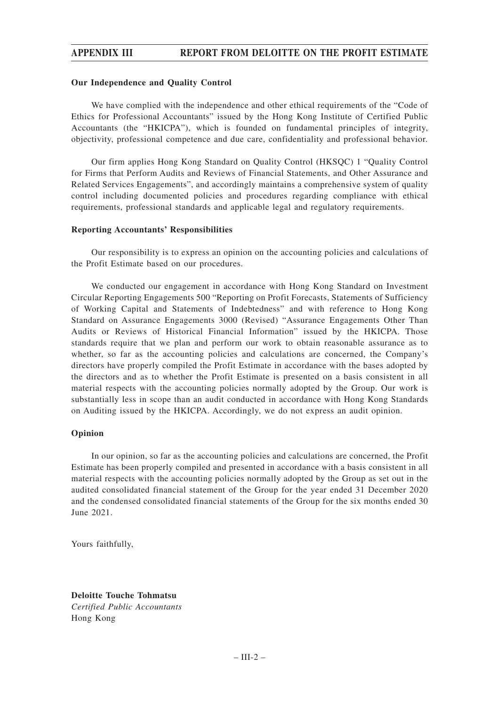# **APPENDIX III REPORT FROM DELOITTE ON THE PROFIT ESTIMATE**

#### **Our Independence and Quality Control**

We have complied with the independence and other ethical requirements of the "Code of Ethics for Professional Accountants" issued by the Hong Kong Institute of Certified Public Accountants (the "HKICPA"), which is founded on fundamental principles of integrity, objectivity, professional competence and due care, confidentiality and professional behavior.

Our firm applies Hong Kong Standard on Quality Control (HKSQC) 1 "Quality Control for Firms that Perform Audits and Reviews of Financial Statements, and Other Assurance and Related Services Engagements", and accordingly maintains a comprehensive system of quality control including documented policies and procedures regarding compliance with ethical requirements, professional standards and applicable legal and regulatory requirements.

#### **Reporting Accountants' Responsibilities**

Our responsibility is to express an opinion on the accounting policies and calculations of the Profit Estimate based on our procedures.

We conducted our engagement in accordance with Hong Kong Standard on Investment Circular Reporting Engagements 500 "Reporting on Profit Forecasts, Statements of Sufficiency of Working Capital and Statements of Indebtedness" and with reference to Hong Kong Standard on Assurance Engagements 3000 (Revised) "Assurance Engagements Other Than Audits or Reviews of Historical Financial Information" issued by the HKICPA. Those standards require that we plan and perform our work to obtain reasonable assurance as to whether, so far as the accounting policies and calculations are concerned, the Company's directors have properly compiled the Profit Estimate in accordance with the bases adopted by the directors and as to whether the Profit Estimate is presented on a basis consistent in all material respects with the accounting policies normally adopted by the Group. Our work is substantially less in scope than an audit conducted in accordance with Hong Kong Standards on Auditing issued by the HKICPA. Accordingly, we do not express an audit opinion.

#### **Opinion**

In our opinion, so far as the accounting policies and calculations are concerned, the Profit Estimate has been properly compiled and presented in accordance with a basis consistent in all material respects with the accounting policies normally adopted by the Group as set out in the audited consolidated financial statement of the Group for the year ended 31 December 2020 and the condensed consolidated financial statements of the Group for the six months ended 30 June 2021.

Yours faithfully,

**Deloitte Touche Tohmatsu** *Certified Public Accountants* Hong Kong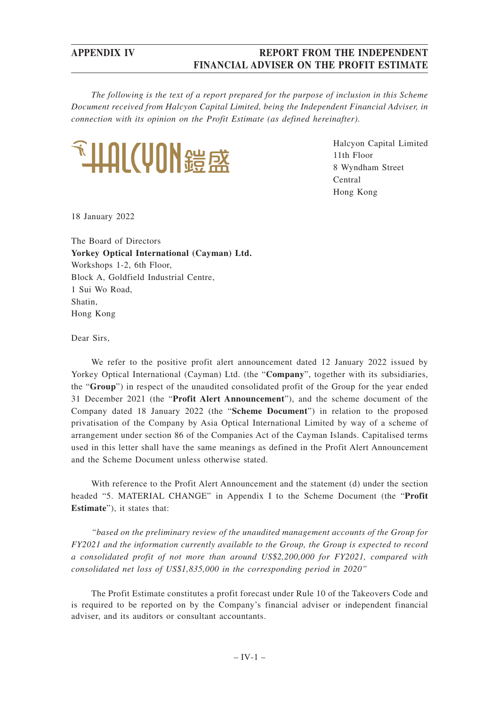# **APPENDIX IV REPORT FROM THE INDEPENDENT FINANCIAL ADVISER ON THE PROFIT ESTIMATE**

*The following is the text of a report prepared for the purpose of inclusion in this Scheme Document received from Halcyon Capital Limited, being the Independent Financial Adviser, in connection with its opinion on the Profit Estimate (as defined hereinafter).*



Halcyon Capital Limited 11th Floor 8 Wyndham Street Central Hong Kong

18 January 2022

The Board of Directors **Yorkey Optical International (Cayman) Ltd.** Workshops 1-2, 6th Floor, Block A, Goldfield Industrial Centre, 1 Sui Wo Road, Shatin, Hong Kong

Dear Sirs,

We refer to the positive profit alert announcement dated 12 January 2022 issued by Yorkey Optical International (Cayman) Ltd. (the "**Company**", together with its subsidiaries, the "**Group**") in respect of the unaudited consolidated profit of the Group for the year ended 31 December 2021 (the "**Profit Alert Announcement**"), and the scheme document of the Company dated 18 January 2022 (the "**Scheme Document**") in relation to the proposed privatisation of the Company by Asia Optical International Limited by way of a scheme of arrangement under section 86 of the Companies Act of the Cayman Islands. Capitalised terms used in this letter shall have the same meanings as defined in the Profit Alert Announcement and the Scheme Document unless otherwise stated.

With reference to the Profit Alert Announcement and the statement (d) under the section headed "5. MATERIAL CHANGE" in Appendix I to the Scheme Document (the "**Profit Estimate**"), it states that:

*"based on the preliminary review of the unaudited management accounts of the Group for FY2021 and the information currently available to the Group, the Group is expected to record a consolidated profit of not more than around US\$2,200,000 for FY2021, compared with consolidated net loss of US\$1,835,000 in the corresponding period in 2020"*

The Profit Estimate constitutes a profit forecast under Rule 10 of the Takeovers Code and is required to be reported on by the Company's financial adviser or independent financial adviser, and its auditors or consultant accountants.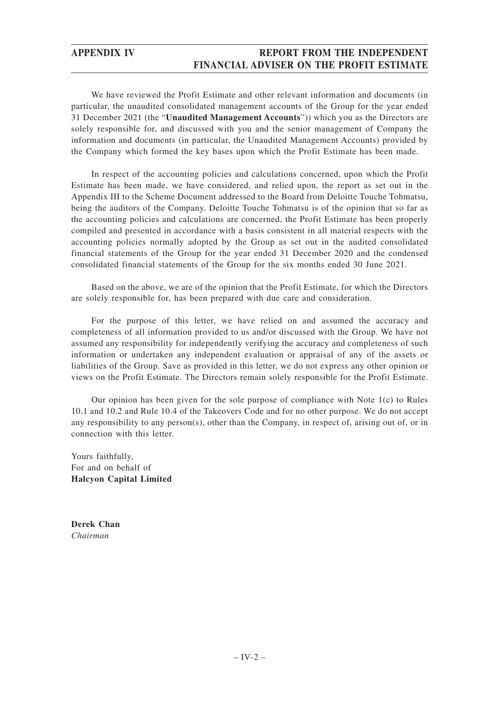# **APPENDIX IV REPORT FROM THE INDEPENDENT FINANCIAL ADVISER ON THE PROFIT ESTIMATE**

We have reviewed the Profit Estimate and other relevant information and documents (in particular, the unaudited consolidated management accounts of the Group for the year ended 31 December 2021 (the "**Unaudited Management Accounts**")) which you as the Directors are solely responsible for, and discussed with you and the senior management of Company the information and documents (in particular, the Unaudited Management Accounts) provided by the Company which formed the key bases upon which the Profit Estimate has been made.

In respect of the accounting policies and calculations concerned, upon which the Profit Estimate has been made, we have considered, and relied upon, the report as set out in the Appendix III to the Scheme Document addressed to the Board from Deloitte Touche Tohmatsu, being the auditors of the Company. Deloitte Touche Tohmatsu is of the opinion that so far as the accounting policies and calculations are concerned, the Profit Estimate has been properly compiled and presented in accordance with a basis consistent in all material respects with the accounting policies normally adopted by the Group as set out in the audited consolidated financial statements of the Group for the year ended 31 December 2020 and the condensed consolidated financial statements of the Group for the six months ended 30 June 2021.

Based on the above, we are of the opinion that the Profit Estimate, for which the Directors are solely responsible for, has been prepared with due care and consideration.

For the purpose of this letter, we have relied on and assumed the accuracy and completeness of all information provided to us and/or discussed with the Group. We have not assumed any responsibility for independently verifying the accuracy and completeness of such information or undertaken any independent evaluation or appraisal of any of the assets or liabilities of the Group. Save as provided in this letter, we do not express any other opinion or views on the Profit Estimate. The Directors remain solely responsible for the Profit Estimate.

Our opinion has been given for the sole purpose of compliance with Note  $1(c)$  to Rules 10.1 and 10.2 and Rule 10.4 of the Takeovers Code and for no other purpose. We do not accept any responsibility to any person(s), other than the Company, in respect of, arising out of, or in connection with this letter.

Yours faithfully, For and on behalf of **Halcyon Capital Limited**

**Derek Chan** *Chairman*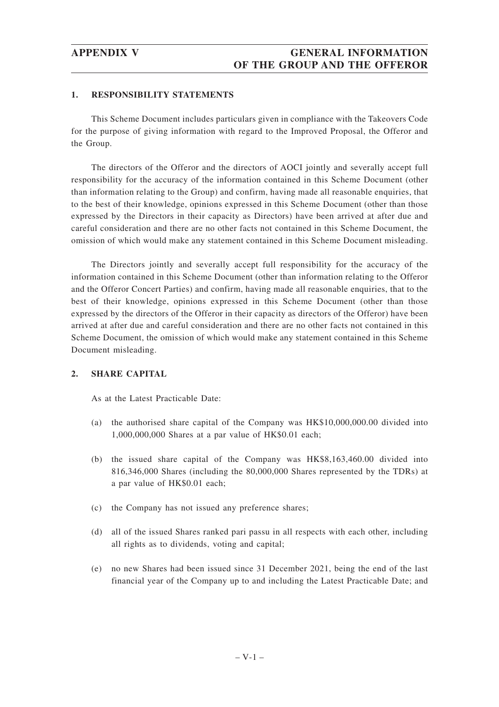## **1. RESPONSIBILITY STATEMENTS**

This Scheme Document includes particulars given in compliance with the Takeovers Code for the purpose of giving information with regard to the Improved Proposal, the Offeror and the Group.

The directors of the Offeror and the directors of AOCI jointly and severally accept full responsibility for the accuracy of the information contained in this Scheme Document (other than information relating to the Group) and confirm, having made all reasonable enquiries, that to the best of their knowledge, opinions expressed in this Scheme Document (other than those expressed by the Directors in their capacity as Directors) have been arrived at after due and careful consideration and there are no other facts not contained in this Scheme Document, the omission of which would make any statement contained in this Scheme Document misleading.

The Directors jointly and severally accept full responsibility for the accuracy of the information contained in this Scheme Document (other than information relating to the Offeror and the Offeror Concert Parties) and confirm, having made all reasonable enquiries, that to the best of their knowledge, opinions expressed in this Scheme Document (other than those expressed by the directors of the Offeror in their capacity as directors of the Offeror) have been arrived at after due and careful consideration and there are no other facts not contained in this Scheme Document, the omission of which would make any statement contained in this Scheme Document misleading.

## **2. SHARE CAPITAL**

As at the Latest Practicable Date:

- (a) the authorised share capital of the Company was HK\$10,000,000.00 divided into 1,000,000,000 Shares at a par value of HK\$0.01 each;
- (b) the issued share capital of the Company was HK\$8,163,460.00 divided into 816,346,000 Shares (including the 80,000,000 Shares represented by the TDRs) at a par value of HK\$0.01 each;
- (c) the Company has not issued any preference shares;
- (d) all of the issued Shares ranked pari passu in all respects with each other, including all rights as to dividends, voting and capital;
- (e) no new Shares had been issued since 31 December 2021, being the end of the last financial year of the Company up to and including the Latest Practicable Date; and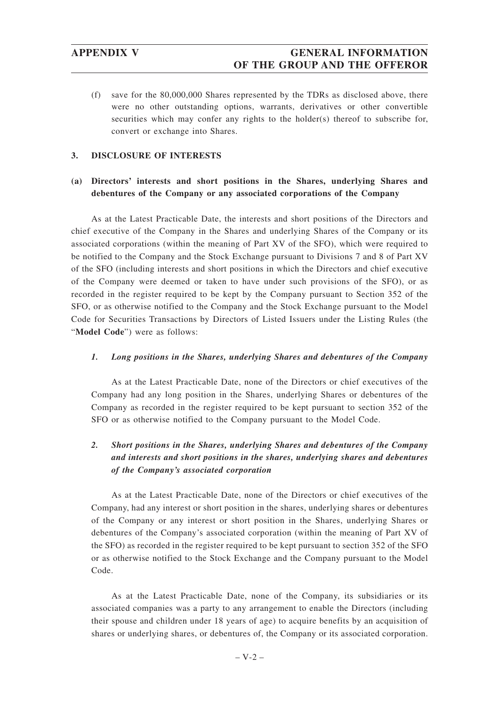(f) save for the 80,000,000 Shares represented by the TDRs as disclosed above, there were no other outstanding options, warrants, derivatives or other convertible securities which may confer any rights to the holder(s) thereof to subscribe for, convert or exchange into Shares.

## **3. DISCLOSURE OF INTERESTS**

# **(a) Directors' interests and short positions in the Shares, underlying Shares and debentures of the Company or any associated corporations of the Company**

As at the Latest Practicable Date, the interests and short positions of the Directors and chief executive of the Company in the Shares and underlying Shares of the Company or its associated corporations (within the meaning of Part XV of the SFO), which were required to be notified to the Company and the Stock Exchange pursuant to Divisions 7 and 8 of Part XV of the SFO (including interests and short positions in which the Directors and chief executive of the Company were deemed or taken to have under such provisions of the SFO), or as recorded in the register required to be kept by the Company pursuant to Section 352 of the SFO, or as otherwise notified to the Company and the Stock Exchange pursuant to the Model Code for Securities Transactions by Directors of Listed Issuers under the Listing Rules (the "**Model Code**") were as follows:

### *1. Long positions in the Shares, underlying Shares and debentures of the Company*

As at the Latest Practicable Date, none of the Directors or chief executives of the Company had any long position in the Shares, underlying Shares or debentures of the Company as recorded in the register required to be kept pursuant to section 352 of the SFO or as otherwise notified to the Company pursuant to the Model Code.

# *2. Short positions in the Shares, underlying Shares and debentures of the Company and interests and short positions in the shares, underlying shares and debentures of the Company's associated corporation*

As at the Latest Practicable Date, none of the Directors or chief executives of the Company, had any interest or short position in the shares, underlying shares or debentures of the Company or any interest or short position in the Shares, underlying Shares or debentures of the Company's associated corporation (within the meaning of Part XV of the SFO) as recorded in the register required to be kept pursuant to section 352 of the SFO or as otherwise notified to the Stock Exchange and the Company pursuant to the Model Code.

As at the Latest Practicable Date, none of the Company, its subsidiaries or its associated companies was a party to any arrangement to enable the Directors (including their spouse and children under 18 years of age) to acquire benefits by an acquisition of shares or underlying shares, or debentures of, the Company or its associated corporation.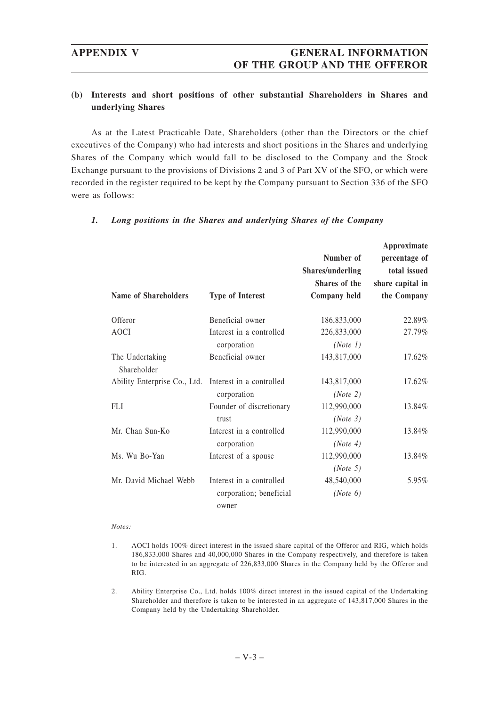# **APPENDIX V GENERAL INFORMATION OF THE GROUP AND THE OFFEROR**

# **(b) Interests and short positions of other substantial Shareholders in Shares and underlying Shares**

As at the Latest Practicable Date, Shareholders (other than the Directors or the chief executives of the Company) who had interests and short positions in the Shares and underlying Shares of the Company which would fall to be disclosed to the Company and the Stock Exchange pursuant to the provisions of Divisions 2 and 3 of Part XV of the SFO, or which were recorded in the register required to be kept by the Company pursuant to Section 336 of the SFO were as follows:

| <b>Name of Shareholders</b>    | <b>Type of Interest</b>                             | Number of<br><b>Shares/underling</b><br>Shares of the<br>Company held | Approximate<br>percentage of<br>total issued<br>share capital in<br>the Company |
|--------------------------------|-----------------------------------------------------|-----------------------------------------------------------------------|---------------------------------------------------------------------------------|
| Offeror                        | Beneficial owner                                    | 186,833,000                                                           | 22.89%                                                                          |
| <b>AOCI</b>                    | Interest in a controlled<br>corporation             | 226,833,000<br>(Note 1)                                               | 27.79%                                                                          |
| The Undertaking<br>Shareholder | Beneficial owner                                    | 143,817,000                                                           | 17.62%                                                                          |
| Ability Enterprise Co., Ltd.   | Interest in a controlled<br>corporation             | 143,817,000<br>(Note 2)                                               | 17.62%                                                                          |
| FLI                            | Founder of discretionary<br>trust                   | 112,990,000<br>(Note 3)                                               | 13.84%                                                                          |
| Mr. Chan Sun-Ko                | Interest in a controlled<br>corporation             | 112,990,000<br>(Note 4)                                               | 13.84%                                                                          |
| Ms. Wu Bo-Yan                  | Interest of a spouse                                | 112,990,000<br>(Note 5)                                               | 13.84%                                                                          |
| Mr. David Michael Webb         | Interest in a controlled<br>corporation; beneficial | 48,540,000<br>(Note 6)                                                | 5.95%                                                                           |
|                                | owner                                               |                                                                       |                                                                                 |

# *1. Long positions in the Shares and underlying Shares of the Company*

### *Notes:*

- 1. AOCI holds 100% direct interest in the issued share capital of the Offeror and RIG, which holds 186,833,000 Shares and 40,000,000 Shares in the Company respectively, and therefore is taken to be interested in an aggregate of 226,833,000 Shares in the Company held by the Offeror and RIG.
- 2. Ability Enterprise Co., Ltd. holds 100% direct interest in the issued capital of the Undertaking Shareholder and therefore is taken to be interested in an aggregate of 143,817,000 Shares in the Company held by the Undertaking Shareholder.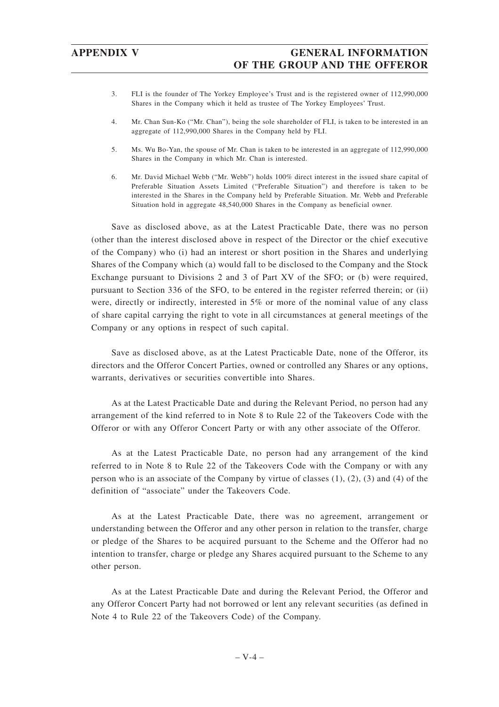- 3. FLI is the founder of The Yorkey Employee's Trust and is the registered owner of 112,990,000 Shares in the Company which it held as trustee of The Yorkey Employees' Trust.
- 4. Mr. Chan Sun-Ko ("Mr. Chan"), being the sole shareholder of FLI, is taken to be interested in an aggregate of 112,990,000 Shares in the Company held by FLI.
- 5. Ms. Wu Bo-Yan, the spouse of Mr. Chan is taken to be interested in an aggregate of 112,990,000 Shares in the Company in which Mr. Chan is interested.
- 6. Mr. David Michael Webb ("Mr. Webb") holds 100% direct interest in the issued share capital of Preferable Situation Assets Limited ("Preferable Situation") and therefore is taken to be interested in the Shares in the Company held by Preferable Situation. Mr. Webb and Preferable Situation hold in aggregate 48,540,000 Shares in the Company as beneficial owner.

Save as disclosed above, as at the Latest Practicable Date, there was no person (other than the interest disclosed above in respect of the Director or the chief executive of the Company) who (i) had an interest or short position in the Shares and underlying Shares of the Company which (a) would fall to be disclosed to the Company and the Stock Exchange pursuant to Divisions 2 and 3 of Part XV of the SFO; or (b) were required, pursuant to Section 336 of the SFO, to be entered in the register referred therein; or (ii) were, directly or indirectly, interested in 5% or more of the nominal value of any class of share capital carrying the right to vote in all circumstances at general meetings of the Company or any options in respect of such capital.

Save as disclosed above, as at the Latest Practicable Date, none of the Offeror, its directors and the Offeror Concert Parties, owned or controlled any Shares or any options, warrants, derivatives or securities convertible into Shares.

As at the Latest Practicable Date and during the Relevant Period, no person had any arrangement of the kind referred to in Note 8 to Rule 22 of the Takeovers Code with the Offeror or with any Offeror Concert Party or with any other associate of the Offeror.

As at the Latest Practicable Date, no person had any arrangement of the kind referred to in Note 8 to Rule 22 of the Takeovers Code with the Company or with any person who is an associate of the Company by virtue of classes (1), (2), (3) and (4) of the definition of "associate" under the Takeovers Code.

As at the Latest Practicable Date, there was no agreement, arrangement or understanding between the Offeror and any other person in relation to the transfer, charge or pledge of the Shares to be acquired pursuant to the Scheme and the Offeror had no intention to transfer, charge or pledge any Shares acquired pursuant to the Scheme to any other person.

As at the Latest Practicable Date and during the Relevant Period, the Offeror and any Offeror Concert Party had not borrowed or lent any relevant securities (as defined in Note 4 to Rule 22 of the Takeovers Code) of the Company.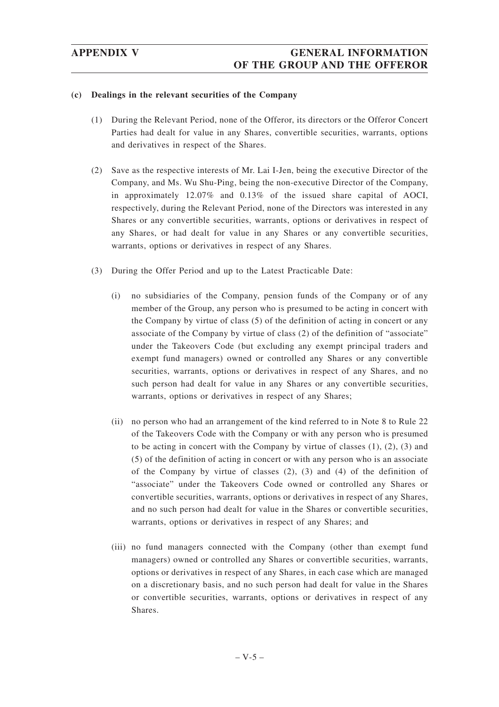# **(c) Dealings in the relevant securities of the Company**

- (1) During the Relevant Period, none of the Offeror, its directors or the Offeror Concert Parties had dealt for value in any Shares, convertible securities, warrants, options and derivatives in respect of the Shares.
- (2) Save as the respective interests of Mr. Lai I-Jen, being the executive Director of the Company, and Ms. Wu Shu-Ping, being the non-executive Director of the Company, in approximately 12.07% and 0.13% of the issued share capital of AOCI, respectively, during the Relevant Period, none of the Directors was interested in any Shares or any convertible securities, warrants, options or derivatives in respect of any Shares, or had dealt for value in any Shares or any convertible securities, warrants, options or derivatives in respect of any Shares.
- (3) During the Offer Period and up to the Latest Practicable Date:
	- (i) no subsidiaries of the Company, pension funds of the Company or of any member of the Group, any person who is presumed to be acting in concert with the Company by virtue of class (5) of the definition of acting in concert or any associate of the Company by virtue of class (2) of the definition of "associate" under the Takeovers Code (but excluding any exempt principal traders and exempt fund managers) owned or controlled any Shares or any convertible securities, warrants, options or derivatives in respect of any Shares, and no such person had dealt for value in any Shares or any convertible securities, warrants, options or derivatives in respect of any Shares;
	- (ii) no person who had an arrangement of the kind referred to in Note 8 to Rule 22 of the Takeovers Code with the Company or with any person who is presumed to be acting in concert with the Company by virtue of classes  $(1)$ ,  $(2)$ ,  $(3)$  and (5) of the definition of acting in concert or with any person who is an associate of the Company by virtue of classes  $(2)$ ,  $(3)$  and  $(4)$  of the definition of "associate" under the Takeovers Code owned or controlled any Shares or convertible securities, warrants, options or derivatives in respect of any Shares, and no such person had dealt for value in the Shares or convertible securities, warrants, options or derivatives in respect of any Shares; and
	- (iii) no fund managers connected with the Company (other than exempt fund managers) owned or controlled any Shares or convertible securities, warrants, options or derivatives in respect of any Shares, in each case which are managed on a discretionary basis, and no such person had dealt for value in the Shares or convertible securities, warrants, options or derivatives in respect of any Shares.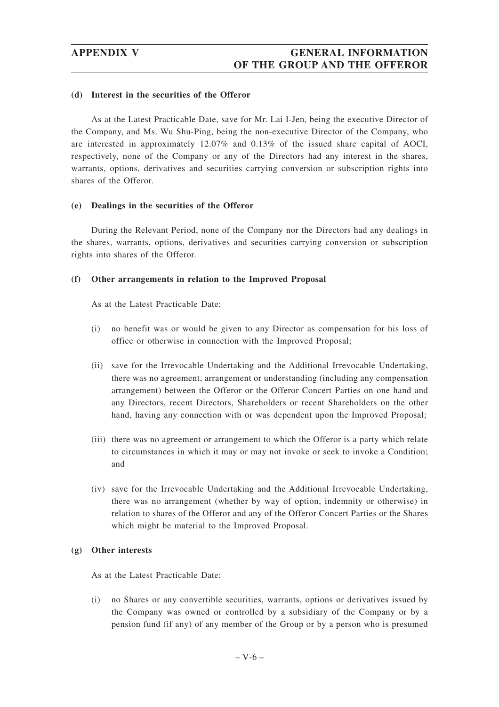### **(d) Interest in the securities of the Offeror**

As at the Latest Practicable Date, save for Mr. Lai I-Jen, being the executive Director of the Company, and Ms. Wu Shu-Ping, being the non-executive Director of the Company, who are interested in approximately 12.07% and 0.13% of the issued share capital of AOCI, respectively, none of the Company or any of the Directors had any interest in the shares, warrants, options, derivatives and securities carrying conversion or subscription rights into shares of the Offeror.

# **(e) Dealings in the securities of the Offeror**

During the Relevant Period, none of the Company nor the Directors had any dealings in the shares, warrants, options, derivatives and securities carrying conversion or subscription rights into shares of the Offeror.

# **(f) Other arrangements in relation to the Improved Proposal**

As at the Latest Practicable Date:

- (i) no benefit was or would be given to any Director as compensation for his loss of office or otherwise in connection with the Improved Proposal;
- (ii) save for the Irrevocable Undertaking and the Additional Irrevocable Undertaking, there was no agreement, arrangement or understanding (including any compensation arrangement) between the Offeror or the Offeror Concert Parties on one hand and any Directors, recent Directors, Shareholders or recent Shareholders on the other hand, having any connection with or was dependent upon the Improved Proposal;
- (iii) there was no agreement or arrangement to which the Offeror is a party which relate to circumstances in which it may or may not invoke or seek to invoke a Condition; and
- (iv) save for the Irrevocable Undertaking and the Additional Irrevocable Undertaking, there was no arrangement (whether by way of option, indemnity or otherwise) in relation to shares of the Offeror and any of the Offeror Concert Parties or the Shares which might be material to the Improved Proposal.

### **(g) Other interests**

As at the Latest Practicable Date:

(i) no Shares or any convertible securities, warrants, options or derivatives issued by the Company was owned or controlled by a subsidiary of the Company or by a pension fund (if any) of any member of the Group or by a person who is presumed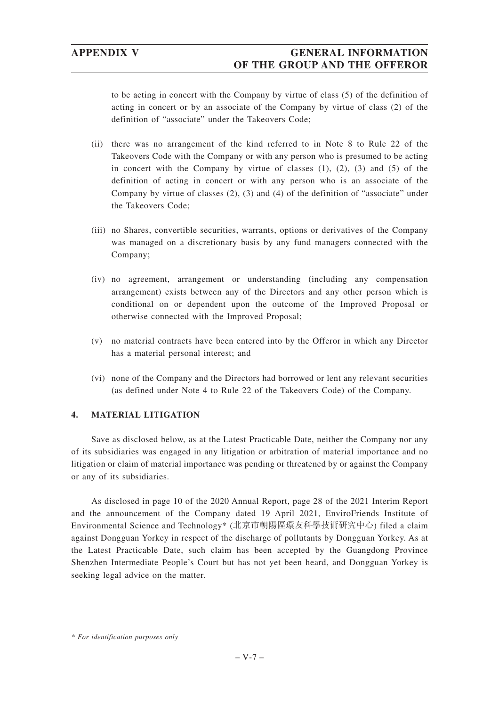# **APPENDIX V GENERAL INFORMATION OF THE GROUP AND THE OFFEROR**

to be acting in concert with the Company by virtue of class (5) of the definition of acting in concert or by an associate of the Company by virtue of class (2) of the definition of "associate" under the Takeovers Code;

- (ii) there was no arrangement of the kind referred to in Note 8 to Rule 22 of the Takeovers Code with the Company or with any person who is presumed to be acting in concert with the Company by virtue of classes  $(1)$ ,  $(2)$ ,  $(3)$  and  $(5)$  of the definition of acting in concert or with any person who is an associate of the Company by virtue of classes  $(2)$ ,  $(3)$  and  $(4)$  of the definition of "associate" under the Takeovers Code;
- (iii) no Shares, convertible securities, warrants, options or derivatives of the Company was managed on a discretionary basis by any fund managers connected with the Company;
- (iv) no agreement, arrangement or understanding (including any compensation arrangement) exists between any of the Directors and any other person which is conditional on or dependent upon the outcome of the Improved Proposal or otherwise connected with the Improved Proposal;
- (v) no material contracts have been entered into by the Offeror in which any Director has a material personal interest; and
- (vi) none of the Company and the Directors had borrowed or lent any relevant securities (as defined under Note 4 to Rule 22 of the Takeovers Code) of the Company.

# **4. MATERIAL LITIGATION**

Save as disclosed below, as at the Latest Practicable Date, neither the Company nor any of its subsidiaries was engaged in any litigation or arbitration of material importance and no litigation or claim of material importance was pending or threatened by or against the Company or any of its subsidiaries.

As disclosed in page 10 of the 2020 Annual Report, page 28 of the 2021 Interim Report and the announcement of the Company dated 19 April 2021, EnviroFriends Institute of Environmental Science and Technology\* (北京市朝陽區環友科學技術研究中心) filed a claim against Dongguan Yorkey in respect of the discharge of pollutants by Dongguan Yorkey. As at the Latest Practicable Date, such claim has been accepted by the Guangdong Province Shenzhen Intermediate People's Court but has not yet been heard, and Dongguan Yorkey is seeking legal advice on the matter.

*<sup>\*</sup> For identification purposes only*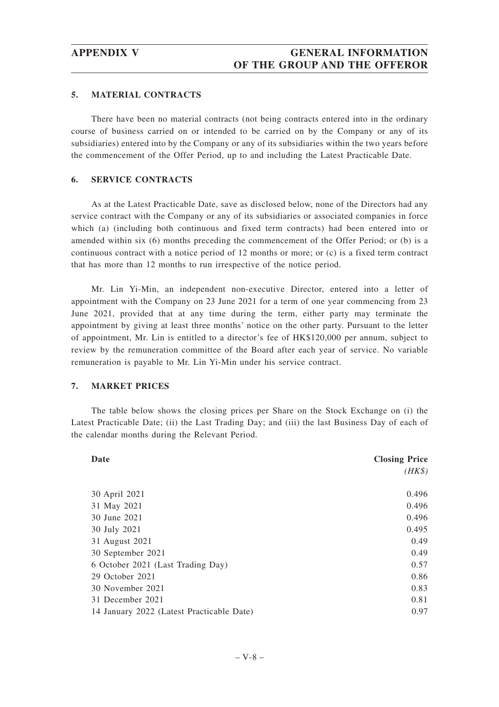### **5. MATERIAL CONTRACTS**

There have been no material contracts (not being contracts entered into in the ordinary course of business carried on or intended to be carried on by the Company or any of its subsidiaries) entered into by the Company or any of its subsidiaries within the two years before the commencement of the Offer Period, up to and including the Latest Practicable Date.

### **6. SERVICE CONTRACTS**

As at the Latest Practicable Date, save as disclosed below, none of the Directors had any service contract with the Company or any of its subsidiaries or associated companies in force which (a) (including both continuous and fixed term contracts) had been entered into or amended within six (6) months preceding the commencement of the Offer Period; or (b) is a continuous contract with a notice period of 12 months or more; or (c) is a fixed term contract that has more than 12 months to run irrespective of the notice period.

Mr. Lin Yi-Min, an independent non-executive Director, entered into a letter of appointment with the Company on 23 June 2021 for a term of one year commencing from 23 June 2021, provided that at any time during the term, either party may terminate the appointment by giving at least three months' notice on the other party. Pursuant to the letter of appointment, Mr. Lin is entitled to a director's fee of HK\$120,000 per annum, subject to review by the remuneration committee of the Board after each year of service. No variable remuneration is payable to Mr. Lin Yi-Min under his service contract.

# **7. MARKET PRICES**

The table below shows the closing prices per Share on the Stock Exchange on (i) the Latest Practicable Date; (ii) the Last Trading Day; and (iii) the last Business Day of each of the calendar months during the Relevant Period.

| Date                                      | <b>Closing Price</b> |  |  |
|-------------------------------------------|----------------------|--|--|
|                                           | $(HK\$               |  |  |
|                                           |                      |  |  |
| 30 April 2021                             | 0.496                |  |  |
| 31 May 2021                               | 0.496                |  |  |
| 30 June 2021                              | 0.496                |  |  |
| 30 July 2021                              | 0.495                |  |  |
| 31 August 2021                            | 0.49                 |  |  |
| 30 September 2021                         | 0.49                 |  |  |
| 6 October 2021 (Last Trading Day)         | 0.57                 |  |  |
| 29 October 2021                           | 0.86                 |  |  |
| 30 November 2021                          | 0.83                 |  |  |
| 31 December 2021                          | 0.81                 |  |  |
| 14 January 2022 (Latest Practicable Date) | 0.97                 |  |  |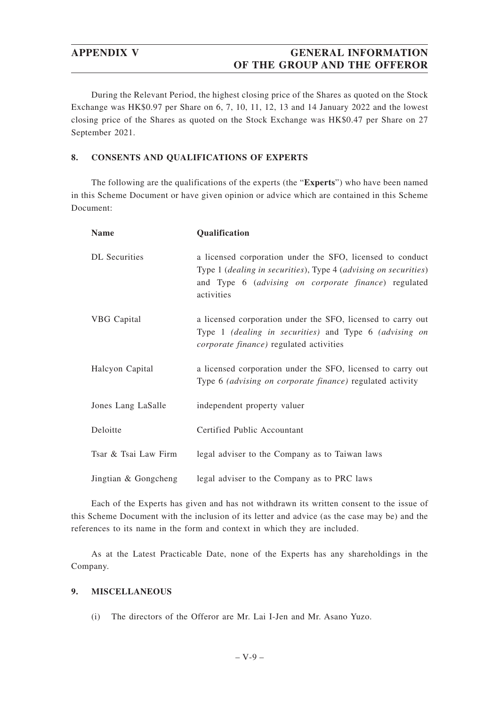# **APPENDIX V GENERAL INFORMATION OF THE GROUP AND THE OFFEROR**

During the Relevant Period, the highest closing price of the Shares as quoted on the Stock Exchange was HK\$0.97 per Share on 6, 7, 10, 11, 12, 13 and 14 January 2022 and the lowest closing price of the Shares as quoted on the Stock Exchange was HK\$0.47 per Share on 27 September 2021.

# **8. CONSENTS AND QUALIFICATIONS OF EXPERTS**

The following are the qualifications of the experts (the "**Experts**") who have been named in this Scheme Document or have given opinion or advice which are contained in this Scheme Document:

| <b>Name</b>          | Qualification                                                                                                                                                                                      |
|----------------------|----------------------------------------------------------------------------------------------------------------------------------------------------------------------------------------------------|
| <b>DL</b> Securities | a licensed corporation under the SFO, licensed to conduct<br>Type 1 (dealing in securities), Type 4 (advising on securities)<br>and Type 6 (advising on corporate finance) regulated<br>activities |
| VBG Capital          | a licensed corporation under the SFO, licensed to carry out<br>Type 1 (dealing in securities) and Type 6 (advising on<br><i>corporate finance</i> ) regulated activities                           |
| Halcyon Capital      | a licensed corporation under the SFO, licensed to carry out<br>Type 6 <i>(advising on corporate finance)</i> regulated activity                                                                    |
| Jones Lang LaSalle   | independent property valuer                                                                                                                                                                        |
| Deloitte             | Certified Public Accountant                                                                                                                                                                        |
| Tsar & Tsai Law Firm | legal adviser to the Company as to Taiwan laws                                                                                                                                                     |
| Jingtian & Gongcheng | legal adviser to the Company as to PRC laws                                                                                                                                                        |

Each of the Experts has given and has not withdrawn its written consent to the issue of this Scheme Document with the inclusion of its letter and advice (as the case may be) and the references to its name in the form and context in which they are included.

As at the Latest Practicable Date, none of the Experts has any shareholdings in the Company.

# **9. MISCELLANEOUS**

(i) The directors of the Offeror are Mr. Lai I-Jen and Mr. Asano Yuzo.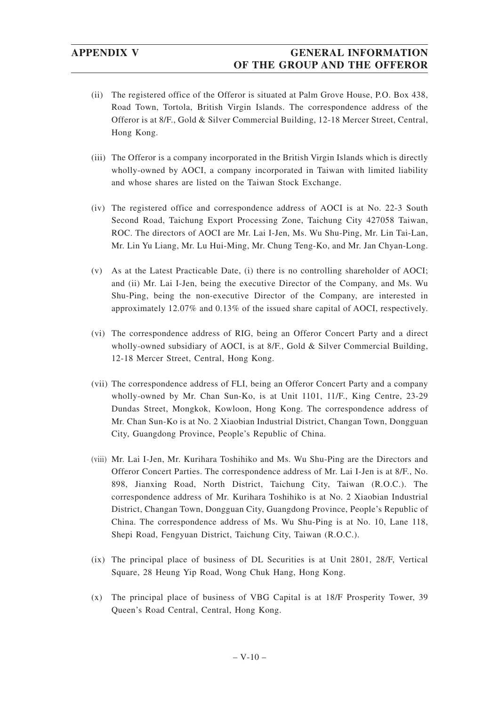- (ii) The registered office of the Offeror is situated at Palm Grove House, P.O. Box 438, Road Town, Tortola, British Virgin Islands. The correspondence address of the Offeror is at 8/F., Gold & Silver Commercial Building, 12-18 Mercer Street, Central, Hong Kong.
- (iii) The Offeror is a company incorporated in the British Virgin Islands which is directly wholly-owned by AOCI, a company incorporated in Taiwan with limited liability and whose shares are listed on the Taiwan Stock Exchange.
- (iv) The registered office and correspondence address of AOCI is at No. 22-3 South Second Road, Taichung Export Processing Zone, Taichung City 427058 Taiwan, ROC. The directors of AOCI are Mr. Lai I-Jen, Ms. Wu Shu-Ping, Mr. Lin Tai-Lan, Mr. Lin Yu Liang, Mr. Lu Hui-Ming, Mr. Chung Teng-Ko, and Mr. Jan Chyan-Long.
- (v) As at the Latest Practicable Date, (i) there is no controlling shareholder of AOCI; and (ii) Mr. Lai I-Jen, being the executive Director of the Company, and Ms. Wu Shu-Ping, being the non-executive Director of the Company, are interested in approximately 12.07% and 0.13% of the issued share capital of AOCI, respectively.
- (vi) The correspondence address of RIG, being an Offeror Concert Party and a direct wholly-owned subsidiary of AOCI, is at 8/F., Gold & Silver Commercial Building, 12-18 Mercer Street, Central, Hong Kong.
- (vii) The correspondence address of FLI, being an Offeror Concert Party and a company wholly-owned by Mr. Chan Sun-Ko, is at Unit 1101, 11/F., King Centre, 23-29 Dundas Street, Mongkok, Kowloon, Hong Kong. The correspondence address of Mr. Chan Sun-Ko is at No. 2 Xiaobian Industrial District, Changan Town, Dongguan City, Guangdong Province, People's Republic of China.
- (viii) Mr. Lai I-Jen, Mr. Kurihara Toshihiko and Ms. Wu Shu-Ping are the Directors and Offeror Concert Parties. The correspondence address of Mr. Lai I-Jen is at 8/F., No. 898, Jianxing Road, North District, Taichung City, Taiwan (R.O.C.). The correspondence address of Mr. Kurihara Toshihiko is at No. 2 Xiaobian Industrial District, Changan Town, Dongguan City, Guangdong Province, People's Republic of China. The correspondence address of Ms. Wu Shu-Ping is at No. 10, Lane 118, Shepi Road, Fengyuan District, Taichung City, Taiwan (R.O.C.).
- (ix) The principal place of business of DL Securities is at Unit 2801, 28/F, Vertical Square, 28 Heung Yip Road, Wong Chuk Hang, Hong Kong.
- (x) The principal place of business of VBG Capital is at 18/F Prosperity Tower, 39 Queen's Road Central, Central, Hong Kong.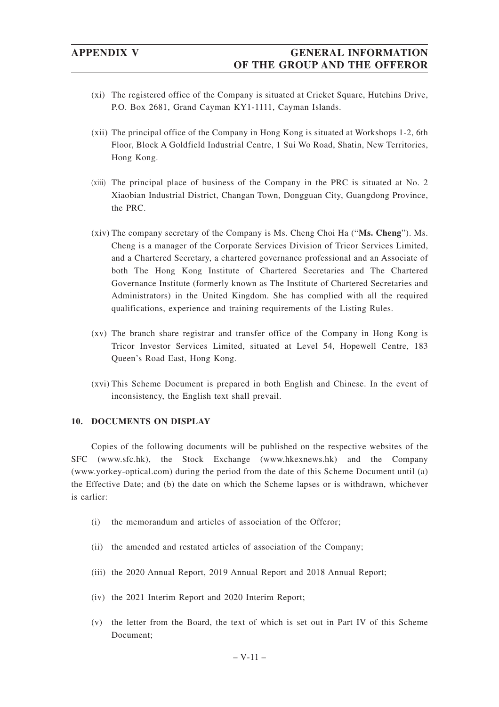- (xi) The registered office of the Company is situated at Cricket Square, Hutchins Drive, P.O. Box 2681, Grand Cayman KY1-1111, Cayman Islands.
- (xii) The principal office of the Company in Hong Kong is situated at Workshops 1-2, 6th Floor, Block A Goldfield Industrial Centre, 1 Sui Wo Road, Shatin, New Territories, Hong Kong.
- (xiii) The principal place of business of the Company in the PRC is situated at No. 2 Xiaobian Industrial District, Changan Town, Dongguan City, Guangdong Province, the PRC.
- (xiv) The company secretary of the Company is Ms. Cheng Choi Ha ("**Ms. Cheng**"). Ms. Cheng is a manager of the Corporate Services Division of Tricor Services Limited, and a Chartered Secretary, a chartered governance professional and an Associate of both The Hong Kong Institute of Chartered Secretaries and The Chartered Governance Institute (formerly known as The Institute of Chartered Secretaries and Administrators) in the United Kingdom. She has complied with all the required qualifications, experience and training requirements of the Listing Rules.
- (xv) The branch share registrar and transfer office of the Company in Hong Kong is Tricor Investor Services Limited, situated at Level 54, Hopewell Centre, 183 Queen's Road East, Hong Kong.
- (xvi) This Scheme Document is prepared in both English and Chinese. In the event of inconsistency, the English text shall prevail.

## **10. DOCUMENTS ON DISPLAY**

Copies of the following documents will be published on the respective websites of the SFC (www.sfc.hk), the Stock Exchange (www.hkexnews.hk) and the Company (www.yorkey-optical.com) during the period from the date of this Scheme Document until (a) the Effective Date; and (b) the date on which the Scheme lapses or is withdrawn, whichever is earlier:

- (i) the memorandum and articles of association of the Offeror;
- (ii) the amended and restated articles of association of the Company;
- (iii) the 2020 Annual Report, 2019 Annual Report and 2018 Annual Report;
- (iv) the 2021 Interim Report and 2020 Interim Report;
- (v) the letter from the Board, the text of which is set out in Part IV of this Scheme Document;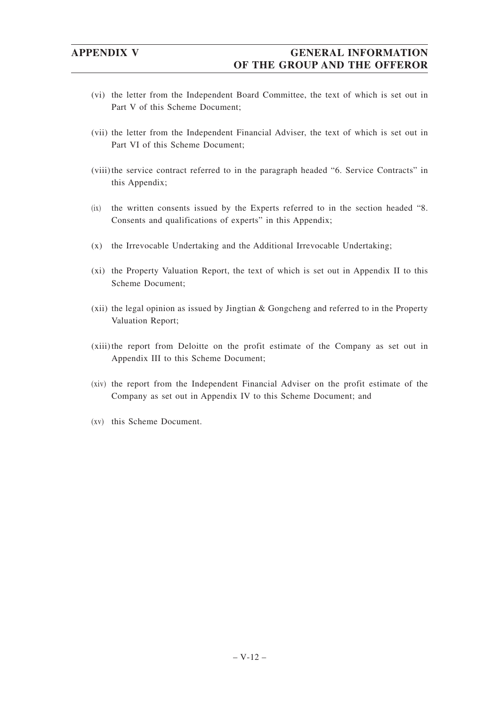- (vi) the letter from the Independent Board Committee, the text of which is set out in Part V of this Scheme Document;
- (vii) the letter from the Independent Financial Adviser, the text of which is set out in Part VI of this Scheme Document;
- (viii) the service contract referred to in the paragraph headed "6. Service Contracts" in this Appendix;
- (ix) the written consents issued by the Experts referred to in the section headed "8. Consents and qualifications of experts" in this Appendix;
- (x) the Irrevocable Undertaking and the Additional Irrevocable Undertaking;
- (xi) the Property Valuation Report, the text of which is set out in Appendix II to this Scheme Document;
- (xii) the legal opinion as issued by Jingtian & Gongcheng and referred to in the Property Valuation Report;
- (xiii)the report from Deloitte on the profit estimate of the Company as set out in Appendix III to this Scheme Document;
- (xiv) the report from the Independent Financial Adviser on the profit estimate of the Company as set out in Appendix IV to this Scheme Document; and
- (xv) this Scheme Document.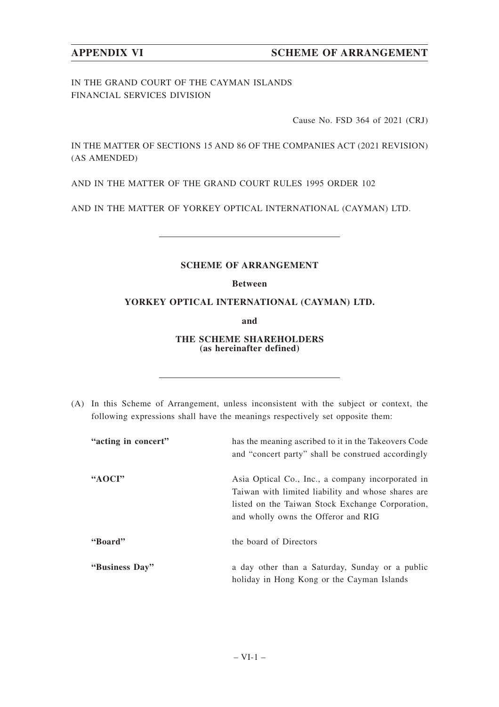IN THE GRAND COURT OF THE CAYMAN ISLANDS FINANCIAL SERVICES DIVISION

Cause No. FSD 364 of 2021 (CRJ)

IN THE MATTER OF SECTIONS 15 AND 86 OF THE COMPANIES ACT (2021 REVISION) (AS AMENDED)

AND IN THE MATTER OF THE GRAND COURT RULES 1995 ORDER 102

AND IN THE MATTER OF YORKEY OPTICAL INTERNATIONAL (CAYMAN) LTD.

# **SCHEME OF ARRANGEMENT**

# **Between**

# **YORKEY OPTICAL INTERNATIONAL (CAYMAN) LTD.**

**and**

## **THE SCHEME SHAREHOLDERS (as hereinafter defined)**

(A) In this Scheme of Arrangement, unless inconsistent with the subject or context, the following expressions shall have the meanings respectively set opposite them:

| "acting in concert" | has the meaning ascribed to it in the Takeovers Code |
|---------------------|------------------------------------------------------|
|                     | and "concert party" shall be construed accordingly   |
| "AOCI"              | Asia Optical Co., Inc., a company incorporated in    |
|                     | Taiwan with limited liability and whose shares are   |
|                     | listed on the Taiwan Stock Exchange Corporation,     |
|                     | and wholly owns the Offeror and RIG                  |
| "Board"             | the board of Directors                               |
| "Business Day"      | a day other than a Saturday, Sunday or a public      |
|                     | holiday in Hong Kong or the Cayman Islands           |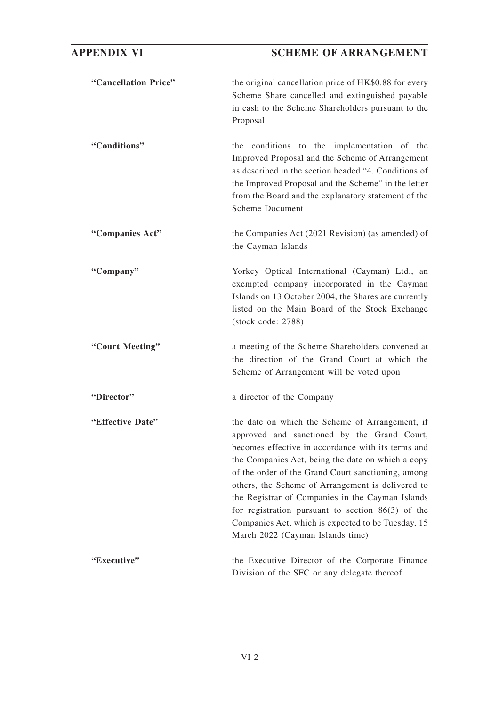| "Cancellation Price" | the original cancellation price of HK\$0.88 for every<br>Scheme Share cancelled and extinguished payable<br>in cash to the Scheme Shareholders pursuant to the<br>Proposal                                                                                                                                                                                                                                                                                                                                                |
|----------------------|---------------------------------------------------------------------------------------------------------------------------------------------------------------------------------------------------------------------------------------------------------------------------------------------------------------------------------------------------------------------------------------------------------------------------------------------------------------------------------------------------------------------------|
| "Conditions"         | the conditions to the implementation of the<br>Improved Proposal and the Scheme of Arrangement<br>as described in the section headed "4. Conditions of<br>the Improved Proposal and the Scheme" in the letter<br>from the Board and the explanatory statement of the<br><b>Scheme Document</b>                                                                                                                                                                                                                            |
| "Companies Act"      | the Companies Act (2021 Revision) (as amended) of<br>the Cayman Islands                                                                                                                                                                                                                                                                                                                                                                                                                                                   |
| "Company"            | Yorkey Optical International (Cayman) Ltd., an<br>exempted company incorporated in the Cayman<br>Islands on 13 October 2004, the Shares are currently<br>listed on the Main Board of the Stock Exchange<br>(stock code: 2788)                                                                                                                                                                                                                                                                                             |
| "Court Meeting"      | a meeting of the Scheme Shareholders convened at<br>the direction of the Grand Court at which the<br>Scheme of Arrangement will be voted upon                                                                                                                                                                                                                                                                                                                                                                             |
| "Director"           | a director of the Company                                                                                                                                                                                                                                                                                                                                                                                                                                                                                                 |
| "Effective Date"     | the date on which the Scheme of Arrangement, if<br>approved and sanctioned by the Grand Court,<br>becomes effective in accordance with its terms and<br>the Companies Act, being the date on which a copy<br>of the order of the Grand Court sanctioning, among<br>others, the Scheme of Arrangement is delivered to<br>the Registrar of Companies in the Cayman Islands<br>for registration pursuant to section $86(3)$ of the<br>Companies Act, which is expected to be Tuesday, 15<br>March 2022 (Cayman Islands time) |
| "Executive"          | the Executive Director of the Corporate Finance<br>Division of the SFC or any delegate thereof                                                                                                                                                                                                                                                                                                                                                                                                                            |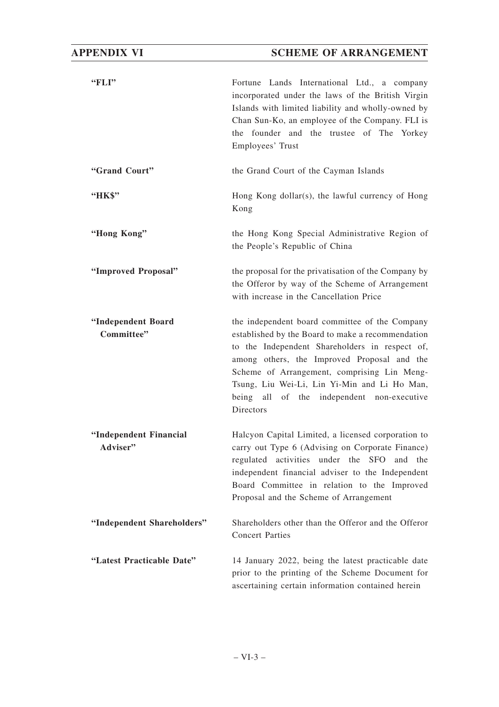# **APPENDIX VI SCHEME OF ARRANGEMENT**

| "FLI"                              | Fortune Lands International Ltd., a company<br>incorporated under the laws of the British Virgin<br>Islands with limited liability and wholly-owned by<br>Chan Sun-Ko, an employee of the Company. FLI is<br>the founder and the trustee of The Yorkey<br>Employees' Trust                                                                                     |  |
|------------------------------------|----------------------------------------------------------------------------------------------------------------------------------------------------------------------------------------------------------------------------------------------------------------------------------------------------------------------------------------------------------------|--|
| "Grand Court"                      | the Grand Court of the Cayman Islands                                                                                                                                                                                                                                                                                                                          |  |
| "HK\$"                             | Hong Kong dollar(s), the lawful currency of Hong<br>Kong                                                                                                                                                                                                                                                                                                       |  |
| "Hong Kong"                        | the Hong Kong Special Administrative Region of<br>the People's Republic of China                                                                                                                                                                                                                                                                               |  |
| "Improved Proposal"                | the proposal for the privatisation of the Company by<br>the Offeror by way of the Scheme of Arrangement<br>with increase in the Cancellation Price                                                                                                                                                                                                             |  |
| "Independent Board<br>Committee"   | the independent board committee of the Company<br>established by the Board to make a recommendation<br>to the Independent Shareholders in respect of,<br>among others, the Improved Proposal and the<br>Scheme of Arrangement, comprising Lin Meng-<br>Tsung, Liu Wei-Li, Lin Yi-Min and Li Ho Man,<br>being all of the independent non-executive<br>Directors |  |
| "Independent Financial<br>Adviser" | Halcyon Capital Limited, a licensed corporation to<br>carry out Type 6 (Advising on Corporate Finance)<br>regulated activities under the SFO<br>and the<br>independent financial adviser to the Independent<br>Board Committee in relation to the Improved<br>Proposal and the Scheme of Arrangement                                                           |  |
| "Independent Shareholders"         | Shareholders other than the Offeror and the Offeror<br><b>Concert Parties</b>                                                                                                                                                                                                                                                                                  |  |
| "Latest Practicable Date"          | 14 January 2022, being the latest practicable date<br>prior to the printing of the Scheme Document for<br>ascertaining certain information contained herein                                                                                                                                                                                                    |  |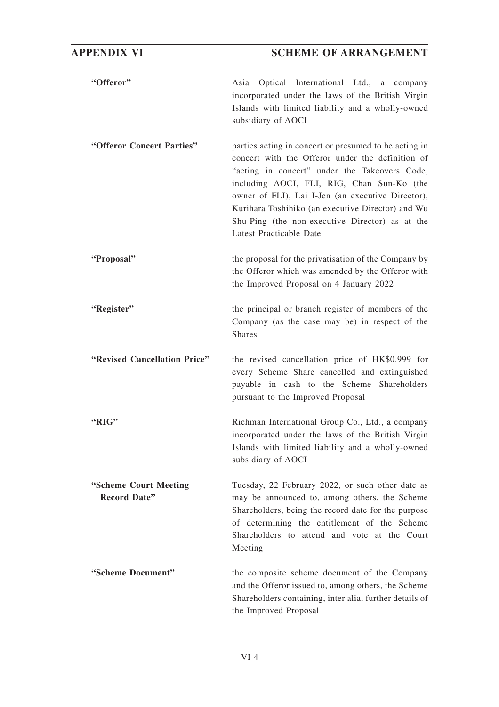| "Offeror"                                    | Asia Optical International Ltd., a company<br>incorporated under the laws of the British Virgin<br>Islands with limited liability and a wholly-owned<br>subsidiary of AOCI                                                                                                                                                                                                                       |
|----------------------------------------------|--------------------------------------------------------------------------------------------------------------------------------------------------------------------------------------------------------------------------------------------------------------------------------------------------------------------------------------------------------------------------------------------------|
| "Offeror Concert Parties"                    | parties acting in concert or presumed to be acting in<br>concert with the Offeror under the definition of<br>"acting in concert" under the Takeovers Code,<br>including AOCI, FLI, RIG, Chan Sun-Ko (the<br>owner of FLI), Lai I-Jen (an executive Director),<br>Kurihara Toshihiko (an executive Director) and Wu<br>Shu-Ping (the non-executive Director) as at the<br>Latest Practicable Date |
| "Proposal"                                   | the proposal for the privatisation of the Company by<br>the Offeror which was amended by the Offeror with<br>the Improved Proposal on 4 January 2022                                                                                                                                                                                                                                             |
| "Register"                                   | the principal or branch register of members of the<br>Company (as the case may be) in respect of the<br><b>Shares</b>                                                                                                                                                                                                                                                                            |
| "Revised Cancellation Price"                 | the revised cancellation price of HK\$0.999 for<br>every Scheme Share cancelled and extinguished<br>payable in cash to the Scheme Shareholders<br>pursuant to the Improved Proposal                                                                                                                                                                                                              |
| "RIG"                                        | Richman International Group Co., Ltd., a company<br>incorporated under the laws of the British Virgin<br>Islands with limited liability and a wholly-owned<br>subsidiary of AOCI                                                                                                                                                                                                                 |
| "Scheme Court Meeting<br><b>Record Date"</b> | Tuesday, 22 February 2022, or such other date as<br>may be announced to, among others, the Scheme<br>Shareholders, being the record date for the purpose<br>of determining the entitlement of the Scheme<br>Shareholders to attend and vote at the Court<br>Meeting                                                                                                                              |
| "Scheme Document"                            | the composite scheme document of the Company<br>and the Offeror issued to, among others, the Scheme<br>Shareholders containing, inter alia, further details of<br>the Improved Proposal                                                                                                                                                                                                          |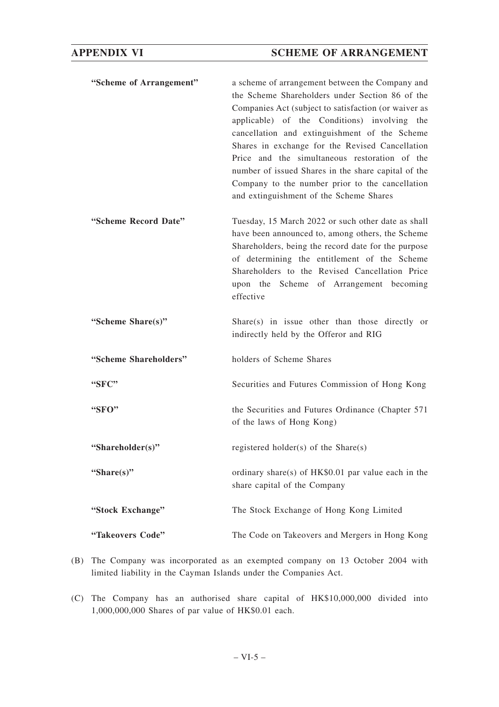| "Scheme of Arrangement" | a scheme of arrangement between the Company and<br>the Scheme Shareholders under Section 86 of the<br>Companies Act (subject to satisfaction (or waiver as<br>applicable) of the Conditions) involving the<br>cancellation and extinguishment of the Scheme<br>Shares in exchange for the Revised Cancellation<br>Price and the simultaneous restoration of the<br>number of issued Shares in the share capital of the<br>Company to the number prior to the cancellation<br>and extinguishment of the Scheme Shares |
|-------------------------|----------------------------------------------------------------------------------------------------------------------------------------------------------------------------------------------------------------------------------------------------------------------------------------------------------------------------------------------------------------------------------------------------------------------------------------------------------------------------------------------------------------------|
| "Scheme Record Date"    | Tuesday, 15 March 2022 or such other date as shall<br>have been announced to, among others, the Scheme<br>Shareholders, being the record date for the purpose<br>of determining the entitlement of the Scheme<br>Shareholders to the Revised Cancellation Price<br>upon the Scheme of Arrangement becoming<br>effective                                                                                                                                                                                              |
| "Scheme Share(s)"       | Share(s) in issue other than those directly or<br>indirectly held by the Offeror and RIG                                                                                                                                                                                                                                                                                                                                                                                                                             |
| "Scheme Shareholders"   | holders of Scheme Shares                                                                                                                                                                                                                                                                                                                                                                                                                                                                                             |
| "SFC"                   | Securities and Futures Commission of Hong Kong                                                                                                                                                                                                                                                                                                                                                                                                                                                                       |
| "SFO"                   | the Securities and Futures Ordinance (Chapter 571)<br>of the laws of Hong Kong)                                                                                                                                                                                                                                                                                                                                                                                                                                      |
| "Shareholder(s)"        | registered holder(s) of the Share(s)                                                                                                                                                                                                                                                                                                                                                                                                                                                                                 |
| "Share $(s)$ "          | ordinary share(s) of HK\$0.01 par value each in the<br>share capital of the Company                                                                                                                                                                                                                                                                                                                                                                                                                                  |
|                         |                                                                                                                                                                                                                                                                                                                                                                                                                                                                                                                      |
| "Stock Exchange"        | The Stock Exchange of Hong Kong Limited                                                                                                                                                                                                                                                                                                                                                                                                                                                                              |

- (B) The Company was incorporated as an exempted company on 13 October 2004 with limited liability in the Cayman Islands under the Companies Act.
- (C) The Company has an authorised share capital of HK\$10,000,000 divided into 1,000,000,000 Shares of par value of HK\$0.01 each.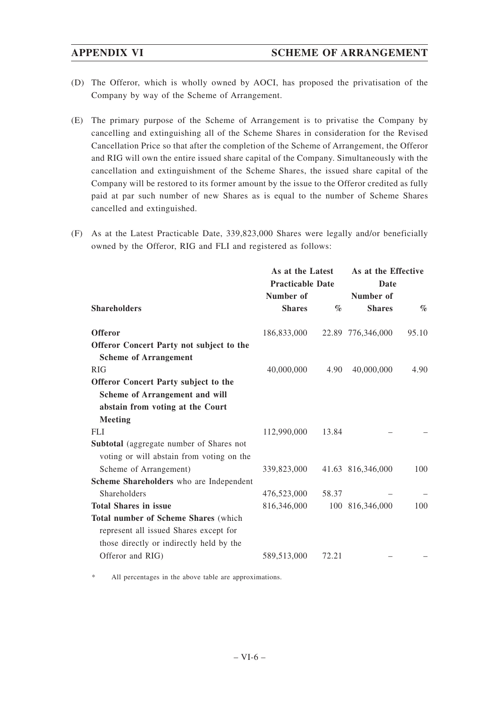- (D) The Offeror, which is wholly owned by AOCI, has proposed the privatisation of the Company by way of the Scheme of Arrangement.
- (E) The primary purpose of the Scheme of Arrangement is to privatise the Company by cancelling and extinguishing all of the Scheme Shares in consideration for the Revised Cancellation Price so that after the completion of the Scheme of Arrangement, the Offeror and RIG will own the entire issued share capital of the Company. Simultaneously with the cancellation and extinguishment of the Scheme Shares, the issued share capital of the Company will be restored to its former amount by the issue to the Offeror credited as fully paid at par such number of new Shares as is equal to the number of Scheme Shares cancelled and extinguished.
- (F) As at the Latest Practicable Date, 339,823,000 Shares were legally and/or beneficially owned by the Offeror, RIG and FLI and registered as follows:

|                                             | As at the Latest        |                 | As at the Effective |                             |
|---------------------------------------------|-------------------------|-----------------|---------------------|-----------------------------|
|                                             | <b>Practicable Date</b> |                 | Date                |                             |
|                                             | Number of               |                 | Number of           |                             |
| <b>Shareholders</b>                         | <b>Shares</b>           | $\mathcal{O}_0$ | <b>Shares</b>       | $\mathcal{O}_{\mathcal{O}}$ |
| <b>Offeror</b>                              | 186,833,000             |                 | 22.89 776,346,000   | 95.10                       |
| Offeror Concert Party not subject to the    |                         |                 |                     |                             |
| <b>Scheme of Arrangement</b>                |                         |                 |                     |                             |
| RIG                                         | 40,000,000              | 4.90            | 40,000,000          | 4.90                        |
| Offeror Concert Party subject to the        |                         |                 |                     |                             |
| Scheme of Arrangement and will              |                         |                 |                     |                             |
| abstain from voting at the Court            |                         |                 |                     |                             |
| <b>Meeting</b>                              |                         |                 |                     |                             |
| <b>FLI</b>                                  | 112,990,000             | 13.84           |                     |                             |
| Subtotal (aggregate number of Shares not    |                         |                 |                     |                             |
| voting or will abstain from voting on the   |                         |                 |                     |                             |
| Scheme of Arrangement)                      | 339,823,000             |                 | 41.63 816,346,000   | 100                         |
| Scheme Shareholders who are Independent     |                         |                 |                     |                             |
| Shareholders                                | 476,523,000             | 58.37           |                     |                             |
| <b>Total Shares in issue</b>                | 816,346,000             |                 | 100 816,346,000     | 100                         |
| <b>Total number of Scheme Shares (which</b> |                         |                 |                     |                             |
| represent all issued Shares except for      |                         |                 |                     |                             |
| those directly or indirectly held by the    |                         |                 |                     |                             |
| Offeror and RIG)                            | 589,513,000             | 72.21           |                     |                             |
|                                             |                         |                 |                     |                             |

All percentages in the above table are approximations.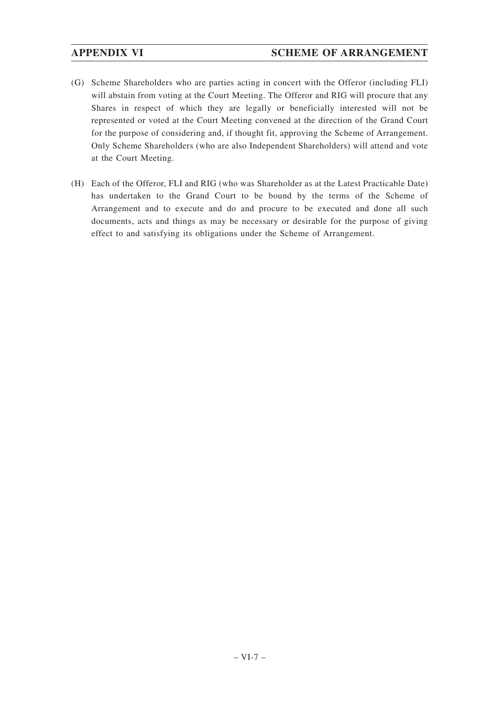- (G) Scheme Shareholders who are parties acting in concert with the Offeror (including FLI) will abstain from voting at the Court Meeting. The Offeror and RIG will procure that any Shares in respect of which they are legally or beneficially interested will not be represented or voted at the Court Meeting convened at the direction of the Grand Court for the purpose of considering and, if thought fit, approving the Scheme of Arrangement. Only Scheme Shareholders (who are also Independent Shareholders) will attend and vote at the Court Meeting.
- (H) Each of the Offeror, FLI and RIG (who was Shareholder as at the Latest Practicable Date) has undertaken to the Grand Court to be bound by the terms of the Scheme of Arrangement and to execute and do and procure to be executed and done all such documents, acts and things as may be necessary or desirable for the purpose of giving effect to and satisfying its obligations under the Scheme of Arrangement.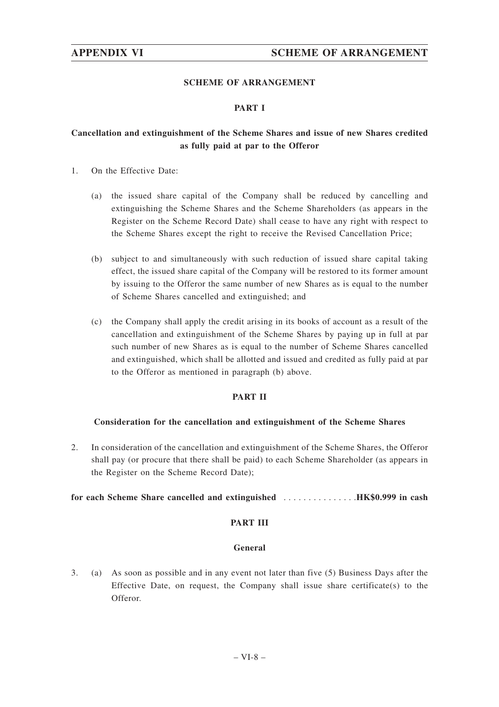# **SCHEME OF ARRANGEMENT**

# **PART I**

# **Cancellation and extinguishment of the Scheme Shares and issue of new Shares credited as fully paid at par to the Offeror**

- 1. On the Effective Date:
	- (a) the issued share capital of the Company shall be reduced by cancelling and extinguishing the Scheme Shares and the Scheme Shareholders (as appears in the Register on the Scheme Record Date) shall cease to have any right with respect to the Scheme Shares except the right to receive the Revised Cancellation Price;
	- (b) subject to and simultaneously with such reduction of issued share capital taking effect, the issued share capital of the Company will be restored to its former amount by issuing to the Offeror the same number of new Shares as is equal to the number of Scheme Shares cancelled and extinguished; and
	- (c) the Company shall apply the credit arising in its books of account as a result of the cancellation and extinguishment of the Scheme Shares by paying up in full at par such number of new Shares as is equal to the number of Scheme Shares cancelled and extinguished, which shall be allotted and issued and credited as fully paid at par to the Offeror as mentioned in paragraph (b) above.

# **PART II**

### **Consideration for the cancellation and extinguishment of the Scheme Shares**

2. In consideration of the cancellation and extinguishment of the Scheme Shares, the Offeror shall pay (or procure that there shall be paid) to each Scheme Shareholder (as appears in the Register on the Scheme Record Date);

### **for each Scheme Share cancelled and extinguished** ...............**HK\$0.999 in cash**

# **PART III**

### **General**

3. (a) As soon as possible and in any event not later than five (5) Business Days after the Effective Date, on request, the Company shall issue share certificate(s) to the Offeror.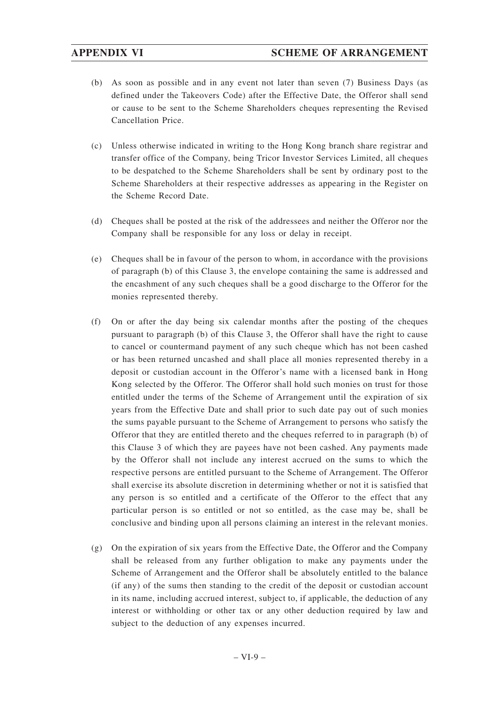- (b) As soon as possible and in any event not later than seven (7) Business Days (as defined under the Takeovers Code) after the Effective Date, the Offeror shall send or cause to be sent to the Scheme Shareholders cheques representing the Revised Cancellation Price.
- (c) Unless otherwise indicated in writing to the Hong Kong branch share registrar and transfer office of the Company, being Tricor Investor Services Limited, all cheques to be despatched to the Scheme Shareholders shall be sent by ordinary post to the Scheme Shareholders at their respective addresses as appearing in the Register on the Scheme Record Date.
- (d) Cheques shall be posted at the risk of the addressees and neither the Offeror nor the Company shall be responsible for any loss or delay in receipt.
- (e) Cheques shall be in favour of the person to whom, in accordance with the provisions of paragraph (b) of this Clause 3, the envelope containing the same is addressed and the encashment of any such cheques shall be a good discharge to the Offeror for the monies represented thereby.
- (f) On or after the day being six calendar months after the posting of the cheques pursuant to paragraph (b) of this Clause 3, the Offeror shall have the right to cause to cancel or countermand payment of any such cheque which has not been cashed or has been returned uncashed and shall place all monies represented thereby in a deposit or custodian account in the Offeror's name with a licensed bank in Hong Kong selected by the Offeror. The Offeror shall hold such monies on trust for those entitled under the terms of the Scheme of Arrangement until the expiration of six years from the Effective Date and shall prior to such date pay out of such monies the sums payable pursuant to the Scheme of Arrangement to persons who satisfy the Offeror that they are entitled thereto and the cheques referred to in paragraph (b) of this Clause 3 of which they are payees have not been cashed. Any payments made by the Offeror shall not include any interest accrued on the sums to which the respective persons are entitled pursuant to the Scheme of Arrangement. The Offeror shall exercise its absolute discretion in determining whether or not it is satisfied that any person is so entitled and a certificate of the Offeror to the effect that any particular person is so entitled or not so entitled, as the case may be, shall be conclusive and binding upon all persons claiming an interest in the relevant monies.
- (g) On the expiration of six years from the Effective Date, the Offeror and the Company shall be released from any further obligation to make any payments under the Scheme of Arrangement and the Offeror shall be absolutely entitled to the balance (if any) of the sums then standing to the credit of the deposit or custodian account in its name, including accrued interest, subject to, if applicable, the deduction of any interest or withholding or other tax or any other deduction required by law and subject to the deduction of any expenses incurred.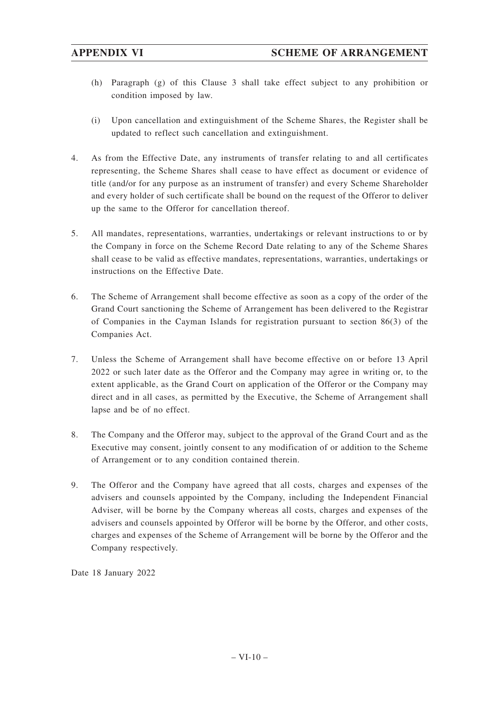- (h) Paragraph (g) of this Clause 3 shall take effect subject to any prohibition or condition imposed by law.
- (i) Upon cancellation and extinguishment of the Scheme Shares, the Register shall be updated to reflect such cancellation and extinguishment.
- 4. As from the Effective Date, any instruments of transfer relating to and all certificates representing, the Scheme Shares shall cease to have effect as document or evidence of title (and/or for any purpose as an instrument of transfer) and every Scheme Shareholder and every holder of such certificate shall be bound on the request of the Offeror to deliver up the same to the Offeror for cancellation thereof.
- 5. All mandates, representations, warranties, undertakings or relevant instructions to or by the Company in force on the Scheme Record Date relating to any of the Scheme Shares shall cease to be valid as effective mandates, representations, warranties, undertakings or instructions on the Effective Date.
- 6. The Scheme of Arrangement shall become effective as soon as a copy of the order of the Grand Court sanctioning the Scheme of Arrangement has been delivered to the Registrar of Companies in the Cayman Islands for registration pursuant to section 86(3) of the Companies Act.
- 7. Unless the Scheme of Arrangement shall have become effective on or before 13 April 2022 or such later date as the Offeror and the Company may agree in writing or, to the extent applicable, as the Grand Court on application of the Offeror or the Company may direct and in all cases, as permitted by the Executive, the Scheme of Arrangement shall lapse and be of no effect.
- 8. The Company and the Offeror may, subject to the approval of the Grand Court and as the Executive may consent, jointly consent to any modification of or addition to the Scheme of Arrangement or to any condition contained therein.
- 9. The Offeror and the Company have agreed that all costs, charges and expenses of the advisers and counsels appointed by the Company, including the Independent Financial Adviser, will be borne by the Company whereas all costs, charges and expenses of the advisers and counsels appointed by Offeror will be borne by the Offeror, and other costs, charges and expenses of the Scheme of Arrangement will be borne by the Offeror and the Company respectively.

Date 18 January 2022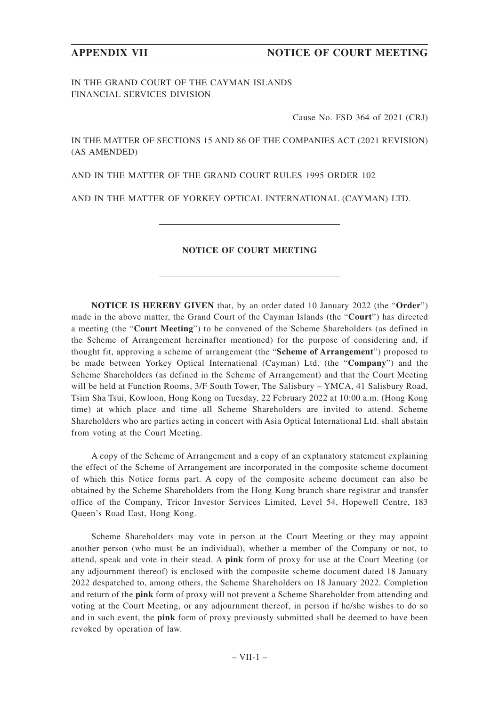IN THE GRAND COURT OF THE CAYMAN ISLANDS FINANCIAL SERVICES DIVISION

Cause No. FSD 364 of 2021 (CRJ)

IN THE MATTER OF SECTIONS 15 AND 86 OF THE COMPANIES ACT (2021 REVISION) (AS AMENDED)

AND IN THE MATTER OF THE GRAND COURT RULES 1995 ORDER 102

AND IN THE MATTER OF YORKEY OPTICAL INTERNATIONAL (CAYMAN) LTD.

# **NOTICE OF COURT MEETING**

**NOTICE IS HEREBY GIVEN** that, by an order dated 10 January 2022 (the "**Order**") made in the above matter, the Grand Court of the Cayman Islands (the "**Court**") has directed a meeting (the "**Court Meeting**") to be convened of the Scheme Shareholders (as defined in the Scheme of Arrangement hereinafter mentioned) for the purpose of considering and, if thought fit, approving a scheme of arrangement (the "**Scheme of Arrangement**") proposed to be made between Yorkey Optical International (Cayman) Ltd. (the "**Company**") and the Scheme Shareholders (as defined in the Scheme of Arrangement) and that the Court Meeting will be held at Function Rooms,  $3/F$  South Tower, The Salisbury – YMCA, 41 Salisbury Road, Tsim Sha Tsui, Kowloon, Hong Kong on Tuesday, 22 February 2022 at 10:00 a.m. (Hong Kong time) at which place and time all Scheme Shareholders are invited to attend. Scheme Shareholders who are parties acting in concert with Asia Optical International Ltd. shall abstain from voting at the Court Meeting.

A copy of the Scheme of Arrangement and a copy of an explanatory statement explaining the effect of the Scheme of Arrangement are incorporated in the composite scheme document of which this Notice forms part. A copy of the composite scheme document can also be obtained by the Scheme Shareholders from the Hong Kong branch share registrar and transfer office of the Company, Tricor Investor Services Limited, Level 54, Hopewell Centre, 183 Queen's Road East, Hong Kong.

Scheme Shareholders may vote in person at the Court Meeting or they may appoint another person (who must be an individual), whether a member of the Company or not, to attend, speak and vote in their stead. A **pink** form of proxy for use at the Court Meeting (or any adjournment thereof) is enclosed with the composite scheme document dated 18 January 2022 despatched to, among others, the Scheme Shareholders on 18 January 2022. Completion and return of the **pink** form of proxy will not prevent a Scheme Shareholder from attending and voting at the Court Meeting, or any adjournment thereof, in person if he/she wishes to do so and in such event, the **pink** form of proxy previously submitted shall be deemed to have been revoked by operation of law.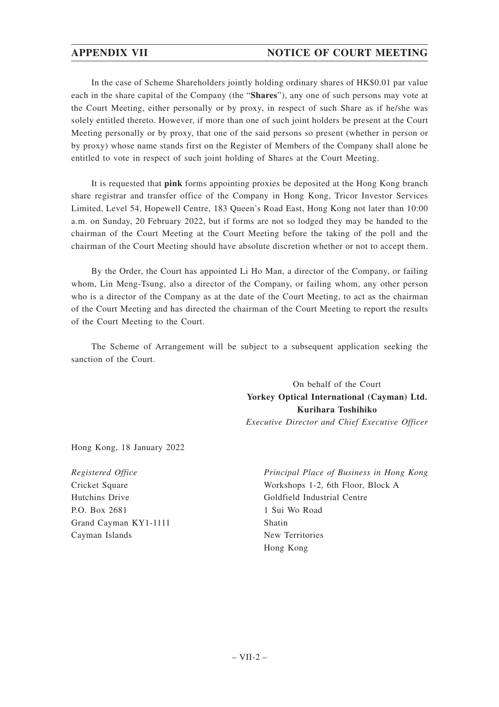# **APPENDIX VII NOTICE OF COURT MEETING**

In the case of Scheme Shareholders jointly holding ordinary shares of HK\$0.01 par value each in the share capital of the Company (the "**Shares**"), any one of such persons may vote at the Court Meeting, either personally or by proxy, in respect of such Share as if he/she was solely entitled thereto. However, if more than one of such joint holders be present at the Court Meeting personally or by proxy, that one of the said persons so present (whether in person or by proxy) whose name stands first on the Register of Members of the Company shall alone be entitled to vote in respect of such joint holding of Shares at the Court Meeting.

It is requested that **pink** forms appointing proxies be deposited at the Hong Kong branch share registrar and transfer office of the Company in Hong Kong, Tricor Investor Services Limited, Level 54, Hopewell Centre, 183 Queen's Road East, Hong Kong not later than 10:00 a.m. on Sunday, 20 February 2022, but if forms are not so lodged they may be handed to the chairman of the Court Meeting at the Court Meeting before the taking of the poll and the chairman of the Court Meeting should have absolute discretion whether or not to accept them.

By the Order, the Court has appointed Li Ho Man, a director of the Company, or failing whom, Lin Meng-Tsung, also a director of the Company, or failing whom, any other person who is a director of the Company as at the date of the Court Meeting, to act as the chairman of the Court Meeting and has directed the chairman of the Court Meeting to report the results of the Court Meeting to the Court.

The Scheme of Arrangement will be subject to a subsequent application seeking the sanction of the Court.

> On behalf of the Court **Yorkey Optical International (Cayman) Ltd. Kurihara Toshihiko** *Executive Director and Chief Executive Officer*

Hong Kong, 18 January 2022

*Registered Office* Cricket Square Hutchins Drive P.O. Box 2681 Grand Cayman KY1-1111 Cayman Islands

*Principal Place of Business in Hong Kong* Workshops 1-2, 6th Floor, Block A Goldfield Industrial Centre 1 Sui Wo Road Shatin New Territories Hong Kong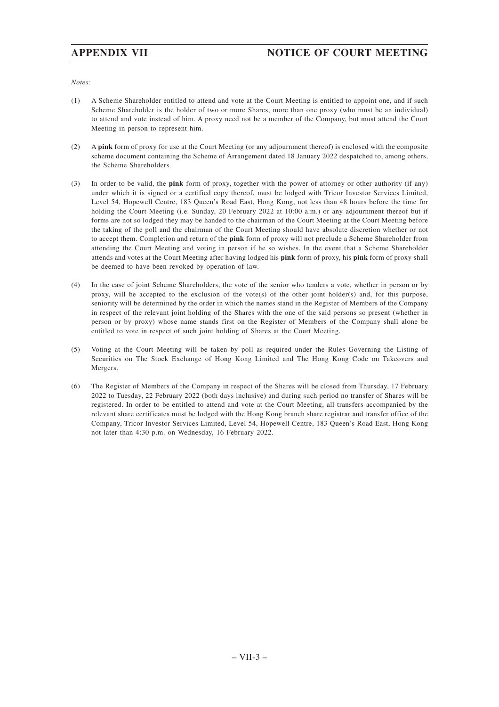# **APPENDIX VII NOTICE OF COURT MEETING**

*Notes:*

- (1) A Scheme Shareholder entitled to attend and vote at the Court Meeting is entitled to appoint one, and if such Scheme Shareholder is the holder of two or more Shares, more than one proxy (who must be an individual) to attend and vote instead of him. A proxy need not be a member of the Company, but must attend the Court Meeting in person to represent him.
- (2) A **pink** form of proxy for use at the Court Meeting (or any adjournment thereof) is enclosed with the composite scheme document containing the Scheme of Arrangement dated 18 January 2022 despatched to, among others, the Scheme Shareholders.
- (3) In order to be valid, the **pink** form of proxy, together with the power of attorney or other authority (if any) under which it is signed or a certified copy thereof, must be lodged with Tricor Investor Services Limited, Level 54, Hopewell Centre, 183 Queen's Road East, Hong Kong, not less than 48 hours before the time for holding the Court Meeting (i.e. Sunday, 20 February 2022 at 10:00 a.m.) or any adjournment thereof but if forms are not so lodged they may be handed to the chairman of the Court Meeting at the Court Meeting before the taking of the poll and the chairman of the Court Meeting should have absolute discretion whether or not to accept them. Completion and return of the **pink** form of proxy will not preclude a Scheme Shareholder from attending the Court Meeting and voting in person if he so wishes. In the event that a Scheme Shareholder attends and votes at the Court Meeting after having lodged his **pink** form of proxy, his **pink** form of proxy shall be deemed to have been revoked by operation of law.
- (4) In the case of joint Scheme Shareholders, the vote of the senior who tenders a vote, whether in person or by proxy, will be accepted to the exclusion of the vote(s) of the other joint holder(s) and, for this purpose, seniority will be determined by the order in which the names stand in the Register of Members of the Company in respect of the relevant joint holding of the Shares with the one of the said persons so present (whether in person or by proxy) whose name stands first on the Register of Members of the Company shall alone be entitled to vote in respect of such joint holding of Shares at the Court Meeting.
- (5) Voting at the Court Meeting will be taken by poll as required under the Rules Governing the Listing of Securities on The Stock Exchange of Hong Kong Limited and The Hong Kong Code on Takeovers and Mergers.
- (6) The Register of Members of the Company in respect of the Shares will be closed from Thursday, 17 February 2022 to Tuesday, 22 February 2022 (both days inclusive) and during such period no transfer of Shares will be registered. In order to be entitled to attend and vote at the Court Meeting, all transfers accompanied by the relevant share certificates must be lodged with the Hong Kong branch share registrar and transfer office of the Company, Tricor Investor Services Limited, Level 54, Hopewell Centre, 183 Queen's Road East, Hong Kong not later than 4:30 p.m. on Wednesday, 16 February 2022.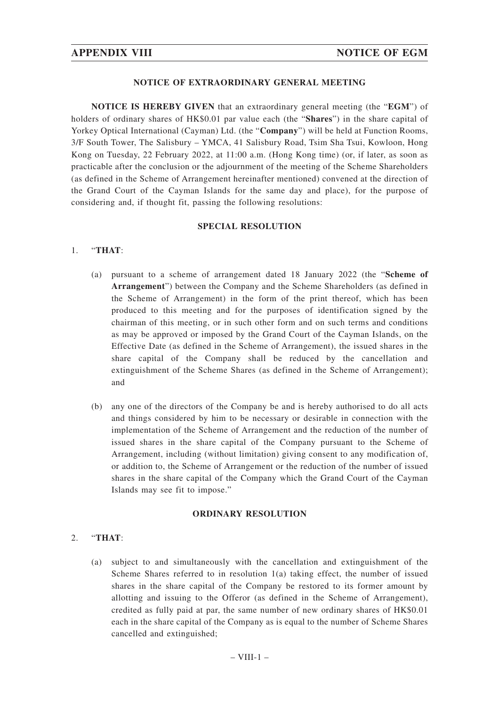# **NOTICE OF EXTRAORDINARY GENERAL MEETING**

**NOTICE IS HEREBY GIVEN** that an extraordinary general meeting (the "**EGM**") of holders of ordinary shares of HK\$0.01 par value each (the "**Shares**") in the share capital of Yorkey Optical International (Cayman) Ltd. (the "**Company**") will be held at Function Rooms, 3/F South Tower, The Salisbury – YMCA, 41 Salisbury Road, Tsim Sha Tsui, Kowloon, Hong Kong on Tuesday, 22 February 2022, at 11:00 a.m. (Hong Kong time) (or, if later, as soon as practicable after the conclusion or the adjournment of the meeting of the Scheme Shareholders (as defined in the Scheme of Arrangement hereinafter mentioned) convened at the direction of the Grand Court of the Cayman Islands for the same day and place), for the purpose of considering and, if thought fit, passing the following resolutions:

### **SPECIAL RESOLUTION**

### 1. "**THAT**:

- (a) pursuant to a scheme of arrangement dated 18 January 2022 (the "**Scheme of Arrangement**") between the Company and the Scheme Shareholders (as defined in the Scheme of Arrangement) in the form of the print thereof, which has been produced to this meeting and for the purposes of identification signed by the chairman of this meeting, or in such other form and on such terms and conditions as may be approved or imposed by the Grand Court of the Cayman Islands, on the Effective Date (as defined in the Scheme of Arrangement), the issued shares in the share capital of the Company shall be reduced by the cancellation and extinguishment of the Scheme Shares (as defined in the Scheme of Arrangement); and
- (b) any one of the directors of the Company be and is hereby authorised to do all acts and things considered by him to be necessary or desirable in connection with the implementation of the Scheme of Arrangement and the reduction of the number of issued shares in the share capital of the Company pursuant to the Scheme of Arrangement, including (without limitation) giving consent to any modification of, or addition to, the Scheme of Arrangement or the reduction of the number of issued shares in the share capital of the Company which the Grand Court of the Cayman Islands may see fit to impose."

### **ORDINARY RESOLUTION**

# 2. "**THAT**:

(a) subject to and simultaneously with the cancellation and extinguishment of the Scheme Shares referred to in resolution 1(a) taking effect, the number of issued shares in the share capital of the Company be restored to its former amount by allotting and issuing to the Offeror (as defined in the Scheme of Arrangement), credited as fully paid at par, the same number of new ordinary shares of HK\$0.01 each in the share capital of the Company as is equal to the number of Scheme Shares cancelled and extinguished;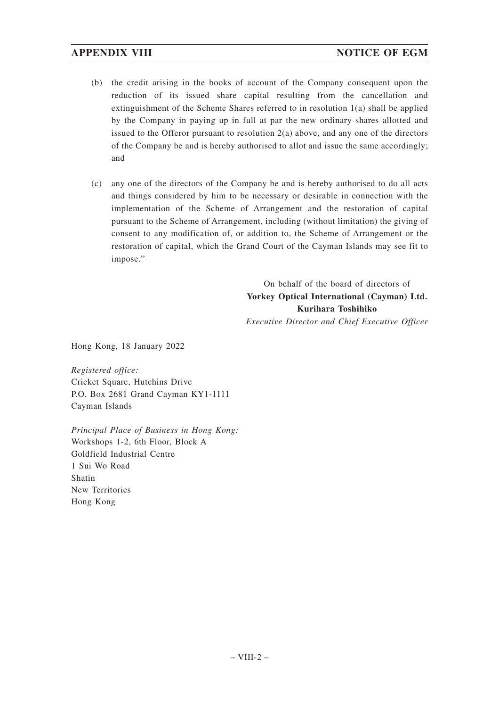- (b) the credit arising in the books of account of the Company consequent upon the reduction of its issued share capital resulting from the cancellation and extinguishment of the Scheme Shares referred to in resolution 1(a) shall be applied by the Company in paying up in full at par the new ordinary shares allotted and issued to the Offeror pursuant to resolution 2(a) above, and any one of the directors of the Company be and is hereby authorised to allot and issue the same accordingly; and
- (c) any one of the directors of the Company be and is hereby authorised to do all acts and things considered by him to be necessary or desirable in connection with the implementation of the Scheme of Arrangement and the restoration of capital pursuant to the Scheme of Arrangement, including (without limitation) the giving of consent to any modification of, or addition to, the Scheme of Arrangement or the restoration of capital, which the Grand Court of the Cayman Islands may see fit to impose."

On behalf of the board of directors of **Yorkey Optical International (Cayman) Ltd. Kurihara Toshihiko** *Executive Director and Chief Executive Officer*

Hong Kong, 18 January 2022

*Registered office:* Cricket Square, Hutchins Drive P.O. Box 2681 Grand Cayman KY1-1111 Cayman Islands

*Principal Place of Business in Hong Kong:* Workshops 1-2, 6th Floor, Block A Goldfield Industrial Centre 1 Sui Wo Road Shatin New Territories Hong Kong